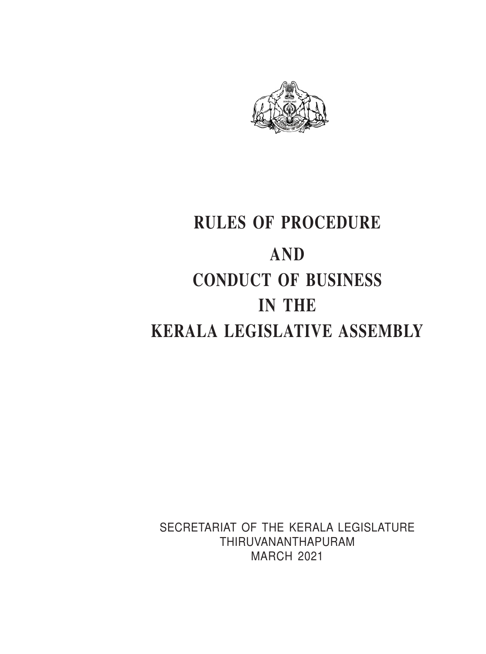

# **RULES OF PROCEDURE AND CONDUCT OF BUSINESS IN THE KERALA LEGISLATIVE ASSEMBLY**

SECRETARIAT OF THE KERALA LEGISLATURE THIRUVANANTHAPURAM MARCH 2021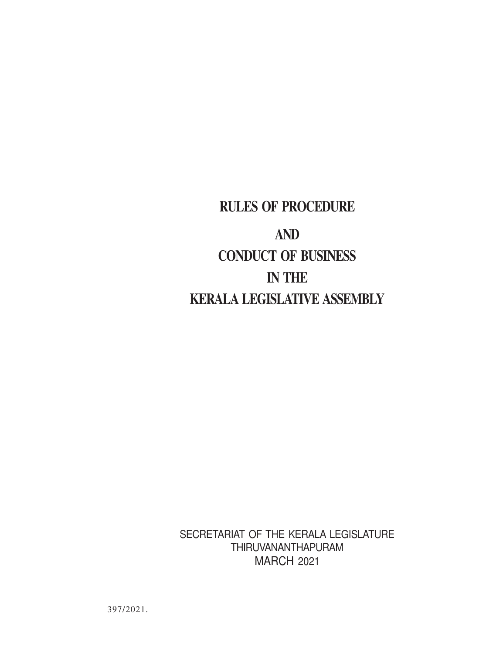# **RULES OF PROCEDURE AND CONDUCT OF BUSINESS IN THE KERALA LEGISLATIVE ASSEMBLY**

SECRETARIAT OF THE KERALA LEGISLATURE THIRUVANANTHAPURAM MARCH 2021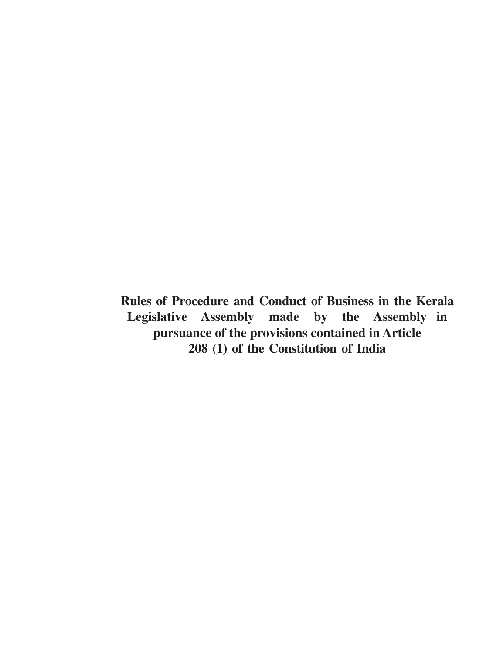**Rules of Procedure and Conduct of Business in the Kerala Legislative Assembly made by the Assembly in pursuance of the provisions contained in Article 208 (1) of the Constitution of India**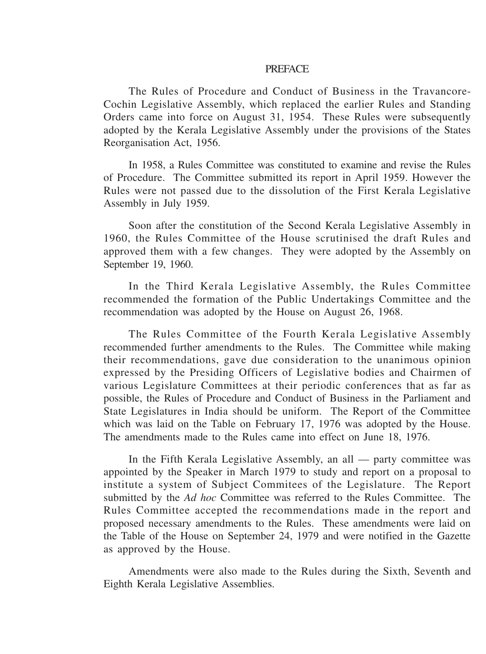#### **PREFACE**

The Rules of Procedure and Conduct of Business in the Travancore-Cochin Legislative Assembly, which replaced the earlier Rules and Standing Orders came into force on August 31, 1954. These Rules were subsequently adopted by the Kerala Legislative Assembly under the provisions of the States Reorganisation Act, 1956.

In 1958, a Rules Committee was constituted to examine and revise the Rules of Procedure. The Committee submitted its report in April 1959. However the Rules were not passed due to the dissolution of the First Kerala Legislative Assembly in July 1959.

Soon after the constitution of the Second Kerala Legislative Assembly in 1960, the Rules Committee of the House scrutinised the draft Rules and approved them with a few changes. They were adopted by the Assembly on September 19, 1960.

In the Third Kerala Legislative Assembly, the Rules Committee recommended the formation of the Public Undertakings Committee and the recommendation was adopted by the House on August 26, 1968.

The Rules Committee of the Fourth Kerala Legislative Assembly recommended further amendments to the Rules. The Committee while making their recommendations, gave due consideration to the unanimous opinion expressed by the Presiding Officers of Legislative bodies and Chairmen of various Legislature Committees at their periodic conferences that as far as possible, the Rules of Procedure and Conduct of Business in the Parliament and State Legislatures in India should be uniform. The Report of the Committee which was laid on the Table on February 17, 1976 was adopted by the House. The amendments made to the Rules came into effect on June 18, 1976.

In the Fifth Kerala Legislative Assembly, an all — party committee was appointed by the Speaker in March 1979 to study and report on a proposal to institute a system of Subject Commitees of the Legislature. The Report submitted by the *Ad hoc* Committee was referred to the Rules Committee. The Rules Committee accepted the recommendations made in the report and proposed necessary amendments to the Rules. These amendments were laid on the Table of the House on September 24, 1979 and were notified in the Gazette as approved by the House.

Amendments were also made to the Rules during the Sixth, Seventh and Eighth Kerala Legislative Assemblies.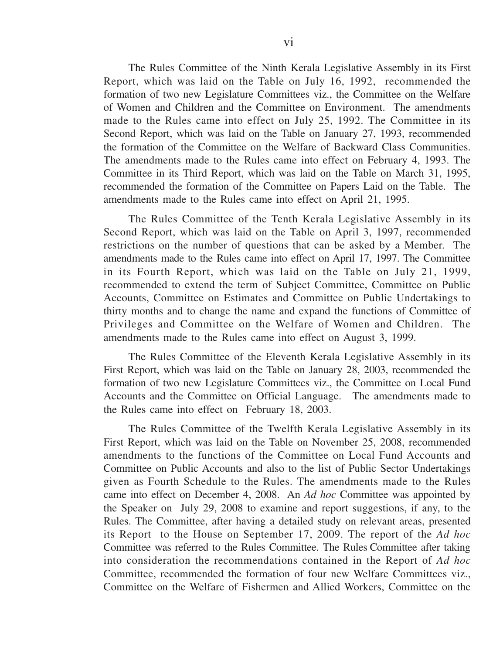The Rules Committee of the Ninth Kerala Legislative Assembly in its First Report, which was laid on the Table on July 16, 1992, recommended the formation of two new Legislature Committees viz., the Committee on the Welfare of Women and Children and the Committee on Environment. The amendments made to the Rules came into effect on July 25, 1992. The Committee in its Second Report, which was laid on the Table on January 27, 1993, recommended the formation of the Committee on the Welfare of Backward Class Communities. The amendments made to the Rules came into effect on February 4, 1993. The Committee in its Third Report, which was laid on the Table on March 31, 1995, recommended the formation of the Committee on Papers Laid on the Table. The amendments made to the Rules came into effect on April 21, 1995.

The Rules Committee of the Tenth Kerala Legislative Assembly in its Second Report, which was laid on the Table on April 3, 1997, recommended restrictions on the number of questions that can be asked by a Member. The amendments made to the Rules came into effect on April 17, 1997. The Committee in its Fourth Report, which was laid on the Table on July 21, 1999, recommended to extend the term of Subject Committee, Committee on Public Accounts, Committee on Estimates and Committee on Public Undertakings to thirty months and to change the name and expand the functions of Committee of Privileges and Committee on the Welfare of Women and Children. The amendments made to the Rules came into effect on August 3, 1999.

The Rules Committee of the Eleventh Kerala Legislative Assembly in its First Report, which was laid on the Table on January 28, 2003, recommended the formation of two new Legislature Committees viz., the Committee on Local Fund Accounts and the Committee on Official Language. The amendments made to the Rules came into effect on February 18, 2003.

The Rules Committee of the Twelfth Kerala Legislative Assembly in its First Report, which was laid on the Table on November 25, 2008, recommended amendments to the functions of the Committee on Local Fund Accounts and Committee on Public Accounts and also to the list of Public Sector Undertakings given as Fourth Schedule to the Rules. The amendments made to the Rules came into effect on December 4, 2008. An *Ad hoc* Committee was appointed by the Speaker on July 29, 2008 to examine and report suggestions, if any, to the Rules. The Committee, after having a detailed study on relevant areas, presented its Report to the House on September 17, 2009. The report of the *Ad hoc* Committee was referred to the Rules Committee. The Rules Committee after taking into consideration the recommendations contained in the Report of *Ad hoc* Committee, recommended the formation of four new Welfare Committees viz., Committee on the Welfare of Fishermen and Allied Workers, Committee on the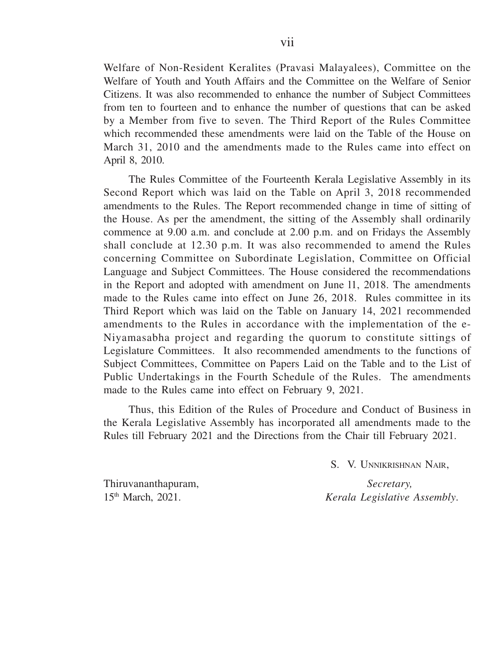Welfare of Non-Resident Keralites (Pravasi Malayalees), Committee on the Welfare of Youth and Youth Affairs and the Committee on the Welfare of Senior Citizens. It was also recommended to enhance the number of Subject Committees from ten to fourteen and to enhance the number of questions that can be asked by a Member from five to seven. The Third Report of the Rules Committee which recommended these amendments were laid on the Table of the House on March 31, 2010 and the amendments made to the Rules came into effect on April 8, 2010.

The Rules Committee of the Fourteenth Kerala Legislative Assembly in its Second Report which was laid on the Table on April 3, 2018 recommended amendments to the Rules. The Report recommended change in time of sitting of the House. As per the amendment, the sitting of the Assembly shall ordinarily commence at 9.00 a.m. and conclude at 2.00 p.m. and on Fridays the Assembly shall conclude at 12.30 p.m. It was also recommended to amend the Rules concerning Committee on Subordinate Legislation, Committee on Official Language and Subject Committees. The House considered the recommendations in the Report and adopted with amendment on June l1, 2018. The amendments made to the Rules came into effect on June 26, 2018. Rules committee in its Third Report which was laid on the Table on January 14, 2021 recommended amendments to the Rules in accordance with the implementation of the e-Niyamasabha project and regarding the quorum to constitute sittings of Legislature Committees. It also recommended amendments to the functions of Subject Committees, Committee on Papers Laid on the Table and to the List of Public Undertakings in the Fourth Schedule of the Rules. The amendments made to the Rules came into effect on February 9, 2021.

Thus, this Edition of the Rules of Procedure and Conduct of Business in the Kerala Legislative Assembly has incorporated all amendments made to the Rules till February 2021 and the Directions from the Chair till February 2021.

S. V. UNNIKRISHNAN NAIR,

Thiruvananthapuram, *Secretary,*<br>
15<sup>th</sup> March. 2021. *Kerala Legislative* 

15th March, 2021. *Kerala Legislative Assembly*.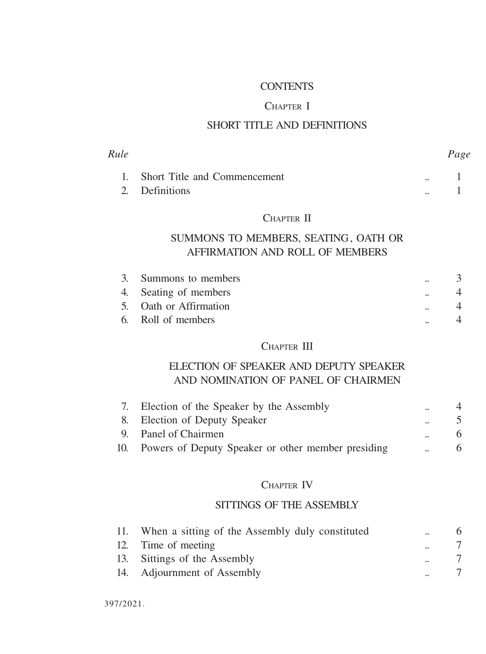#### CONTENTS

#### CHAPTER I

#### SHORT TITLE AND DEFINITIONS

| Rule |                                 |              | Page |
|------|---------------------------------|--------------|------|
|      | 1. Short Title and Commencement | $\mathbf{a}$ |      |
|      | 2. Definitions                  | $\sim$       |      |

#### CHAPTER II

# SUMMONS TO MEMBERS, SEATING, OATH OR AFFIRMATION AND ROLL OF MEMBERS

| 3. Summons to members  | $\ddot{\phantom{a}}$ |  |
|------------------------|----------------------|--|
| 4. Seating of members  | $\ddot{\phantom{a}}$ |  |
| 5. Oath or Affirmation | $\ddot{\phantom{a}}$ |  |
| 6. Roll of members     |                      |  |
|                        |                      |  |

#### CHAPTER III

# ELECTION OF SPEAKER AND DEPUTY SPEAKER AND NOMINATION OF PANEL OF CHAIRMEN

| 7. | Election of the Speaker by the Assembly                | $\ddot{\phantom{a}}$ |   |
|----|--------------------------------------------------------|----------------------|---|
|    | 8. Election of Deputy Speaker                          | $\ddot{\phantom{a}}$ |   |
|    | 9. Panel of Chairmen                                   | $\ddot{\phantom{a}}$ |   |
|    | 10. Powers of Deputy Speaker or other member presiding | $\ddot{\phantom{0}}$ | 6 |

#### CHAPTER IV

#### SITTINGS OF THE ASSEMBLY

| 11. | When a sitting of the Assembly duly constituted | $\mathbf{a}$         | 6 |
|-----|-------------------------------------------------|----------------------|---|
| 12. | Time of meeting                                 | $\ddot{\phantom{a}}$ |   |
|     | 13. Sittings of the Assembly                    |                      |   |
|     | 14. Adjournment of Assembly                     |                      |   |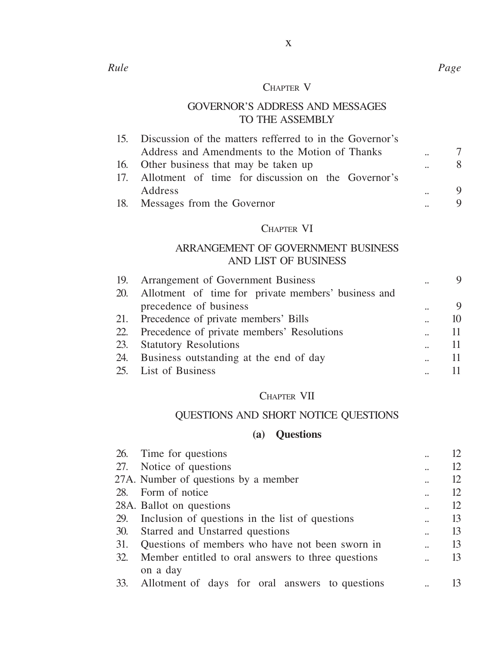#### CHAPTER V

x

# GOVERNOR'S ADDRESS AND MESSAGES TO THE ASSEMBLY

|               | 15. Discussion of the matters refferred to in the Governor's |   |
|---------------|--------------------------------------------------------------|---|
|               | Address and Amendments to the Motion of Thanks               |   |
|               | 16. Other business that may be taken up                      | 8 |
|               | 17. Allotment of time for discussion on the Governor's       |   |
|               | Address                                                      | 9 |
|               | 18. Messages from the Governor                               |   |
|               | CHAPTER VI                                                   |   |
|               | ARRANGEMENT OF GOVERNMENT BUSINESS<br>AND LIST OF BUSINESS   |   |
| $\sim$ $\sim$ |                                                              |   |

| 19. Arrangement of Government Business                  |                      |    |
|---------------------------------------------------------|----------------------|----|
| 20. Allotment of time for private members' business and |                      |    |
| precedence of business                                  | $\ddot{\phantom{a}}$ | 9  |
| 21. Precedence of private members' Bills                | $\ddot{\phantom{a}}$ | 10 |
| 22. Precedence of private members' Resolutions          | $\ddot{\phantom{a}}$ | 11 |
| 23. Statutory Resolutions                               |                      | 11 |
| 24. Business outstanding at the end of day              | $\ddot{\phantom{a}}$ | 11 |
| 25. List of Business                                    |                      |    |
|                                                         |                      |    |

# CHAPTER VII

# QUESTIONS AND SHORT NOTICE QUESTIONS

# **(a) Questions**

|     | 26. Time for questions                              |                      | 12 |
|-----|-----------------------------------------------------|----------------------|----|
| 27. | Notice of questions                                 |                      | 12 |
|     | 27A. Number of questions by a member                |                      | 12 |
| 28. | Form of notice                                      |                      | 12 |
|     | 28A. Ballot on questions                            |                      | 12 |
| 29. | Inclusion of questions in the list of questions     | $\ddot{\phantom{a}}$ | 13 |
| 30. | Starred and Unstarred questions                     |                      | 13 |
| 31. | Questions of members who have not been sworn in     | $\ddot{\phantom{a}}$ | 13 |
| 32. | Member entitled to oral answers to three questions  | $\ddot{\phantom{a}}$ | 13 |
|     | on a day                                            |                      |    |
|     | 33. Allotment of days for oral answers to questions |                      | 13 |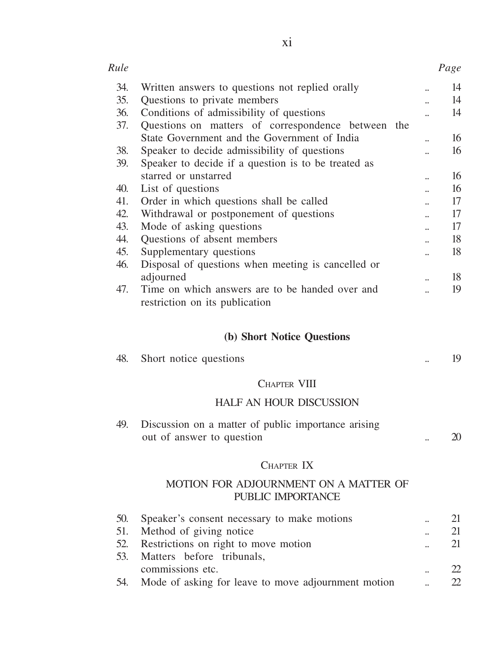| Rule |                                                                                   |    | Page |
|------|-----------------------------------------------------------------------------------|----|------|
| 34.  | Written answers to questions not replied orally                                   |    | 14   |
| 35.  | Questions to private members                                                      |    | 14   |
| 36.  | Conditions of admissibility of questions                                          |    | 14   |
| 37.  | Questions on matters of correspondence between<br>the                             |    |      |
|      | State Government and the Government of India                                      |    | 16   |
| 38.  | Speaker to decide admissibility of questions                                      |    | 16   |
| 39.  | Speaker to decide if a question is to be treated as                               |    |      |
|      | starred or unstarred                                                              | н. | 16   |
| 40.  | List of questions                                                                 |    | 16   |
| 41.  | Order in which questions shall be called                                          |    | 17   |
| 42.  | Withdrawal or postponement of questions                                           |    | 17   |
| 43.  | Mode of asking questions                                                          |    | 17   |
| 44.  | Questions of absent members                                                       |    | 18   |
| 45.  | Supplementary questions                                                           |    | 18   |
| 46.  | Disposal of questions when meeting is cancelled or                                |    |      |
|      | adjourned                                                                         |    | 18   |
| 47.  | Time on which answers are to be handed over and<br>restriction on its publication |    | 19   |

# **(b) Short Notice Questions**

| 48. | Short notice questions |  |
|-----|------------------------|--|
|     |                        |  |

# CHAPTER VIII

#### HALF AN HOUR DISCUSSION

| 49. | Discussion on a matter of public importance arising |  |
|-----|-----------------------------------------------------|--|
|     | out of answer to question                           |  |

#### CHAPTER IX

#### MOTION FOR ADJOURNMENT ON A MATTER OF PUBLIC IMPORTANCE

| 50. | Speaker's consent necessary to make motions         | $\ddot{\phantom{a}}$ | 21       |
|-----|-----------------------------------------------------|----------------------|----------|
| 51. | Method of giving notice                             | $\ddot{\phantom{a}}$ | 21       |
| 52. | Restrictions on right to move motion                | $\ddot{\phantom{a}}$ | 21       |
| 53. | Matters before tribunals,                           |                      |          |
|     | commissions etc.                                    | $\ddot{\phantom{a}}$ | <u>n</u> |
| 54. | Mode of asking for leave to move adjournment motion | $\ddot{\phantom{a}}$ | <u>n</u> |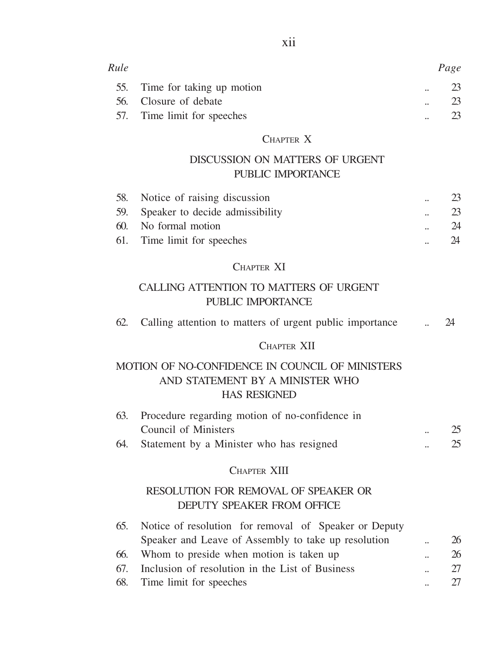| Rule |                           |                      | Page |
|------|---------------------------|----------------------|------|
| 55.  | Time for taking up motion | $\ddot{\phantom{a}}$ | 23   |
| 56.  | Closure of debate         | $\ddot{\phantom{a}}$ | 23   |
| 57.  | Time limit for speeches   |                      |      |

#### CHAPTER X

# DISCUSSION ON MATTERS OF URGENT PUBLIC IMPORTANCE

| 58. Notice of raising discussion    | 23. |
|-------------------------------------|-----|
| 59. Speaker to decide admissibility | 23  |
| 60. No formal motion                | 24  |
| 61. Time limit for speeches         | 24  |

#### CHAPTER XI

# CALLING ATTENTION TO MATTERS OF URGENT PUBLIC IMPORTANCE

| 62. |  |  |  |  |  | Calling attention to matters of urgent public importance |  |  |
|-----|--|--|--|--|--|----------------------------------------------------------|--|--|
|-----|--|--|--|--|--|----------------------------------------------------------|--|--|

#### CHAPTER XII

#### MOTION OF NO-CONFIDENCE IN COUNCIL OF MINISTERS AND STATEMENT BY A MINISTER WHO HAS RESIGNED

| 63. | Procedure regarding motion of no-confidence in |                      |    |
|-----|------------------------------------------------|----------------------|----|
|     | Council of Ministers                           | $\ddot{\phantom{a}}$ | 25 |
| 64. | Statement by a Minister who has resigned       | $\ddot{\phantom{a}}$ | 25 |

#### CHAPTER XIII

#### RESOLUTION FOR REMOVAL OF SPEAKER OR DEPUTY SPEAKER FROM OFFICE

| 65. | Notice of resolution for removal of Speaker or Deputy |                      |    |
|-----|-------------------------------------------------------|----------------------|----|
|     | Speaker and Leave of Assembly to take up resolution   | $\mathbf{a}$         | 26 |
| 66. | Whom to preside when motion is taken up               | $\ddot{\phantom{a}}$ | 26 |
| 67. | Inclusion of resolution in the List of Business       | $\ddot{\phantom{a}}$ | 27 |
|     | 68. Time limit for speeches                           | $\ddot{\phantom{a}}$ | 27 |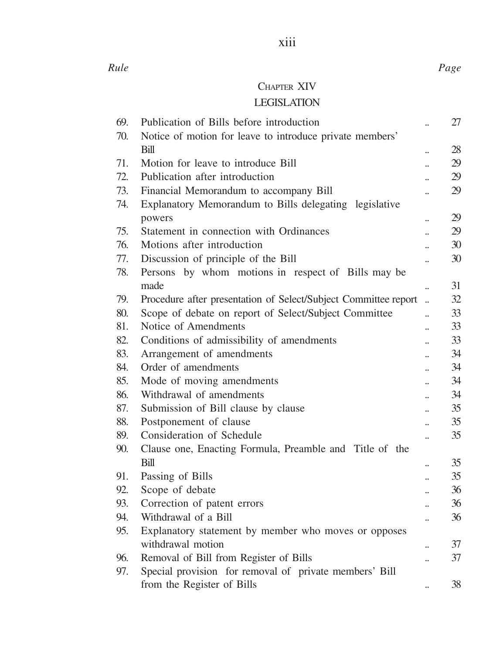*Rule Page*

# CHAPTER XIV

# LEGISLATION

| 69. | Publication of Bills before introduction                         |                      | 27 |
|-----|------------------------------------------------------------------|----------------------|----|
| 70. | Notice of motion for leave to introduce private members'         |                      |    |
|     | Rill                                                             |                      | 28 |
| 71. | Motion for leave to introduce Bill                               | ä.                   | 29 |
| 72. | Publication after introduction                                   | $\ddot{\phantom{a}}$ | 29 |
| 73. | Financial Memorandum to accompany Bill                           |                      | 29 |
| 74. | Explanatory Memorandum to Bills delegating legislative<br>powers |                      | 29 |
| 75. | Statement in connection with Ordinances                          | ä.                   | 29 |
| 76. | Motions after introduction                                       |                      | 30 |
| 77. | Discussion of principle of the Bill                              | ä.                   | 30 |
| 78. | Persons by whom motions in respect of Bills may be               |                      |    |
|     | made                                                             |                      | 31 |
| 79. | Procedure after presentation of Select/Subject Committee report  | ä,                   | 32 |
| 80. | Scope of debate on report of Select/Subject Committee            |                      | 33 |
| 81. | Notice of Amendments                                             | ä.                   | 33 |
| 82. | Conditions of admissibility of amendments                        |                      | 33 |
| 83. | Arrangement of amendments                                        | $\ddot{\phantom{a}}$ | 34 |
| 84. | Order of amendments                                              |                      | 34 |
| 85. | Mode of moving amendments                                        | $\ddot{\phantom{a}}$ | 34 |
| 86. | Withdrawal of amendments                                         |                      | 34 |
| 87. | Submission of Bill clause by clause                              | $\ddot{\phantom{a}}$ | 35 |
| 88. | Postponement of clause                                           | $\ddot{\phantom{a}}$ | 35 |
| 89. | Consideration of Schedule                                        |                      | 35 |
| 90. | Clause one, Enacting Formula, Preamble and Title of the          |                      |    |
|     | Bill                                                             |                      | 35 |
| 91. | Passing of Bills                                                 | $\ddot{\phantom{a}}$ | 35 |
| 92. | Scope of debate                                                  |                      | 36 |
| 93. | Correction of patent errors                                      | ä.                   | 36 |
| 94. | Withdrawal of a Bill                                             |                      | 36 |
| 95. | Explanatory statement by member who moves or opposes             |                      |    |
|     | withdrawal motion                                                |                      | 37 |
| 96. | Removal of Bill from Register of Bills                           |                      | 37 |
| 97. | Special provision for removal of private members' Bill           |                      |    |
|     | from the Register of Bills                                       | $\ddot{\phantom{a}}$ | 38 |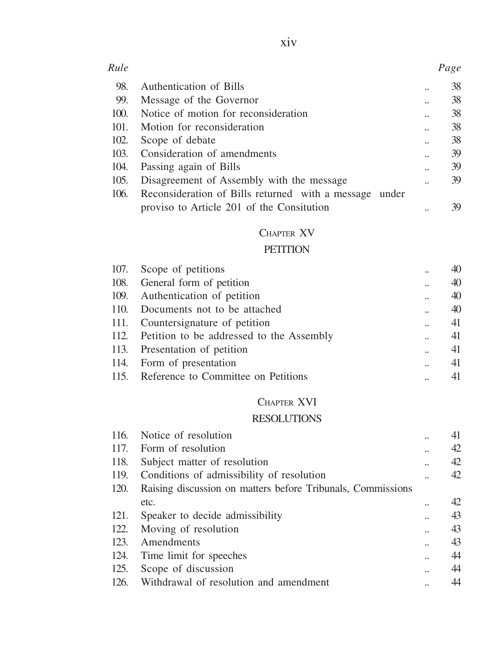| Rule |                                                        | Page   |
|------|--------------------------------------------------------|--------|
| 98.  | Authentication of Bills                                | <br>38 |
| 99.  | Message of the Governor                                | <br>38 |
| 100. | Notice of motion for reconsideration                   | 38     |
| 101. | Motion for reconsideration                             | <br>38 |
| 102. | Scope of debate                                        | <br>38 |
| 103. | Consideration of amendments                            | 39     |
| 104. | Passing again of Bills                                 | <br>39 |
| 105. | Disagreement of Assembly with the message              | <br>39 |
| 106. | Reconsideration of Bills returned with a message under |        |
|      | proviso to Article 201 of the Consitution              | <br>39 |
|      |                                                        |        |

# CHAPTER XV

#### **PETITION**

| 107. Scope of petitions                       | $\ddot{\phantom{a}}$ | 40 |
|-----------------------------------------------|----------------------|----|
| 108. General form of petition                 |                      | 40 |
| 109. Authentication of petition               | $\ddot{\phantom{a}}$ | 40 |
| 110. Documents not to be attached             | $\ddot{\phantom{a}}$ | 40 |
| 111. Countersignature of petition             | $\ddot{\phantom{a}}$ | 41 |
| 112. Petition to be addressed to the Assembly | $\ddot{\phantom{a}}$ | 41 |
| 113. Presentation of petition                 | u.                   | 41 |
| 114. Form of presentation                     | u.                   | 41 |
| 115. Reference to Committee on Petitions      |                      | 41 |

# CHAPTER XVI

# RESOLUTIONS

| Notice of resolution                                        | <br>41 |
|-------------------------------------------------------------|--------|
| Form of resolution                                          | <br>42 |
| Subject matter of resolution                                | <br>42 |
| Conditions of admissibility of resolution                   | <br>42 |
| Raising discussion on matters before Tribunals, Commissions |        |
| etc.                                                        | <br>42 |
| Speaker to decide admissibility                             | <br>43 |
| Moving of resolution                                        | <br>43 |
| Amendments                                                  | <br>43 |
| Time limit for speeches                                     | <br>44 |
| Scope of discussion                                         | <br>44 |
| Withdrawal of resolution and amendment                      | 44     |
|                                                             |        |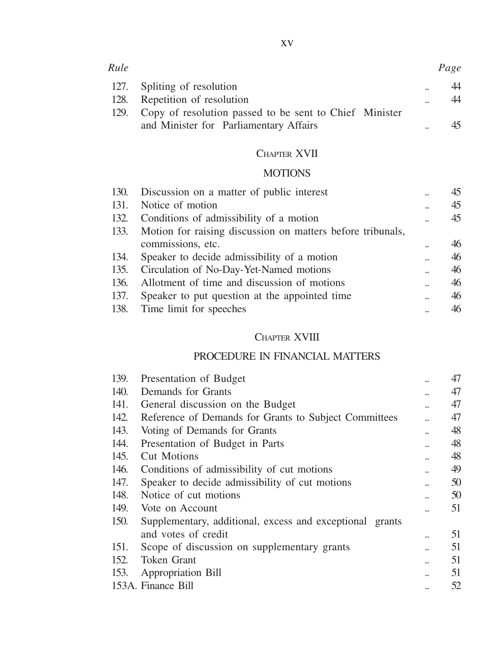| Rule |                                                             |                      | Page |
|------|-------------------------------------------------------------|----------------------|------|
|      | 127. Spliting of resolution                                 | $\ddot{\phantom{a}}$ | 44   |
| 128. | Repetition of resolution                                    | $\ddot{\phantom{a}}$ | 44   |
|      | 129. Copy of resolution passed to be sent to Chief Minister |                      |      |
|      | and Minister for Parliamentary Affairs                      | н.                   |      |

# CHAPTER XVII

# **MOTIONS**

|      | 130. Discussion on a matter of public interest                  |                      |    |
|------|-----------------------------------------------------------------|----------------------|----|
| 131. | Notice of motion                                                | $\ddot{\phantom{a}}$ | 45 |
| 132. | Conditions of admissibility of a motion                         |                      | 45 |
|      | 133. Motion for raising discussion on matters before tribunals, |                      |    |
|      | commissions, etc.                                               |                      | 46 |
|      | 134. Speaker to decide admissibility of a motion                |                      | 46 |
| 135. | Circulation of No-Day-Yet-Named motions                         | $\ddot{\phantom{a}}$ | 46 |
| 136. | Allotment of time and discussion of motions                     |                      | 46 |
|      | 137. Speaker to put question at the appointed time              | $\ddot{\phantom{a}}$ | 46 |
|      | 138. Time limit for speeches                                    |                      | 46 |

# CHAPTER XVIII

# PROCEDURE IN FINANCIAL MATTERS

| 139. | Presentation of Budget                                   | <br>47 |
|------|----------------------------------------------------------|--------|
| 140. | Demands for Grants                                       | 47     |
| 141. | General discussion on the Budget                         | 47     |
| 142. | Reference of Demands for Grants to Subject Committees    | 47     |
| 143. | Voting of Demands for Grants                             | <br>48 |
| 144. | Presentation of Budget in Parts                          | 48     |
| 145. | <b>Cut Motions</b>                                       | <br>48 |
| 146. | Conditions of admissibility of cut motions               | 49     |
| 147. | Speaker to decide admissibility of cut motions           | 50     |
| 148. | Notice of cut motions                                    | <br>50 |
| 149. | Vote on Account                                          | 51     |
| 150. | Supplementary, additional, excess and exceptional grants |        |
|      | and votes of credit                                      | 51     |
| 151. | Scope of discussion on supplementary grants              | 51     |
| 152. | Token Grant                                              | 51     |
| 153. | Appropriation Bill                                       | 51     |
|      | 153A. Finance Bill                                       | 52     |
|      |                                                          |        |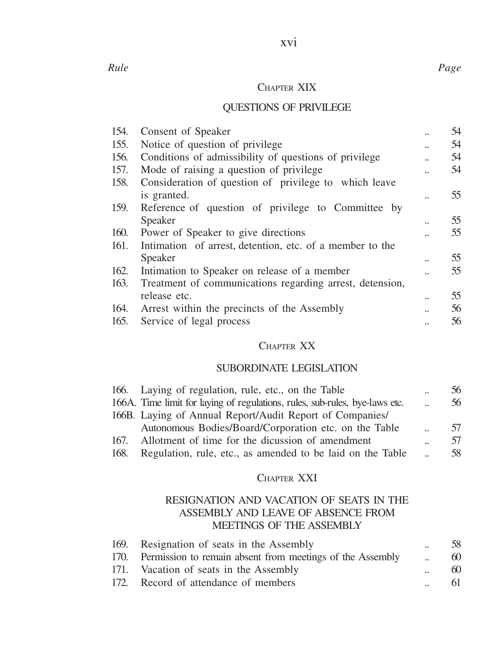## CHAPTER XIX

# QUESTIONS OF PRIVILEGE

| 154. | Consent of Speaker                                       |                      | 54 |
|------|----------------------------------------------------------|----------------------|----|
| 155. | Notice of question of privilege.                         |                      | 54 |
| 156. | Conditions of admissibility of questions of privilege    | $\ddot{\phantom{a}}$ | 54 |
| 157. | Mode of raising a question of privilege                  |                      | 54 |
| 158. | Consideration of question of privilege to which leave    |                      |    |
|      | is granted.                                              |                      | 55 |
| 159. | Reference of question of privilege to Committee by       |                      |    |
|      | Speaker                                                  |                      | 55 |
| 160. | Power of Speaker to give directions                      |                      | 55 |
| 161. | Intimation of arrest, detention, etc. of a member to the |                      |    |
|      | Speaker                                                  |                      | 55 |
| 162. | Intimation to Speaker on release of a member             |                      | 55 |
| 163. | Treatment of communications regarding arrest, detension, |                      |    |
|      | release etc.                                             | $\ddot{\phantom{a}}$ | 55 |
| 164. | Arrest within the precincts of the Assembly              |                      | 56 |
| 165. | Service of legal process                                 |                      | 56 |
|      |                                                          |                      |    |

# CHAPTER XX

#### SUBORDINATE LEGISLATION

| Laying of regulation, rule, etc., on the Table<br>166.                      | $\ddot{\phantom{a}}$ | 56 |
|-----------------------------------------------------------------------------|----------------------|----|
| 166A. Time limit for laying of regulations, rules, sub-rules, bye-laws etc. | $\ddot{\phantom{a}}$ | 56 |
| 166B. Laying of Annual Report/Audit Report of Companies/                    |                      |    |
| Autonomous Bodies/Board/Corporation etc. on the Table                       |                      | 57 |
| Allotment of time for the dicussion of amendment<br>167.                    | $\ddot{\phantom{a}}$ |    |
| Regulation, rule, etc., as amended to be laid on the Table<br>168.          |                      | 58 |

#### CHAPTER XXI

#### RESIGNATION AND VACATION OF SEATS IN THE ASSEMBLY AND LEAVE OF ABSENCE FROM MEETINGS OF THE ASSEMBLY

| 169. Resignation of seats in the Assembly                      | $\ddot{\phantom{a}}$ | 58 |
|----------------------------------------------------------------|----------------------|----|
| 170. Permission to remain absent from meetings of the Assembly | $\mathbf{a}$         | 60 |
| 171. Vacation of seats in the Assembly                         | $\ddot{\phantom{a}}$ | 60 |
| 172. Record of attendance of members                           | $\ddot{\phantom{a}}$ | 61 |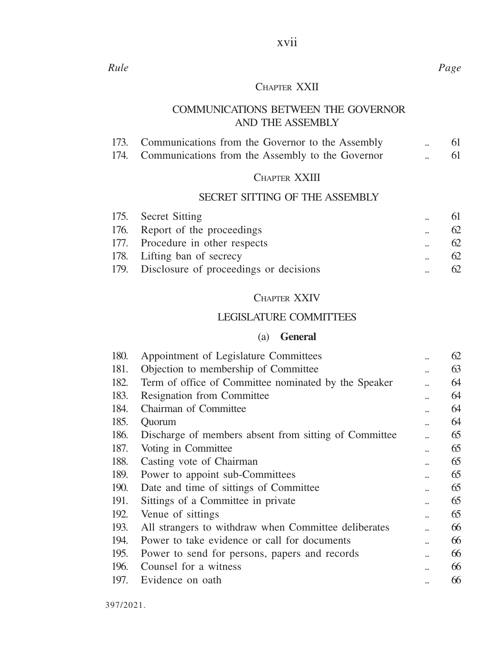# xvii

#### CHAPTER XXII

#### COMMUNICATIONS BETWEEN THE GOVERNOR AND THE ASSEMBLY

|      | 173. Communications from the Governor to the Assembly |  |  |
|------|-------------------------------------------------------|--|--|
| 174. | Communications from the Assembly to the Governor      |  |  |

# CHAPTER XXIII

# SECRET SITTING OF THE ASSEMBLY

| 175. Secret Sitting                         | $\ddot{\phantom{a}}$ | 61 |
|---------------------------------------------|----------------------|----|
| 176. Report of the proceedings              | $\ddot{\phantom{a}}$ | 62 |
| 177. Procedure in other respects            | $\ddot{\phantom{a}}$ | 62 |
| 178. Lifting ban of secrecy                 | $\ddot{\phantom{a}}$ | 62 |
| 179. Disclosure of proceedings or decisions | $\ddot{\phantom{a}}$ | 62 |

# CHAPTER XXIV

#### LEGISLATURE COMMITTEES

# (a) **General**

| 180. | Appointment of Legislature Committees                 | $\ddot{\phantom{a}}$ | 62 |
|------|-------------------------------------------------------|----------------------|----|
| 181. | Objection to membership of Committee                  |                      | 63 |
| 182. | Term of office of Committee nominated by the Speaker  |                      | 64 |
| 183. | Resignation from Committee                            |                      | 64 |
| 184. | Chairman of Committee                                 |                      | 64 |
| 185. | Ouorum                                                |                      | 64 |
| 186. | Discharge of members absent from sitting of Committee |                      | 65 |
| 187. | Voting in Committee                                   |                      | 65 |
| 188. | Casting vote of Chairman                              |                      | 65 |
| 189. | Power to appoint sub-Committees                       |                      | 65 |
| 190. | Date and time of sittings of Committee                |                      | 65 |
| 191. | Sittings of a Committee in private                    |                      | 65 |
| 192. | Venue of sittings                                     |                      | 65 |
| 193. | All strangers to withdraw when Committee deliberates  |                      | 66 |
| 194. | Power to take evidence or call for documents          |                      | 66 |
| 195. | Power to send for persons, papers and records         |                      | 66 |
| 196. | Counsel for a witness                                 |                      | 66 |
| 197. | Evidence on oath                                      |                      | 66 |
|      |                                                       |                      |    |

*Rule Page*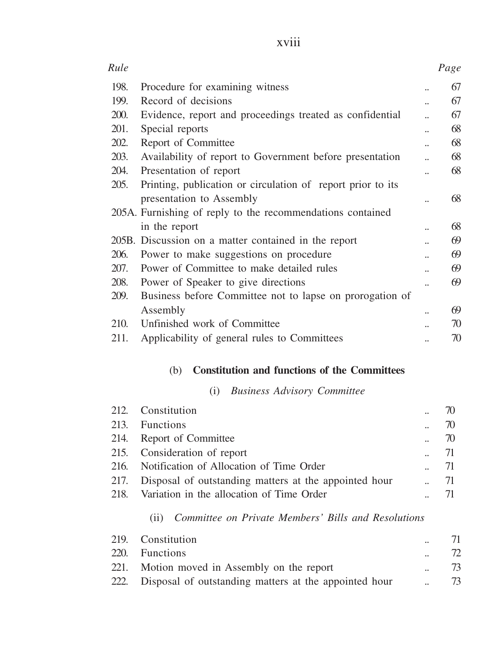| v. |  |  |
|----|--|--|
|    |  |  |

| Rule |                                                             |                      | Page |
|------|-------------------------------------------------------------|----------------------|------|
| 198. | Procedure for examining witness                             |                      | 67   |
| 199. | Record of decisions                                         |                      | 67   |
| 200. | Evidence, report and proceedings treated as confidential    |                      | 67   |
| 201. | Special reports                                             |                      | 68   |
| 202. | Report of Committee                                         |                      | 68   |
| 203. | Availability of report to Government before presentation    |                      | 68   |
| 204. | Presentation of report                                      |                      | 68   |
| 205. | Printing, publication or circulation of report prior to its |                      |      |
|      | presentation to Assembly                                    | ä.                   | 68   |
|      | 205A. Furnishing of reply to the recommendations contained  |                      |      |
|      | in the report                                               |                      | 68   |
|      | 205B. Discussion on a matter contained in the report        |                      | 69   |
| 206. | Power to make suggestions on procedure                      |                      | 69   |
| 207. | Power of Committee to make detailed rules                   |                      | 69   |
| 208. | Power of Speaker to give directions                         | $\ddot{\phantom{a}}$ | 69   |
| 209. | Business before Committee not to lapse on prorogation of    |                      |      |
|      | Assembly                                                    |                      | 69   |
| 210. | Unfinished work of Committee                                |                      | 70   |
| 211. | Applicability of general rules to Committees                |                      | 70   |

# (b) **Constitution and functions of the Committees**

# (i) *Business Advisory Committee*

| 212. Constitution                                          |                      | 70   |
|------------------------------------------------------------|----------------------|------|
| 213. Functions                                             | $\ddot{\phantom{a}}$ | 70   |
| 214. Report of Committee                                   |                      | 70   |
| 215. Consideration of report                               |                      | - 71 |
| 216. Notification of Allocation of Time Order              |                      | -71  |
| 217. Disposal of outstanding matters at the appointed hour |                      | 71   |
| 218. Variation in the allocation of Time Order             |                      |      |

# (ii) *Committee on Private Members' Bills and Resolutions*

| 219. Constitution                                          | $\ddot{\phantom{a}}$ | 71 |
|------------------------------------------------------------|----------------------|----|
| 220. Functions                                             | $\ddot{\phantom{a}}$ | 72 |
| 221. Motion moved in Assembly on the report                | $\mathbf{a}$         | 73 |
| 222. Disposal of outstanding matters at the appointed hour | $\mathbf{a}$         | 73 |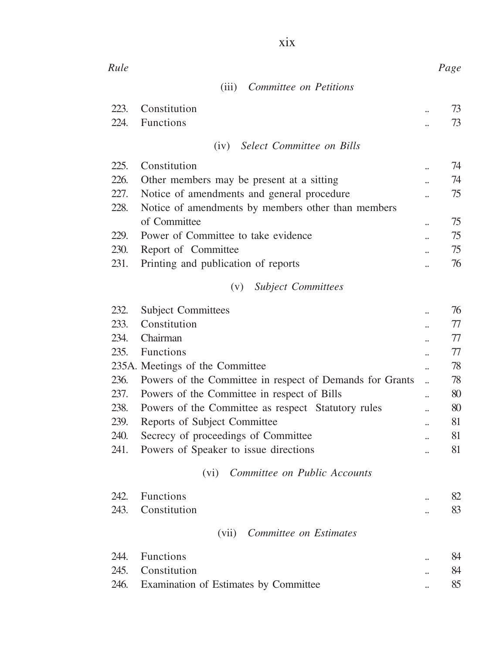| Rule |                                                          |                      | Page |
|------|----------------------------------------------------------|----------------------|------|
|      | Committee on Petitions<br>(iii)                          |                      |      |
| 223. | Constitution                                             | $\ddot{\phantom{a}}$ | 73   |
| 224. | <b>Functions</b>                                         | $\ddot{\phantom{a}}$ | 73   |
|      | Select Committee on Bills<br>(iv)                        |                      |      |
| 225. | Constitution                                             |                      | 74   |
| 226. | Other members may be present at a sitting                | $\ddot{\phantom{a}}$ | 74   |
| 227. | Notice of amendments and general procedure               |                      | 75   |
| 228. | Notice of amendments by members other than members       |                      |      |
|      | of Committee                                             | $\ddot{\phantom{a}}$ | 75   |
| 229. | Power of Committee to take evidence                      | $\ddot{\phantom{a}}$ | 75   |
| 230. | Report of Committee                                      |                      | 75   |
| 231. | Printing and publication of reports                      |                      | 76   |
|      | <b>Subject Committees</b><br>(v)                         |                      |      |
| 232. | <b>Subject Committees</b>                                |                      | 76   |
| 233. | Constitution                                             |                      | 77   |
| 234. | Chairman                                                 |                      | 77   |
| 235. | <b>Functions</b>                                         |                      | 77   |
|      | 235A. Meetings of the Committee                          |                      | 78   |
| 236. | Powers of the Committee in respect of Demands for Grants |                      | 78   |
| 237. | Powers of the Committee in respect of Bills              | $\ddot{\phantom{a}}$ | 80   |
| 238. | Powers of the Committee as respect Statutory rules       | $\ddot{\phantom{a}}$ | 80   |
| 239. | Reports of Subject Committee                             | $\ddot{\phantom{a}}$ | 81   |
| 240. | Secrecy of proceedings of Committee                      |                      | 81   |
| 241. | Powers of Speaker to issue directions                    |                      | 81   |
|      | Committee on Public Accounts<br>(vi)                     |                      |      |
| 242  | <b>Functions</b>                                         |                      | 82   |
| 243. | Constitution                                             |                      | 83   |
|      | Committee on Estimates<br>(vii)                          |                      |      |
|      |                                                          |                      |      |
|      | 244. Functions                                           |                      | 84   |
| 245. | Constitution                                             |                      | 84   |
| 246. | Examination of Estimates by Committee                    |                      | 85   |

xix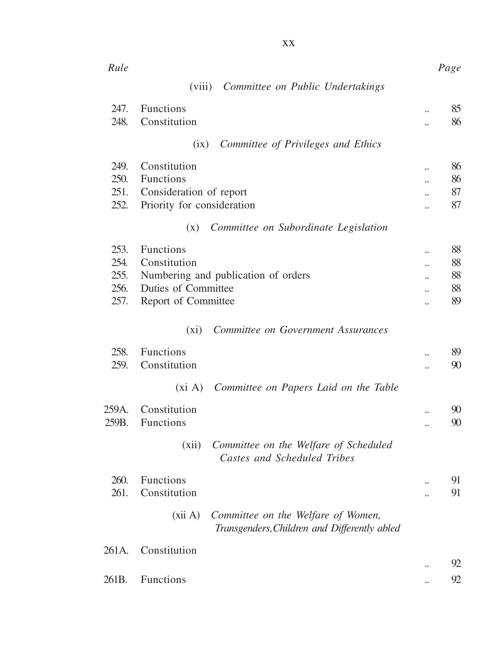| Rule                                 |                                                                                                                       |                                              | Page                       |
|--------------------------------------|-----------------------------------------------------------------------------------------------------------------------|----------------------------------------------|----------------------------|
|                                      | (viii)<br>Committee on Public Undertakings                                                                            |                                              |                            |
| 247.<br>248.                         | Functions<br>Constitution                                                                                             |                                              | 85<br>86                   |
|                                      | Committee of Privileges and Ethics<br>(ix)                                                                            |                                              |                            |
| 249.<br>250.<br>251.<br>252.         | Constitution<br>Functions<br>Consideration of report<br>Priority for consideration                                    | $\ddot{\phantom{a}}$<br>$\ddot{\phantom{a}}$ | 86<br>86<br>87<br>87       |
|                                      | Committee on Subordinate Legislation<br>(x)                                                                           |                                              |                            |
| 253.<br>254.<br>255.<br>256.<br>257. | <b>Functions</b><br>Constitution<br>Numbering and publication of orders<br>Duties of Committee<br>Report of Committee | $\ddot{\phantom{a}}$<br>$\ddot{\phantom{a}}$ | 88<br>88<br>88<br>88<br>89 |
|                                      | Committee on Government Assurances<br>$(x_i)$                                                                         |                                              |                            |
| 258.<br>259.                         | <b>Functions</b><br>Constitution                                                                                      | $\ddot{\phantom{a}}$<br>                     | 89<br>90                   |
|                                      | (xi A) Committee on Papers Laid on the Table                                                                          |                                              |                            |
| 259A.<br>259B.                       | Constitution<br><b>Functions</b>                                                                                      | $\ddot{\phantom{a}}$<br>$\ddot{\phantom{a}}$ | 90<br>90                   |
|                                      | Committee on the Welfare of Scheduled<br>(xii)<br>Castes and Scheduled Tribes                                         |                                              |                            |
| 260.<br>261.                         | <b>Functions</b><br>Constitution                                                                                      | <br>u.                                       | 91<br>91                   |
|                                      | (xii A)<br>Committee on the Welfare of Women,<br>Transgenders, Children and Differently abled                         |                                              |                            |
| 261A.                                | Constitution                                                                                                          |                                              |                            |
| 261B.                                | Functions                                                                                                             | $\ddot{\phantom{a}}$                         | 92<br>92                   |
|                                      |                                                                                                                       |                                              |                            |

xx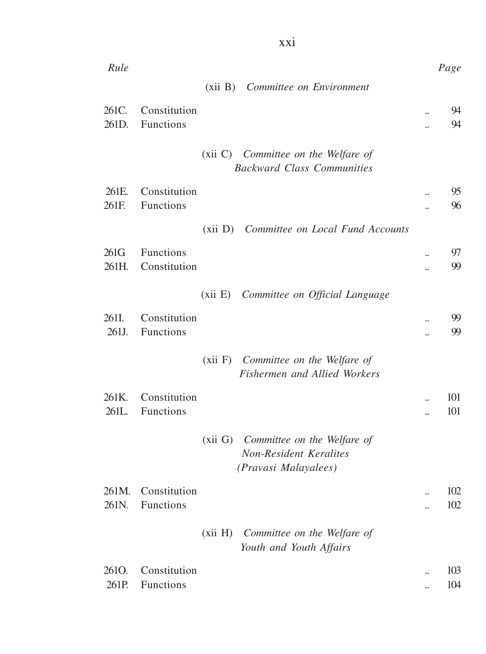| Rule               |                  |                                                                                       |                      | Page |
|--------------------|------------------|---------------------------------------------------------------------------------------|----------------------|------|
|                    |                  | (xii B) Committee on Environment                                                      |                      |      |
| 261C.              | Constitution     |                                                                                       |                      | 94   |
| 261D.              | <b>Functions</b> |                                                                                       | $\ddot{\phantom{a}}$ | 94   |
|                    |                  | (xii C) Committee on the Welfare of<br><b>Backward Class Communities</b>              |                      |      |
| 261E.              | Constitution     |                                                                                       | $\ddot{\phantom{a}}$ | 95   |
| 261F.              | <b>Functions</b> |                                                                                       | $\ddot{\phantom{a}}$ | 96   |
|                    |                  | (xii D) Committee on Local Fund Accounts                                              |                      |      |
| 261G               | Functions        |                                                                                       |                      | 97   |
| 261H.              | Constitution     |                                                                                       | $\ddot{\phantom{a}}$ | 99   |
|                    |                  | (xii E) Committee on Official Language                                                |                      |      |
| 261I.              | Constitution     |                                                                                       |                      | 99   |
| 261J.              | <b>Functions</b> |                                                                                       | $\ddot{\phantom{a}}$ | 99   |
|                    |                  | (xii F) Committee on the Welfare of<br>Fishermen and Allied Workers                   |                      |      |
| 261K.              | Constitution     |                                                                                       |                      | 101  |
| 261L.              | Functions        |                                                                                       | ä,                   | 101  |
|                    |                  | (xii G) Committee on the Welfare of<br>Non-Resident Keralites<br>(Pravasi Malayalees) |                      |      |
| 261M.              | Constitution     |                                                                                       | $\ddot{\phantom{a}}$ | 102  |
| 261N.              | <b>Functions</b> |                                                                                       | $\ddot{\phantom{a}}$ | 102  |
|                    |                  | (xii H) Committee on the Welfare of<br>Youth and Youth Affairs                        |                      |      |
| 261 <sub>O</sub> . | Constitution     |                                                                                       | $\ddot{\phantom{a}}$ | 103  |
| 261P.              | Functions        |                                                                                       | $\ddot{\phantom{a}}$ | 104  |

xxi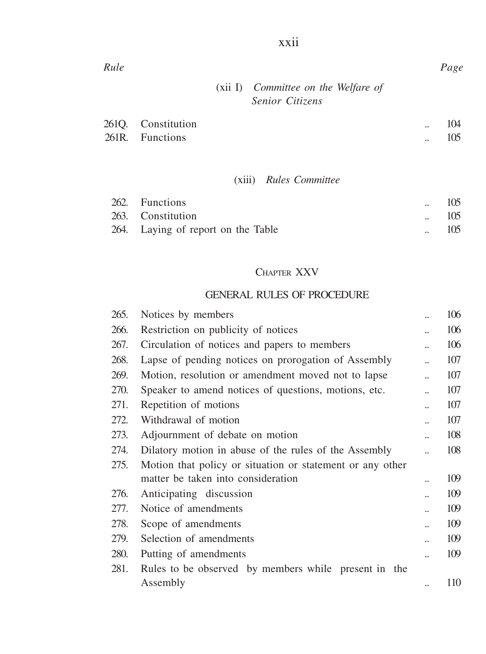| Rule |                     |                                                        | Page |
|------|---------------------|--------------------------------------------------------|------|
|      |                     | $(xii)$ Committee on the Welfare of<br>Senior Citizens |      |
|      | $2610$ Constitution |                                                        | 104  |

xxii

| 2610. Constitution | <br>104 |
|--------------------|---------|
| 261R. Functions    | <br>105 |

# (xiii) *Rules Committee*

| 262. Functions                     |                      | 105 |
|------------------------------------|----------------------|-----|
| 263. Constitution                  |                      | 105 |
| 264. Laying of report on the Table | $\ddot{\phantom{a}}$ | 105 |

# CHAPTER XXV

#### GENERAL RULES OF PROCEDURE

| 265. | Notices by members                                        |                      | 106 |
|------|-----------------------------------------------------------|----------------------|-----|
| 266. | Restriction on publicity of notices                       |                      | 106 |
| 267. | Circulation of notices and papers to members              |                      | 106 |
| 268. | Lapse of pending notices on prorogation of Assembly       |                      | 107 |
| 269. | Motion, resolution or amendment moved not to lapse        |                      | 107 |
| 270. | Speaker to amend notices of questions, motions, etc.      |                      | 107 |
| 271. | Repetition of motions                                     |                      | 107 |
| 272. | Withdrawal of motion                                      |                      | 107 |
| 273. | Adjournment of debate on motion                           |                      | 108 |
| 274. | Dilatory motion in abuse of the rules of the Assembly     | $\ddot{\phantom{a}}$ | 108 |
| 275. | Motion that policy or situation or statement or any other |                      |     |
|      | matter be taken into consideration                        |                      | 109 |
| 276. | Anticipating discussion                                   |                      | 109 |
| 277. | Notice of amendments                                      |                      | 109 |
| 278. | Scope of amendments                                       |                      | 109 |
| 279. | Selection of amendments                                   |                      | 109 |
| 280. | Putting of amendments                                     |                      | 109 |
| 281. | Rules to be observed by members while present in the      |                      |     |
|      | Assembly                                                  |                      | 110 |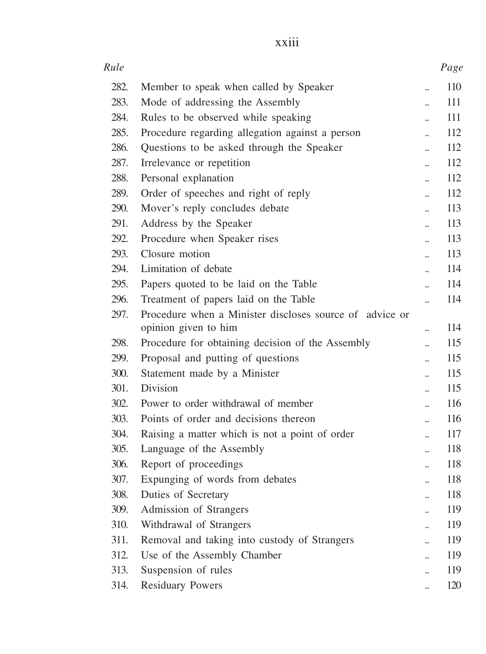| × |  |  |
|---|--|--|
|   |  |  |
|   |  |  |
|   |  |  |
|   |  |  |

| Rule         |                                                         |                                              | Page       |
|--------------|---------------------------------------------------------|----------------------------------------------|------------|
| 282.         | Member to speak when called by Speaker                  | $\ddot{\phantom{a}}$                         | 110        |
| 283.         | Mode of addressing the Assembly                         |                                              | 111        |
| 284.         | Rules to be observed while speaking                     | $\ddot{\phantom{a}}$                         | 111        |
| 285.         | Procedure regarding allegation against a person         | $\ddot{\phantom{a}}$                         | 112        |
| 286.         | Questions to be asked through the Speaker               |                                              | 112        |
| 287.         | Irrelevance or repetition                               | $\ddot{\phantom{a}}$                         | 112        |
| 288.         | Personal explanation                                    |                                              | 112        |
| 289.         | Order of speeches and right of reply                    | $\ddot{\phantom{a}}$                         | 112        |
| 290.         | Mover's reply concludes debate                          | $\ddot{\phantom{a}}$                         | 113        |
| 291.         | Address by the Speaker                                  | ä.                                           | 113        |
| 292.         | Procedure when Speaker rises                            | $\ddot{\phantom{a}}$                         | 113        |
| 293.         | Closure motion                                          | $\ddot{\phantom{a}}$                         | 113        |
| 294.         | Limitation of debate                                    | $\ddot{\phantom{a}}$                         | 114        |
| 295.         | Papers quoted to be laid on the Table                   | $\ddot{\phantom{a}}$                         | 114        |
| 296.         | Treatment of papers laid on the Table                   | ä,                                           | 114        |
| 297.         | Procedure when a Minister discloses source of advice or |                                              |            |
|              | opinion given to him                                    | $\ddot{\phantom{a}}$                         | 114        |
| 298.         | Procedure for obtaining decision of the Assembly        | $\ddot{\phantom{a}}$                         | 115        |
| 299.         | Proposal and putting of questions                       | $\ddot{\phantom{a}}$                         | 115        |
| 300.         | Statement made by a Minister                            | $\ddot{\phantom{a}}$                         | 115        |
| 301.         | <b>Division</b>                                         | $\ddot{\phantom{a}}$                         | 115        |
| 302.         | Power to order withdrawal of member                     | $\ddot{\phantom{a}}$                         | 116        |
| 303.<br>304. | Points of order and decisions thereon                   | $\ddot{\phantom{a}}$                         | 116        |
| 305.         | Raising a matter which is not a point of order          | $\ddot{\phantom{a}}$                         | 117<br>118 |
| 306.         | Language of the Assembly<br>Report of proceedings       | $\ddot{\phantom{a}}$                         | 118        |
| 307.         | Expunging of words from debates                         | ä.                                           | 118        |
| 308.         | Duties of Secretary                                     | $\ddot{\phantom{a}}$                         | 118        |
| 309.         | Admission of Strangers                                  | $\ddot{\phantom{a}}$                         | 119        |
| 310.         | Withdrawal of Strangers                                 | $\ddot{\phantom{a}}$                         | 119        |
| 311.         | Removal and taking into custody of Strangers            | $\ddot{\phantom{a}}$<br>$\ddot{\phantom{a}}$ | 119        |
| 312.         | Use of the Assembly Chamber                             | $\ddot{\phantom{a}}$                         | 119        |
| 313.         | Suspension of rules                                     | $\ddot{\phantom{a}}$                         | 119        |
| 314.         | <b>Residuary Powers</b>                                 |                                              | 120        |
|              |                                                         |                                              |            |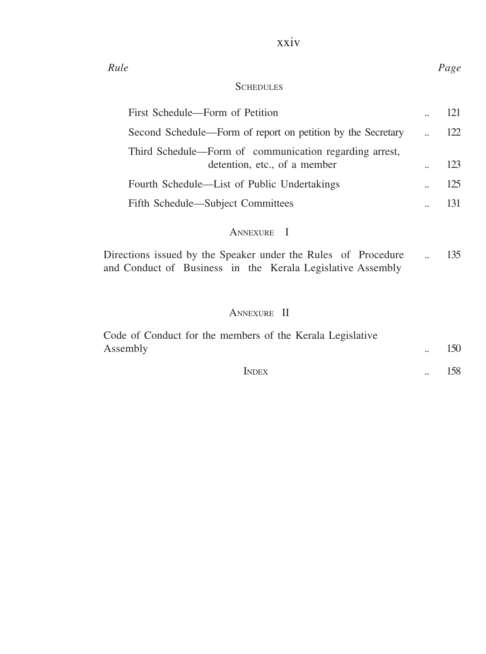# xxiv

# **SCHEDULES**

| First Schedule—Form of Petition                                                        | 121 |
|----------------------------------------------------------------------------------------|-----|
| Second Schedule—Form of report on petition by the Secretary                            | 122 |
| Third Schedule—Form of communication regarding arrest,<br>detention, etc., of a member | 123 |
| Fourth Schedule—List of Public Undertakings                                            | 125 |
| Fifth Schedule—Subject Committees                                                      | 131 |

# ANNEXURE I

Directions issued by the Speaker under the Rules of Procedure ... 135 and Conduct of Business in the Kerala Legislative Assembly

# ANNEXURE II

| Code of Conduct for the members of the Kerala Legislative |     |
|-----------------------------------------------------------|-----|
| Assembly                                                  | 150 |
| <b>INDEX</b>                                              | 158 |

#### *Rule Page*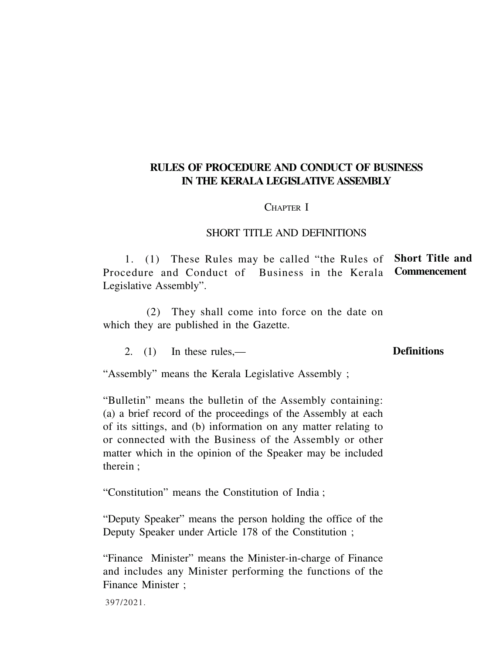#### **RULES OF PROCEDURE AND CONDUCT OF BUSINESS IN THE KERALA LEGISLATIVE ASSEMBLY**

#### CHAPTER I

#### SHORT TITLE AND DEFINITIONS

1. (1) These Rules may be called "the Rules of **Short Title and** Procedure and Conduct of Business in the Kerala **Commencement** Legislative Assembly".

(2) They shall come into force on the date on which they are published in the Gazette.

2. (1) In these rules,—

#### **Definitions**

"Assembly" means the Kerala Legislative Assembly ;

"Bulletin" means the bulletin of the Assembly containing: (a) a brief record of the proceedings of the Assembly at each of its sittings, and (b) information on any matter relating to or connected with the Business of the Assembly or other matter which in the opinion of the Speaker may be included therein ;

"Constitution" means the Constitution of India ;

"Deputy Speaker" means the person holding the office of the Deputy Speaker under Article 178 of the Constitution ;

"Finance Minister" means the Minister-in-charge of Finance and includes any Minister performing the functions of the Finance Minister ;

397/2021.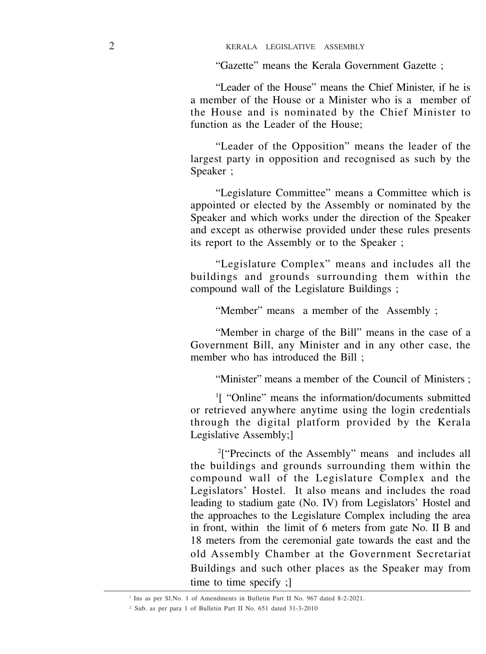"Gazette" means the Kerala Government Gazette ;

"Leader of the House" means the Chief Minister, if he is a member of the House or a Minister who is a member of the House and is nominated by the Chief Minister to function as the Leader of the House;

"Leader of the Opposition" means the leader of the largest party in opposition and recognised as such by the Speaker ;

"Legislature Committee" means a Committee which is appointed or elected by the Assembly or nominated by the Speaker and which works under the direction of the Speaker and except as otherwise provided under these rules presents its report to the Assembly or to the Speaker ;

"Legislature Complex" means and includes all the buildings and grounds surrounding them within the compound wall of the Legislature Buildings ;

"Member" means a member of the Assembly ;

"Member in charge of the Bill" means in the case of a Government Bill, any Minister and in any other case, the member who has introduced the Bill :

"Minister" means a member of the Council of Ministers ;

1 [ "Online" means the information/documents submitted or retrieved anywhere anytime using the login credentials through the digital platform provided by the Kerala Legislative Assembly;]

<sup>2</sup>["Precincts of the Assembly" means and includes all the buildings and grounds surrounding them within the compound wall of the Legislature Complex and the Legislators' Hostel. It also means and includes the road leading to stadium gate (No. IV) from Legislators' Hostel and the approaches to the Legislature Complex including the area in front, within the limit of 6 meters from gate No. II B and 18 meters from the ceremonial gate towards the east and the old Assembly Chamber at the Government Secretariat Buildings and such other places as the Speaker may from time to time specify ;]

<sup>&</sup>lt;sup>1</sup> Ins as per Sl.No. 1 of Amendments in Bulletin Part II No. 967 dated 8-2-2021.

<sup>2</sup> Sub. as per para 1 of Bulletin Part II No. 651 dated 31-3-2010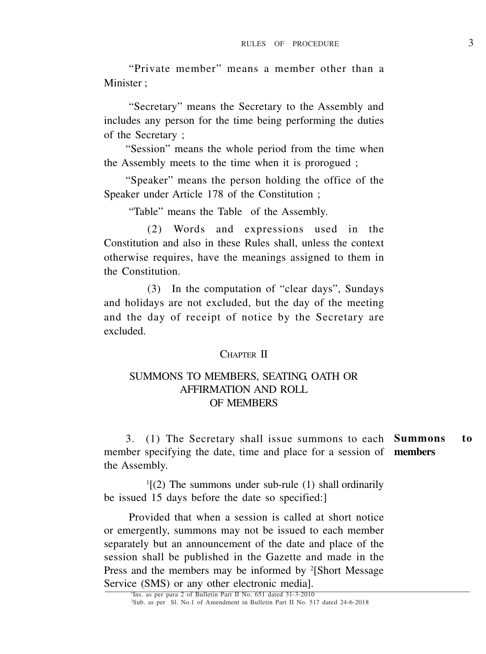"Private member" means a member other than a Minister ·

"Secretary" means the Secretary to the Assembly and includes any person for the time being performing the duties of the Secretary ;

"Session" means the whole period from the time when the Assembly meets to the time when it is prorogued ;

"Speaker" means the person holding the office of the Speaker under Article 178 of the Constitution ;

"Table" means the Table of the Assembly.

(2) Words and expressions used in the Constitution and also in these Rules shall, unless the context otherwise requires, have the meanings assigned to them in the Constitution.

(3) In the computation of "clear days", Sundays and holidays are not excluded, but the day of the meeting and the day of receipt of notice by the Secretary are excluded.

#### CHAPTER II

#### SUMMONS TO MEMBERS, SEATING, OATH OR AFFIRMATION AND ROLL OF MEMBERS

3. (1) The Secretary shall issue summons to each **Summons to** member specifying the date, time and place for a session of **members** the Assembly.

1 [(2) The summons under sub-rule (1) shall ordinarily be issued 15 days before the date so specified:]

Provided that when a session is called at short notice or emergently, summons may not be issued to each member separately but an announcement of the date and place of the session shall be published in the Gazette and made in the Press and the members may be informed by <sup>2</sup>[Short Message Service (SMS) or any other electronic media].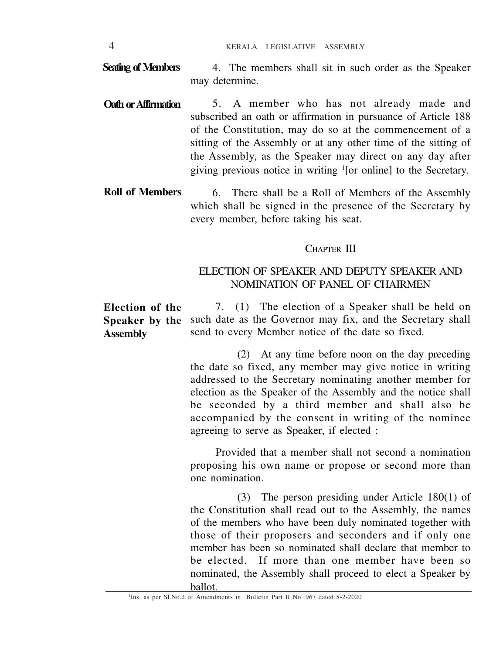4. The members shall sit in such order as the Speaker may determine. **Seating of Members**

- 5. A member who has not already made and subscribed an oath or affirmation in pursuance of Article 188 of the Constitution, may do so at the commencement of a sitting of the Assembly or at any other time of the sitting of the Assembly, as the Speaker may direct on any day after giving previous notice in writing <sup>1</sup> [or online] to the Secretary. **Oath orAffirmation**
- 6. There shall be a Roll of Members of the Assembly which shall be signed in the presence of the Secretary by every member, before taking his seat. **Roll of Members**

#### CHAPTER III

#### ELECTION OF SPEAKER AND DEPUTY SPEAKER AND NOMINATION OF PANEL OF CHAIRMEN

7. (1) The election of a Speaker shall be held on such date as the Governor may fix, and the Secretary shall send to every Member notice of the date so fixed. **Election of the Speaker by the Assembly**

> (2) At any time before noon on the day preceding the date so fixed, any member may give notice in writing addressed to the Secretary nominating another member for election as the Speaker of the Assembly and the notice shall be seconded by a third member and shall also be accompanied by the consent in writing of the nominee agreeing to serve as Speaker, if elected :

> Provided that a member shall not second a nomination proposing his own name or propose or second more than one nomination.

> (3) The person presiding under Article 180(1) of the Constitution shall read out to the Assembly, the names of the members who have been duly nominated together with those of their proposers and seconders and if only one member has been so nominated shall declare that member to be elected. If more than one member have been so nominated, the Assembly shall proceed to elect a Speaker by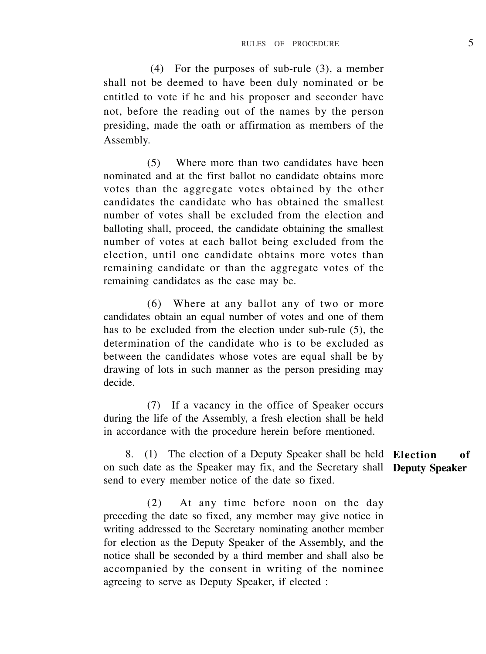(4) For the purposes of sub-rule (3), a member shall not be deemed to have been duly nominated or be entitled to vote if he and his proposer and seconder have not, before the reading out of the names by the person presiding, made the oath or affirmation as members of the Assembly.

(5) Where more than two candidates have been nominated and at the first ballot no candidate obtains more votes than the aggregate votes obtained by the other candidates the candidate who has obtained the smallest number of votes shall be excluded from the election and balloting shall, proceed, the candidate obtaining the smallest number of votes at each ballot being excluded from the election, until one candidate obtains more votes than remaining candidate or than the aggregate votes of the remaining candidates as the case may be.

(6) Where at any ballot any of two or more candidates obtain an equal number of votes and one of them has to be excluded from the election under sub-rule (5), the determination of the candidate who is to be excluded as between the candidates whose votes are equal shall be by drawing of lots in such manner as the person presiding may decide.

(7) If a vacancy in the office of Speaker occurs during the life of the Assembly, a fresh election shall be held in accordance with the procedure herein before mentioned.

8. (1) The election of a Deputy Speaker shall be held **Election of** on such date as the Speaker may fix, and the Secretary shall **Deputy Speaker**send to every member notice of the date so fixed.

(2) At any time before noon on the day preceding the date so fixed, any member may give notice in writing addressed to the Secretary nominating another member for election as the Deputy Speaker of the Assembly, and the notice shall be seconded by a third member and shall also be accompanied by the consent in writing of the nominee agreeing to serve as Deputy Speaker, if elected :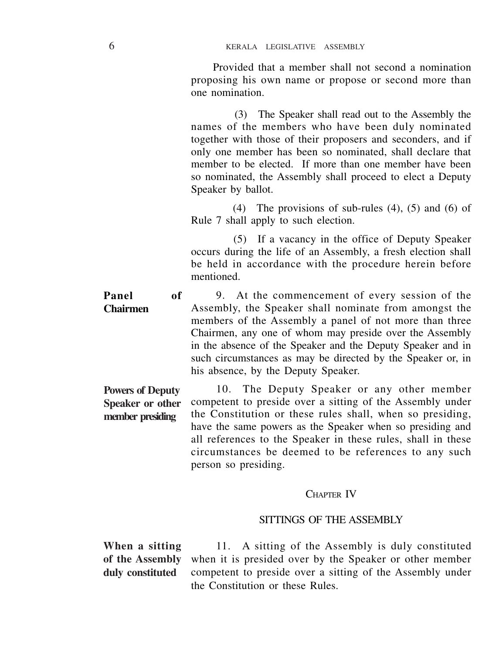Provided that a member shall not second a nomination proposing his own name or propose or second more than one nomination.

(3) The Speaker shall read out to the Assembly the names of the members who have been duly nominated together with those of their proposers and seconders, and if only one member has been so nominated, shall declare that member to be elected. If more than one member have been so nominated, the Assembly shall proceed to elect a Deputy Speaker by ballot.

 (4) The provisions of sub-rules (4), (5) and (6) of Rule 7 shall apply to such election.

 (5) If a vacancy in the office of Deputy Speaker occurs during the life of an Assembly, a fresh election shall be held in accordance with the procedure herein before mentioned.

9. At the commencement of every session of the Assembly, the Speaker shall nominate from amongst the members of the Assembly a panel of not more than three Chairmen, any one of whom may preside over the Assembly in the absence of the Speaker and the Deputy Speaker and in such circumstances as may be directed by the Speaker or, in his absence, by the Deputy Speaker. **Panel of Chairmen**

10. The Deputy Speaker or any other member competent to preside over a sitting of the Assembly under the Constitution or these rules shall, when so presiding, have the same powers as the Speaker when so presiding and all references to the Speaker in these rules, shall in these circumstances be deemed to be references to any such person so presiding. **Powers of Deputy Speaker or other member presiding**

#### CHAPTER IV

#### SITTINGS OF THE ASSEMBLY

**When a sitting duly constituted**

11. A sitting of the Assembly is duly constituted of the Assembly when it is presided over by the Speaker or other member competent to preside over a sitting of the Assembly under the Constitution or these Rules.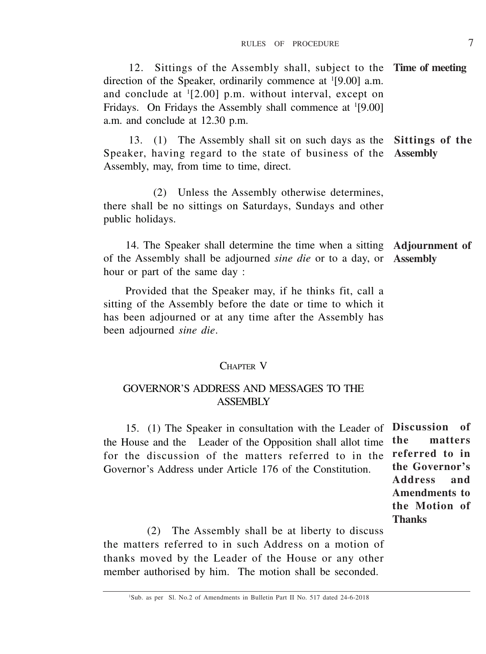12. Sittings of the Assembly shall, subject to the **Time of meeting** direction of the Speaker, ordinarily commence at <sup>1</sup>[9.00] a.m. and conclude at <sup>1</sup> [2.00] p.m. without interval, except on Fridays. On Fridays the Assembly shall commence at <sup>1</sup>[9.00] a.m. and conclude at 12.30 p.m.

13. (1) The Assembly shall sit on such days as the **Sittings of the** Speaker, having regard to the state of business of the **Assembly** Assembly, may, from time to time, direct.

(2) Unless the Assembly otherwise determines, there shall be no sittings on Saturdays, Sundays and other public holidays.

14. The Speaker shall determine the time when a sitting **Adjournment of** of the Assembly shall be adjourned *sine die* or to a day, or **Assembly** hour or part of the same day :

Provided that the Speaker may, if he thinks fit, call a sitting of the Assembly before the date or time to which it has been adjourned or at any time after the Assembly has been adjourned *sine die*.

#### CHAPTER V

#### GOVERNOR'S ADDRESS AND MESSAGES TO THE ASSEMBLY

15. (1) The Speaker in consultation with the Leader of **Discussion of** the House and the Leader of the Opposition shall allot time for the discussion of the matters referred to in the Governor's Address under Article 176 of the Constitution.

**the matters referred to in the Governor's Address and Amendments to the Motion of Thanks**

(2) The Assembly shall be at liberty to discuss the matters referred to in such Address on a motion of thanks moved by the Leader of the House or any other member authorised by him. The motion shall be seconded.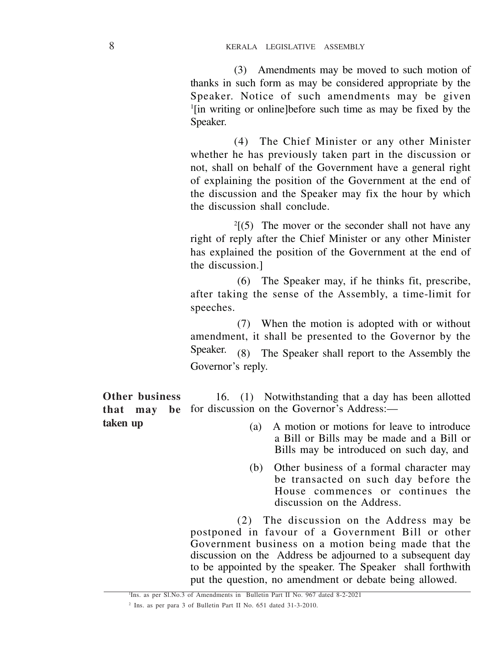(3) Amendments may be moved to such motion of thanks in such form as may be considered appropriate by the Speaker. Notice of such amendments may be given 1 [in writing or online]before such time as may be fixed by the Speaker.

(4) The Chief Minister or any other Minister whether he has previously taken part in the discussion or not, shall on behalf of the Government have a general right of explaining the position of the Government at the end of the discussion and the Speaker may fix the hour by which the discussion shall conclude.

 $2(5)$  The mover or the seconder shall not have any right of reply after the Chief Minister or any other Minister has explained the position of the Government at the end of the discussion.]

(6) The Speaker may, if he thinks fit, prescribe, after taking the sense of the Assembly, a time-limit for speeches.

(7) When the motion is adopted with or without amendment, it shall be presented to the Governor by the Speaker. (8) The Speaker shall report to the Assembly the Governor's reply.

16. (1) Notwithstanding that a day has been allotted for discussion on the Governor's Address:— **Other business that may be**

**taken up**

- (a) A motion or motions for leave to introduce a Bill or Bills may be made and a Bill or Bills may be introduced on such day, and
- (b) Other business of a formal character may be transacted on such day before the House commences or continues the discussion on the Address.

(2) The discussion on the Address may be postponed in favour of a Government Bill or other Government business on a motion being made that the discussion on the Address be adjourned to a subsequent day to be appointed by the speaker. The Speaker shall forthwith put the question, no amendment or debate being allowed.

<sup>1</sup> Ins. as per Sl.No.3 of Amendments in Bulletin Part II No. 967 dated 8-2-2021

<sup>2</sup> Ins. as per para 3 of Bulletin Part II No. 651 dated 31-3-2010.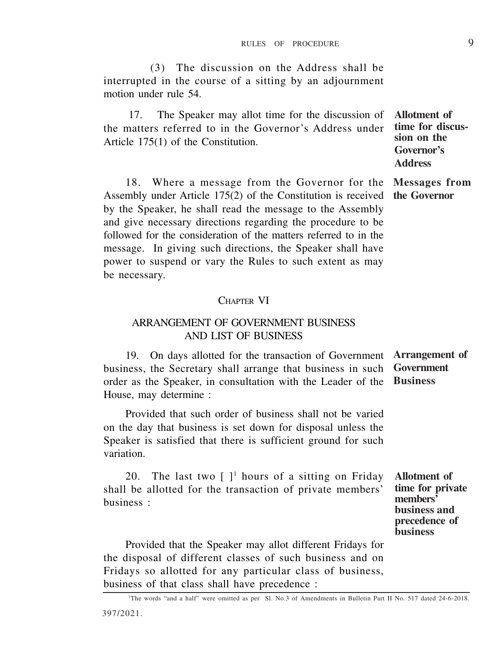(3) The discussion on the Address shall be interrupted in the course of a sitting by an adjournment motion under rule 54.

17. The Speaker may allot time for the discussion of the matters referred to in the Governor's Address under Article 175(1) of the Constitution.

18. Where a message from the Governor for the Assembly under Article 175(2) of the Constitution is received by the Speaker, he shall read the message to the Assembly and give necessary directions regarding the procedure to be followed for the consideration of the matters referred to in the message. In giving such directions, the Speaker shall have power to suspend or vary the Rules to such extent as may be necessary.

#### CHAPTER VI

#### ARRANGEMENT OF GOVERNMENT BUSINESS AND LIST OF BUSINESS

19. On days allotted for the transaction of Government **Arrangement of** business, the Secretary shall arrange that business in such order as the Speaker, in consultation with the Leader of the House, may determine : **Government Business**

Provided that such order of business shall not be varied on the day that business is set down for disposal unless the Speaker is satisfied that there is sufficient ground for such variation.

20. The last two  $[ ]<sup>1</sup>$  hours of a sitting on Friday shall be allotted for the transaction of private members' business :

**Allotment of time for private members' business and precedence of business**

Provided that the Speaker may allot different Fridays for the disposal of different classes of such business and on Fridays so allotted for any particular class of business, business of that class shall have precedence :

**Allotment of time for discussion on the Governor's Address**

**Messages from the Governor**

<sup>1</sup>The words "and a half" were omitted as per Sl. No.3 of Amendments in Bulletin Part II No. 517 dated 24-6-2018.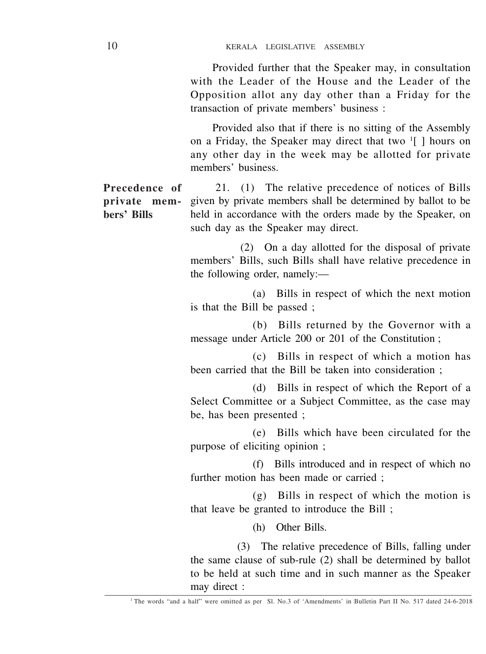Provided further that the Speaker may, in consultation with the Leader of the House and the Leader of the Opposition allot any day other than a Friday for the transaction of private members' business :

Provided also that if there is no sitting of the Assembly on a Friday, the Speaker may direct that two <sup>1</sup> [ ] hours on any other day in the week may be allotted for private members' business.

21. (1) The relative precedence of notices of Bills given by private members shall be determined by ballot to be held in accordance with the orders made by the Speaker, on such day as the Speaker may direct. **Precedence of private members' Bills**

> (2) On a day allotted for the disposal of private members' Bills, such Bills shall have relative precedence in the following order, namely:—

> (a) Bills in respect of which the next motion is that the Bill be passed ;

> (b) Bills returned by the Governor with a message under Article 200 or 201 of the Constitution ;

> (c) Bills in respect of which a motion has been carried that the Bill be taken into consideration ;

> (d) Bills in respect of which the Report of a Select Committee or a Subject Committee, as the case may be, has been presented ;

> (e) Bills which have been circulated for the purpose of eliciting opinion ;

> (f) Bills introduced and in respect of which no further motion has been made or carried ;

> (g) Bills in respect of which the motion is that leave be granted to introduce the Bill ;

> > (h) Other Bills.

(3) The relative precedence of Bills, falling under the same clause of sub-rule (2) shall be determined by ballot to be held at such time and in such manner as the Speaker may direct :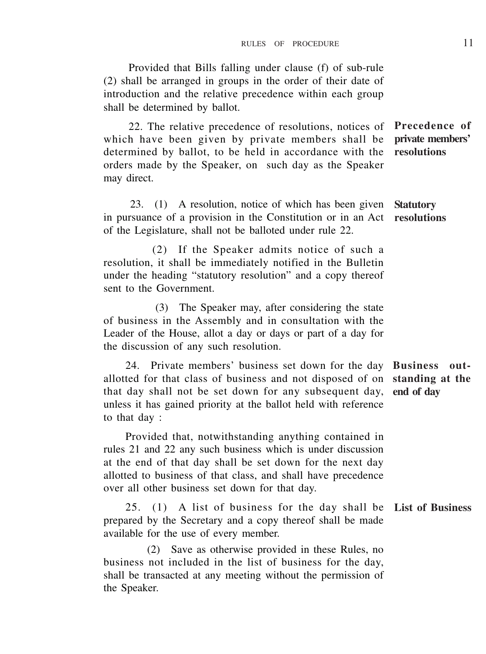Provided that Bills falling under clause (f) of sub-rule (2) shall be arranged in groups in the order of their date of introduction and the relative precedence within each group shall be determined by ballot.

22. The relative precedence of resolutions, notices of which have been given by private members shall be determined by ballot, to be held in accordance with the orders made by the Speaker, on such day as the Speaker may direct.

23. (1) A resolution, notice of which has been given **Statutory** in pursuance of a provision in the Constitution or in an Act **resolutions** of the Legislature, shall not be balloted under rule 22.

 (2) If the Speaker admits notice of such a resolution, it shall be immediately notified in the Bulletin under the heading "statutory resolution" and a copy thereof sent to the Government.

 (3) The Speaker may, after considering the state of business in the Assembly and in consultation with the Leader of the House, allot a day or days or part of a day for the discussion of any such resolution.

24. Private members' business set down for the day **Business out**allotted for that class of business and not disposed of on **standing at the** that day shall not be set down for any subsequent day, **end of day** unless it has gained priority at the ballot held with reference to that day :

Provided that, notwithstanding anything contained in rules 21 and 22 any such business which is under discussion at the end of that day shall be set down for the next day allotted to business of that class, and shall have precedence over all other business set down for that day.

25. (1) A list of business for the day shall be **List of Business** prepared by the Secretary and a copy thereof shall be made available for the use of every member.

(2) Save as otherwise provided in these Rules, no business not included in the list of business for the day, shall be transacted at any meeting without the permission of the Speaker.

**Precedence of private members' resolutions**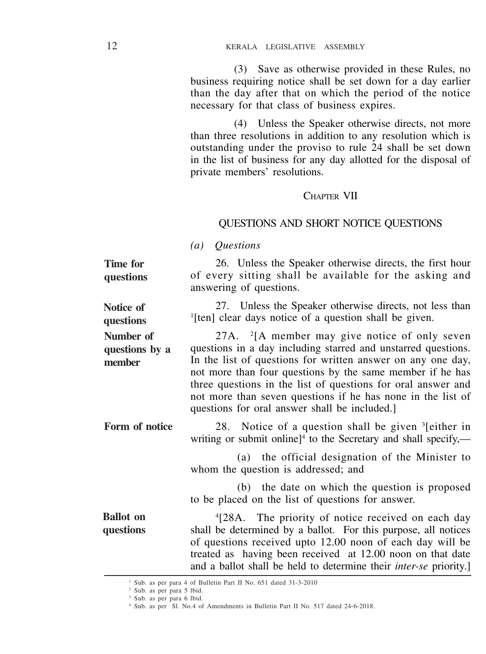(3) Save as otherwise provided in these Rules, no business requiring notice shall be set down for a day earlier than the day after that on which the period of the notice necessary for that class of business expires.

(4) Unless the Speaker otherwise directs, not more than three resolutions in addition to any resolution which is outstanding under the proviso to rule 24 shall be set down in the list of business for any day allotted for the disposal of private members' resolutions.

#### CHAPTER VII

#### QUESTIONS AND SHORT NOTICE QUESTIONS

*(a) Questions*

26. Unless the Speaker otherwise directs, the first hour of every sitting shall be available for the asking and answering of questions. **Time for questions**

27. Unless the Speaker otherwise directs, not less than <sup>1</sup>[ten] clear days notice of a question shall be given. **Notice of questions**

27A. <sup>2</sup> [A member may give notice of only seven questions in a day including starred and unstarred questions. In the list of questions for written answer on any one day, not more than four questions by the same member if he has three questions in the list of questions for oral answer and not more than seven questions if he has none in the list of questions for oral answer shall be included.] **Number of questions by a member**

28. Notice of a question shall be given <sup>3</sup> [either in writing or submit online]<sup>4</sup> to the Secretary and shall specify,— **Form of notice**

> (a) the official designation of the Minister to whom the question is addressed; and

(b) the date on which the question is proposed to be placed on the list of questions for answer.

4 [28A. The priority of notice received on each day shall be determined by a ballot. For this purpose, all notices of questions received upto 12.00 noon of each day will be treated as having been received at 12.00 noon on that date and a ballot shall be held to determine their *inter-se* priority.] **Ballot on questions**

<sup>1</sup> Sub. as per para 4 of Bulletin Part II No. 651 dated 31-3-2010

<sup>2</sup> Sub. as per para 5 lbid.

<sup>&</sup>lt;sup>3</sup> Sub. as per para 6 lbid.

<sup>4</sup> Sub. as per Sl. No.4 of Amendments in Bulletin Part II No. 517 dated 24-6-2018.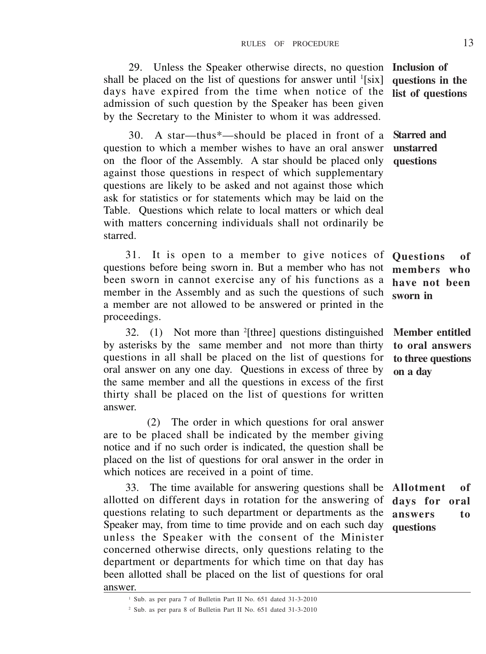29. Unless the Speaker otherwise directs, no question shall be placed on the list of questions for answer until  $\frac{1}{s}$ [six] days have expired from the time when notice of the admission of such question by the Speaker has been given by the Secretary to the Minister to whom it was addressed.

30. A star—thus\*—should be placed in front of a question to which a member wishes to have an oral answer on the floor of the Assembly. A star should be placed only against those questions in respect of which supplementary questions are likely to be asked and not against those which ask for statistics or for statements which may be laid on the Table. Questions which relate to local matters or which deal with matters concerning individuals shall not ordinarily be starred.

31. It is open to a member to give notices of questions before being sworn in. But a member who has not been sworn in cannot exercise any of his functions as a member in the Assembly and as such the questions of such a member are not allowed to be answered or printed in the proceedings.

32. (1) Not more than <sup>2</sup> [three] questions distinguished by asterisks by the same member and not more than thirty questions in all shall be placed on the list of questions for oral answer on any one day. Questions in excess of three by the same member and all the questions in excess of the first thirty shall be placed on the list of questions for written answer.

(2) The order in which questions for oral answer are to be placed shall be indicated by the member giving notice and if no such order is indicated, the question shall be placed on the list of questions for oral answer in the order in which notices are received in a point of time.

33. The time available for answering questions shall be allotted on different days in rotation for the answering of questions relating to such department or departments as the Speaker may, from time to time provide and on each such day unless the Speaker with the consent of the Minister concerned otherwise directs, only questions relating to the department or departments for which time on that day has been allotted shall be placed on the list of questions for oral answer.

**Starred and unstarred questions**

**Questions of members who have not been sworn in**

**Member entitled to oral answers to three questions on a day**

**Allotment of days for oral answers to questions**

**Inclusion of questions in the list of questions**

<sup>1</sup> Sub. as per para 7 of Bulletin Part II No. 651 dated 31-3-2010

<sup>2</sup> Sub. as per para 8 of Bulletin Part II No. 651 dated 31-3-2010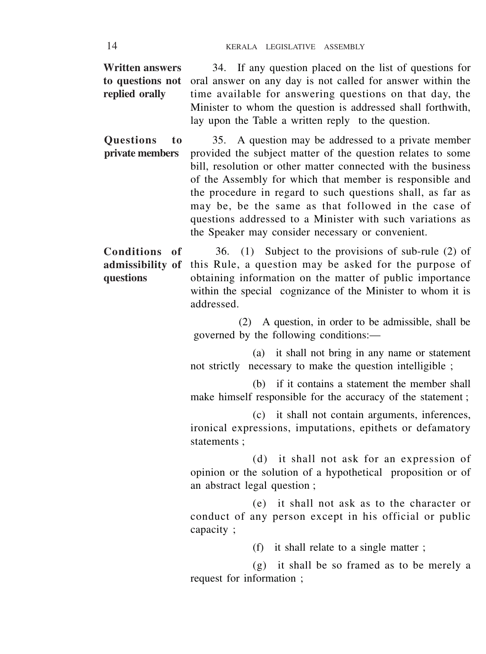34. If any question placed on the list of questions for oral answer on any day is not called for answer within the time available for answering questions on that day, the Minister to whom the question is addressed shall forthwith, lay upon the Table a written reply to the question. **Written answers to questions not replied orally**

35. A question may be addressed to a private member provided the subject matter of the question relates to some bill, resolution or other matter connected with the business of the Assembly for which that member is responsible and the procedure in regard to such questions shall, as far as may be, be the same as that followed in the case of questions addressed to a Minister with such variations as the Speaker may consider necessary or convenient. **Questions to private members**

36. (1) Subject to the provisions of sub-rule (2) of this Rule, a question may be asked for the purpose of obtaining information on the matter of public importance within the special cognizance of the Minister to whom it is addressed. **Conditions of admissibility of questions**

> (2) A question, in order to be admissible, shall be governed by the following conditions:—

(a) it shall not bring in any name or statement not strictly necessary to make the question intelligible ;

(b) if it contains a statement the member shall make himself responsible for the accuracy of the statement ;

(c) it shall not contain arguments, inferences, ironical expressions, imputations, epithets or defamatory statements :

(d) it shall not ask for an expression of opinion or the solution of a hypothetical proposition or of an abstract legal question ;

(e) it shall not ask as to the character or conduct of any person except in his official or public capacity ;

(f) it shall relate to a single matter ;

(g) it shall be so framed as to be merely a request for information ;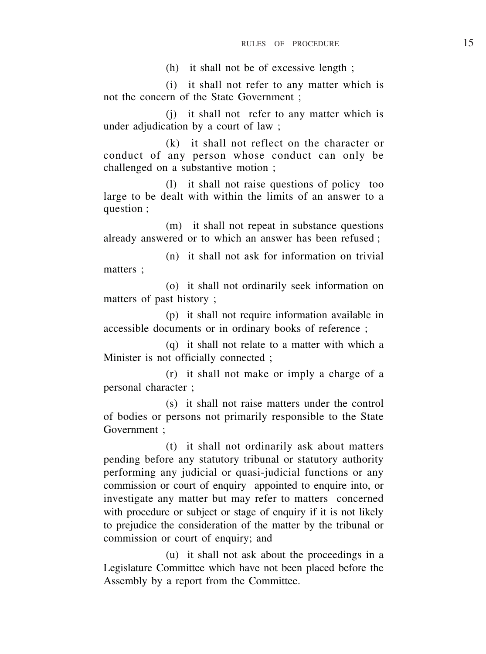(h) it shall not be of excessive length ;

(i) it shall not refer to any matter which is not the concern of the State Government ;

(j) it shall not refer to any matter which is under adjudication by a court of law ;

(k) it shall not reflect on the character or conduct of any person whose conduct can only be challenged on a substantive motion ;

(l) it shall not raise questions of policy too large to be dealt with within the limits of an answer to a question ;

(m) it shall not repeat in substance questions already answered or to which an answer has been refused ;

(n) it shall not ask for information on trivial matters ;

(o) it shall not ordinarily seek information on matters of past history ;

(p) it shall not require information available in accessible documents or in ordinary books of reference ;

(q) it shall not relate to a matter with which a Minister is not officially connected ;

(r) it shall not make or imply a charge of a personal character ;

(s) it shall not raise matters under the control of bodies or persons not primarily responsible to the State Government ;

(t) it shall not ordinarily ask about matters pending before any statutory tribunal or statutory authority performing any judicial or quasi-judicial functions or any commission or court of enquiry appointed to enquire into, or investigate any matter but may refer to matters concerned with procedure or subject or stage of enquiry if it is not likely to prejudice the consideration of the matter by the tribunal or commission or court of enquiry; and

(u) it shall not ask about the proceedings in a Legislature Committee which have not been placed before the Assembly by a report from the Committee.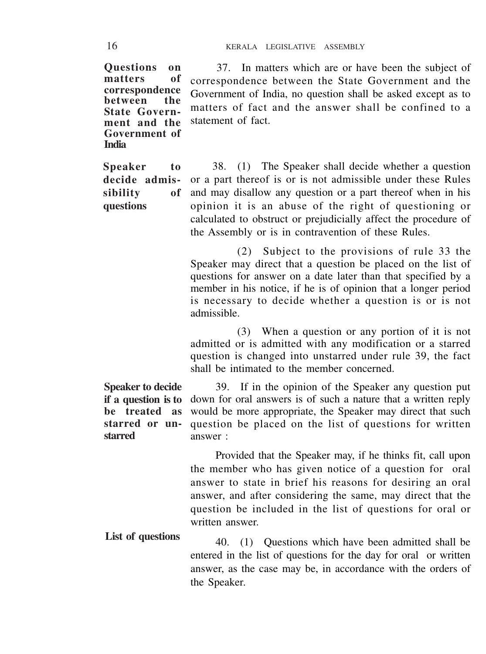**Questions on**  $m$ atters **correspondence between State Government and the Government of India**

**Speaker to decide admissibility of questions**

37. In matters which are or have been the subject of correspondence between the State Government and the Government of India, no question shall be asked except as to matters of fact and the answer shall be confined to a statement of fact.

38. (1) The Speaker shall decide whether a question or a part thereof is or is not admissible under these Rules and may disallow any question or a part thereof when in his opinion it is an abuse of the right of questioning or calculated to obstruct or prejudicially affect the procedure of the Assembly or is in contravention of these Rules.

(2) Subject to the provisions of rule 33 the Speaker may direct that a question be placed on the list of questions for answer on a date later than that specified by a member in his notice, if he is of opinion that a longer period is necessary to decide whether a question is or is not admissible.

(3) When a question or any portion of it is not admitted or is admitted with any modification or a starred question is changed into unstarred under rule 39, the fact shall be intimated to the member concerned.

**Speaker to decide if a question is to be treated as starred or unstarred**

39. If in the opinion of the Speaker any question put down for oral answers is of such a nature that a written reply would be more appropriate, the Speaker may direct that such question be placed on the list of questions for written answer :

Provided that the Speaker may, if he thinks fit, call upon the member who has given notice of a question for oral answer to state in brief his reasons for desiring an oral answer, and after considering the same, may direct that the question be included in the list of questions for oral or written answer.

40. (1) Questions which have been admitted shall be entered in the list of questions for the day for oral or written answer, as the case may be, in accordance with the orders of the Speaker. **List of questions**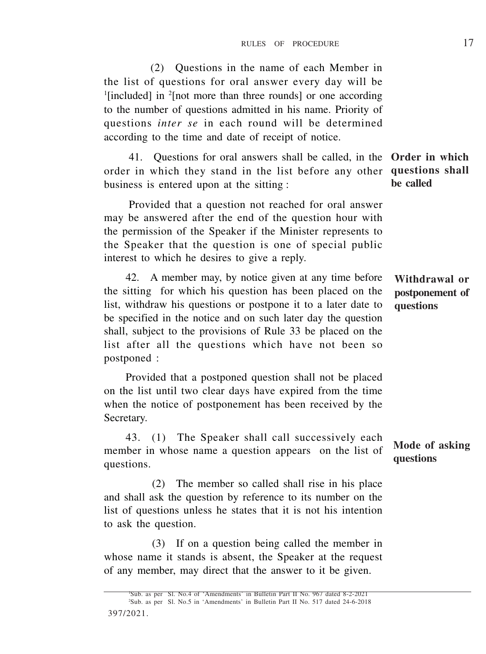397/2021. <sup>1</sup>Sub. as per Sl. No.4 of 'Amendments' in Bulletin Part II No. 967 dated 8-2-2021 2Sub. as per Sl. No.5 in 'Amendments' in Bulletin Part II No. 517 dated 24-6-2018

## (2) Questions in the name of each Member in the list of questions for oral answer every day will be <sup>1</sup>[included] in <sup>2</sup>[not more than three rounds] or one according to the number of questions admitted in his name. Priority of questions *inter se* in each round will be determined according to the time and date of receipt of notice.

41. Questions for oral answers shall be called, in the **Order in which** order in which they stand in the list before any other **questions shall** business is entered upon at the sitting :

Provided that a question not reached for oral answer may be answered after the end of the question hour with the permission of the Speaker if the Minister represents to the Speaker that the question is one of special public interest to which he desires to give a reply.

42. A member may, by notice given at any time before the sitting for which his question has been placed on the list, withdraw his questions or postpone it to a later date to be specified in the notice and on such later day the question shall, subject to the provisions of Rule 33 be placed on the list after all the questions which have not been so postponed :

Provided that a postponed question shall not be placed on the list until two clear days have expired from the time when the notice of postponement has been received by the Secretary.

43. (1) The Speaker shall call successively each member in whose name a question appears on the list of questions.

(2) The member so called shall rise in his place and shall ask the question by reference to its number on the list of questions unless he states that it is not his intention to ask the question.

whose name it stands is absent, the Speaker at the request of any member, may direct that the answer to it be given.

# **be called**

**Withdrawal or postponement of questions**

**Mode of asking questions**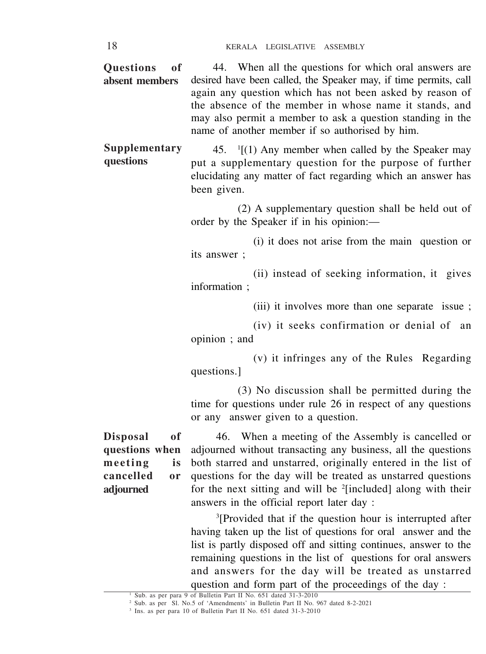| desired have been called, the Speaker may, if time permits, call |
|------------------------------------------------------------------|
| again any question which has not been asked by reason of         |
| the absence of the member in whose name it stands, and           |
| may also permit a member to ask a question standing in the       |
|                                                                  |
|                                                                  |

45. <sup>1</sup> [(1) Any member when called by the Speaker may put a supplementary question for the purpose of further elucidating any matter of fact regarding which an answer has been given. **Supplementary questions**

> (2) A supplementary question shall be held out of order by the Speaker if in his opinion:—

> (i) it does not arise from the main question or its answer ;

> (ii) instead of seeking information, it gives information :

> > (iii) it involves more than one separate issue ;

(iv) it seeks confirmation or denial of an opinion ; and

(v) it infringes any of the Rules Regarding questions.]

(3) No discussion shall be permitted during the time for questions under rule 26 in respect of any questions or any answer given to a question.

**Disposal of questions when meeting is cancelled or adjourned**

46. When a meeting of the Assembly is cancelled or adjourned without transacting any business, all the questions both starred and unstarred, originally entered in the list of questions for the day will be treated as unstarred questions for the next sitting and will be <sup>2</sup> [included] along with their answers in the official report later day :

3 [Provided that if the question hour is interrupted after having taken up the list of questions for oral answer and the list is partly disposed off and sitting continues, answer to the remaining questions in the list of questions for oral answers and answers for the day will be treated as unstarred question and form part of the proceedings of the day :

<sup>&</sup>lt;sup>1</sup> Sub. as per para 9 of Bulletin Part II No. 651 dated 31-3-2010<br><sup>2</sup> Sub. as per Sl. No.5 of 'Amendments' in Bulletin Part II No. 967 dated 8-2-2021

<sup>3</sup> Ins. as per para 10 of Bulletin Part II No. 651 dated 31-3-2010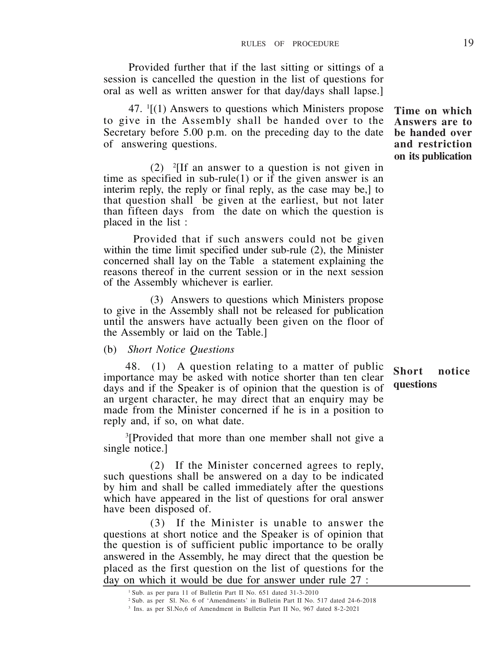Provided further that if the last sitting or sittings of a session is cancelled the question in the list of questions for oral as well as written answer for that day/days shall lapse.]

47. <sup>1</sup> [(1) Answers to questions which Ministers propose to give in the Assembly shall be handed over to the Secretary before 5.00 p.m. on the preceding day to the date of answering questions.

 $(2)$  <sup>2</sup>[If an answer to a question is not given in time as specified in sub-rule(1) or if the given answer is an interim reply, the reply or final reply, as the case may be, 1 to that question shall be given at the earliest, but not later than fifteen days from the date on which the question is placed in the list :

 Provided that if such answers could not be given within the time limit specified under sub-rule (2), the Minister concerned shall lay on the Table a statement explaining the reasons thereof in the current session or in the next session of the Assembly whichever is earlier.

(3) Answers to questions which Ministers propose to give in the Assembly shall not be released for publication until the answers have actually been given on the floor of the Assembly or laid on the Table.]

#### (b) *Short Notice Questions*

48. (1) A question relating to a matter of public importance may be asked with notice shorter than ten clear days and if the Speaker is of opinion that the question is of an urgent character, he may direct that an enquiry may be made from the Minister concerned if he is in a position to reply and, if so, on what date.

3 [Provided that more than one member shall not give a single notice.]

(2) If the Minister concerned agrees to reply, such questions shall be answered on a day to be indicated by him and shall be called immediately after the questions which have appeared in the list of questions for oral answer have been disposed of.

(3) If the Minister is unable to answer the questions at short notice and the Speaker is of opinion that the question is of sufficient public importance to be orally answered in the Assembly, he may direct that the question be placed as the first question on the list of questions for the day on which it would be due for answer under rule 27 :

**Time on which Answers are to be handed over and restriction on its publication**

<sup>1</sup>Sub. as per para 11 of Bulletin Part II No. 651 dated 31-3-2010

<sup>2</sup>Sub. as per Sl. No. 6 of 'Amendments' in Bulletin Part II No. 517 dated 24-6-2018

<sup>3</sup> Ins. as per Sl.No,6 of Amendment in Bulletin Part II No, 967 dated 8-2-2021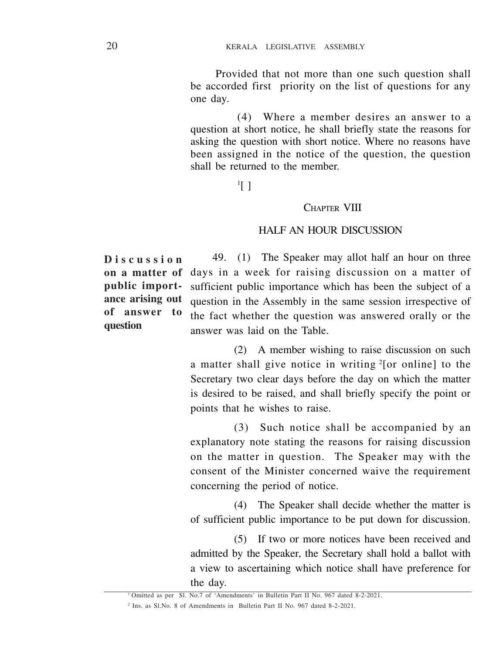Provided that not more than one such question shall be accorded first priority on the list of questions for any one day.

(4) Where a member desires an answer to a question at short notice, he shall briefly state the reasons for asking the question with short notice. Where no reasons have been assigned in the notice of the question, the question shall be returned to the member.

1 [ ]

#### CHAPTER VIII

## HALF AN HOUR DISCUSSION

**Discussion on a matter of public importance arising out of answer to question**

49. (1) The Speaker may allot half an hour on three days in a week for raising discussion on a matter of sufficient public importance which has been the subject of a question in the Assembly in the same session irrespective of the fact whether the question was answered orally or the answer was laid on the Table.

(2) A member wishing to raise discussion on such a matter shall give notice in writing  $2$ [or online] to the Secretary two clear days before the day on which the matter is desired to be raised, and shall briefly specify the point or points that he wishes to raise.

(3) Such notice shall be accompanied by an explanatory note stating the reasons for raising discussion on the matter in question. The Speaker may with the consent of the Minister concerned waive the requirement concerning the period of notice.

(4) The Speaker shall decide whether the matter is of sufficient public importance to be put down for discussion.

(5) If two or more notices have been received and admitted by the Speaker, the Secretary shall hold a ballot with a view to ascertaining which notice shall have preference for the day.

<sup>1</sup>Omitted as per Sl. No.7 of 'Amendments' in Bulletin Part II No. 967 dated 8-2-2021.

<sup>2</sup> Ins. as Sl.No. 8 of Amendments in Bulletin Part II No. 967 dated 8-2-2021.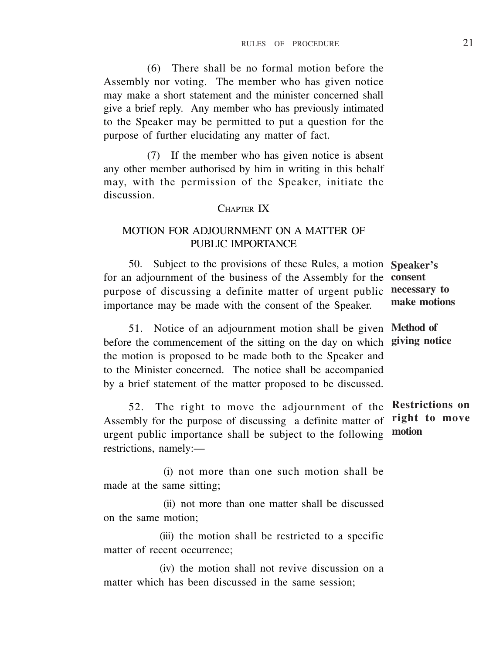(6) There shall be no formal motion before the Assembly nor voting. The member who has given notice may make a short statement and the minister concerned shall give a brief reply. Any member who has previously intimated to the Speaker may be permitted to put a question for the purpose of further elucidating any matter of fact.

(7) If the member who has given notice is absent any other member authorised by him in writing in this behalf may, with the permission of the Speaker, initiate the discussion.

#### CHAPTER IV

## MOTION FOR ADJOURNMENT ON A MATTER OF PUBLIC IMPORTANCE

50. Subject to the provisions of these Rules, a motion **Speaker's** for an adjournment of the business of the Assembly for the **consent** purpose of discussing a definite matter of urgent public importance may be made with the consent of the Speaker.

51. Notice of an adjournment motion shall be given **Method of** before the commencement of the sitting on the day on which **giving notice** the motion is proposed to be made both to the Speaker and to the Minister concerned. The notice shall be accompanied by a brief statement of the matter proposed to be discussed.

52. The right to move the adjournment of the **Restrictions on** Assembly for the purpose of discussing a definite matter of urgent public importance shall be subject to the following restrictions, namely:—

 (i) not more than one such motion shall be made at the same sitting;

 (ii) not more than one matter shall be discussed on the same motion;

(iii) the motion shall be restricted to a specific matter of recent occurrence;

(iv) the motion shall not revive discussion on a matter which has been discussed in the same session;

**necessary to make motions**

**right to move motion**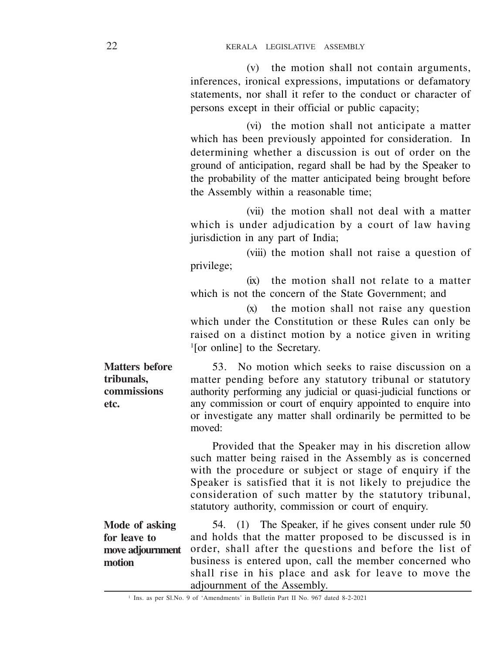(v) the motion shall not contain arguments, inferences, ironical expressions, imputations or defamatory statements, nor shall it refer to the conduct or character of persons except in their official or public capacity;

(vi) the motion shall not anticipate a matter which has been previously appointed for consideration. In determining whether a discussion is out of order on the ground of anticipation, regard shall be had by the Speaker to the probability of the matter anticipated being brought before the Assembly within a reasonable time;

(vii) the motion shall not deal with a matter which is under adjudication by a court of law having jurisdiction in any part of India;

(viii) the motion shall not raise a question of privilege;

(ix) the motion shall not relate to a matter which is not the concern of the State Government; and

(x) the motion shall not raise any question which under the Constitution or these Rules can only be raised on a distinct motion by a notice given in writing 1 [or online] to the Secretary.

53. No motion which seeks to raise discussion on a matter pending before any statutory tribunal or statutory authority performing any judicial or quasi-judicial functions or any commission or court of enquiry appointed to enquire into or investigate any matter shall ordinarily be permitted to be moved:

> Provided that the Speaker may in his discretion allow such matter being raised in the Assembly as is concerned with the procedure or subject or stage of enquiry if the Speaker is satisfied that it is not likely to prejudice the consideration of such matter by the statutory tribunal, statutory authority, commission or court of enquiry.

54. (1) The Speaker, if he gives consent under rule 50 and holds that the matter proposed to be discussed is in order, shall after the questions and before the list of business is entered upon, call the member concerned who shall rise in his place and ask for leave to move the adjournment of the Assembly. **Mode of asking for leave to move adjournment motion**

**Matters before tribunals, commissions etc.**

<sup>1</sup> Ins. as per Sl.No. 9 of 'Amendments' in Bulletin Part II No. 967 dated 8-2-2021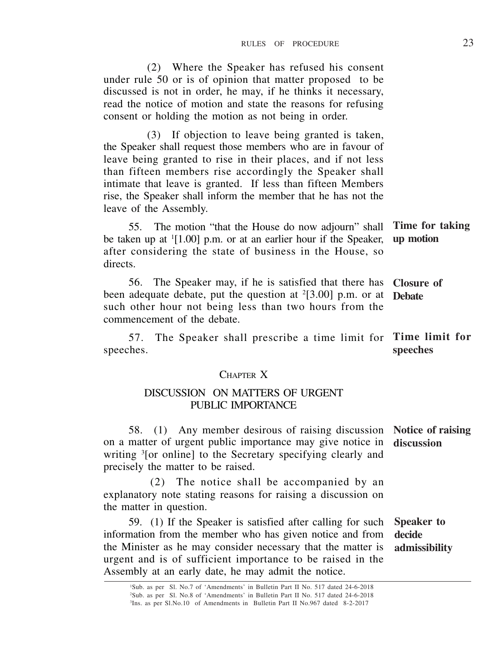(2) Where the Speaker has refused his consent under rule 50 or is of opinion that matter proposed to be discussed is not in order, he may, if he thinks it necessary, read the notice of motion and state the reasons for refusing consent or holding the motion as not being in order.

(3) If objection to leave being granted is taken, the Speaker shall request those members who are in favour of leave being granted to rise in their places, and if not less than fifteen members rise accordingly the Speaker shall intimate that leave is granted. If less than fifteen Members rise, the Speaker shall inform the member that he has not the leave of the Assembly.

55. The motion "that the House do now adjourn" shall be taken up at <sup>1</sup>[1.00] p.m. or at an earlier hour if the Speaker, after considering the state of business in the House, so directs. **Time for taking up motion**

56. The Speaker may, if he is satisfied that there has been adequate debate, put the question at <sup>2</sup>[3.00] p.m. or at such other hour not being less than two hours from the commencement of the debate. **Closure of Debate**

57. The Speaker shall prescribe a time limit for speeches. **Time limit for speeches**

### CHAPTER X

#### DISCUSSION ON MATTERS OF URGENT PUBLIC IMPORTANCE

58. (1) Any member desirous of raising discussion **Notice of raising** on a matter of urgent public importance may give notice in **discussion** writing <sup>3</sup> [or online] to the Secretary specifying clearly and precisely the matter to be raised.

(2) The notice shall be accompanied by an explanatory note stating reasons for raising a discussion on the matter in question.

59. (1) If the Speaker is satisfied after calling for such information from the member who has given notice and from the Minister as he may consider necessary that the matter is urgent and is of sufficient importance to be raised in the Assembly at an early date, he may admit the notice. **Speaker to decide admissibility**

<sup>1</sup>Sub. as per Sl. No.7 of 'Amendments' in Bulletin Part II No. 517 dated 24-6-2018 <sup>2</sup>Sub. as per Sl. No.8 of 'Amendments' in Bulletin Part II No. 517 dated 24-6-2018 3 Ins. as per Sl.No.10 of Amendments in Bulletin Part II No.967 dated 8-2-2017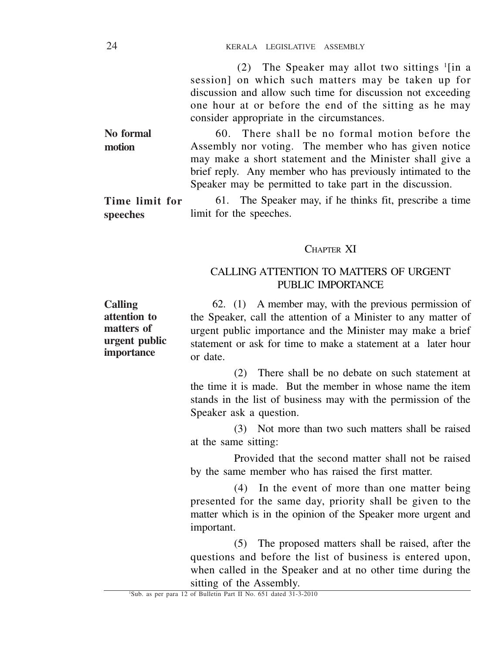(2) The Speaker may allot two sittings <sup>1</sup> [in a session] on which such matters may be taken up for discussion and allow such time for discussion not exceeding one hour at or before the end of the sitting as he may consider appropriate in the circumstances.

60. There shall be no formal motion before the Assembly nor voting. The member who has given notice may make a short statement and the Minister shall give a brief reply. Any member who has previously intimated to the Speaker may be permitted to take part in the discussion. **No formal motion**

61. The Speaker may, if he thinks fit, prescribe a time limit for the speeches. **Time limit for speeches**

## CHAPTER XI

## CALLING ATTENTION TO MATTERS OF URGENT PUBLIC IMPORTANCE

62. (1) A member may, with the previous permission of the Speaker, call the attention of a Minister to any matter of urgent public importance and the Minister may make a brief statement or ask for time to make a statement at a later hour or date. **Calling attention to matters of urgent public importance**

> (2) There shall be no debate on such statement at the time it is made. But the member in whose name the item stands in the list of business may with the permission of the Speaker ask a question.

> (3) Not more than two such matters shall be raised at the same sitting:

> Provided that the second matter shall not be raised by the same member who has raised the first matter.

> (4) In the event of more than one matter being presented for the same day, priority shall be given to the matter which is in the opinion of the Speaker more urgent and important.

> (5) The proposed matters shall be raised, after the questions and before the list of business is entered upon, when called in the Speaker and at no other time during the sitting of the Assembly.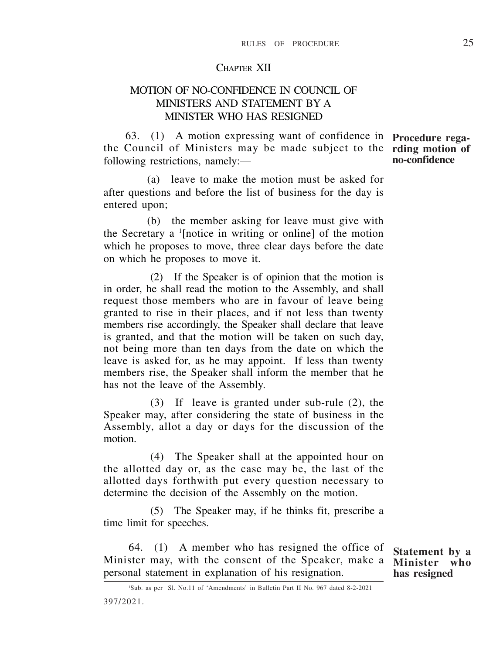#### CHAPTER XII

## MOTION OF NO-CONFIDENCE IN COUNCIL OF MINISTERS AND STATEMENT BY A MINISTER WHO HAS RESIGNED

63. (1) A motion expressing want of confidence in **Procedure rega**the Council of Ministers may be made subject to the **rding motion of** following restrictions, namely:—

(a) leave to make the motion must be asked for after questions and before the list of business for the day is entered upon:

(b) the member asking for leave must give with the Secretary a <sup>1</sup> [notice in writing or online] of the motion which he proposes to move, three clear days before the date on which he proposes to move it.

(2) If the Speaker is of opinion that the motion is in order, he shall read the motion to the Assembly, and shall request those members who are in favour of leave being granted to rise in their places, and if not less than twenty members rise accordingly, the Speaker shall declare that leave is granted, and that the motion will be taken on such day, not being more than ten days from the date on which the leave is asked for, as he may appoint. If less than twenty members rise, the Speaker shall inform the member that he has not the leave of the Assembly.

(3) If leave is granted under sub-rule (2), the Speaker may, after considering the state of business in the Assembly, allot a day or days for the discussion of the motion.

(4) The Speaker shall at the appointed hour on the allotted day or, as the case may be, the last of the allotted days forthwith put every question necessary to determine the decision of the Assembly on the motion.

(5) The Speaker may, if he thinks fit, prescribe a time limit for speeches.

64. (1) A member who has resigned the office of Minister may, with the consent of the Speaker, make a personal statement in explanation of his resignation.

**Statement by a Minister who has resigned**

<sup>1</sup>Sub. as per Sl. No.11 of 'Amendments' in Bulletin Part II No. 967 dated 8-2-2021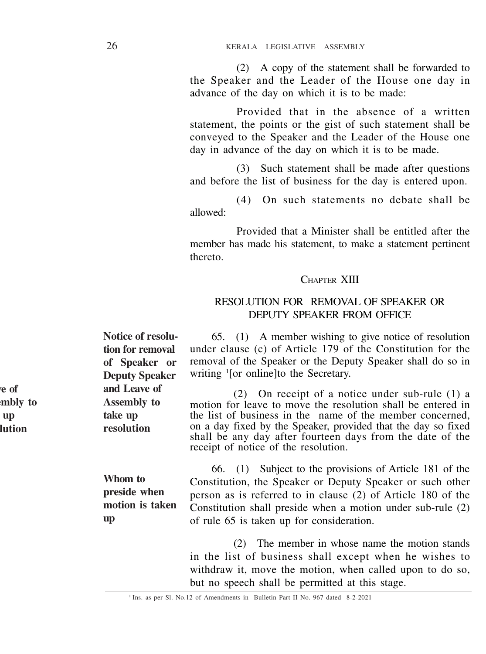(2) A copy of the statement shall be forwarded to the Speaker and the Leader of the House one day in advance of the day on which it is to be made:

Provided that in the absence of a written statement, the points or the gist of such statement shall be conveyed to the Speaker and the Leader of the House one day in advance of the day on which it is to be made.

(3) Such statement shall be made after questions and before the list of business for the day is entered upon.

(4) On such statements no debate shall be allowed:

Provided that a Minister shall be entitled after the member has made his statement, to make a statement pertinent thereto.

#### CHAPTER XIII

## RESOLUTION FOR REMOVAL OF SPEAKER OR DEPUTY SPEAKER FROM OFFICE

65. (1) A member wishing to give notice of resolution under clause (c) of Article 179 of the Constitution for the removal of the Speaker or the Deputy Speaker shall do so in writing <sup>1</sup> [or online]to the Secretary.

(2) On receipt of a notice under sub-rule (1) a motion for leave to move the resolution shall be entered in the list of business in the name of the member concerned, on a day fixed by the Speaker, provided that the day so fixed shall be any day after fourteen days from the date of the receipt of notice of the resolution.

66. (1) Subject to the provisions of Article 181 of the Constitution, the Speaker or Deputy Speaker or such other person as is referred to in clause (2) of Article 180 of the Constitution shall preside when a motion under sub-rule (2) of rule 65 is taken up for consideration.

> (2) The member in whose name the motion stands in the list of business shall except when he wishes to withdraw it, move the motion, when called upon to do so, but no speech shall be permitted at this stage.

**Notice of resolution for removal of Speaker or Deputy Speaker and Leave of Assembly to take up resolution**

**Le** of **mbly** to **tap resolution**

> **Whom to preside when motion is taken up**

<sup>&</sup>lt;sup>1</sup> Ins. as per Sl. No.12 of Amendments in Bulletin Part II No. 967 dated 8-2-2021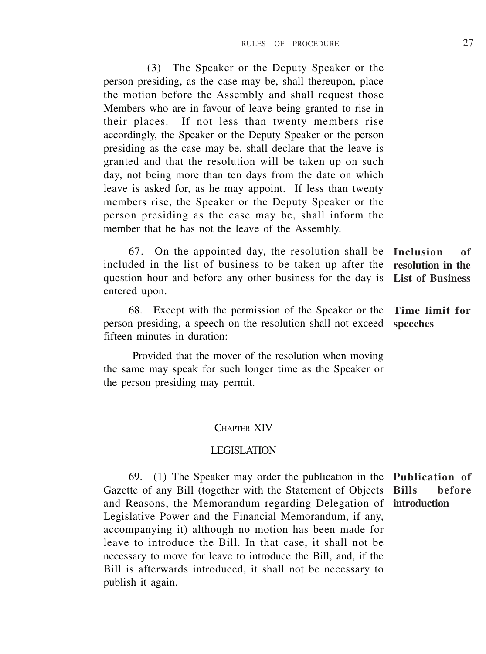(3) The Speaker or the Deputy Speaker or the person presiding, as the case may be, shall thereupon, place the motion before the Assembly and shall request those Members who are in favour of leave being granted to rise in their places. If not less than twenty members rise accordingly, the Speaker or the Deputy Speaker or the person presiding as the case may be, shall declare that the leave is granted and that the resolution will be taken up on such day, not being more than ten days from the date on which leave is asked for, as he may appoint. If less than twenty members rise, the Speaker or the Deputy Speaker or the person presiding as the case may be, shall inform the member that he has not the leave of the Assembly.

67. On the appointed day, the resolution shall be **Inclusion of** included in the list of business to be taken up after the **resolution in the** question hour and before any other business for the day is **List of Business** entered upon.

68. Except with the permission of the Speaker or the **Time limit for** person presiding, a speech on the resolution shall not exceed **speeches** fifteen minutes in duration:

Provided that the mover of the resolution when moving the same may speak for such longer time as the Speaker or the person presiding may permit.

#### CHAPTER XIV

## LEGISLATION

69. (1) The Speaker may order the publication in the **Publication of** Gazette of any Bill (together with the Statement of Objects and Reasons, the Memorandum regarding Delegation of **introduction**Legislative Power and the Financial Memorandum, if any, accompanying it) although no motion has been made for leave to introduce the Bill. In that case, it shall not be necessary to move for leave to introduce the Bill, and, if the Bill is afterwards introduced, it shall not be necessary to publish it again. **Bills before**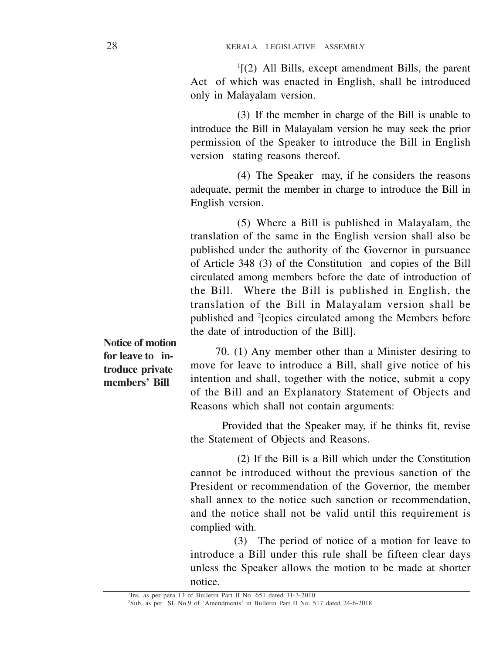1 [(2) All Bills, except amendment Bills, the parent Act of which was enacted in English, shall be introduced only in Malayalam version.

(3) If the member in charge of the Bill is unable to introduce the Bill in Malayalam version he may seek the prior permission of the Speaker to introduce the Bill in English version stating reasons thereof.

(4) The Speaker may, if he considers the reasons adequate, permit the member in charge to introduce the Bill in English version.

(5) Where a Bill is published in Malayalam, the translation of the same in the English version shall also be published under the authority of the Governor in pursuance of Article 348 (3) of the Constitution and copies of the Bill circulated among members before the date of introduction of the Bill. Where the Bill is published in English, the translation of the Bill in Malayalam version shall be published and <sup>2</sup> [copies circulated among the Members before the date of introduction of the Bill].

**Notice of motion for leave to introduce private members' Bill**

70. (1) Any member other than a Minister desiring to move for leave to introduce a Bill, shall give notice of his intention and shall, together with the notice, submit a copy of the Bill and an Explanatory Statement of Objects and Reasons which shall not contain arguments:

Provided that the Speaker may, if he thinks fit, revise the Statement of Objects and Reasons.

(2) If the Bill is a Bill which under the Constitution cannot be introduced without the previous sanction of the President or recommendation of the Governor, the member shall annex to the notice such sanction or recommendation. and the notice shall not be valid until this requirement is complied with.

(3) The period of notice of a motion for leave to introduce a Bill under this rule shall be fifteen clear days unless the Speaker allows the motion to be made at shorter notice.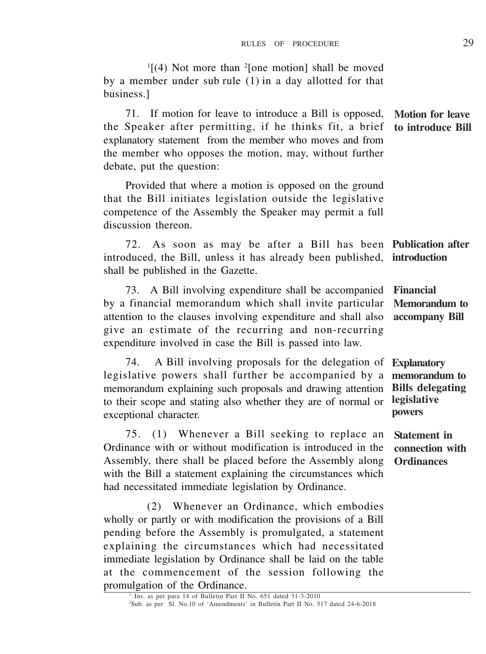$\frac{1}{4}$  Not more than  $\frac{2}{1}$  (one motion) shall be moved by a member under sub rule (1) in a day allotted for that business.]

71. If motion for leave to introduce a Bill is opposed, the Speaker after permitting, if he thinks fit, a brief explanatory statement from the member who moves and from the member who opposes the motion, may, without further debate, put the question: **Motion for leave to introduce Bill**

Provided that where a motion is opposed on the ground that the Bill initiates legislation outside the legislative competence of the Assembly the Speaker may permit a full discussion thereon.

72. As soon as may be after a Bill has been **Publication after** introduced, the Bill, unless it has already been published, shall be published in the Gazette. **introduction**

73. A Bill involving expenditure shall be accompanied by a financial memorandum which shall invite particular attention to the clauses involving expenditure and shall also give an estimate of the recurring and non-recurring expenditure involved in case the Bill is passed into law. **Financial Memorandum to accompany Bill**

74. A Bill involving proposals for the delegation of legislative powers shall further be accompanied by a memorandum explaining such proposals and drawing attention to their scope and stating also whether they are of normal or exceptional character. **Explanatory memorandum to Bills delegating legislative powers**

75. (1) Whenever a Bill seeking to replace an Ordinance with or without modification is introduced in the Assembly, there shall be placed before the Assembly along with the Bill a statement explaining the circumstances which had necessitated immediate legislation by Ordinance.

(2) Whenever an Ordinance, which embodies wholly or partly or with modification the provisions of a Bill pending before the Assembly is promulgated, a statement explaining the circumstances which had necessitated immediate legislation by Ordinance shall be laid on the table at the commencement of the session following the promulgation of the Ordinance.

**Statement in connection with Ordinances**

<sup>&</sup>lt;sup>1</sup> Ins. as per para 14 of Bulletin Part II No. 651 dated 31-3-2010 <sup>2</sup>Sub. as per Sl. No.10 of 'Amendments' in Bulletin Part II No. 517 dated 24-6-2018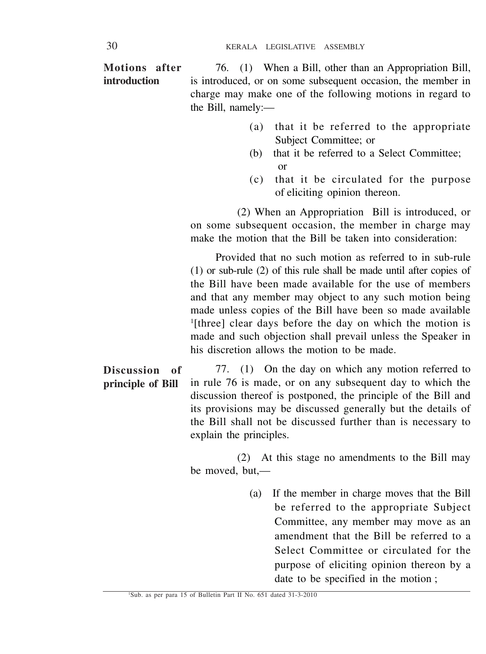76. (1) When a Bill, other than an Appropriation Bill, is introduced, or on some subsequent occasion, the member in charge may make one of the following motions in regard to the Bill, namely:— **Motions after introduction**

- (a) that it be referred to the appropriate Subject Committee; or
- (b) that it be referred to a Select Committee; or
- (c) that it be circulated for the purpose of eliciting opinion thereon.

(2) When an Appropriation Bill is introduced, or on some subsequent occasion, the member in charge may make the motion that the Bill be taken into consideration:

Provided that no such motion as referred to in sub-rule (1) or sub-rule (2) of this rule shall be made until after copies of the Bill have been made available for the use of members and that any member may object to any such motion being made unless copies of the Bill have been so made available 1 [three] clear days before the day on which the motion is made and such objection shall prevail unless the Speaker in his discretion allows the motion to be made.

77. (1) On the day on which any motion referred to in rule 76 is made, or on any subsequent day to which the discussion thereof is postponed, the principle of the Bill and its provisions may be discussed generally but the details of the Bill shall not be discussed further than is necessary to explain the principles. **Discussion of principle of Bill**

> (2) At this stage no amendments to the Bill may be moved, but,—

> > (a) If the member in charge moves that the Bill be referred to the appropriate Subject Committee, any member may move as an amendment that the Bill be referred to a Select Committee or circulated for the purpose of eliciting opinion thereon by a date to be specified in the motion ;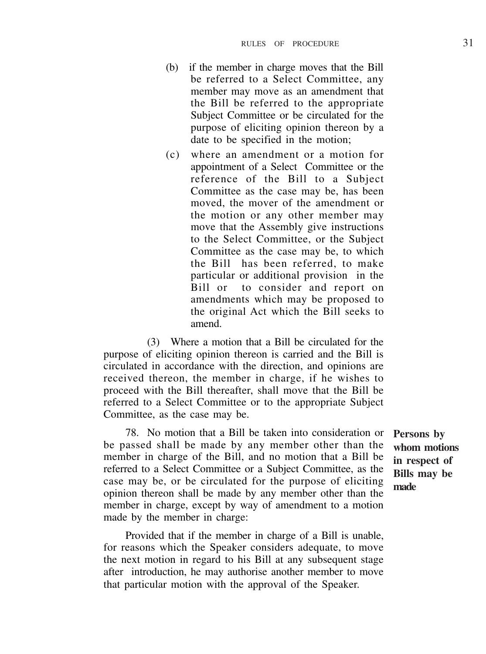- (b) if the member in charge moves that the Bill be referred to a Select Committee, any member may move as an amendment that the Bill be referred to the appropriate Subject Committee or be circulated for the purpose of eliciting opinion thereon by a date to be specified in the motion;
- (c) where an amendment or a motion for appointment of a Select Committee or the reference of the Bill to a Subject Committee as the case may be, has been moved, the mover of the amendment or the motion or any other member may move that the Assembly give instructions to the Select Committee, or the Subject Committee as the case may be, to which the Bill has been referred, to make particular or additional provision in the Bill or to consider and report on amendments which may be proposed to the original Act which the Bill seeks to amend.

(3) Where a motion that a Bill be circulated for the purpose of eliciting opinion thereon is carried and the Bill is circulated in accordance with the direction, and opinions are received thereon, the member in charge, if he wishes to proceed with the Bill thereafter, shall move that the Bill be referred to a Select Committee or to the appropriate Subject Committee, as the case may be.

78. No motion that a Bill be taken into consideration or be passed shall be made by any member other than the member in charge of the Bill, and no motion that a Bill be referred to a Select Committee or a Subject Committee, as the case may be, or be circulated for the purpose of eliciting opinion thereon shall be made by any member other than the member in charge, except by way of amendment to a motion made by the member in charge:

Provided that if the member in charge of a Bill is unable, for reasons which the Speaker considers adequate, to move the next motion in regard to his Bill at any subsequent stage after introduction, he may authorise another member to move that particular motion with the approval of the Speaker.

**Persons by whom motions in respect of Bills may be made**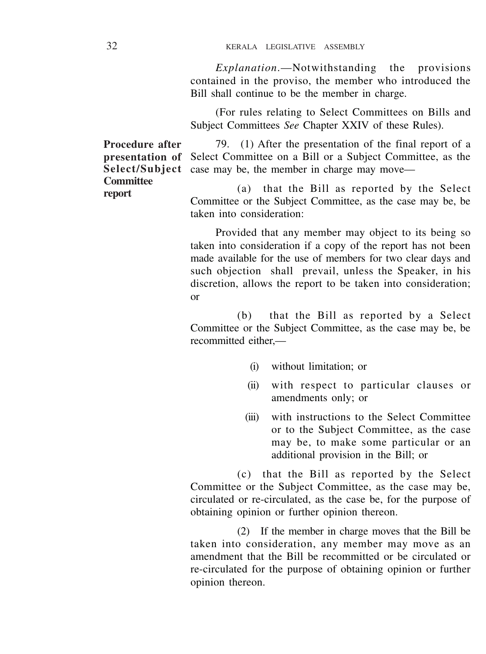*Explanation*.—Notwithstanding the provisions contained in the proviso, the member who introduced the Bill shall continue to be the member in charge.

(For rules relating to Select Committees on Bills and Subject Committees *See* Chapter XXIV of these Rules).

79. (1) After the presentation of the final report of a Select Committee on a Bill or a Subject Committee, as the case may be, the member in charge may move—

> (a) that the Bill as reported by the Select Committee or the Subject Committee, as the case may be, be taken into consideration:

> Provided that any member may object to its being so taken into consideration if a copy of the report has not been made available for the use of members for two clear days and such objection shall prevail, unless the Speaker, in his discretion, allows the report to be taken into consideration; or

> (b) that the Bill as reported by a Select Committee or the Subject Committee, as the case may be, be recommitted either $-$

- (i) without limitation; or
- (ii) with respect to particular clauses or amendments only; or
- (iii) with instructions to the Select Committee or to the Subject Committee, as the case may be, to make some particular or an additional provision in the Bill; or

(c) that the Bill as reported by the Select Committee or the Subject Committee, as the case may be, circulated or re-circulated, as the case be, for the purpose of obtaining opinion or further opinion thereon.

(2) If the member in charge moves that the Bill be taken into consideration, any member may move as an amendment that the Bill be recommitted or be circulated or re-circulated for the purpose of obtaining opinion or further opinion thereon.

**Procedure after presentation of Select/Subject Committee report**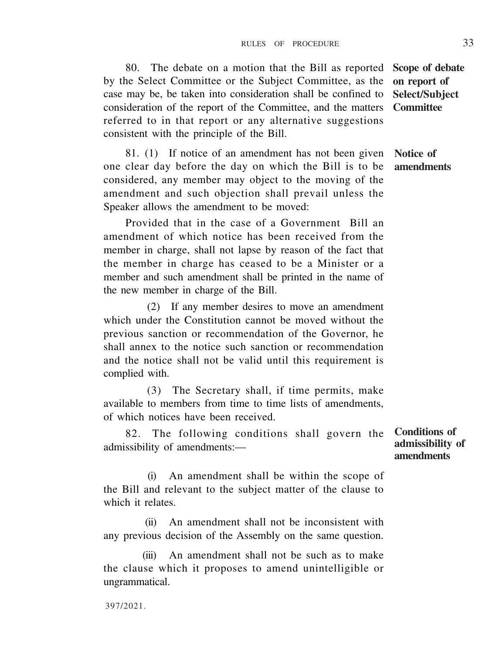case may be, be taken into consideration shall be confined to **Select/Subject** consideration of the report of the Committee, and the matters **Committee** referred to in that report or any alternative suggestions consistent with the principle of the Bill.

81. (1) If notice of an amendment has not been given one clear day before the day on which the Bill is to be considered, any member may object to the moving of the amendment and such objection shall prevail unless the Speaker allows the amendment to be moved:

by the Select Committee or the Subject Committee, as the

Provided that in the case of a Government Bill an amendment of which notice has been received from the member in charge, shall not lapse by reason of the fact that the member in charge has ceased to be a Minister or a member and such amendment shall be printed in the name of the new member in charge of the Bill.

(2) If any member desires to move an amendment which under the Constitution cannot be moved without the previous sanction or recommendation of the Governor, he shall annex to the notice such sanction or recommendation and the notice shall not be valid until this requirement is complied with.

(3) The Secretary shall, if time permits, make available to members from time to time lists of amendments, of which notices have been received.

82. The following conditions shall govern the admissibility of amendments:—

(i) An amendment shall be within the scope of the Bill and relevant to the subject matter of the clause to which it relates.

(ii) An amendment shall not be inconsistent with any previous decision of the Assembly on the same question.

(iii) An amendment shall not be such as to make the clause which it proposes to amend unintelligible or ungrammatical.

397/2021.

80. The debate on a motion that the Bill as reported **Scope of debate on report of**

> **Notice of amendments**

**Conditions of admissibility of amendments**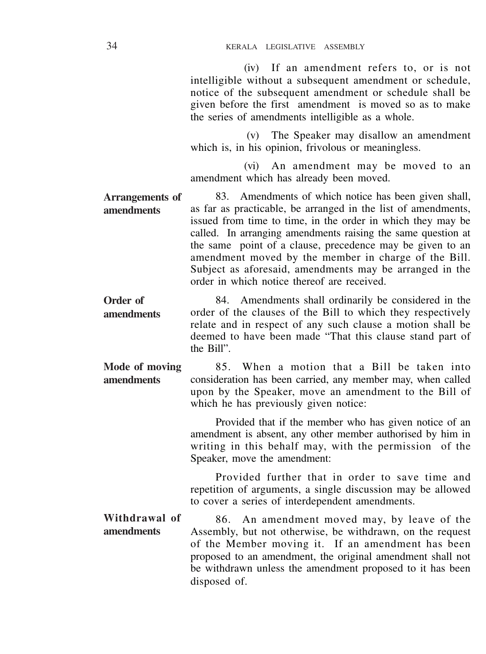(iv) If an amendment refers to, or is not intelligible without a subsequent amendment or schedule. notice of the subsequent amendment or schedule shall be given before the first amendment is moved so as to make the series of amendments intelligible as a whole.

(v) The Speaker may disallow an amendment which is, in his opinion, frivolous or meaningless.

(vi) An amendment may be moved to an amendment which has already been moved.

83. Amendments of which notice has been given shall, as far as practicable, be arranged in the list of amendments, issued from time to time, in the order in which they may be called. In arranging amendments raising the same question at the same point of a clause, precedence may be given to an amendment moved by the member in charge of the Bill. Subject as aforesaid, amendments may be arranged in the order in which notice thereof are received. **Arrangements of amendments**

84. Amendments shall ordinarily be considered in the order of the clauses of the Bill to which they respectively relate and in respect of any such clause a motion shall be deemed to have been made "That this clause stand part of the Bill". **Order of amendments**

85. When a motion that a Bill be taken into consideration has been carried, any member may, when called upon by the Speaker, move an amendment to the Bill of which he has previously given notice: **Mode of moving amendments**

> Provided that if the member who has given notice of an amendment is absent, any other member authorised by him in writing in this behalf may, with the permission of the Speaker, move the amendment:

> Provided further that in order to save time and repetition of arguments, a single discussion may be allowed to cover a series of interdependent amendments.

86. An amendment moved may, by leave of the Assembly, but not otherwise, be withdrawn, on the request of the Member moving it. If an amendment has been proposed to an amendment, the original amendment shall not be withdrawn unless the amendment proposed to it has been disposed of. **Withdrawal of amendments**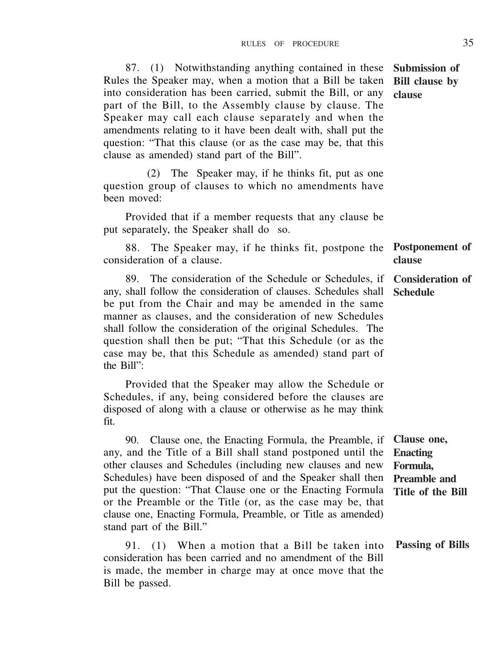87. (1) Notwithstanding anything contained in these Rules the Speaker may, when a motion that a Bill be taken into consideration has been carried, submit the Bill, or any part of the Bill, to the Assembly clause by clause. The Speaker may call each clause separately and when the amendments relating to it have been dealt with, shall put the question: "That this clause (or as the case may be, that this clause as amended) stand part of the Bill". **Submission of Bill clause by clause**

(2) The Speaker may, if he thinks fit, put as one question group of clauses to which no amendments have been moved:

Provided that if a member requests that any clause be put separately, the Speaker shall do so.

88. The Speaker may, if he thinks fit, postpone the consideration of a clause. **Postponement of clause**

89. The consideration of the Schedule or Schedules, if any, shall follow the consideration of clauses. Schedules shall **Schedule** be put from the Chair and may be amended in the same manner as clauses, and the consideration of new Schedules shall follow the consideration of the original Schedules. The question shall then be put; "That this Schedule (or as the case may be, that this Schedule as amended) stand part of the Bill": **Consideration of**

Provided that the Speaker may allow the Schedule or Schedules, if any, being considered before the clauses are disposed of along with a clause or otherwise as he may think fit.

90. Clause one, the Enacting Formula, the Preamble, if any, and the Title of a Bill shall stand postponed until the other clauses and Schedules (including new clauses and new Schedules) have been disposed of and the Speaker shall then put the question: "That Clause one or the Enacting Formula or the Preamble or the Title (or, as the case may be, that clause one, Enacting Formula, Preamble, or Title as amended) stand part of the Bill." **Clause one, Enacting Formula, Preamble and Title of the Bill**

91. (1) When a motion that a Bill be taken into consideration has been carried and no amendment of the Bill is made, the member in charge may at once move that the Bill be passed. **Passing of Bills**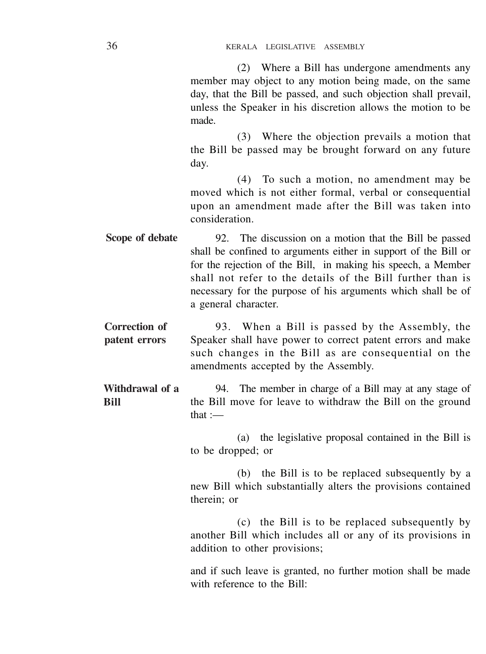(2) Where a Bill has undergone amendments any member may object to any motion being made, on the same day, that the Bill be passed, and such objection shall prevail, unless the Speaker in his discretion allows the motion to be made.

(3) Where the objection prevails a motion that the Bill be passed may be brought forward on any future day.

(4) To such a motion, no amendment may be moved which is not either formal, verbal or consequential upon an amendment made after the Bill was taken into consideration.

92. The discussion on a motion that the Bill be passed shall be confined to arguments either in support of the Bill or for the rejection of the Bill, in making his speech, a Member shall not refer to the details of the Bill further than is necessary for the purpose of his arguments which shall be of a general character. **Scope of debate**

93. When a Bill is passed by the Assembly, the Speaker shall have power to correct patent errors and make such changes in the Bill as are consequential on the amendments accepted by the Assembly. **Correction of patent errors**

94. The member in charge of a Bill may at any stage of the Bill move for leave to withdraw the Bill on the ground that :— **Withdrawal of a Bill**

> (a) the legislative proposal contained in the Bill is to be dropped; or

> (b) the Bill is to be replaced subsequently by a new Bill which substantially alters the provisions contained therein; or

> (c) the Bill is to be replaced subsequently by another Bill which includes all or any of its provisions in addition to other provisions;

> and if such leave is granted, no further motion shall be made with reference to the Bill: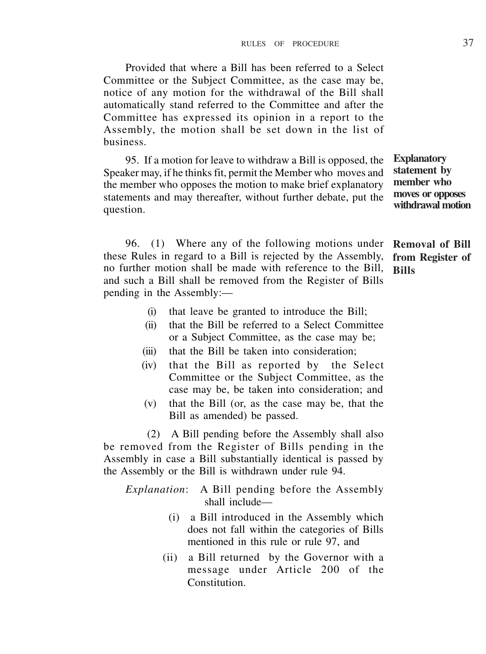Provided that where a Bill has been referred to a Select Committee or the Subject Committee, as the case may be, notice of any motion for the withdrawal of the Bill shall automatically stand referred to the Committee and after the Committee has expressed its opinion in a report to the Assembly, the motion shall be set down in the list of business.

95. If a motion for leave to withdraw a Bill is opposed, the Speaker may, if he thinks fit, permit the Member who moves and the member who opposes the motion to make brief explanatory statements and may thereafter, without further debate, put the question.

96. (1) Where any of the following motions under these Rules in regard to a Bill is rejected by the Assembly, no further motion shall be made with reference to the Bill, and such a Bill shall be removed from the Register of Bills pending in the Assembly:—

**Explanatory statement by member who moves or opposes withdrawal motion**

**Removal of Bill from Register of Bills**

- (i) that leave be granted to introduce the Bill;
- (ii) that the Bill be referred to a Select Committee or a Subject Committee, as the case may be;
- (iii) that the Bill be taken into consideration:
- (iv) that the Bill as reported by the Select Committee or the Subject Committee, as the case may be, be taken into consideration; and
- (v) that the Bill (or, as the case may be, that the Bill as amended) be passed.

(2) A Bill pending before the Assembly shall also be removed from the Register of Bills pending in the Assembly in case a Bill substantially identical is passed by the Assembly or the Bill is withdrawn under rule 94.

*Explanation*: A Bill pending before the Assembly shall include—

- (i) a Bill introduced in the Assembly which does not fall within the categories of Bills mentioned in this rule or rule 97, and
- (ii) a Bill returned by the Governor with a message under Article 200 of the **Constitution**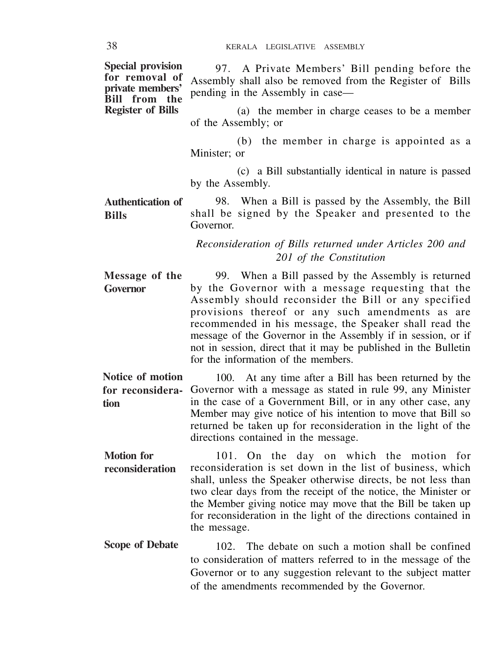| <b>Special provision</b><br>for removal of<br>private members'<br>Bill from the | 97. A Private Members' Bill pending before the<br>Assembly shall also be removed from the Register of Bills<br>pending in the Assembly in case—                                                                                                                                                                                                                                                                                                          |
|---------------------------------------------------------------------------------|----------------------------------------------------------------------------------------------------------------------------------------------------------------------------------------------------------------------------------------------------------------------------------------------------------------------------------------------------------------------------------------------------------------------------------------------------------|
| <b>Register of Bills</b>                                                        | (a) the member in charge ceases to be a member<br>of the Assembly; or                                                                                                                                                                                                                                                                                                                                                                                    |
|                                                                                 | (b) the member in charge is appointed as a<br>Minister: or                                                                                                                                                                                                                                                                                                                                                                                               |
|                                                                                 | (c) a Bill substantially identical in nature is passed<br>by the Assembly.                                                                                                                                                                                                                                                                                                                                                                               |
| Authentication of<br><b>Bills</b>                                               | 98. When a Bill is passed by the Assembly, the Bill<br>shall be signed by the Speaker and presented to the<br>Governor.                                                                                                                                                                                                                                                                                                                                  |
|                                                                                 | Reconsideration of Bills returned under Articles 200 and<br>201 of the Constitution                                                                                                                                                                                                                                                                                                                                                                      |
| Message of the<br><b>Governor</b>                                               | 99. When a Bill passed by the Assembly is returned<br>by the Governor with a message requesting that the<br>Assembly should reconsider the Bill or any specified<br>provisions thereof or any such amendments as are<br>recommended in his message, the Speaker shall read the<br>message of the Governor in the Assembly if in session, or if<br>not in session, direct that it may be published in the Bulletin<br>for the information of the members. |
| Notice of motion<br>for reconsidera-<br>tion                                    | 100. At any time after a Bill has been returned by the<br>Governor with a message as stated in rule 99, any Minister<br>in the case of a Government Bill, or in any other case, any<br>Member may give notice of his intention to move that Bill so<br>returned be taken up for reconsideration in the light of the<br>directions contained in the message.                                                                                              |
| <b>Motion</b> for<br>reconsideration                                            | 101. On the day on which the motion for<br>reconsideration is set down in the list of business, which<br>shall, unless the Speaker otherwise directs, be not less than<br>two clear days from the receipt of the notice, the Minister or<br>the Member giving notice may move that the Bill be taken up<br>for reconsideration in the light of the directions contained in<br>the message.                                                               |
| Scope of Debate                                                                 | 102. The debate an queb a mation shall be confined                                                                                                                                                                                                                                                                                                                                                                                                       |

102. The debate on such a motion shall be confined to consideration of matters referred to in the message of the Governor or to any suggestion relevant to the subject matter of the amendments recommended by the Governor. **Scope of Debate**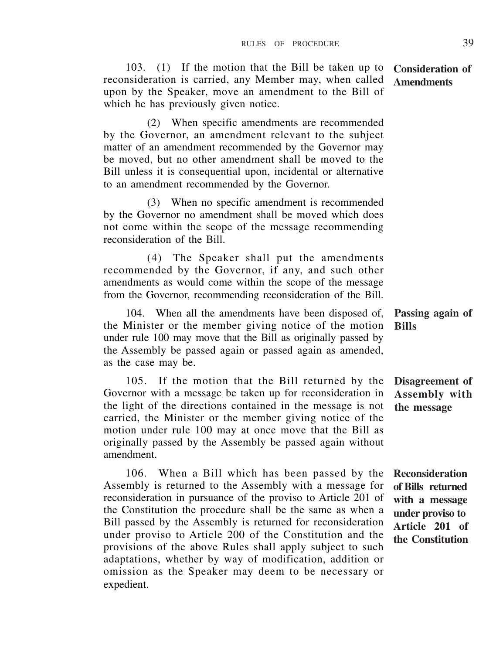103. (1) If the motion that the Bill be taken up to reconsideration is carried, any Member may, when called upon by the Speaker, move an amendment to the Bill of which he has previously given notice. **Consideration of Amendments**

(2) When specific amendments are recommended by the Governor, an amendment relevant to the subject matter of an amendment recommended by the Governor may be moved, but no other amendment shall be moved to the Bill unless it is consequential upon, incidental or alternative to an amendment recommended by the Governor.

(3) When no specific amendment is recommended by the Governor no amendment shall be moved which does not come within the scope of the message recommending reconsideration of the Bill.

(4) The Speaker shall put the amendments recommended by the Governor, if any, and such other amendments as would come within the scope of the message from the Governor, recommending reconsideration of the Bill.

104. When all the amendments have been disposed of, the Minister or the member giving notice of the motion under rule 100 may move that the Bill as originally passed by the Assembly be passed again or passed again as amended, as the case may be. **Bills**

105. If the motion that the Bill returned by the Governor with a message be taken up for reconsideration in the light of the directions contained in the message is not carried, the Minister or the member giving notice of the motion under rule 100 may at once move that the Bill as originally passed by the Assembly be passed again without amendment.

106. When a Bill which has been passed by the Assembly is returned to the Assembly with a message for reconsideration in pursuance of the proviso to Article 201 of the Constitution the procedure shall be the same as when a Bill passed by the Assembly is returned for reconsideration under proviso to Article 200 of the Constitution and the provisions of the above Rules shall apply subject to such adaptations, whether by way of modification, addition or omission as the Speaker may deem to be necessary or expedient.

**Passing again of**

**Disagreement of Assembly with the message**

**Reconsideration of Bills returned with a message under proviso to Article 201 of the Constitution**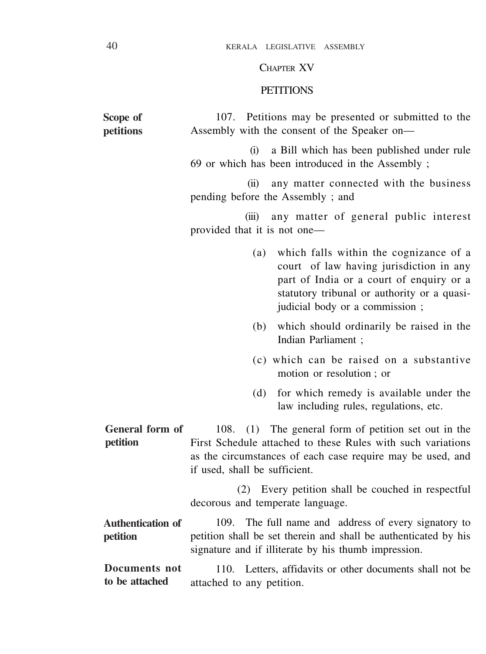#### CHAPTER XV

#### **PETITIONS**

107. Petitions may be presented or submitted to the Assembly with the consent of the Speaker on— **Scope of petitions**

> (i) a Bill which has been published under rule 69 or which has been introduced in the Assembly ;

> (ii) any matter connected with the business pending before the Assembly ; and

> (iii) any matter of general public interest provided that it is not one—

- (a) which falls within the cognizance of a court of law having jurisdiction in any part of India or a court of enquiry or a statutory tribunal or authority or a quasijudicial body or a commission :
- (b) which should ordinarily be raised in the Indian Parliament ;
- (c) which can be raised on a substantive motion or resolution ; or
- (d) for which remedy is available under the law including rules, regulations, etc.

108. (1) The general form of petition set out in the First Schedule attached to these Rules with such variations as the circumstances of each case require may be used, and if used, shall be sufficient. **General form of petition**

> (2) Every petition shall be couched in respectful decorous and temperate language.

109. The full name and address of every signatory to petition shall be set therein and shall be authenticated by his signature and if illiterate by his thumb impression. **Authentication of petition**

110. Letters, affidavits or other documents shall not be attached to any petition. **Documents not to be attached**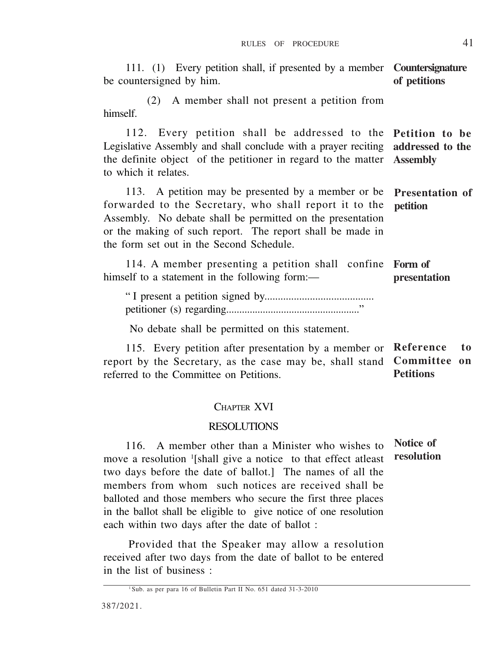111. (1) Every petition shall, if presented by a member **Countersignature** be countersigned by him. (2) A member shall not present a petition from himself. 112. Every petition shall be addressed to the **Petition to be** Legislative Assembly and shall conclude with a prayer reciting the definite object of the petitioner in regard to the matter to which it relates. 113. A petition may be presented by a member or be forwarded to the Secretary, who shall report it to the Assembly. No debate shall be permitted on the presentation or the making of such report. The report shall be made in the form set out in the Second Schedule. **of petitions addressed to the Assembly Presentation of petition**

114. A member presenting a petition shall confine **Form of** himself to a statement in the following form: **presentation**

" I present a petition signed by......................................... petitioner (s) regarding..................................................."

No debate shall be permitted on this statement.

115. Every petition after presentation by a member or **Reference to** report by the Secretary, as the case may be, shall stand referred to the Committee on Petitions. **Committee on Petitions**

## CHAPTER XVI

#### **DESOLUTIONS**

116. A member other than a Minister who wishes to move a resolution <sup>1</sup> [shall give a notice to that effect atleast two days before the date of ballot.] The names of all the members from whom such notices are received shall be balloted and those members who secure the first three places in the ballot shall be eligible to give notice of one resolution each within two days after the date of ballot : **Notice of resolution**

Provided that the Speaker may allow a resolution received after two days from the date of ballot to be entered in the list of business :

<sup>1</sup> Sub. as per para 16 of Bulletin Part II No. 651 dated 31-3-2010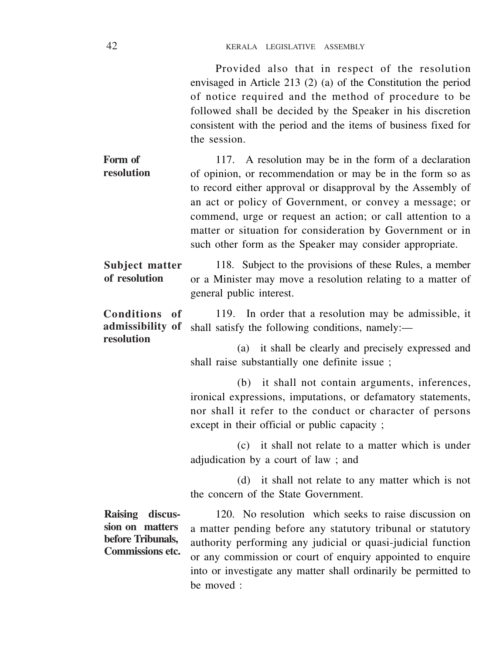| Provided also that in respect of the resolution                 |
|-----------------------------------------------------------------|
| envisaged in Article 213 (2) (a) of the Constitution the period |
| of notice required and the method of procedure to be            |
| followed shall be decided by the Speaker in his discretion      |
| consistent with the period and the items of business fixed for  |
| the session.                                                    |
|                                                                 |

117. A resolution may be in the form of a declaration of opinion, or recommendation or may be in the form so as to record either approval or disapproval by the Assembly of an act or policy of Government, or convey a message; or commend, urge or request an action; or call attention to a matter or situation for consideration by Government or in such other form as the Speaker may consider appropriate. **Form of resolution**

118. Subject to the provisions of these Rules, a member or a Minister may move a resolution relating to a matter of general public interest. **Subject matter of resolution**

119. In order that a resolution may be admissible, it shall satisfy the following conditions, namely:— **Conditions of admissibility of resolution**

> (a) it shall be clearly and precisely expressed and shall raise substantially one definite issue ;

> (b) it shall not contain arguments, inferences, ironical expressions, imputations, or defamatory statements, nor shall it refer to the conduct or character of persons except in their official or public capacity ;

> (c) it shall not relate to a matter which is under adjudication by a court of law ; and

> (d) it shall not relate to any matter which is not the concern of the State Government.

**Raising discussion on matters before Tribunals, Commissions etc.**

120. No resolution which seeks to raise discussion on a matter pending before any statutory tribunal or statutory authority performing any judicial or quasi-judicial function or any commission or court of enquiry appointed to enquire into or investigate any matter shall ordinarily be permitted to be moved :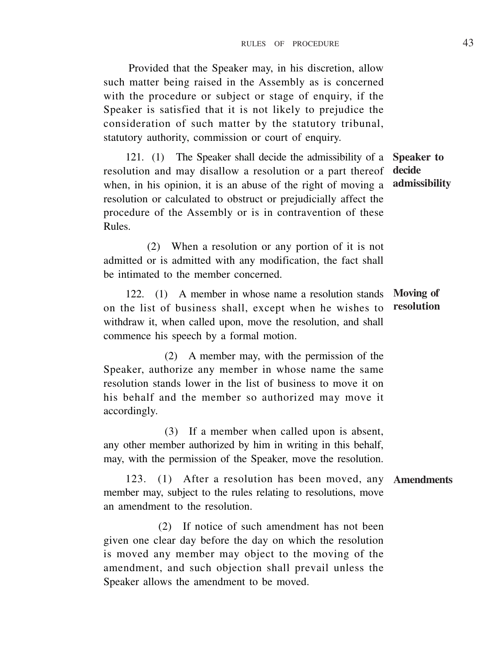Provided that the Speaker may, in his discretion, allow such matter being raised in the Assembly as is concerned with the procedure or subject or stage of enquiry, if the Speaker is satisfied that it is not likely to prejudice the consideration of such matter by the statutory tribunal, statutory authority, commission or court of enquiry.

121. (1) The Speaker shall decide the admissibility of a resolution and may disallow a resolution or a part thereof when, in his opinion, it is an abuse of the right of moving a resolution or calculated to obstruct or prejudicially affect the procedure of the Assembly or is in contravention of these Rules. **Speaker to decide admissibility**

(2) When a resolution or any portion of it is not admitted or is admitted with any modification, the fact shall be intimated to the member concerned.

122. (1) A member in whose name a resolution stands on the list of business shall, except when he wishes to withdraw it, when called upon, move the resolution, and shall commence his speech by a formal motion. **Moving of resolution**

(2) A member may, with the permission of the Speaker, authorize any member in whose name the same resolution stands lower in the list of business to move it on his behalf and the member so authorized may move it accordingly.

(3) If a member when called upon is absent, any other member authorized by him in writing in this behalf, may, with the permission of the Speaker, move the resolution.

123. (1) After a resolution has been moved, any **Amendments**member may, subject to the rules relating to resolutions, move an amendment to the resolution.

(2) If notice of such amendment has not been given one clear day before the day on which the resolution is moved any member may object to the moving of the amendment, and such objection shall prevail unless the Speaker allows the amendment to be moved.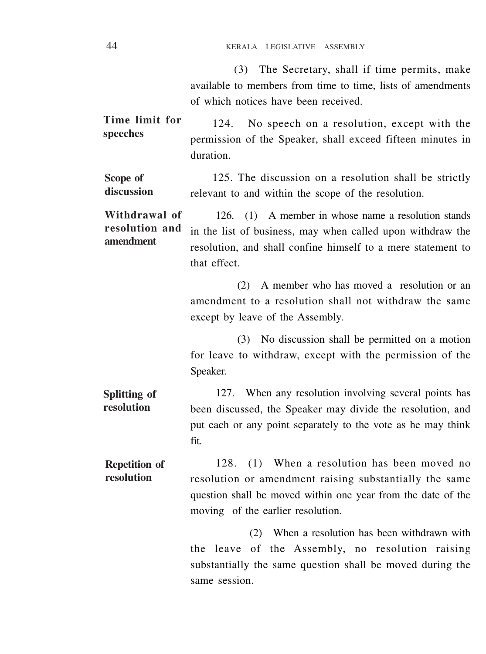(3) The Secretary, shall if time permits, make available to members from time to time, lists of amendments of which notices have been received.

124. No speech on a resolution, except with the permission of the Speaker, shall exceed fifteen minutes in duration. **Time limit for speeches**

125. The discussion on a resolution shall be strictly relevant to and within the scope of the resolution. **Scope of discussion**

126. (1) A member in whose name a resolution stands in the list of business, may when called upon withdraw the resolution, and shall confine himself to a mere statement to that effect. **Withdrawal of resolution and amendment**

> (2) A member who has moved a resolution or an amendment to a resolution shall not withdraw the same except by leave of the Assembly.

> (3) No discussion shall be permitted on a motion for leave to withdraw, except with the permission of the Speaker.

127. When any resolution involving several points has been discussed, the Speaker may divide the resolution, and put each or any point separately to the vote as he may think fit. **Splitting of resolution**

128. (1) When a resolution has been moved no resolution or amendment raising substantially the same question shall be moved within one year from the date of the moving of the earlier resolution. **Repetition of resolution**

> (2) When a resolution has been withdrawn with the leave of the Assembly, no resolution raising substantially the same question shall be moved during the same session.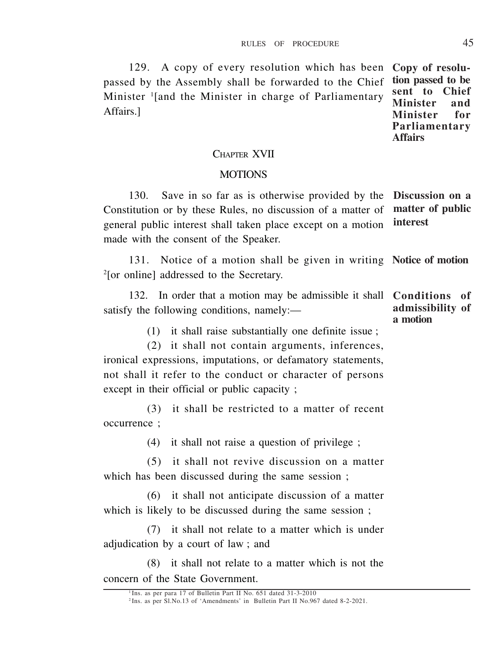129. A copy of every resolution which has been **Copy of resolu**passed by the Assembly shall be forwarded to the Chief Minister <sup>1</sup> [and the Minister in charge of Parliamentary Affairs.]

**tion passed to be** sent to Chief<br>Minister and **Minister and Minister Parliamentary Affairs**

## CHAPTER XVII

#### **MOTIONS**

130.Save in so far as is otherwise provided by the **Discussion on a** Constitution or by these Rules, no discussion of a matter of general public interest shall taken place except on a motion made with the consent of the Speaker. **matter of public interest**

131. Notice of a motion shall be given in writing **Notice of motion** 2 [or online] addressed to the Secretary.

|                                            | In order that a motion may be admissible it shall <b>Conditions</b> of |                  |
|--------------------------------------------|------------------------------------------------------------------------|------------------|
| satisfy the following conditions, namely:— |                                                                        | admissibility of |
|                                            |                                                                        | a motion         |

(1) it shall raise substantially one definite issue ;

(2) it shall not contain arguments, inferences, ironical expressions, imputations, or defamatory statements, not shall it refer to the conduct or character of persons except in their official or public capacity :

(3) it shall be restricted to a matter of recent occurrence ;

(4) it shall not raise a question of privilege ;

(5) it shall not revive discussion on a matter which has been discussed during the same session ;

(6) it shall not anticipate discussion of a matter which is likely to be discussed during the same session ;

(7) it shall not relate to a matter which is under adjudication by a court of law ; and

(8) it shall not relate to a matter which is not the concern of the State Government.

<sup>&</sup>lt;sup>1</sup> Ins. as per para 17 of Bulletin Part II No. 651 dated 31-3-2010

<sup>2</sup> Ins. as per Sl.No.13 of 'Amendments' in Bulletin Part II No.967 dated 8-2-2021.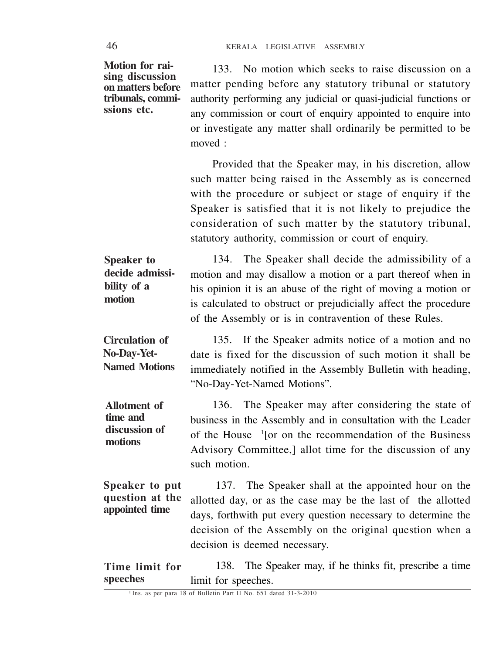**Motion for raising discussion on matters before tribunals, commissions etc.**

133. No motion which seeks to raise discussion on a matter pending before any statutory tribunal or statutory authority performing any judicial or quasi-judicial functions or any commission or court of enquiry appointed to enquire into or investigate any matter shall ordinarily be permitted to be moved :

Provided that the Speaker may, in his discretion, allow such matter being raised in the Assembly as is concerned with the procedure or subject or stage of enquiry if the Speaker is satisfied that it is not likely to prejudice the consideration of such matter by the statutory tribunal, statutory authority, commission or court of enquiry.

134. The Speaker shall decide the admissibility of a motion and may disallow a motion or a part thereof when in his opinion it is an abuse of the right of moving a motion or is calculated to obstruct or prejudicially affect the procedure of the Assembly or is in contravention of these Rules. **Speaker to decide admissibility of a motion**

135. If the Speaker admits notice of a motion and no date is fixed for the discussion of such motion it shall be immediately notified in the Assembly Bulletin with heading, "No-Day-Yet-Named Motions". **Circulation of No-Day-Yet-Named Motions**

136. The Speaker may after considering the state of business in the Assembly and in consultation with the Leader of the House <sup>1</sup> [or on the recommendation of the Business Advisory Committee,] allot time for the discussion of any such motion. **Allotment of time and discussion of motions**

137. The Speaker shall at the appointed hour on the allotted day, or as the case may be the last of the allotted days, forthwith put every question necessary to determine the decision of the Assembly on the original question when a decision is deemed necessary. **Speaker to put question at the appointed time**

138. The Speaker may, if he thinks fit, prescribe a time limit for speeches. **Time limit for speeches**

<sup>1</sup> Ins. as per para 18 of Bulletin Part II No. 651 dated 31-3-2010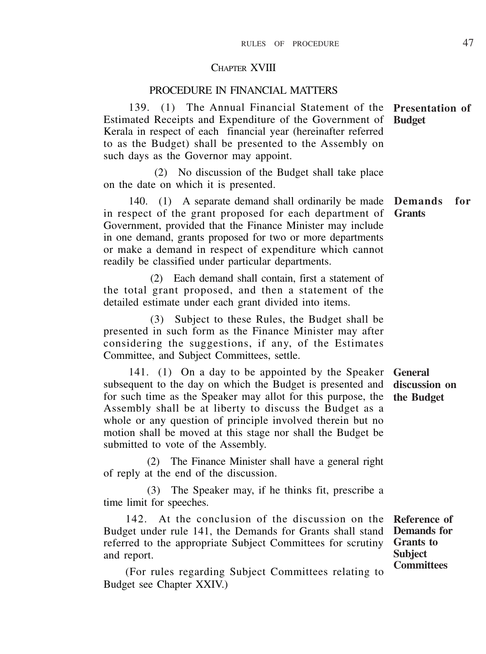#### CHAPTER XVIII

## PROCEDURE IN FINANCIAL MATTERS

139. (1) The Annual Financial Statement of the Estimated Receipts and Expenditure of the Government of Kerala in respect of each financial year (hereinafter referred to as the Budget) shall be presented to the Assembly on such days as the Governor may appoint. **Presentation of Budget**

 (2) No discussion of the Budget shall take place on the date on which it is presented.

140. (1) A separate demand shall ordinarily be made in respect of the grant proposed for each department of Government, provided that the Finance Minister may include in one demand, grants proposed for two or more departments or make a demand in respect of expenditure which cannot readily be classified under particular departments. **Demands for Grants**

(2) Each demand shall contain, first a statement of the total grant proposed, and then a statement of the detailed estimate under each grant divided into items.

(3) Subject to these Rules, the Budget shall be presented in such form as the Finance Minister may after considering the suggestions, if any, of the Estimates Committee, and Subject Committees, settle.

141. (1) On a day to be appointed by the Speaker subsequent to the day on which the Budget is presented and for such time as the Speaker may allot for this purpose, the Assembly shall be at liberty to discuss the Budget as a whole or any question of principle involved therein but no motion shall be moved at this stage nor shall the Budget be submitted to vote of the Assembly. **General discussion on the Budget**

(2) The Finance Minister shall have a general right of reply at the end of the discussion.

(3) The Speaker may, if he thinks fit, prescribe a time limit for speeches.

142. At the conclusion of the discussion on the Budget under rule 141, the Demands for Grants shall stand referred to the appropriate Subject Committees for scrutiny and report.

**Reference of Demands for Grants to Subject Committees**

(For rules regarding Subject Committees relating to Budget see Chapter XXIV.)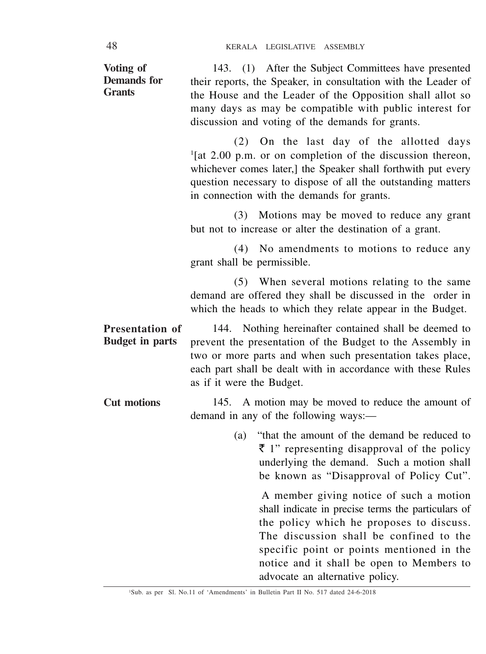| Voting of<br><b>Demands</b> for<br><b>Grants</b> | 143. (1) After the Subject Committees have presented<br>their reports, the Speaker, in consultation with the Leader of<br>the House and the Leader of the Opposition shall allot so<br>many days as may be compatible with public interest for<br>discussion and voting of the demands for grants.                |  |
|--------------------------------------------------|-------------------------------------------------------------------------------------------------------------------------------------------------------------------------------------------------------------------------------------------------------------------------------------------------------------------|--|
|                                                  | (2) On the last day of the allotted days<br>$\frac{1}{2}$ [at 2.00 p.m. or on completion of the discussion thereon,<br>whichever comes later,] the Speaker shall forthwith put every<br>question necessary to dispose of all the outstanding matters<br>in connection with the demands for grants.                |  |
|                                                  | (3)<br>Motions may be moved to reduce any grant<br>but not to increase or alter the destination of a grant.                                                                                                                                                                                                       |  |
|                                                  | No amendments to motions to reduce any<br>(4)<br>grant shall be permissible.                                                                                                                                                                                                                                      |  |
|                                                  | (5) When several motions relating to the same<br>demand are offered they shall be discussed in the order in<br>which the heads to which they relate appear in the Budget.                                                                                                                                         |  |
| Presentation of<br><b>Budget in parts</b>        | 144. Nothing hereinafter contained shall be deemed to<br>prevent the presentation of the Budget to the Assembly in<br>two or more parts and when such presentation takes place,<br>each part shall be dealt with in accordance with these Rules<br>as if it were the Budget.                                      |  |
| <b>Cut motions</b>                               | 145. A motion may be moved to reduce the amount of<br>demand in any of the following ways:—                                                                                                                                                                                                                       |  |
|                                                  | (a) "that the amount of the demand be reduced to<br>$\bar{\tau}$ 1" representing disapproval of the policy<br>underlying the demand. Such a motion shall<br>be known as "Disapproval of Policy Cut".                                                                                                              |  |
|                                                  | A member giving notice of such a motion<br>shall indicate in precise terms the particulars of<br>the policy which he proposes to discuss.<br>The discussion shall be confined to the<br>specific point or points mentioned in the<br>notice and it shall be open to Members to<br>advocate an alternative policy. |  |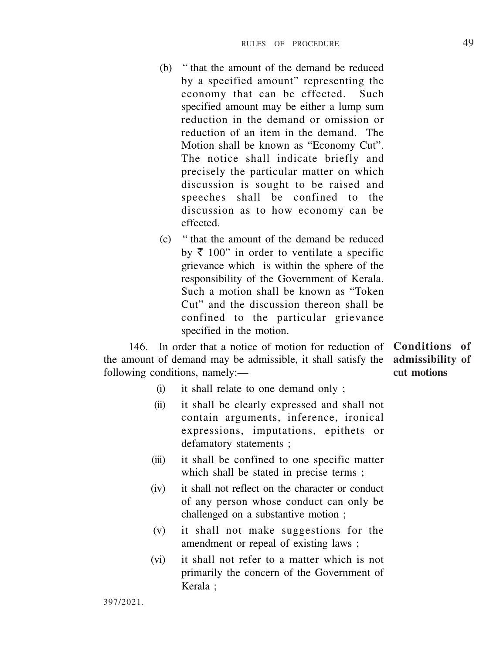- (b) " that the amount of the demand be reduced by a specified amount" representing the economy that can be effected. Such specified amount may be either a lump sum reduction in the demand or omission or reduction of an item in the demand. The Motion shall be known as "Economy Cut". The notice shall indicate briefly and precisely the particular matter on which discussion is sought to be raised and speeches shall be confined to the discussion as to how economy can be effected.
- (c) " that the amount of the demand be reduced by  $\bar{\tau}$  100" in order to ventilate a specific grievance which is within the sphere of the responsibility of the Government of Kerala. Such a motion shall be known as "Token Cut" and the discussion thereon shall be confined to the particular grievance specified in the motion.

146. In order that a notice of motion for reduction of **Conditions of** the amount of demand may be admissible, it shall satisfy the **admissibility of** following conditions, namely:—

**cut motions**

- (i) it shall relate to one demand only ;
- (ii) it shall be clearly expressed and shall not contain arguments, inference, ironical expressions, imputations, epithets or defamatory statements ;
- (iii) it shall be confined to one specific matter which shall be stated in precise terms ;
- (iv) it shall not reflect on the character or conduct of any person whose conduct can only be challenged on a substantive motion ;
- (v) it shall not make suggestions for the amendment or repeal of existing laws ;
- (vi) it shall not refer to a matter which is not primarily the concern of the Government of Kerala ;

397/2021.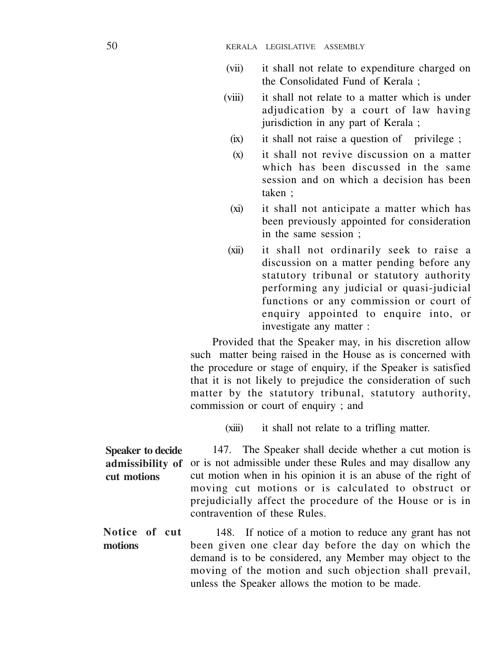- (vii) it shall not relate to expenditure charged on the Consolidated Fund of Kerala ;
- (viii) it shall not relate to a matter which is under adjudication by a court of law having jurisdiction in any part of Kerala ;
	- (ix) it shall not raise a question of privilege ;
	- (x) it shall not revive discussion on a matter which has been discussed in the same session and on which a decision has been taken ;
	- (xi) it shall not anticipate a matter which has been previously appointed for consideration in the same session ;
- (xii) it shall not ordinarily seek to raise a discussion on a matter pending before any statutory tribunal or statutory authority performing any judicial or quasi-judicial functions or any commission or court of enquiry appointed to enquire into, or investigate any matter :

Provided that the Speaker may, in his discretion allow such matter being raised in the House as is concerned with the procedure or stage of enquiry, if the Speaker is satisfied that it is not likely to prejudice the consideration of such matter by the statutory tribunal, statutory authority, commission or court of enquiry : and

(xiii) it shall not relate to a trifling matter.

147. The Speaker shall decide whether a cut motion is or is not admissible under these Rules and may disallow any cut motion when in his opinion it is an abuse of the right of moving cut motions or is calculated to obstruct or prejudicially affect the procedure of the House or is in contravention of these Rules. **Speaker to decide admissibility of cut motions**

148. If notice of a motion to reduce any grant has not been given one clear day before the day on which the demand is to be considered, any Member may object to the moving of the motion and such objection shall prevail, unless the Speaker allows the motion to be made. **Notice of cut motions**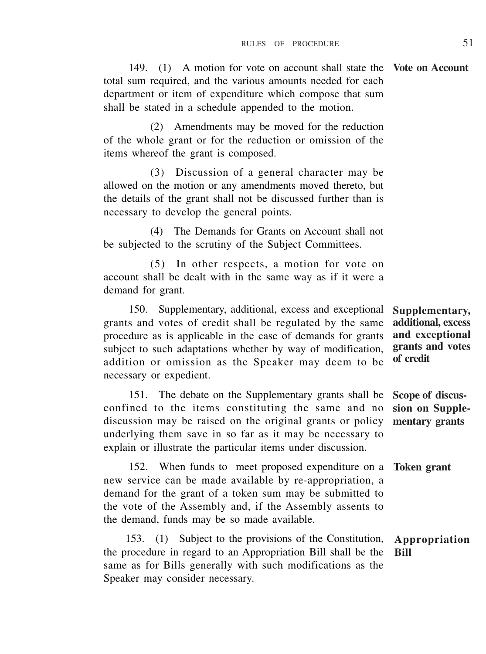149. (1) A motion for vote on account shall state the **Vote on Account** total sum required, and the various amounts needed for each department or item of expenditure which compose that sum shall be stated in a schedule appended to the motion.

(2) Amendments may be moved for the reduction of the whole grant or for the reduction or omission of the items whereof the grant is composed.

(3) Discussion of a general character may be allowed on the motion or any amendments moved thereto, but the details of the grant shall not be discussed further than is necessary to develop the general points.

(4) The Demands for Grants on Account shall not be subjected to the scrutiny of the Subject Committees.

(5) In other respects, a motion for vote on account shall be dealt with in the same way as if it were a demand for grant.

150. Supplementary, additional, excess and exceptional grants and votes of credit shall be regulated by the same procedure as is applicable in the case of demands for grants subject to such adaptations whether by way of modification, addition or omission as the Speaker may deem to be necessary or expedient.

151. The debate on the Supplementary grants shall be confined to the items constituting the same and no discussion may be raised on the original grants or policy underlying them save in so far as it may be necessary to explain or illustrate the particular items under discussion.

152. When funds to meet proposed expenditure on a new service can be made available by re-appropriation, a demand for the grant of a token sum may be submitted to the vote of the Assembly and, if the Assembly assents to the demand, funds may be so made available.

153. (1) Subject to the provisions of the Constitution, the procedure in regard to an Appropriation Bill shall be the same as for Bills generally with such modifications as the Speaker may consider necessary. **Appropriation Bill**

**Supplementary, additional, excess and exceptional grants and votes of credit**

**Scope of discussion on Supplementary grants**

**Token grant**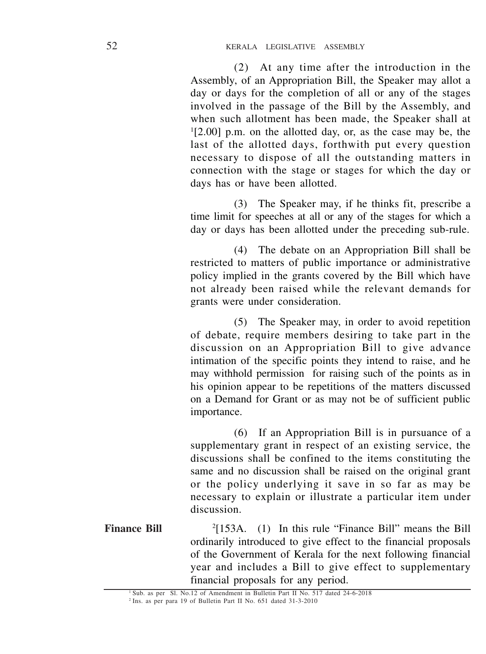(2) At any time after the introduction in the Assembly, of an Appropriation Bill, the Speaker may allot a day or days for the completion of all or any of the stages involved in the passage of the Bill by the Assembly, and when such allotment has been made, the Speaker shall at 1 [2.00] p.m. on the allotted day, or, as the case may be, the last of the allotted days, forthwith put every question necessary to dispose of all the outstanding matters in connection with the stage or stages for which the day or days has or have been allotted.

(3) The Speaker may, if he thinks fit, prescribe a time limit for speeches at all or any of the stages for which a day or days has been allotted under the preceding sub-rule.

(4) The debate on an Appropriation Bill shall be restricted to matters of public importance or administrative policy implied in the grants covered by the Bill which have not already been raised while the relevant demands for grants were under consideration.

(5) The Speaker may, in order to avoid repetition of debate, require members desiring to take part in the discussion on an Appropriation Bill to give advance intimation of the specific points they intend to raise, and he may withhold permission for raising such of the points as in his opinion appear to be repetitions of the matters discussed on a Demand for Grant or as may not be of sufficient public importance.

(6) If an Appropriation Bill is in pursuance of a supplementary grant in respect of an existing service, the discussions shall be confined to the items constituting the same and no discussion shall be raised on the original grant or the policy underlying it save in so far as may be necessary to explain or illustrate a particular item under discussion.

2 [153A. (1) In this rule "Finance Bill" means the Bill ordinarily introduced to give effect to the financial proposals of the Government of Kerala for the next following financial year and includes a Bill to give effect to supplementary financial proposals for any period. **Finance Bill**

<sup>&</sup>lt;sup>1</sup> Sub. as per Sl. No.12 of Amendment in Bulletin Part II No. 517 dated 24-6-2018

<sup>2</sup> Ins. as per para 19 of Bulletin Part II No. 651 dated 31-3-2010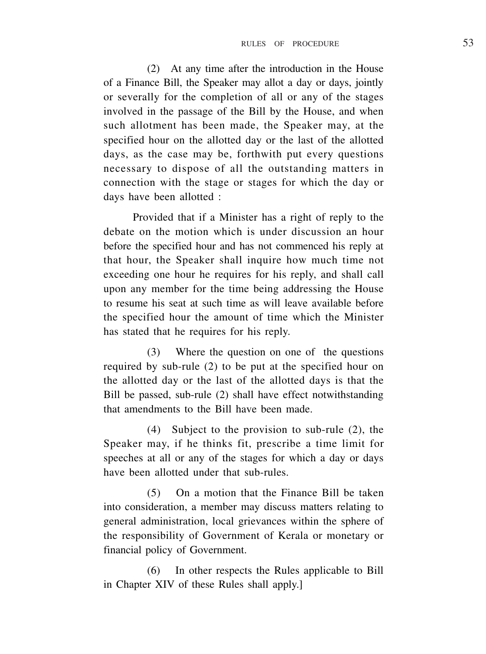(2) At any time after the introduction in the House of a Finance Bill, the Speaker may allot a day or days, jointly or severally for the completion of all or any of the stages involved in the passage of the Bill by the House, and when such allotment has been made, the Speaker may, at the specified hour on the allotted day or the last of the allotted days, as the case may be, forthwith put every questions necessary to dispose of all the outstanding matters in connection with the stage or stages for which the day or days have been allotted :

 Provided that if a Minister has a right of reply to the debate on the motion which is under discussion an hour before the specified hour and has not commenced his reply at that hour, the Speaker shall inquire how much time not exceeding one hour he requires for his reply, and shall call upon any member for the time being addressing the House to resume his seat at such time as will leave available before the specified hour the amount of time which the Minister has stated that he requires for his reply.

(3) Where the question on one of the questions required by sub-rule (2) to be put at the specified hour on the allotted day or the last of the allotted days is that the Bill be passed, sub-rule (2) shall have effect notwithstanding that amendments to the Bill have been made.

(4) Subject to the provision to sub-rule (2), the Speaker may, if he thinks fit, prescribe a time limit for speeches at all or any of the stages for which a day or days have been allotted under that sub-rules.

(5) On a motion that the Finance Bill be taken into consideration, a member may discuss matters relating to general administration, local grievances within the sphere of the responsibility of Government of Kerala or monetary or financial policy of Government.

(6) In other respects the Rules applicable to Bill in Chapter XIV of these Rules shall apply.]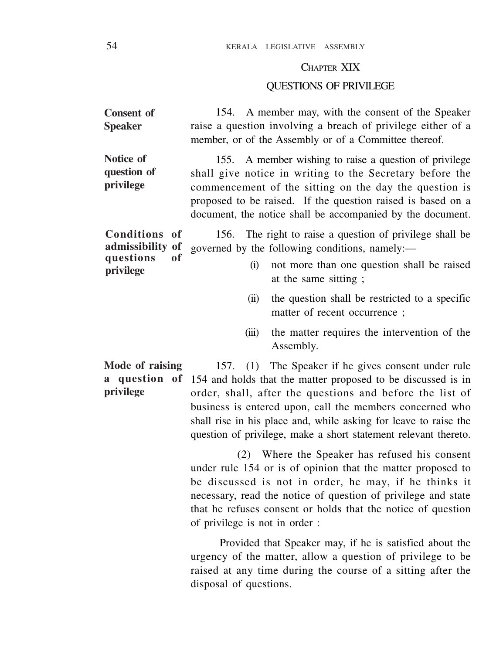# CHAPTER XIX

# QUESTIONS OF PRIVILEGE

| <b>Consent of</b><br><b>Speaker</b>                               | 154. A member may, with the consent of the Speaker<br>raise a question involving a breach of privilege either of a<br>member, or of the Assembly or of a Committee thereof.                                                                                                                                                                                                           |  |  |  |  |  |
|-------------------------------------------------------------------|---------------------------------------------------------------------------------------------------------------------------------------------------------------------------------------------------------------------------------------------------------------------------------------------------------------------------------------------------------------------------------------|--|--|--|--|--|
| Notice of<br>question of<br>privilege                             | A member wishing to raise a question of privilege<br>155.<br>shall give notice in writing to the Secretary before the<br>commencement of the sitting on the day the question is<br>proposed to be raised. If the question raised is based on a<br>document, the notice shall be accompanied by the document.                                                                          |  |  |  |  |  |
| Conditions of<br>admissibility of<br>questions<br>of<br>privilege | 156. The right to raise a question of privilege shall be<br>governed by the following conditions, namely:-<br>(i)<br>not more than one question shall be raised<br>at the same sitting;                                                                                                                                                                                               |  |  |  |  |  |
|                                                                   | the question shall be restricted to a specific<br>(ii)<br>matter of recent occurrence;                                                                                                                                                                                                                                                                                                |  |  |  |  |  |
|                                                                   | (iii)<br>the matter requires the intervention of the<br>Assembly.                                                                                                                                                                                                                                                                                                                     |  |  |  |  |  |
| Mode of raising<br>question of<br>a<br>privilege                  | 157.<br>(1) The Speaker if he gives consent under rule<br>154 and holds that the matter proposed to be discussed is in<br>order, shall, after the questions and before the list of<br>business is entered upon, call the members concerned who<br>shall rise in his place and, while asking for leave to raise the<br>question of privilege, make a short statement relevant thereto. |  |  |  |  |  |
|                                                                   | (2) Where the Speaker has refused his consent<br>under rule 154 or is of opinion that the matter proposed to<br>be discussed is not in order, he may, if he thinks it<br>necessary, read the notice of question of privilege and state<br>that he refuses consent or holds that the notice of question<br>of privilege is not in order :                                              |  |  |  |  |  |
|                                                                   | Provided that Speaker may, if he is satisfied about the<br>urgency of the matter, allow a question of privilege to be<br>raised at any time during the course of a sitting after the<br>disposal of questions.                                                                                                                                                                        |  |  |  |  |  |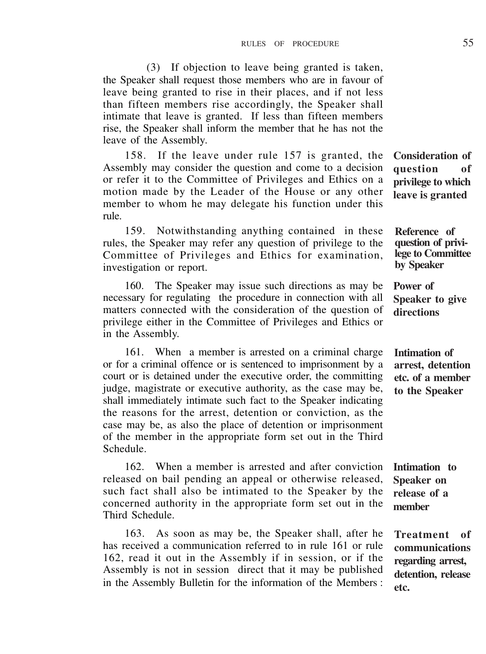(3) If objection to leave being granted is taken, the Speaker shall request those members who are in favour of leave being granted to rise in their places, and if not less than fifteen members rise accordingly, the Speaker shall intimate that leave is granted. If less than fifteen members rise, the Speaker shall inform the member that he has not the leave of the Assembly.

158. If the leave under rule 157 is granted, the Assembly may consider the question and come to a decision or refer it to the Committee of Privileges and Ethics on a motion made by the Leader of the House or any other member to whom he may delegate his function under this rule.

159. Notwithstanding anything contained in these rules, the Speaker may refer any question of privilege to the Committee of Privileges and Ethics for examination, investigation or report.

160. The Speaker may issue such directions as may be necessary for regulating the procedure in connection with all matters connected with the consideration of the question of privilege either in the Committee of Privileges and Ethics or in the Assembly.

161. When a member is arrested on a criminal charge or for a criminal offence or is sentenced to imprisonment by a court or is detained under the executive order, the committing judge, magistrate or executive authority, as the case may be, shall immediately intimate such fact to the Speaker indicating the reasons for the arrest, detention or conviction, as the case may be, as also the place of detention or imprisonment of the member in the appropriate form set out in the Third Schedule.

162. When a member is arrested and after conviction released on bail pending an appeal or otherwise released, such fact shall also be intimated to the Speaker by the concerned authority in the appropriate form set out in the Third Schedule.

163. As soon as may be, the Speaker shall, after he has received a communication referred to in rule 161 or rule 162, read it out in the Assembly if in session, or if the Assembly is not in session direct that it may be published in the Assembly Bulletin for the information of the Members : **Consideration of question of privilege to which leave is granted**

**Reference of question of privilege to Committee by Speaker**

**Power of Speaker to give directions**

**Intimation of arrest, detention etc. of a member to the Speaker**

**Intimation to Speaker on release of a member**

**Treatment of communications regarding arrest, detention, release etc.**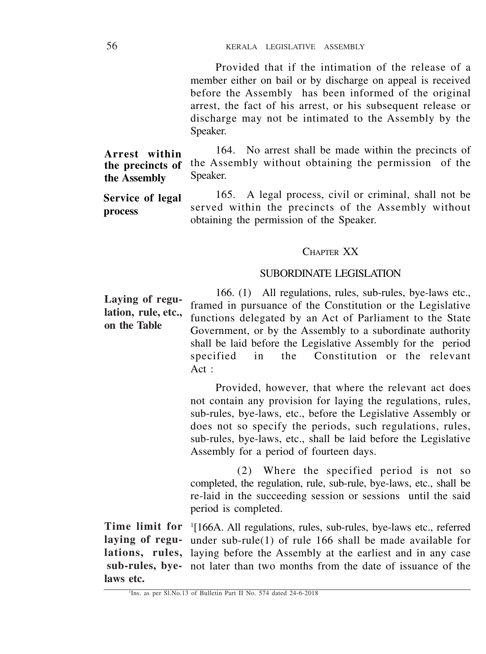Provided that if the intimation of the release of a member either on bail or by discharge on appeal is received before the Assembly has been informed of the original arrest, the fact of his arrest, or his subsequent release or discharge may not be intimated to the Assembly by the Speaker.

164. No arrest shall be made within the precincts of the Assembly without obtaining the permission of the Speaker. **Arrest within the precincts of the Assembly**

165. A legal process, civil or criminal, shall not be served within the precincts of the Assembly without obtaining the permission of the Speaker. **Service of legal process**

## CHAPTER XX

# SUBORDINATE LEGISLATION

166. (1) All regulations, rules, sub-rules, bye-laws etc., framed in pursuance of the Constitution or the Legislative functions delegated by an Act of Parliament to the State Government, or by the Assembly to a subordinate authority shall be laid before the Legislative Assembly for the period specified in the Constitution or the relevant Act : **Laying of regulation, rule, etc., on the Table**

> Provided, however, that where the relevant act does not contain any provision for laying the regulations, rules, sub-rules, bye-laws, etc., before the Legislative Assembly or does not so specify the periods, such regulations, rules, sub-rules, bye-laws, etc., shall be laid before the Legislative Assembly for a period of fourteen days.

> (2) Where the specified period is not so completed, the regulation, rule, sub-rule, bye-laws, etc., shall be re-laid in the succeeding session or sessions until the said period is completed.

Time limit for <sup>1</sup>[166A. All regulations, rules, sub-rules, bye-laws etc., referred laying of regu- under sub-rule(1) of rule 166 shall be made available for lations, rules, laying before the Assembly at the earliest and in any case sub-rules, bye- not later than two months from the date of issuance of the **laws etc.**

<sup>&</sup>lt;sup>1</sup>Ins. as per Sl.No.13 of Bulletin Part II No. 574 dated 24-6-2018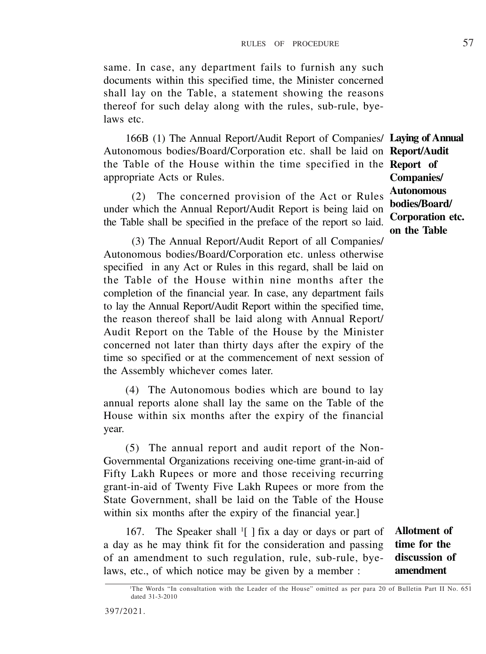same. In case, any department fails to furnish any such documents within this specified time, the Minister concerned shall lay on the Table, a statement showing the reasons thereof for such delay along with the rules, sub-rule, byelaws etc.

166B (1) The Annual Report/Audit Report of Companies/ **Laying of Annual** Autonomous bodies/Board/Corporation etc. shall be laid on **Report/Audit** the Table of the House within the time specified in the **Report of** appropriate Acts or Rules.

(2) The concerned provision of the Act or Rules under which the Annual Report/Audit Report is being laid on the Table shall be specified in the preface of the report so laid.

(3) The Annual Report/Audit Report of all Companies/ Autonomous bodies/Board/Corporation etc. unless otherwise specified in any Act or Rules in this regard, shall be laid on the Table of the House within nine months after the completion of the financial year. In case, any department fails to lay the Annual Report/Audit Report within the specified time, the reason thereof shall be laid along with Annual Report/ Audit Report on the Table of the House by the Minister concerned not later than thirty days after the expiry of the time so specified or at the commencement of next session of the Assembly whichever comes later.

(4) The Autonomous bodies which are bound to lay annual reports alone shall lay the same on the Table of the House within six months after the expiry of the financial year.

(5) The annual report and audit report of the Non-Governmental Organizations receiving one-time grant-in-aid of Fifty Lakh Rupees or more and those receiving recurring grant-in-aid of Twenty Five Lakh Rupees or more from the State Government, shall be laid on the Table of the House within six months after the expiry of the financial year.]

167. The Speaker shall <sup>1</sup>[ ] fix a day or days or part of a day as he may think fit for the consideration and passing of an amendment to such regulation, rule, sub-rule, byelaws, etc., of which notice may be given by a member :

**Allotment of time for the discussion of amendment**

**Companies/ Autonomous bodies/Board/ Corporation etc. on the Table**

<sup>1</sup>The Words "In consultation with the Leader of the House" omitted as per para 20 of Bulletin Part II No. 651 dated 31-3-2010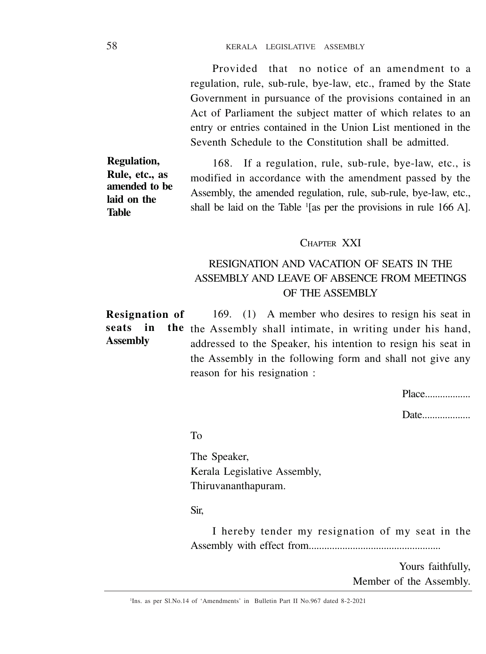Provided that no notice of an amendment to a regulation, rule, sub-rule, bye-law, etc., framed by the State Government in pursuance of the provisions contained in an Act of Parliament the subject matter of which relates to an entry or entries contained in the Union List mentioned in the Seventh Schedule to the Constitution shall be admitted.

168. If a regulation, rule, sub-rule, bye-law, etc., is modified in accordance with the amendment passed by the Assembly, the amended regulation, rule, sub-rule, bye-law, etc., shall be laid on the Table <sup>1</sup> [as per the provisions in rule 166 A]. **Regulation, Rule, etc., as amended to be laid on the Table**

# CHAPTER XXI

# RESIGNATION AND VACATION OF SEATS IN THE ASSEMBLY AND LEAVE OF ABSENCE FROM MEETINGS OF THE ASSEMBLY

169. (1) A member who desires to resign his seat in seats in the the Assembly shall intimate, in writing under his hand, addressed to the Speaker, his intention to resign his seat in the Assembly in the following form and shall not give any reason for his resignation : **Resignation of Assembly**

Place..................

Date....................

To

The Speaker, Kerala Legislative Assembly, Thiruvananthapuram.

Sir,

I hereby tender my resignation of my seat in the Assembly with effect from...................................................

> Yours faithfully, Member of the Assembly.

1 Ins. as per Sl.No.14 of 'Amendments' in Bulletin Part II No.967 dated 8-2-2021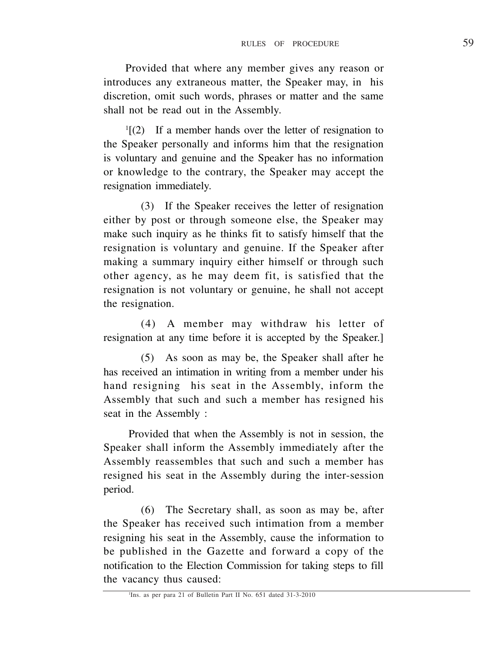Provided that where any member gives any reason or introduces any extraneous matter, the Speaker may, in his discretion, omit such words, phrases or matter and the same shall not be read out in the Assembly.

1 [(2) If a member hands over the letter of resignation to the Speaker personally and informs him that the resignation is voluntary and genuine and the Speaker has no information or knowledge to the contrary, the Speaker may accept the resignation immediately.

(3) If the Speaker receives the letter of resignation either by post or through someone else, the Speaker may make such inquiry as he thinks fit to satisfy himself that the resignation is voluntary and genuine. If the Speaker after making a summary inquiry either himself or through such other agency, as he may deem fit, is satisfied that the resignation is not voluntary or genuine, he shall not accept the resignation.

(4) A member may withdraw his letter of resignation at any time before it is accepted by the Speaker.]

(5) As soon as may be, the Speaker shall after he has received an intimation in writing from a member under his hand resigning his seat in the Assembly, inform the Assembly that such and such a member has resigned his seat in the Assembly :

Provided that when the Assembly is not in session, the Speaker shall inform the Assembly immediately after the Assembly reassembles that such and such a member has resigned his seat in the Assembly during the inter-session period.

(6) The Secretary shall, as soon as may be, after the Speaker has received such intimation from a member resigning his seat in the Assembly, cause the information to be published in the Gazette and forward a copy of the notification to the Election Commission for taking steps to fill the vacancy thus caused: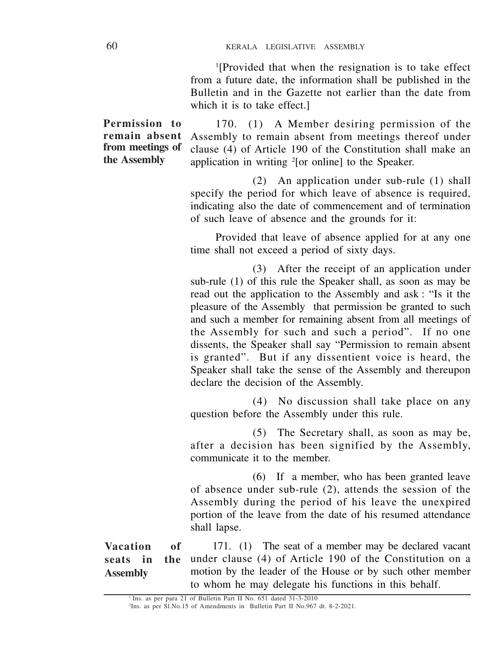1 [Provided that when the resignation is to take effect from a future date, the information shall be published in the Bulletin and in the Gazette not earlier than the date from which it is to take effect.]

170. (1) A Member desiring permission of the Assembly to remain absent from meetings thereof under clause (4) of Article 190 of the Constitution shall make an application in writing <sup>2</sup> [or online] to the Speaker.

> (2) An application under sub-rule (1) shall specify the period for which leave of absence is required. indicating also the date of commencement and of termination of such leave of absence and the grounds for it:

> Provided that leave of absence applied for at any one time shall not exceed a period of sixty days.

> (3) After the receipt of an application under sub-rule (1) of this rule the Speaker shall, as soon as may be read out the application to the Assembly and ask : "Is it the pleasure of the Assembly that permission be granted to such and such a member for remaining absent from all meetings of the Assembly for such and such a period". If no one dissents, the Speaker shall say "Permission to remain absent is granted". But if any dissentient voice is heard, the Speaker shall take the sense of the Assembly and thereupon declare the decision of the Assembly.

> (4) No discussion shall take place on any question before the Assembly under this rule.

> (5) The Secretary shall, as soon as may be, after a decision has been signified by the Assembly, communicate it to the member.

> (6) If a member, who has been granted leave of absence under sub-rule (2), attends the session of the Assembly during the period of his leave the unexpired portion of the leave from the date of his resumed attendance shall lapse.

171. (1) The seat of a member may be declared vacant under clause (4) of Article 190 of the Constitution on a motion by the leader of the House or by such other member to whom he may delegate his functions in this behalf. **Vacation of seats in the Assembly**

**Permission to remain absent from meetings of the Assembly**

<sup>1</sup>Ins. as per para 21 of Bulletin Part II No. 651 dated 31-3-2010

<sup>2</sup> Ins. as per Sl.No.15 of Amendments in Bulletin Part II No.967 dt. 8-2-2021.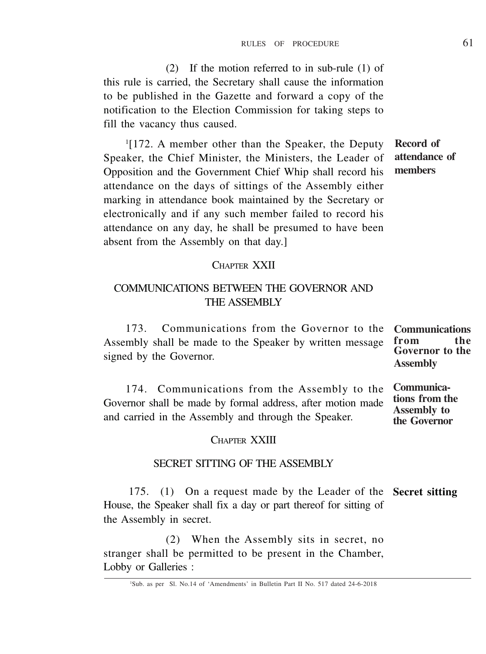(2) If the motion referred to in sub-rule (1) of this rule is carried, the Secretary shall cause the information to be published in the Gazette and forward a copy of the notification to the Election Commission for taking steps to fill the vacancy thus caused.

1 [172. A member other than the Speaker, the Deputy Speaker, the Chief Minister, the Ministers, the Leader of Opposition and the Government Chief Whip shall record his attendance on the days of sittings of the Assembly either marking in attendance book maintained by the Secretary or electronically and if any such member failed to record his attendance on any day, he shall be presumed to have been absent from the Assembly on that day.]

# **Record of attendance of members**

### CHAPTER XXII

# COMMUNICATIONS BETWEEN THE GOVERNOR AND THE ASSEMBLY

173. Communications from the Governor to the **Communications** Assembly shall be made to the Speaker by written message signed by the Governor. **from the Governor to the Assembly**

174. Communications from the Assembly to the Governor shall be made by formal address, after motion made and carried in the Assembly and through the Speaker. **Communications from the Assembly to the Governor**

# CHAPTER XXIII

# SECRET SITTING OF THE ASSEMBLY

175. (1) On a request made by the Leader of the **Secret sitting** House, the Speaker shall fix a day or part thereof for sitting of the Assembly in secret.

(2) When the Assembly sits in secret, no stranger shall be permitted to be present in the Chamber, Lobby or Galleries :

<sup>1</sup>Sub. as per Sl. No.14 of 'Amendments' in Bulletin Part II No. 517 dated 24-6-2018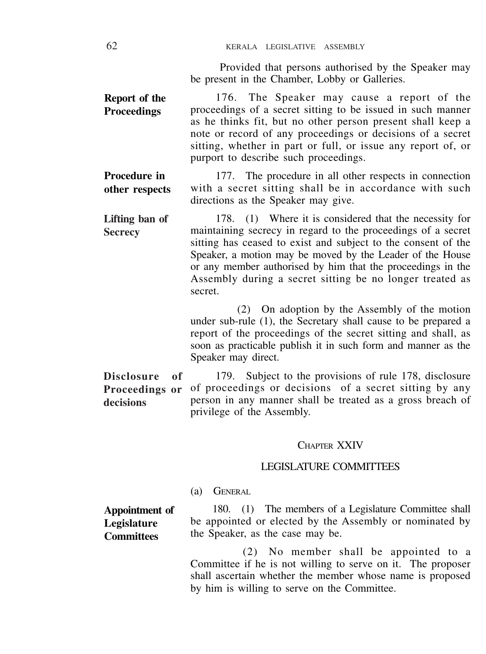Provided that persons authorised by the Speaker may be present in the Chamber, Lobby or Galleries.

176. The Speaker may cause a report of the proceedings of a secret sitting to be issued in such manner as he thinks fit, but no other person present shall keep a note or record of any proceedings or decisions of a secret sitting, whether in part or full, or issue any report of, or purport to describe such proceedings. **Report of the Proceedings**

177. The procedure in all other respects in connection with a secret sitting shall be in accordance with such directions as the Speaker may give. **Procedure in other respects**

178. (1) Where it is considered that the necessity for maintaining secrecy in regard to the proceedings of a secret sitting has ceased to exist and subject to the consent of the Speaker, a motion may be moved by the Leader of the House or any member authorised by him that the proceedings in the Assembly during a secret sitting be no longer treated as secret. **Lifting ban of Secrecy**

> (2) On adoption by the Assembly of the motion under sub-rule (1), the Secretary shall cause to be prepared a report of the proceedings of the secret sitting and shall, as soon as practicable publish it in such form and manner as the Speaker may direct.

179. Subject to the provisions of rule 178, disclosure of proceedings or decisions of a secret sitting by any person in any manner shall be treated as a gross breach of privilege of the Assembly. **Disclosure of Proceedings or decisions**

#### CHAPTER XXIV

#### LEGISLATURE COMMITTEES

(a) GENERAL

180. (1) The members of a Legislature Committee shall be appointed or elected by the Assembly or nominated by the Speaker, as the case may be. **Appointment of Legislature Committees**

> (2) No member shall be appointed to a Committee if he is not willing to serve on it. The proposer shall ascertain whether the member whose name is proposed by him is willing to serve on the Committee.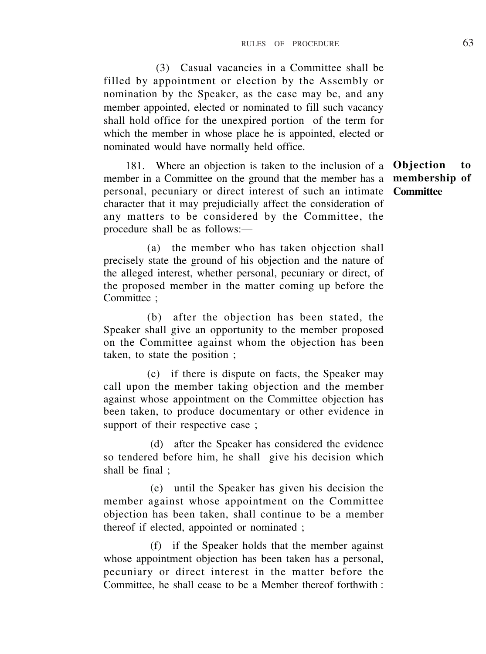(3) Casual vacancies in a Committee shall be filled by appointment or election by the Assembly or nomination by the Speaker, as the case may be, and any member appointed, elected or nominated to fill such vacancy shall hold office for the unexpired portion of the term for which the member in whose place he is appointed, elected or nominated would have normally held office.

181. Where an objection is taken to the inclusion of a **Objection to** member in a Committee on the ground that the member has a personal, pecuniary or direct interest of such an intimate **Committee**character that it may prejudicially affect the consideration of any matters to be considered by the Committee, the procedure shall be as follows:—

**membership of**

(a) the member who has taken objection shall precisely state the ground of his objection and the nature of the alleged interest, whether personal, pecuniary or direct, of the proposed member in the matter coming up before the Committee :

(b) after the objection has been stated, the Speaker shall give an opportunity to the member proposed on the Committee against whom the objection has been taken, to state the position ;

(c) if there is dispute on facts, the Speaker may call upon the member taking objection and the member against whose appointment on the Committee objection has been taken, to produce documentary or other evidence in support of their respective case ;

(d) after the Speaker has considered the evidence so tendered before him, he shall give his decision which shall be final ;

(e) until the Speaker has given his decision the member against whose appointment on the Committee objection has been taken, shall continue to be a member thereof if elected, appointed or nominated ;

(f) if the Speaker holds that the member against whose appointment objection has been taken has a personal, pecuniary or direct interest in the matter before the Committee, he shall cease to be a Member thereof forthwith :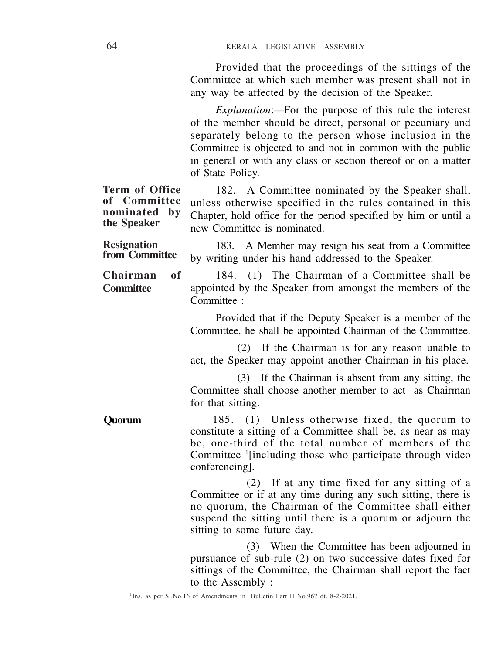Provided that the proceedings of the sittings of the Committee at which such member was present shall not in any way be affected by the decision of the Speaker.

*Explanation*:*—*For the purpose of this rule the interest of the member should be direct, personal or pecuniary and separately belong to the person whose inclusion in the Committee is objected to and not in common with the public in general or with any class or section thereof or on a matter of State Policy.

|                                                               | 01 Julie 1 Olie y.                                                                                                                                                                                                                                                   |  |  |  |  |
|---------------------------------------------------------------|----------------------------------------------------------------------------------------------------------------------------------------------------------------------------------------------------------------------------------------------------------------------|--|--|--|--|
| Term of Office<br>of Committee<br>nominated by<br>the Speaker | 182. A Committee nominated by the Speaker shall,<br>unless otherwise specified in the rules contained in this<br>Chapter, hold office for the period specified by him or until a<br>new Committee is nominated.                                                      |  |  |  |  |
| <b>Resignation</b><br>from Committee                          | 183. A Member may resign his seat from a Committee<br>by writing under his hand addressed to the Speaker.                                                                                                                                                            |  |  |  |  |
| Chairman<br>of<br>Committee                                   | 184. (1) The Chairman of a Committee shall be<br>appointed by the Speaker from amongst the members of the<br>Committee:                                                                                                                                              |  |  |  |  |
|                                                               | Provided that if the Deputy Speaker is a member of the<br>Committee, he shall be appointed Chairman of the Committee.                                                                                                                                                |  |  |  |  |
|                                                               | (2) If the Chairman is for any reason unable to<br>act, the Speaker may appoint another Chairman in his place.                                                                                                                                                       |  |  |  |  |
|                                                               | (3) If the Chairman is absent from any sitting, the<br>Committee shall choose another member to act as Chairman<br>for that sitting.                                                                                                                                 |  |  |  |  |
| Ouorum                                                        | 185. (1) Unless otherwise fixed, the quorum to<br>constitute a sitting of a Committee shall be, as near as may<br>be, one-third of the total number of members of the<br>Committee <sup>1</sup> [including those who participate through video<br>conferencing].     |  |  |  |  |
|                                                               | (2) If at any time fixed for any sitting of a<br>Committee or if at any time during any such sitting, there is<br>no quorum, the Chairman of the Committee shall either<br>suspend the sitting until there is a quorum or adjourn the<br>sitting to some future day. |  |  |  |  |
|                                                               | (3) When the Committee has been adjourned in<br>pursuance of sub-rule (2) on two successive dates fixed for<br>sittings of the Committee, the Chairman shall report the fact<br>to the Assembly:                                                                     |  |  |  |  |

<sup>1.</sup>Ins. as per Sl.No.16 of Amendments in Bulletin Part II No.967 dt. 8-2-2021.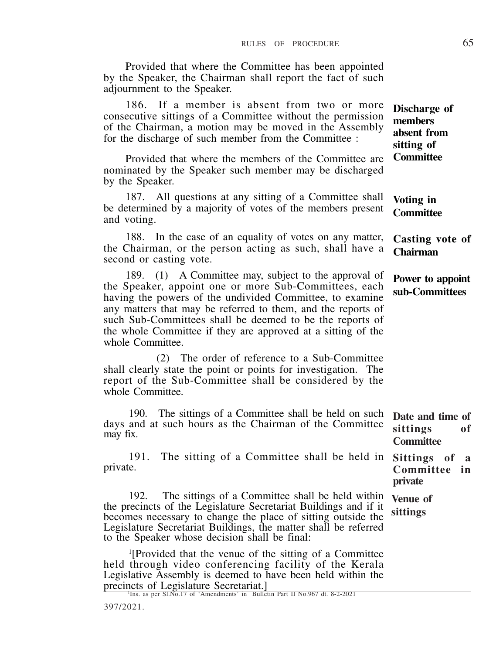Provided that where the Committee has been appointed by the Speaker, the Chairman shall report the fact of such adjournment to the Speaker.

186. If a member is absent from two or more

consecutive sittings of a Committee without the permission of the Chairman, a motion may be moved in the Assembly for the discharge of such member from the Committee : Provided that where the members of the Committee are nominated by the Speaker such member may be discharged by the Speaker. 187. All questions at any sitting of a Committee shall be determined by a majority of votes of the members present and voting. 188. In the case of an equality of votes on any matter, the Chairman, or the person acting as such, shall have a second or casting vote. 189. (1) A Committee may, subject to the approval of the Speaker, appoint one or more Sub-Committees, each having the powers of the undivided Committee, to examine any matters that may be referred to them, and the reports of such Sub-Committees shall be deemed to be the reports of the whole Committee if they are approved at a sitting of the whole Committee. (2) The order of reference to a Sub-Committee **Discharge of members absent from sitting of Committee Voting in Committee Casting vote of Chairman Power to appoint sub-Committees**

shall clearly state the point or points for investigation. The report of the Sub-Committee shall be considered by the whole Committee.

190. The sittings of a Committee shall be held on such days and at such hours as the Chairman of the Committee may fix. **Date and time of sittings of Committee**

**private**

191. The sitting of a Committee shall be held in private. **Sittings of a Committee in**

192. The sittings of a Committee shall be held within **Venue of** the precincts of the Legislature Secretariat Buildings and if it becomes necessary to change the place of sitting outside the Legislature Secretariat Buildings, the matter shall be referred to the Speaker whose decision shall be final: **sittings**

1 [Provided that the venue of the sitting of a Committee held through video conferencing facility of the Kerala Legislative Assembly is deemed to have been held within the precincts of Legislature Secretariat.]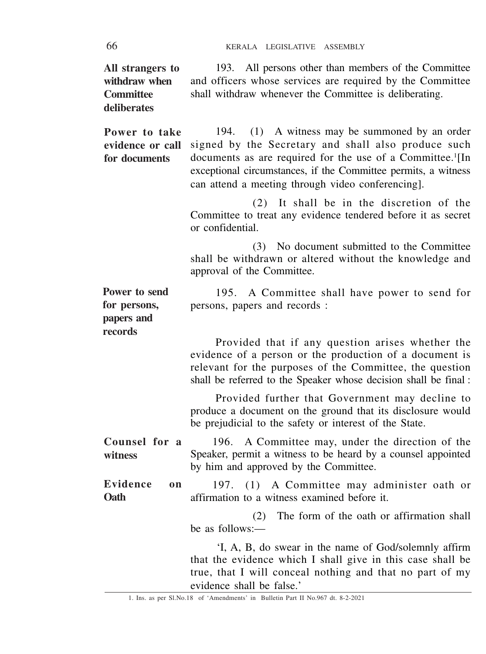66 KERALA LEGISLATIVE ASSEMBLY

| All strangers to<br>withdraw when<br>Committee<br>deliberates | 193. All persons other than members of the Committee<br>and officers whose services are required by the Committee<br>shall withdraw whenever the Committee is deliberating.                                                                                                                               |
|---------------------------------------------------------------|-----------------------------------------------------------------------------------------------------------------------------------------------------------------------------------------------------------------------------------------------------------------------------------------------------------|
| Power to take<br>evidence or call<br>for documents            | (1) A witness may be summoned by an order<br>194.<br>signed by the Secretary and shall also produce such<br>documents as are required for the use of a Committee. <sup>1</sup> [In<br>exceptional circumstances, if the Committee permits, a witness<br>can attend a meeting through video conferencing]. |
|                                                               | (2) It shall be in the discretion of the<br>Committee to treat any evidence tendered before it as secret<br>or confidential.                                                                                                                                                                              |
|                                                               | (3) No document submitted to the Committee<br>shall be withdrawn or altered without the knowledge and<br>approval of the Committee.                                                                                                                                                                       |
| Power to send<br>for persons,<br>papers and<br>records        | 195. A Committee shall have power to send for<br>persons, papers and records :                                                                                                                                                                                                                            |
|                                                               | Provided that if any question arises whether the<br>evidence of a person or the production of a document is<br>relevant for the purposes of the Committee, the question<br>shall be referred to the Speaker whose decision shall be final:                                                                |
|                                                               | Provided further that Government may decline to<br>produce a document on the ground that its disclosure would<br>be prejudicial to the safety or interest of the State.                                                                                                                                   |
| Counsel for a<br>witness                                      | 196. A Committee may, under the direction of the<br>Speaker, permit a witness to be heard by a counsel appointed<br>by him and approved by the Committee.                                                                                                                                                 |
| Evidence<br>on<br>Oath                                        | (1) A Committee may administer oath or<br>197.<br>affirmation to a witness examined before it.                                                                                                                                                                                                            |
|                                                               | The form of the oath or affirmation shall<br>(2)<br>be as follows:—                                                                                                                                                                                                                                       |
|                                                               | 'I, A, B, do swear in the name of God/solemnly affirm<br>that the evidence which I shall give in this case shall be<br>true, that I will conceal nothing and that no part of my<br>evidence shall be false.'                                                                                              |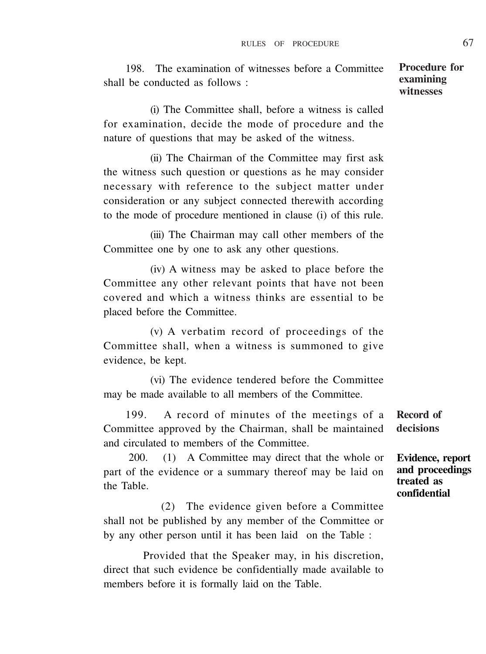198. The examination of witnesses before a Committee shall be conducted as follows :

(i) The Committee shall, before a witness is called for examination, decide the mode of procedure and the nature of questions that may be asked of the witness.

(ii) The Chairman of the Committee may first ask the witness such question or questions as he may consider necessary with reference to the subject matter under consideration or any subject connected therewith according to the mode of procedure mentioned in clause (i) of this rule.

(iii) The Chairman may call other members of the Committee one by one to ask any other questions.

(iv) A witness may be asked to place before the Committee any other relevant points that have not been covered and which a witness thinks are essential to be placed before the Committee.

(v) A verbatim record of proceedings of the Committee shall, when a witness is summoned to give evidence, be kept.

(vi) The evidence tendered before the Committee may be made available to all members of the Committee.

199. A record of minutes of the meetings of a Committee approved by the Chairman, shall be maintained and circulated to members of the Committee.

200. (1) A Committee may direct that the whole or part of the evidence or a summary thereof may be laid on the Table.

(2) The evidence given before a Committee shall not be published by any member of the Committee or by any other person until it has been laid on the Table :

Provided that the Speaker may, in his discretion, direct that such evidence be confidentially made available to members before it is formally laid on the Table.

**Record of decisions**

**Evidence, report and proceedings treated as confidential**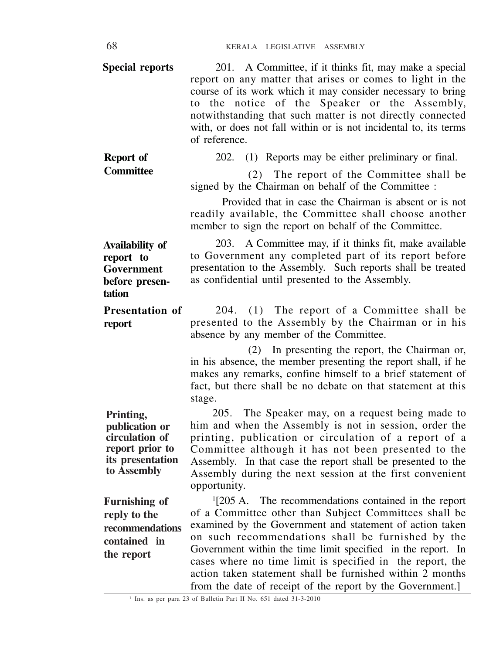| Special reports                                                                                     | 201. A Committee, if it thinks fit, may make a special<br>report on any matter that arises or comes to light in the<br>course of its work which it may consider necessary to bring<br>the notice of the Speaker or the Assembly,<br>to<br>notwithstanding that such matter is not directly connected<br>with, or does not fall within or is not incidental to, its terms<br>of reference.                                                                                                         |
|-----------------------------------------------------------------------------------------------------|---------------------------------------------------------------------------------------------------------------------------------------------------------------------------------------------------------------------------------------------------------------------------------------------------------------------------------------------------------------------------------------------------------------------------------------------------------------------------------------------------|
| Report of                                                                                           | 202.<br>(1) Reports may be either preliminary or final.                                                                                                                                                                                                                                                                                                                                                                                                                                           |
| <b>Committee</b>                                                                                    | (2) The report of the Committee shall be<br>signed by the Chairman on behalf of the Committee :<br>Provided that in case the Chairman is absent or is not<br>readily available, the Committee shall choose another<br>member to sign the report on behalf of the Committee.                                                                                                                                                                                                                       |
| Availability of<br>report to<br>Government<br>before presen-<br>tation                              | 203. A Committee may, if it thinks fit, make available<br>to Government any completed part of its report before<br>presentation to the Assembly. Such reports shall be treated<br>as confidential until presented to the Assembly.                                                                                                                                                                                                                                                                |
| <b>Presentation of</b><br>report                                                                    | (1) The report of a Committee shall be<br>204.<br>presented to the Assembly by the Chairman or in his<br>absence by any member of the Committee.                                                                                                                                                                                                                                                                                                                                                  |
|                                                                                                     | In presenting the report, the Chairman or,<br>(2)<br>in his absence, the member presenting the report shall, if he<br>makes any remarks, confine himself to a brief statement of<br>fact, but there shall be no debate on that statement at this<br>stage.                                                                                                                                                                                                                                        |
| Printing,<br>publication or<br>circulation of<br>report prior to<br>its presentation<br>to Assembly | The Speaker may, on a request being made to<br>205.<br>him and when the Assembly is not in session, order the<br>printing, publication or circulation of a report of a<br>Committee although it has not been presented to the<br>Assembly. In that case the report shall be presented to the<br>Assembly during the next session at the first convenient<br>opportunity.                                                                                                                          |
| Furnishing of<br>reply to the<br>recommendations<br>contained in<br>the report                      | <sup>1</sup> [205 A. The recommendations contained in the report<br>of a Committee other than Subject Committees shall be<br>examined by the Government and statement of action taken<br>on such recommendations shall be furnished by the<br>Government within the time limit specified in the report. In<br>cases where no time limit is specified in the report, the<br>action taken statement shall be furnished within 2 months<br>from the date of receipt of the report by the Government. |

<sup>1</sup> Ins. as per para 23 of Bulletin Part II No. 651 dated 31-3-2010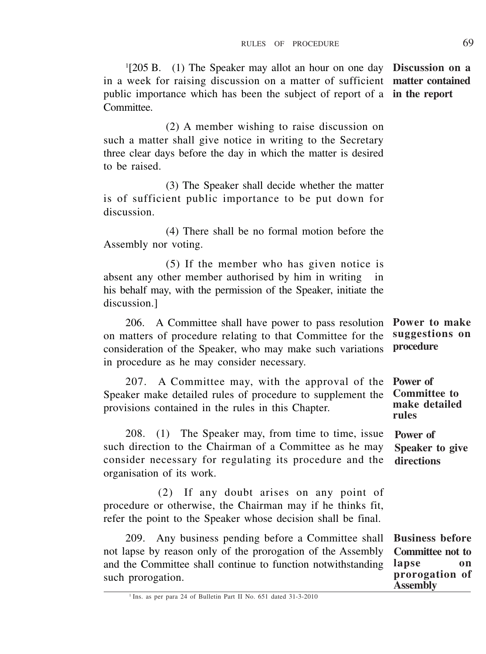1 [205 B. (1) The Speaker may allot an hour on one day **Discussion on a** in a week for raising discussion on a matter of sufficient **matter contained** public importance which has been the subject of report of a **in the report** Committee.

(2) A member wishing to raise discussion on such a matter shall give notice in writing to the Secretary three clear days before the day in which the matter is desired to be raised.

(3) The Speaker shall decide whether the matter is of sufficient public importance to be put down for discussion.

(4) There shall be no formal motion before the Assembly nor voting.

(5) If the member who has given notice is absent any other member authorised by him in writing in his behalf may, with the permission of the Speaker, initiate the discussion.]

206. A Committee shall have power to pass resolution on matters of procedure relating to that Committee for the consideration of the Speaker, who may make such variations in procedure as he may consider necessary. **Power to make suggestions on procedure**

207. A Committee may, with the approval of the Speaker make detailed rules of procedure to supplement the provisions contained in the rules in this Chapter. **Power of Committee to make detailed rules**

208. (1) The Speaker may, from time to time, issue such direction to the Chairman of a Committee as he may consider necessary for regulating its procedure and the organisation of its work. **Power of Speaker to give directions**

(2) If any doubt arises on any point of procedure or otherwise, the Chairman may if he thinks fit, refer the point to the Speaker whose decision shall be final.

209. Any business pending before a Committee shall not lapse by reason only of the prorogation of the Assembly and the Committee shall continue to function notwithstanding such prorogation. **Business before Committee not to lapse on prorogation of Assembly**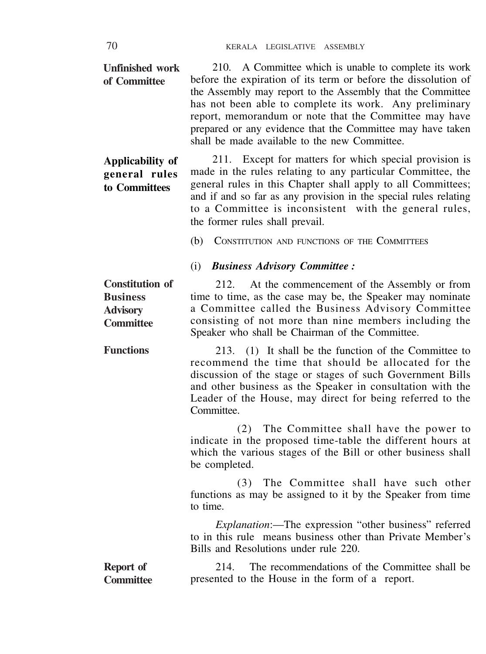| <b>Unfinished work</b><br>of Committee                                           | 210. A Committee which is unable to complete its work<br>before the expiration of its term or before the dissolution of<br>the Assembly may report to the Assembly that the Committee<br>has not been able to complete its work. Any preliminary<br>report, memorandum or note that the Committee may have<br>prepared or any evidence that the Committee may have taken<br>shall be made available to the new Committee. |  |  |  |  |  |
|----------------------------------------------------------------------------------|---------------------------------------------------------------------------------------------------------------------------------------------------------------------------------------------------------------------------------------------------------------------------------------------------------------------------------------------------------------------------------------------------------------------------|--|--|--|--|--|
| Applicability of<br>general rules<br>to Committees                               | 211. Except for matters for which special provision is<br>made in the rules relating to any particular Committee, the<br>general rules in this Chapter shall apply to all Committees;<br>and if and so far as any provision in the special rules relating<br>to a Committee is inconsistent with the general rules,<br>the former rules shall prevail.                                                                    |  |  |  |  |  |
|                                                                                  | (b)<br>CONSTITUTION AND FUNCTIONS OF THE COMMITTEES                                                                                                                                                                                                                                                                                                                                                                       |  |  |  |  |  |
|                                                                                  | (i) Business Advisory Committee :                                                                                                                                                                                                                                                                                                                                                                                         |  |  |  |  |  |
| <b>Constitution of</b><br><b>Business</b><br><b>Advisory</b><br><b>Committee</b> | At the commencement of the Assembly or from<br>212.<br>time to time, as the case may be, the Speaker may nominate<br>a Committee called the Business Advisory Committee<br>consisting of not more than nine members including the<br>Speaker who shall be Chairman of the Committee.                                                                                                                                      |  |  |  |  |  |
| <b>Functions</b>                                                                 | 213. (1) It shall be the function of the Committee to<br>recommend the time that should be allocated for the<br>discussion of the stage or stages of such Government Bills<br>and other business as the Speaker in consultation with the<br>Leader of the House, may direct for being referred to the<br>Committee.                                                                                                       |  |  |  |  |  |
|                                                                                  | The Committee shall have the power to<br>(2)<br>indicate in the proposed time-table the different hours at<br>which the various stages of the Bill or other business shall<br>be completed.                                                                                                                                                                                                                               |  |  |  |  |  |
|                                                                                  | The Committee shall have such other<br>(3)<br>functions as may be assigned to it by the Speaker from time<br>to time.                                                                                                                                                                                                                                                                                                     |  |  |  |  |  |
|                                                                                  | Explanation:-The expression "other business" referred<br>to in this rule means business other than Private Member's<br>Bills and Resolutions under rule 220.                                                                                                                                                                                                                                                              |  |  |  |  |  |
| Report of<br><b>Committee</b>                                                    | The recommendations of the Committee shall be<br>214.<br>presented to the House in the form of a report.                                                                                                                                                                                                                                                                                                                  |  |  |  |  |  |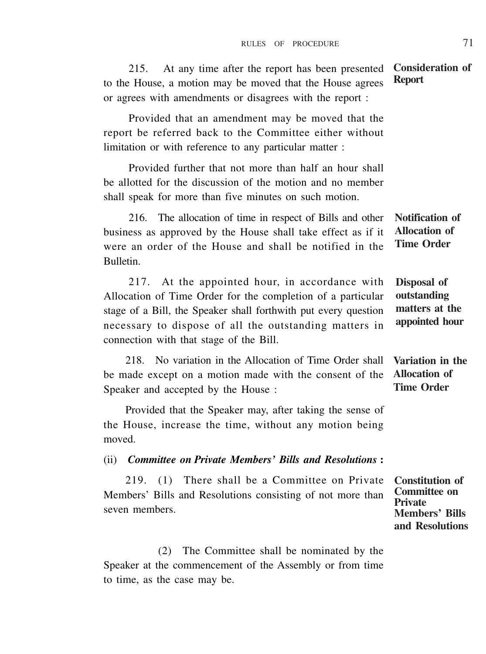215. At any time after the report has been presented to the House, a motion may be moved that the House agrees or agrees with amendments or disagrees with the report : **Report**

Provided that an amendment may be moved that the report be referred back to the Committee either without limitation or with reference to any particular matter :

Provided further that not more than half an hour shall be allotted for the discussion of the motion and no member shall speak for more than five minutes on such motion.

216. The allocation of time in respect of Bills and other business as approved by the House shall take effect as if it were an order of the House and shall be notified in the Bulletin. **Notification of Allocation of Time Order**

217. At the appointed hour, in accordance with Allocation of Time Order for the completion of a particular stage of a Bill, the Speaker shall forthwith put every question necessary to dispose of all the outstanding matters in connection with that stage of the Bill.

218. No variation in the Allocation of Time Order shall be made except on a motion made with the consent of the Speaker and accepted by the House :

Provided that the Speaker may, after taking the sense of the House, increase the time, without any motion being moved.

(ii) *Committee on Private Members' Bills and Resolutions* **:**

219. (1) There shall be a Committee on Private Members' Bills and Resolutions consisting of not more than seven members.

**Members' Bills and Resolutions**

(2) The Committee shall be nominated by the Speaker at the commencement of the Assembly or from time to time, as the case may be.

**Consideration of**

**Disposal of outstanding matters at the appointed hour**

**Variation in the Allocation of Time Order**

**Constitution of Committee on Private**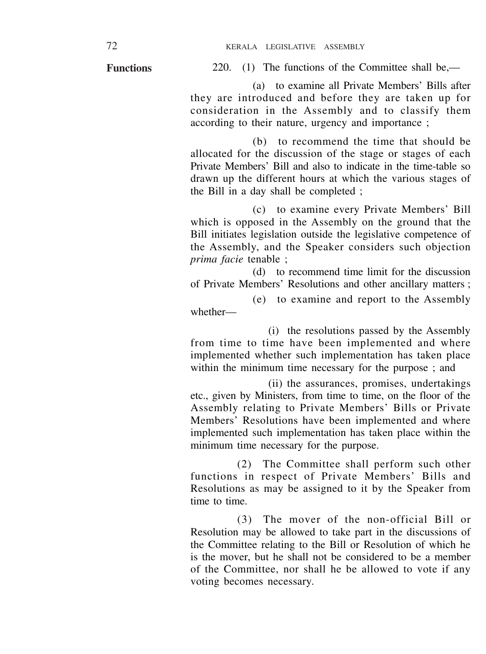**Functions**

220. (1) The functions of the Committee shall be,—

(a) to examine all Private Members' Bills after they are introduced and before they are taken up for consideration in the Assembly and to classify them according to their nature, urgency and importance ;

(b) to recommend the time that should be allocated for the discussion of the stage or stages of each Private Members' Bill and also to indicate in the time-table so drawn up the different hours at which the various stages of the Bill in a day shall be completed ;

(c) to examine every Private Members' Bill which is opposed in the Assembly on the ground that the Bill initiates legislation outside the legislative competence of the Assembly, and the Speaker considers such objection *prima facie* tenable ;

(d) to recommend time limit for the discussion of Private Members' Resolutions and other ancillary matters ;

(e) to examine and report to the Assembly whether—

(i) the resolutions passed by the Assembly from time to time have been implemented and where implemented whether such implementation has taken place within the minimum time necessary for the purpose ; and

(ii) the assurances, promises, undertakings etc., given by Ministers, from time to time, on the floor of the Assembly relating to Private Members' Bills or Private Members' Resolutions have been implemented and where implemented such implementation has taken place within the minimum time necessary for the purpose.

(2) The Committee shall perform such other functions in respect of Private Members' Bills and Resolutions as may be assigned to it by the Speaker from time to time.

(3) The mover of the non-official Bill or Resolution may be allowed to take part in the discussions of the Committee relating to the Bill or Resolution of which he is the mover, but he shall not be considered to be a member of the Committee, nor shall he be allowed to vote if any voting becomes necessary.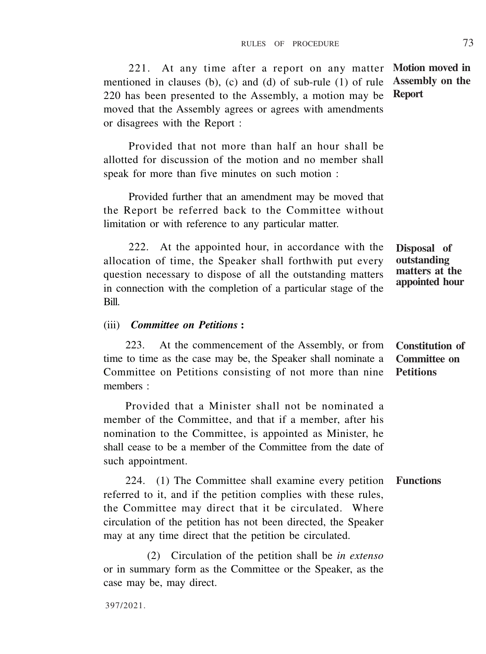221. At any time after a report on any matter **Motion moved in** mentioned in clauses (b), (c) and (d) of sub-rule (1) of rule **Assembly on the** 220 has been presented to the Assembly, a motion may be **Report** moved that the Assembly agrees or agrees with amendments or disagrees with the Report :

Provided that not more than half an hour shall be allotted for discussion of the motion and no member shall speak for more than five minutes on such motion :

Provided further that an amendment may be moved that the Report be referred back to the Committee without limitation or with reference to any particular matter.

222. At the appointed hour, in accordance with the allocation of time, the Speaker shall forthwith put every question necessary to dispose of all the outstanding matters in connection with the completion of a particular stage of the Bill.

#### **Disposal of outstanding matters at the appointed hour**

#### (iii) *Committee on Petitions* **:**

223. At the commencement of the Assembly, or from time to time as the case may be, the Speaker shall nominate a Committee on Petitions consisting of not more than nine members · **Constitution of Committee on Petitions**

Provided that a Minister shall not be nominated a member of the Committee, and that if a member, after his nomination to the Committee, is appointed as Minister, he shall cease to be a member of the Committee from the date of such appointment.

224. (1) The Committee shall examine every petition **Functions** referred to it, and if the petition complies with these rules, the Committee may direct that it be circulated. Where circulation of the petition has not been directed, the Speaker may at any time direct that the petition be circulated.

(2) Circulation of the petition shall be *in extenso* or in summary form as the Committee or the Speaker, as the case may be, may direct.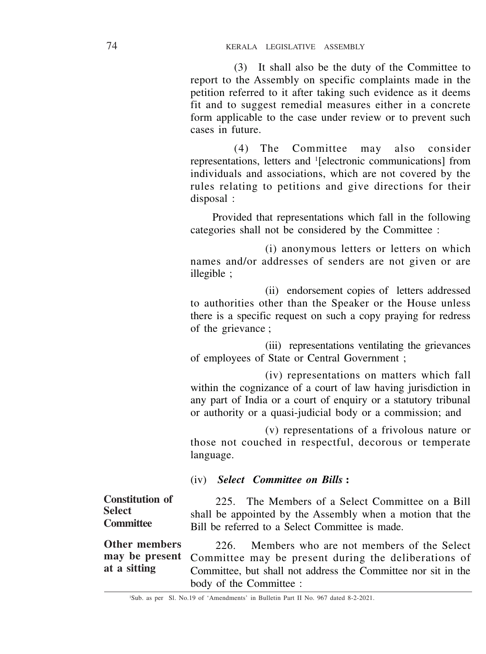(3) It shall also be the duty of the Committee to report to the Assembly on specific complaints made in the petition referred to it after taking such evidence as it deems fit and to suggest remedial measures either in a concrete form applicable to the case under review or to prevent such cases in future.

(4) The Committee may also consider representations, letters and <sup>1</sup> [electronic communications] from individuals and associations, which are not covered by the rules relating to petitions and give directions for their disposal :

Provided that representations which fall in the following categories shall not be considered by the Committee :

(i) anonymous letters or letters on which names and/or addresses of senders are not given or are illegible ;

(ii) endorsement copies of letters addressed to authorities other than the Speaker or the House unless there is a specific request on such a copy praying for redress of the grievance ;

(iii) representations ventilating the grievances of employees of State or Central Government ;

(iv) representations on matters which fall within the cognizance of a court of law having jurisdiction in any part of India or a court of enquiry or a statutory tribunal or authority or a quasi-judicial body or a commission; and

(v) representations of a frivolous nature or those not couched in respectful, decorous or temperate language.

# (iv) *Select Committee on Bills* **:**

225. The Members of a Select Committee on a Bill shall be appointed by the Assembly when a motion that the Bill be referred to a Select Committee is made. **Constitution of Select Committee**

226. Members who are not members of the Select Committee may be present during the deliberations of Committee, but shall not address the Committee nor sit in the body of the Committee : **Other members may be present at a sitting**

<sup>1</sup>Sub. as per Sl. No.19 of 'Amendments' in Bulletin Part II No. 967 dated 8-2-2021.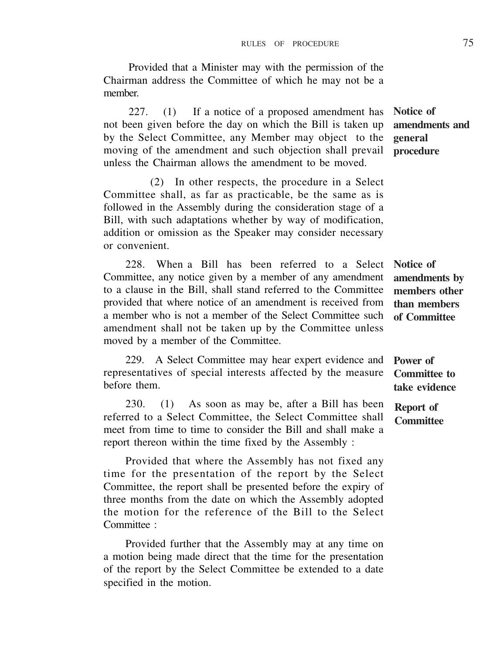Provided that a Minister may with the permission of the Chairman address the Committee of which he may not be a member.

227. (1) If a notice of a proposed amendment has not been given before the day on which the Bill is taken up by the Select Committee, any Member may object to the moving of the amendment and such objection shall prevail unless the Chairman allows the amendment to be moved.

(2) In other respects, the procedure in a Select Committee shall, as far as practicable, be the same as is followed in the Assembly during the consideration stage of a Bill, with such adaptations whether by way of modification, addition or omission as the Speaker may consider necessary or convenient.

228. When a Bill has been referred to a Select Committee, any notice given by a member of any amendment to a clause in the Bill, shall stand referred to the Committee provided that where notice of an amendment is received from a member who is not a member of the Select Committee such amendment shall not be taken up by the Committee unless moved by a member of the Committee.

229. A Select Committee may hear expert evidence and representatives of special interests affected by the measure before them.

230. (1) As soon as may be, after a Bill has been referred to a Select Committee, the Select Committee shall meet from time to time to consider the Bill and shall make a report thereon within the time fixed by the Assembly :

Provided that where the Assembly has not fixed any time for the presentation of the report by the Select Committee, the report shall be presented before the expiry of three months from the date on which the Assembly adopted the motion for the reference of the Bill to the Select Committee :

Provided further that the Assembly may at any time on a motion being made direct that the time for the presentation of the report by the Select Committee be extended to a date specified in the motion.

**Notice of amendments and general procedure**

**Notice of amendments by members other than members of Committee**

**Power of Committee to take evidence**

**Report of Committee**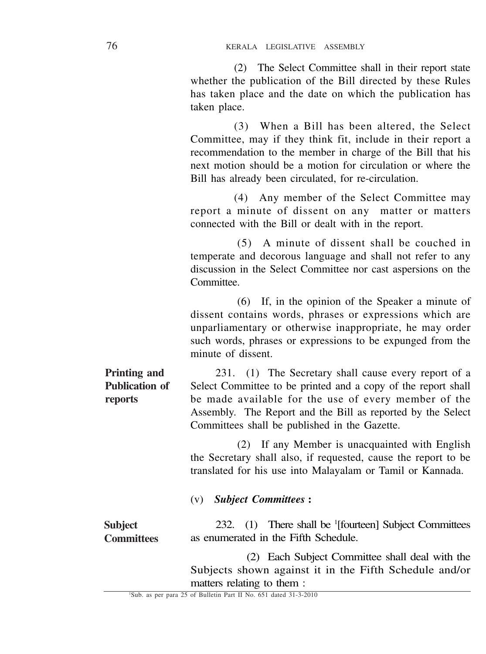(2) The Select Committee shall in their report state whether the publication of the Bill directed by these Rules has taken place and the date on which the publication has taken place.

(3) When a Bill has been altered, the Select Committee, may if they think fit, include in their report a recommendation to the member in charge of the Bill that his next motion should be a motion for circulation or where the Bill has already been circulated, for re-circulation.

(4) Any member of the Select Committee may report a minute of dissent on any matter or matters connected with the Bill or dealt with in the report.

(5) A minute of dissent shall be couched in temperate and decorous language and shall not refer to any discussion in the Select Committee nor cast aspersions on the Committee.

(6) If, in the opinion of the Speaker a minute of dissent contains words, phrases or expressions which are unparliamentary or otherwise inappropriate, he may order such words, phrases or expressions to be expunged from the minute of dissent.

231. (1) The Secretary shall cause every report of a Select Committee to be printed and a copy of the report shall be made available for the use of every member of the Assembly. The Report and the Bill as reported by the Select Committees shall be published in the Gazette. **Printing and Publication of reports**

> (2) If any Member is unacquainted with English the Secretary shall also, if requested, cause the report to be translated for his use into Malayalam or Tamil or Kannada.

#### (v) *Subject Committees* **:**

232. (1) There shall be '[fourteen] Subject Committees as enumerated in the Fifth Schedule. **Subject Committees**

> (2) Each Subject Committee shall deal with the Subjects shown against it in the Fifth Schedule and/or matters relating to them :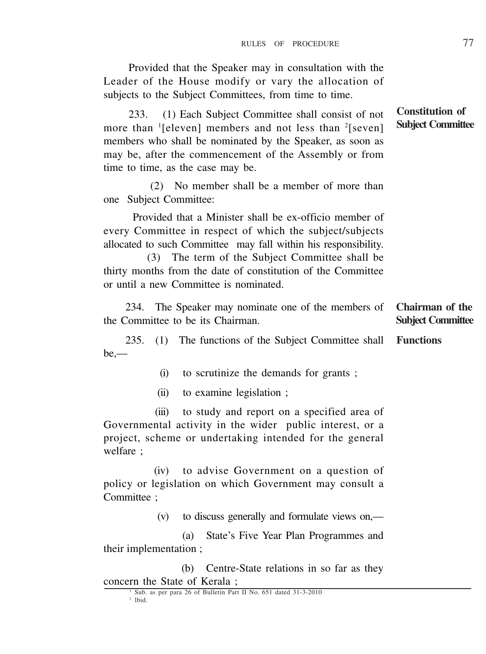Provided that the Speaker may in consultation with the Leader of the House modify or vary the allocation of subjects to the Subject Committees, from time to time.

233. (1) Each Subject Committee shall consist of not more than <sup>1</sup>[eleven] members and not less than <sup>2</sup>[seven] members who shall be nominated by the Speaker, as soon as may be, after the commencement of the Assembly or from time to time, as the case may be.

(2) No member shall be a member of more than one Subject Committee:

 Provided that a Minister shall be ex-officio member of every Committee in respect of which the subject/subjects allocated to such Committee may fall within his responsibility.

(3) The term of the Subject Committee shall be thirty months from the date of constitution of the Committee or until a new Committee is nominated.

|                                   |  |  |                                                               |  | 234. The Speaker may nominate one of the members of Chairman of the |
|-----------------------------------|--|--|---------------------------------------------------------------|--|---------------------------------------------------------------------|
| the Committee to be its Chairman. |  |  | <b>Subject Committee</b>                                      |  |                                                                     |
| $235.$ (1)                        |  |  | The functions of the Subject Committee shall <b>Functions</b> |  |                                                                     |

 $be =$ **Functions**

(i) to scrutinize the demands for grants ;

(ii) to examine legislation ;

(iii) to study and report on a specified area of Governmental activity in the wider public interest, or a project, scheme or undertaking intended for the general welfare ;

(iv) to advise Government on a question of policy or legislation on which Government may consult a Committee :

(v) to discuss generally and formulate views on,—

(a) State's Five Year Plan Programmes and their implementation ;

(b) Centre-State relations in so far as they concern the State of Kerala ;

**Constitution of Subject Committee**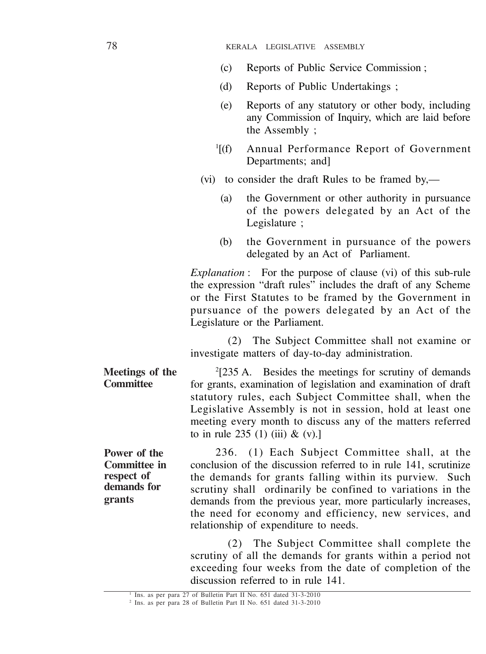- (c) Reports of Public Service Commission ;
- (d) Reports of Public Undertakings ;
- (e) Reports of any statutory or other body, including any Commission of Inquiry, which are laid before the Assembly ;
- $\mathbb{I}[(f)]$ Annual Performance Report of Government Departments: and]
- (vi) to consider the draft Rules to be framed by,—
	- (a) the Government or other authority in pursuance of the powers delegated by an Act of the Legislature ;
	- (b) the Government in pursuance of the powers delegated by an Act of Parliament.

*Explanation* : For the purpose of clause (vi) of this sub-rule the expression "draft rules" includes the draft of any Scheme or the First Statutes to be framed by the Government in pursuance of the powers delegated by an Act of the Legislature or the Parliament.

(2) The Subject Committee shall not examine or investigate matters of day-to-day administration.

2 [235 A. Besides the meetings for scrutiny of demands for grants, examination of legislation and examination of draft statutory rules, each Subject Committee shall, when the Legislative Assembly is not in session, hold at least one meeting every month to discuss any of the matters referred to in rule  $235(1)$  (iii) & (v).] **Meetings of the Committee**

**Power of the Committee in respect of demands for grants**

236. (1) Each Subject Committee shall, at the conclusion of the discussion referred to in rule 141, scrutinize the demands for grants falling within its purview. Such scrutiny shall ordinarily be confined to variations in the demands from the previous year, more particularly increases, the need for economy and efficiency, new services, and relationship of expenditure to needs.

(2) The Subject Committee shall complete the scrutiny of all the demands for grants within a period not exceeding four weeks from the date of completion of the discussion referred to in rule 141.

<sup>1</sup> Ins. as per para 27 of Bulletin Part II No. 651 dated 31-3-2010

<sup>2</sup> Ins. as per para 28 of Bulletin Part II No. 651 dated 31-3-2010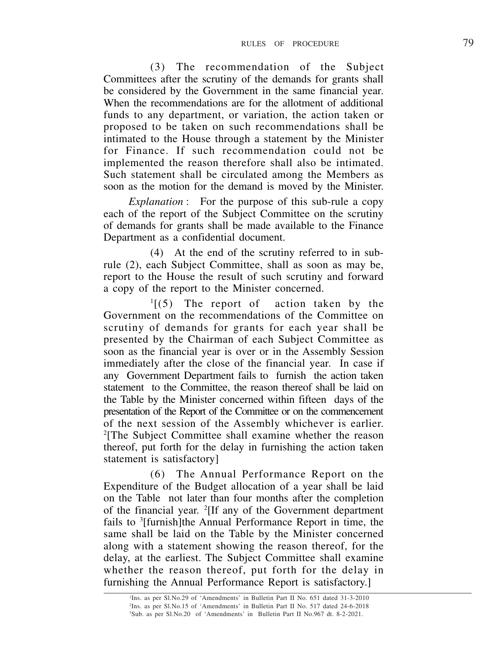(3) The recommendation of the Subject Committees after the scrutiny of the demands for grants shall be considered by the Government in the same financial year. When the recommendations are for the allotment of additional funds to any department, or variation, the action taken or proposed to be taken on such recommendations shall be intimated to the House through a statement by the Minister for Finance. If such recommendation could not be implemented the reason therefore shall also be intimated. Such statement shall be circulated among the Members as soon as the motion for the demand is moved by the Minister.

*Explanation* : For the purpose of this sub-rule a copy each of the report of the Subject Committee on the scrutiny of demands for grants shall be made available to the Finance Department as a confidential document.

(4) At the end of the scrutiny referred to in subrule (2), each Subject Committee, shall as soon as may be, report to the House the result of such scrutiny and forward a copy of the report to the Minister concerned.

 $<sup>1</sup>$ [(5) The report of action taken by the</sup> Government on the recommendations of the Committee on scrutiny of demands for grants for each year shall be presented by the Chairman of each Subject Committee as soon as the financial year is over or in the Assembly Session immediately after the close of the financial year. In case if any Government Department fails to furnish the action taken statement to the Committee, the reason thereof shall be laid on the Table by the Minister concerned within fifteen days of the presentation of the Report of the Committee or on the commencement of the next session of the Assembly whichever is earlier. 2 [The Subject Committee shall examine whether the reason thereof, put forth for the delay in furnishing the action taken statement is satisfactory]

(6) The Annual Performance Report on the Expenditure of the Budget allocation of a year shall be laid on the Table not later than four months after the completion of the financial year. <sup>2</sup>[If any of the Government department fails to <sup>3</sup>[furnish]the Annual Performance Report in time, the same shall be laid on the Table by the Minister concerned along with a statement showing the reason thereof, for the delay, at the earliest. The Subject Committee shall examine whether the reason thereof, put forth for the delay in furnishing the Annual Performance Report is satisfactory.]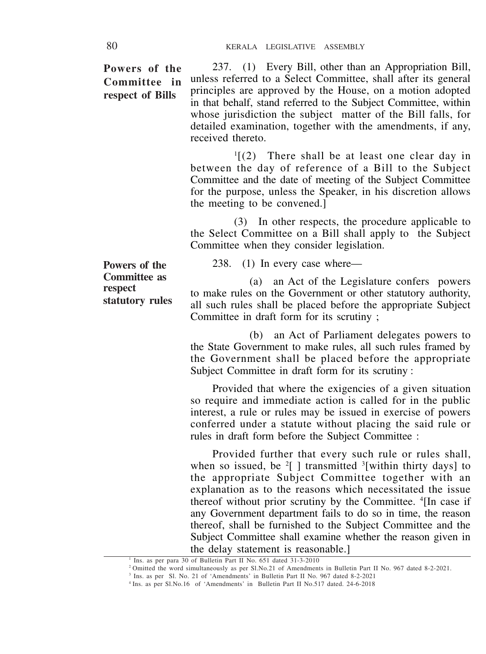**Powers of the Committee in respect of Bills**

237. (1) Every Bill, other than an Appropriation Bill, unless referred to a Select Committee, shall after its general principles are approved by the House, on a motion adopted in that behalf, stand referred to the Subject Committee, within whose jurisdiction the subject matter of the Bill falls, for detailed examination, together with the amendments, if any, received thereto.

1 [(2) There shall be at least one clear day in between the day of reference of a Bill to the Subject Committee and the date of meeting of the Subject Committee for the purpose, unless the Speaker, in his discretion allows the meeting to be convened.]

(3) In other respects, the procedure applicable to the Select Committee on a Bill shall apply to the Subject Committee when they consider legislation.

238. (1) In every case where—

(a) an Act of the Legislature confers powers to make rules on the Government or other statutory authority, all such rules shall be placed before the appropriate Subject Committee in draft form for its scrutiny ;

(b) an Act of Parliament delegates powers to the State Government to make rules, all such rules framed by the Government shall be placed before the appropriate Subject Committee in draft form for its scrutiny :

Provided that where the exigencies of a given situation so require and immediate action is called for in the public interest, a rule or rules may be issued in exercise of powers conferred under a statute without placing the said rule or rules in draft form before the Subject Committee :

Provided further that every such rule or rules shall, when so issued, be  $2[$  ] transmitted  $3$ [within thirty days] to the appropriate Subject Committee together with an explanation as to the reasons which necessitated the issue thereof without prior scrutiny by the Committee. <sup>4</sup> [In case if any Government department fails to do so in time, the reason thereof, shall be furnished to the Subject Committee and the Subject Committee shall examine whether the reason given in the delay statement is reasonable.]

**Powers of the Committee as respect statutory rules**

Ins. as per para 30 of Bulletin Part II No. 651 dated 31-3-2010

<sup>&</sup>lt;sup>1</sup> Ins. as per para 30 of Bulletin Part II No. 651 dated 31-3-2010<br><sup>2</sup> Omitted the word simultaneously as per Sl.No.21 of Amendments in Bulletin Part II No. 967 dated 8-2-2021.

<sup>3</sup> Ins. as per Sl. No. 21 of 'Amendments' in Bulletin Part II No. 967 dated 8-2-2021

<sup>4</sup>Ins. as per Sl.No.16 of 'Amendments' in Bulletin Part II No.517 dated. 24-6-2018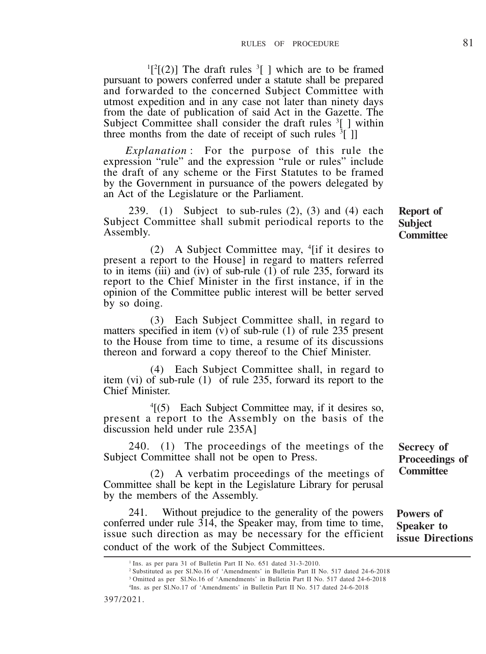$\lceil \lceil \cdot \rceil(2) \rceil$  The draft rules  $\lceil \cdot \rceil$  which are to be framed pursuant to powers conferred under a statute shall be prepared and forwarded to the concerned Subject Committee with utmost expedition and in any case not later than ninety days from the date of publication of said Act in the Gazette. The Subject Committee shall consider the draft rules <sup>3</sup>[ ] within three months from the date of receipt of such rules <sup>3</sup>[ ]]

*Explanation* : For the purpose of this rule the expression "rule" and the expression "rule or rules" include the draft of any scheme or the First Statutes to be framed by the Government in pursuance of the powers delegated by an Act of the Legislature or the Parliament.

239. (1) Subject to sub-rules  $(2)$ ,  $(3)$  and  $(4)$  each Subject Committee shall submit periodical reports to the Assembly.

(2) A Subject Committee may, 4 [if it desires to present a report to the House] in regard to matters referred to in items (iii) and (iv) of sub-rule  $(1)$  of rule 235, forward its report to the Chief Minister in the first instance, if in the opinion of the Committee public interest will be better served by so doing.

(3) Each Subject Committee shall, in regard to matters specified in item  $\vec{v}$  of sub-rule (1) of rule 235 present to the House from time to time, a resume of its discussions thereon and forward a copy thereof to the Chief Minister.

(4) Each Subject Committee shall, in regard to item (vi) of sub-rule (1) of rule 235, forward its report to the Chief Minister.

4 [(5) Each Subject Committee may, if it desires so, present a report to the Assembly on the basis of the discussion held under rule 235A]

240. (1) The proceedings of the meetings of the Subject Committee shall not be open to Press.

(2) A verbatim proceedings of the meetings of Committee shall be kept in the Legislature Library for perusal by the members of the Assembly.

241. Without prejudice to the generality of the powers conferred under rule 314, the Speaker may, from time to time, issue such direction as may be necessary for the efficient conduct of the work of the Subject Committees.

**Secrecy of**

**Powers of Speaker to issue Directions**

**Proceedings of Committee**

<sup>&</sup>lt;sup>1</sup> Ins. as per para 31 of Bulletin Part II No. 651 dated 31-3-2010.

<sup>2</sup>Substituted as per Sl.No.16 of 'Amendments' in Bulletin Part II No. 517 dated 24-6-2018

<sup>3</sup>Omitted as per Sl.No.16 of 'Amendments' in Bulletin Part II No. 517 dated 24-6-2018

<sup>4</sup> Ins. as per Sl.No.17 of 'Amendments' in Bulletin Part II No. 517 dated 24-6-2018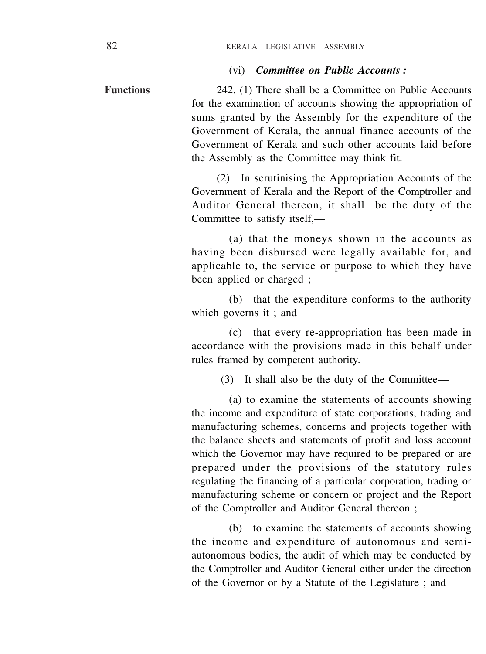#### (vi) *Committee on Public Accounts :*

242. (1) There shall be a Committee on Public Accounts for the examination of accounts showing the appropriation of sums granted by the Assembly for the expenditure of the Government of Kerala, the annual finance accounts of the Government of Kerala and such other accounts laid before the Assembly as the Committee may think fit. **Functions**

> (2) In scrutinising the Appropriation Accounts of the Government of Kerala and the Report of the Comptroller and Auditor General thereon, it shall be the duty of the Committee to satisfy itself,—

> (a) that the moneys shown in the accounts as having been disbursed were legally available for, and applicable to, the service or purpose to which they have been applied or charged ;

> (b) that the expenditure conforms to the authority which governs it ; and

> (c) that every re-appropriation has been made in accordance with the provisions made in this behalf under rules framed by competent authority.

> > (3) It shall also be the duty of the Committee—

(a) to examine the statements of accounts showing the income and expenditure of state corporations, trading and manufacturing schemes, concerns and projects together with the balance sheets and statements of profit and loss account which the Governor may have required to be prepared or are prepared under the provisions of the statutory rules regulating the financing of a particular corporation, trading or manufacturing scheme or concern or project and the Report of the Comptroller and Auditor General thereon ;

(b) to examine the statements of accounts showing the income and expenditure of autonomous and semiautonomous bodies, the audit of which may be conducted by the Comptroller and Auditor General either under the direction of the Governor or by a Statute of the Legislature ; and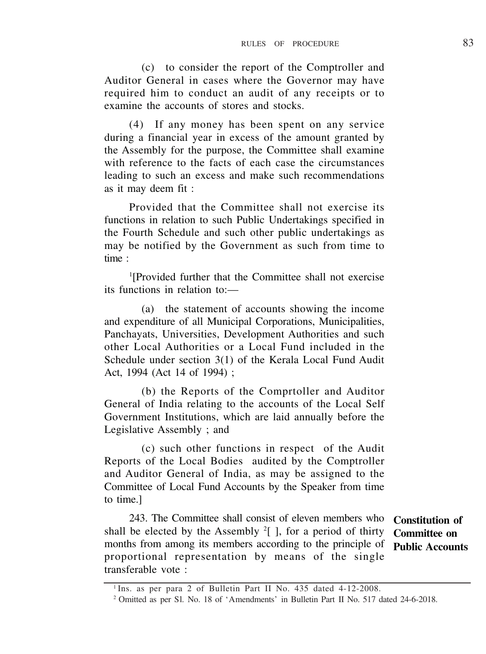(c) to consider the report of the Comptroller and Auditor General in cases where the Governor may have required him to conduct an audit of any receipts or to examine the accounts of stores and stocks.

(4) If any money has been spent on any service during a financial year in excess of the amount granted by the Assembly for the purpose, the Committee shall examine with reference to the facts of each case the circumstances leading to such an excess and make such recommendations as it may deem fit :

Provided that the Committee shall not exercise its functions in relation to such Public Undertakings specified in the Fourth Schedule and such other public undertakings as may be notified by the Government as such from time to time :

1 [Provided further that the Committee shall not exercise its functions in relation to:—

(a) the statement of accounts showing the income and expenditure of all Municipal Corporations, Municipalities, Panchayats, Universities, Development Authorities and such other Local Authorities or a Local Fund included in the Schedule under section 3(1) of the Kerala Local Fund Audit Act, 1994 (Act 14 of 1994) ;

(b) the Reports of the Comprtoller and Auditor General of India relating to the accounts of the Local Self Government Institutions, which are laid annually before the Legislative Assembly ; and

(c) such other functions in respect of the Audit Reports of the Local Bodies audited by the Comptroller and Auditor General of India, as may be assigned to the Committee of Local Fund Accounts by the Speaker from time to time.]

243. The Committee shall consist of eleven members who shall be elected by the Assembly  $2$ [ ], for a period of thirty months from among its members according to the principle of **Public Accounts** proportional representation by means of the single transferable vote :

**Constitution of Committee on**

<sup>1</sup> Ins. as per para 2 of Bulletin Part II No. 435 dated 4-12-2008.

<sup>&</sup>lt;sup>2</sup> Omitted as per Sl. No. 18 of 'Amendments' in Bulletin Part II No. 517 dated 24-6-2018.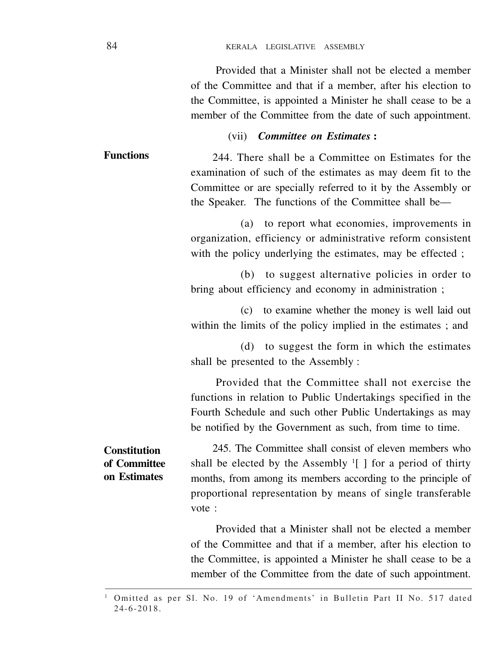Provided that a Minister shall not be elected a member of the Committee and that if a member, after his election to the Committee, is appointed a Minister he shall cease to be a member of the Committee from the date of such appointment.

#### (vii) *Committee on Estimates* **:**

244. There shall be a Committee on Estimates for the examination of such of the estimates as may deem fit to the Committee or are specially referred to it by the Assembly or the Speaker. The functions of the Committee shall be— **Functions**

> (a) to report what economies, improvements in organization, efficiency or administrative reform consistent with the policy underlying the estimates, may be effected ;

> (b) to suggest alternative policies in order to bring about efficiency and economy in administration ;

> (c) to examine whether the money is well laid out within the limits of the policy implied in the estimates ; and

> (d) to suggest the form in which the estimates shall be presented to the Assembly :

> Provided that the Committee shall not exercise the functions in relation to Public Undertakings specified in the Fourth Schedule and such other Public Undertakings as may be notified by the Government as such, from time to time.

**Constitution of Committee on Estimates**

245. The Committee shall consist of eleven members who shall be elected by the Assembly  $\frac{1}{2}$  for a period of thirty months, from among its members according to the principle of proportional representation by means of single transferable vote :

Provided that a Minister shall not be elected a member of the Committee and that if a member, after his election to the Committee, is appointed a Minister he shall cease to be a member of the Committee from the date of such appointment.

<sup>1</sup> Omitted as per Sl. No. 19 of 'Amendments' in Bulletin Part II No. 517 dated 24-6-2018.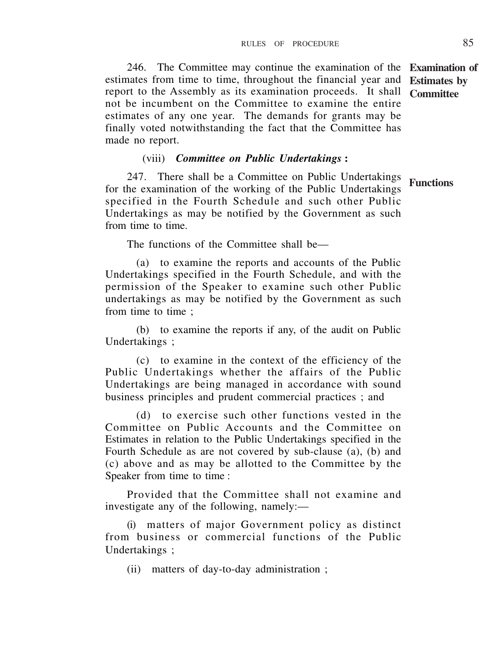246. The Committee may continue the examination of the **Examination of** estimates from time to time, throughout the financial year and **Estimates by** report to the Assembly as its examination proceeds. It shall **Committee** not be incumbent on the Committee to examine the entire estimates of any one year. The demands for grants may be finally voted notwithstanding the fact that the Committee has made no report.

### (viii) *Committee on Public Undertakings* **:**

247. There shall be a Committee on Public Undertakings for the examination of the working of the Public Undertakings specified in the Fourth Schedule and such other Public Undertakings as may be notified by the Government as such from time to time. **Functions**

The functions of the Committee shall be—

(a) to examine the reports and accounts of the Public Undertakings specified in the Fourth Schedule, and with the permission of the Speaker to examine such other Public undertakings as may be notified by the Government as such from time to time ;

(b) to examine the reports if any, of the audit on Public Undertakings ;

(c) to examine in the context of the efficiency of the Public Undertakings whether the affairs of the Public Undertakings are being managed in accordance with sound business principles and prudent commercial practices ; and

(d) to exercise such other functions vested in the Committee on Public Accounts and the Committee on Estimates in relation to the Public Undertakings specified in the Fourth Schedule as are not covered by sub-clause (a), (b) and (c) above and as may be allotted to the Committee by the Speaker from time to time :

Provided that the Committee shall not examine and investigate any of the following, namely:—

(i) matters of major Government policy as distinct from business or commercial functions of the Public Undertakings ;

(ii) matters of day-to-day administration ;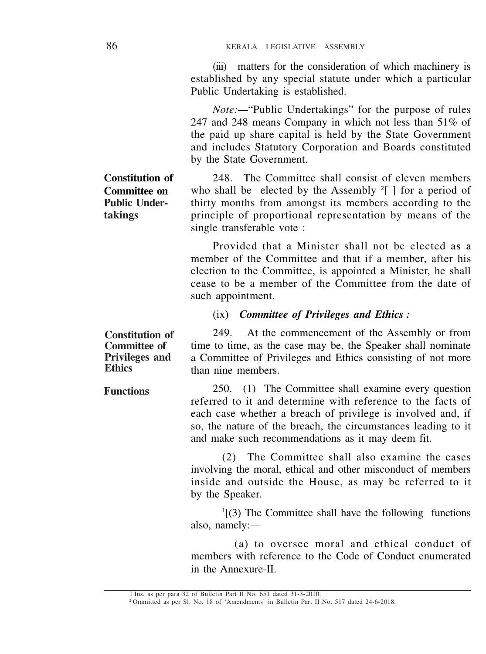(iii) matters for the consideration of which machinery is established by any special statute under which a particular Public Undertaking is established.

*Note:—*"Public Undertakings" for the purpose of rules 247 and 248 means Company in which not less than 51% of the paid up share capital is held by the State Government and includes Statutory Corporation and Boards constituted by the State Government.

248. The Committee shall consist of eleven members who shall be elected by the Assembly  $2[$  ] for a period of thirty months from amongst its members according to the principle of proportional representation by means of the single transferable vote :

Provided that a Minister shall not be elected as a member of the Committee and that if a member, after his election to the Committee, is appointed a Minister, he shall cease to be a member of the Committee from the date of such appointment.

(ix) *Committee of Privileges and Ethics :*

249. At the commencement of the Assembly or from time to time, as the case may be, the Speaker shall nominate a Committee of Privileges and Ethics consisting of not more than nine members. **Constitution of Committee of Privileges and Ethics**

250. (1) The Committee shall examine every question referred to it and determine with reference to the facts of each case whether a breach of privilege is involved and, if so, the nature of the breach, the circumstances leading to it and make such recommendations as it may deem fit. **Functions**

> (2) The Committee shall also examine the cases involving the moral, ethical and other misconduct of members inside and outside the House, as may be referred to it by the Speaker.

> 1 [(3) The Committee shall have the following functions also, namely:—

> (a) to oversee moral and ethical conduct of members with reference to the Code of Conduct enumerated in the Annexure-II.

**Constitution of Committee on Public Undertakings**

<sup>1</sup> Ins. as per para 32 of Bulletin Part II No. 651 dated 31-3-2010.

<sup>2</sup> Ommitted as per Sl. No. 18 of 'Amendments' in Bulletin Part II No. 517 dated 24-6-2018.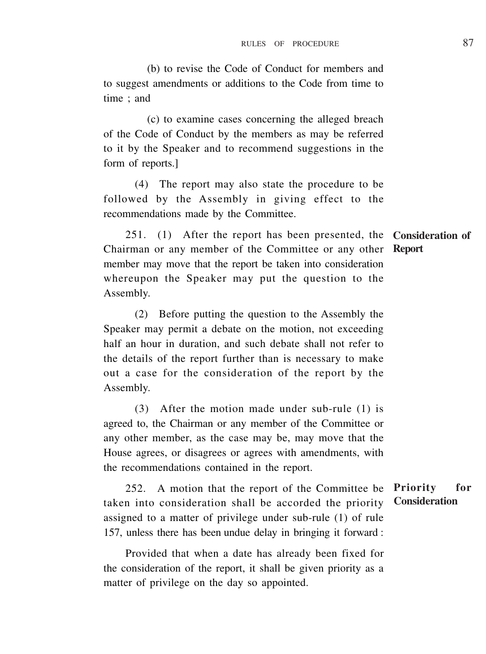(b) to revise the Code of Conduct for members and to suggest amendments or additions to the Code from time to time ; and

(c) to examine cases concerning the alleged breach of the Code of Conduct by the members as may be referred to it by the Speaker and to recommend suggestions in the form of reports.]

(4) The report may also state the procedure to be followed by the Assembly in giving effect to the recommendations made by the Committee.

251. (1) After the report has been presented, the **Consideration of** Chairman or any member of the Committee or any other **Report**member may move that the report be taken into consideration whereupon the Speaker may put the question to the Assembly.

(2) Before putting the question to the Assembly the Speaker may permit a debate on the motion, not exceeding half an hour in duration, and such debate shall not refer to the details of the report further than is necessary to make out a case for the consideration of the report by the Assembly.

(3) After the motion made under sub-rule (1) is agreed to, the Chairman or any member of the Committee or any other member, as the case may be, may move that the House agrees, or disagrees or agrees with amendments, with the recommendations contained in the report.

252. A motion that the report of the Committee be **Priority for** taken into consideration shall be accorded the priority assigned to a matter of privilege under sub-rule (1) of rule 157, unless there has been undue delay in bringing it forward : **Consideration**

Provided that when a date has already been fixed for the consideration of the report, it shall be given priority as a matter of privilege on the day so appointed.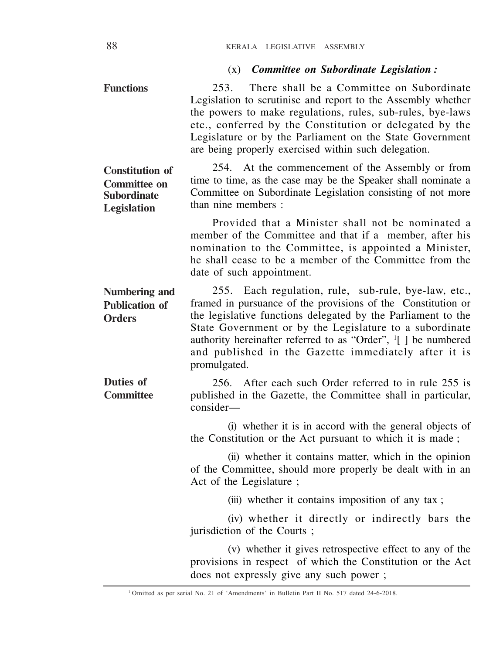# (x) *Committee on Subordinate Legislation :*

| <b>Functions</b>                                                            | There shall be a Committee on Subordinate<br>253.<br>Legislation to scrutinise and report to the Assembly whether<br>the powers to make regulations, rules, sub-rules, bye-laws<br>etc., conferred by the Constitution or delegated by the<br>Legislature or by the Parliament on the State Government<br>are being properly exercised within such delegation.                                        |
|-----------------------------------------------------------------------------|-------------------------------------------------------------------------------------------------------------------------------------------------------------------------------------------------------------------------------------------------------------------------------------------------------------------------------------------------------------------------------------------------------|
| <b>Constitution of</b><br>Committee on<br><b>Subordinate</b><br>Legislation | At the commencement of the Assembly or from<br>254.<br>time to time, as the case may be the Speaker shall nominate a<br>Committee on Subordinate Legislation consisting of not more<br>than nine members :                                                                                                                                                                                            |
|                                                                             | Provided that a Minister shall not be nominated a<br>member of the Committee and that if a member, after his<br>nomination to the Committee, is appointed a Minister,<br>he shall cease to be a member of the Committee from the<br>date of such appointment.                                                                                                                                         |
| Numbering and<br><b>Publication of</b><br><b>Orders</b>                     | 255. Each regulation, rule, sub-rule, bye-law, etc.,<br>framed in pursuance of the provisions of the Constitution or<br>the legislative functions delegated by the Parliament to the<br>State Government or by the Legislature to a subordinate<br>authority hereinafter referred to as "Order", <sup>1</sup> [ ] be numbered<br>and published in the Gazette immediately after it is<br>promulgated. |
| Duties of<br><b>Committee</b>                                               | After each such Order referred to in rule 255 is<br>256.<br>published in the Gazette, the Committee shall in particular,<br>consider—                                                                                                                                                                                                                                                                 |
|                                                                             | (i) whether it is in accord with the general objects of<br>the Constitution or the Act pursuant to which it is made;                                                                                                                                                                                                                                                                                  |
|                                                                             | (ii) whether it contains matter, which in the opinion<br>of the Committee, should more properly be dealt with in an<br>Act of the Legislature ;                                                                                                                                                                                                                                                       |
|                                                                             | (iii) whether it contains imposition of any tax;                                                                                                                                                                                                                                                                                                                                                      |
|                                                                             | (iv) whether it directly or indirectly bars the<br>jurisdiction of the Courts;                                                                                                                                                                                                                                                                                                                        |
|                                                                             | (v) whether it gives retrospective effect to any of the<br>provisions in respect of which the Constitution or the Act<br>does not expressly give any such power;                                                                                                                                                                                                                                      |

<sup>&</sup>lt;sup>1</sup> Omitted as per serial No. 21 of 'Amendments' in Bulletin Part II No. 517 dated 24-6-2018.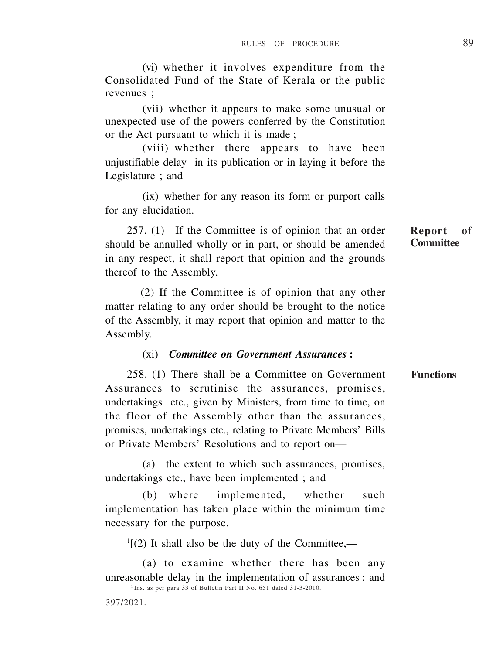(vi) whether it involves expenditure from the Consolidated Fund of the State of Kerala or the public revenues ;

(vii) whether it appears to make some unusual or unexpected use of the powers conferred by the Constitution or the Act pursuant to which it is made ;

(viii) whether there appears to have been unjustifiable delay in its publication or in laying it before the Legislature ; and

(ix) whether for any reason its form or purport calls for any elucidation.

257. (1) If the Committee is of opinion that an order should be annulled wholly or in part, or should be amended in any respect, it shall report that opinion and the grounds thereof to the Assembly.

 (2) If the Committee is of opinion that any other matter relating to any order should be brought to the notice of the Assembly, it may report that opinion and matter to the Assembly.

### (xi) *Committee on Government Assurances* **:**

258. (1) There shall be a Committee on Government Assurances to scrutinise the assurances, promises, undertakings etc., given by Ministers, from time to time, on the floor of the Assembly other than the assurances, promises, undertakings etc., relating to Private Members' Bills or Private Members' Resolutions and to report on— **Functions**

(a) the extent to which such assurances, promises, undertakings etc., have been implemented ; and

(b) where implemented, whether such implementation has taken place within the minimum time necessary for the purpose.

 $\mathcal{L}^1[(2)$  It shall also be the duty of the Committee,—

(a) to examine whether there has been any unreasonable delay in the implementation of assurances ; and

**Committee**

<sup>&</sup>lt;sup>1</sup> Ins. as per para 33 of Bulletin Part II No. 651 dated 31-3-2010.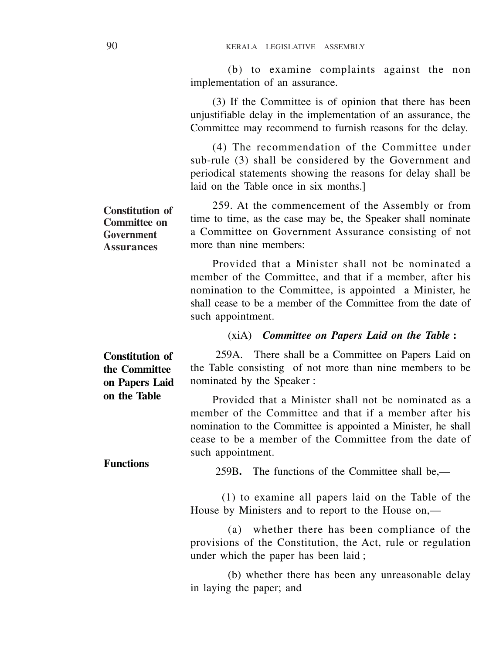(b) to examine complaints against the non implementation of an assurance.

(3) If the Committee is of opinion that there has been unjustifiable delay in the implementation of an assurance, the Committee may recommend to furnish reasons for the delay.

(4) The recommendation of the Committee under sub-rule (3) shall be considered by the Government and periodical statements showing the reasons for delay shall be laid on the Table once in six months.]

259. At the commencement of the Assembly or from time to time, as the case may be, the Speaker shall nominate a Committee on Government Assurance consisting of not more than nine members: **Constitution of Committee on Government Assurances**

> Provided that a Minister shall not be nominated a member of the Committee, and that if a member, after his nomination to the Committee, is appointed a Minister, he shall cease to be a member of the Committee from the date of such appointment.

# (xiA) *Committee on Papers Laid on the Table* **:**

259A. There shall be a Committee on Papers Laid on the Table consisting of not more than nine members to be nominated by the Speaker : **Constitution of the Committee on Papers Laid**

> Provided that a Minister shall not be nominated as a member of the Committee and that if a member after his nomination to the Committee is appointed a Minister, he shall cease to be a member of the Committee from the date of such appointment.

259B**.** The functions of the Committee shall be,—

(1) to examine all papers laid on the Table of the House by Ministers and to report to the House on,—

(a) whether there has been compliance of the provisions of the Constitution, the Act, rule or regulation under which the paper has been laid ;

(b) whether there has been any unreasonable delay in laying the paper; and

**on the Table**

**Functions**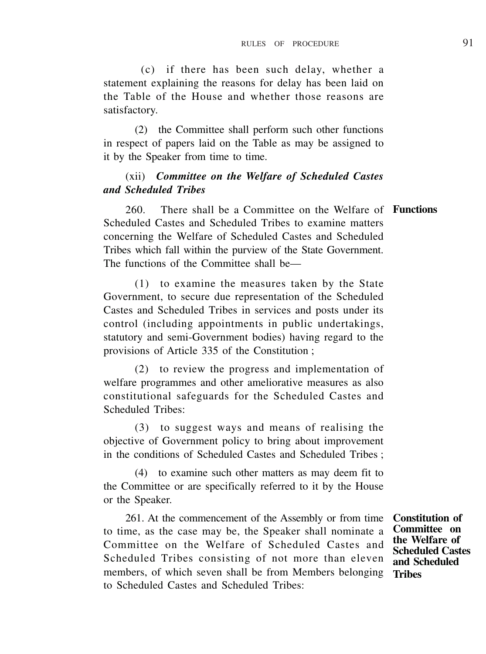(c) if there has been such delay, whether a statement explaining the reasons for delay has been laid on the Table of the House and whether those reasons are satisfactory.

(2) the Committee shall perform such other functions in respect of papers laid on the Table as may be assigned to it by the Speaker from time to time.

### (xii) *Committee on the Welfare of Scheduled Castes and Scheduled Tribes*

260. There shall be a Committee on the Welfare of **Functions** Scheduled Castes and Scheduled Tribes to examine matters concerning the Welfare of Scheduled Castes and Scheduled Tribes which fall within the purview of the State Government. The functions of the Committee shall be—

(1) to examine the measures taken by the State Government, to secure due representation of the Scheduled Castes and Scheduled Tribes in services and posts under its control (including appointments in public undertakings, statutory and semi-Government bodies) having regard to the provisions of Article 335 of the Constitution ;

(2) to review the progress and implementation of welfare programmes and other ameliorative measures as also constitutional safeguards for the Scheduled Castes and Scheduled Tribes:

(3) to suggest ways and means of realising the objective of Government policy to bring about improvement in the conditions of Scheduled Castes and Scheduled Tribes ;

(4) to examine such other matters as may deem fit to the Committee or are specifically referred to it by the House or the Speaker.

261. At the commencement of the Assembly or from time to time, as the case may be, the Speaker shall nominate a Committee on the Welfare of Scheduled Castes and Scheduled Tribes consisting of not more than eleven members, of which seven shall be from Members belonging **Tribes**to Scheduled Castes and Scheduled Tribes:

**Constitution of Committee on the Welfare of Scheduled Castes and Scheduled**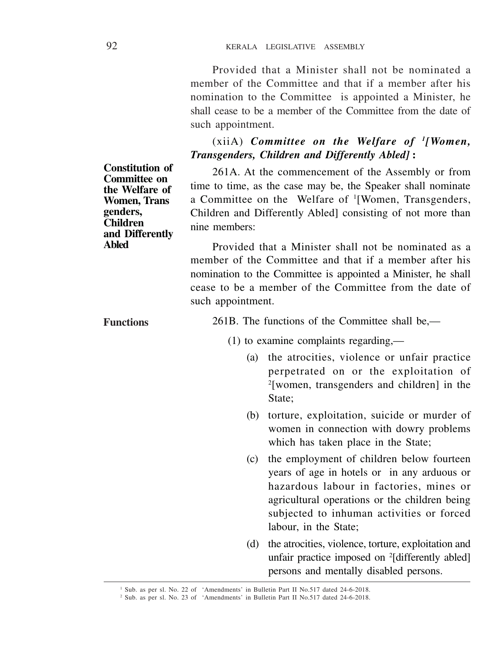Provided that a Minister shall not be nominated a member of the Committee and that if a member after his nomination to the Committee is appointed a Minister, he shall cease to be a member of the Committee from the date of such appointment.

(xiiA) *Committee on the Welfare of <sup>1</sup> [Women, Transgenders, Children and Differently Abled]* **:**

261A. At the commencement of the Assembly or from time to time, as the case may be, the Speaker shall nominate a Committee on the Welfare of <sup>1</sup> [Women, Transgenders, Children and Differently Abled] consisting of not more than nine members:

Provided that a Minister shall not be nominated as a member of the Committee and that if a member after his nomination to the Committee is appointed a Minister, he shall cease to be a member of the Committee from the date of such appointment.

261B. The functions of the Committee shall be,—

(1) to examine complaints regarding,—

- (a) the atrocities, violence or unfair practice perpetrated on or the exploitation of 2 [women, transgenders and children] in the State;
- (b) torture, exploitation, suicide or murder of women in connection with dowry problems which has taken place in the State;
- (c) the employment of children below fourteen years of age in hotels or in any arduous or hazardous labour in factories, mines or agricultural operations or the children being subjected to inhuman activities or forced labour, in the State;
- (d) the atrocities, violence, torture, exploitation and unfair practice imposed on <sup>2</sup>[differently abled] persons and mentally disabled persons.

**Constitution of Committee on the Welfare of Women, Trans genders, Children and Differently Abled**

**Functions**

<sup>&</sup>lt;sup>1</sup> Sub. as per sl. No. 22 of 'Amendments' in Bulletin Part II No.517 dated 24-6-2018.

<sup>2</sup> Sub. as per sl. No. 23 of 'Amendments' in Bulletin Part II No.517 dated 24-6-2018.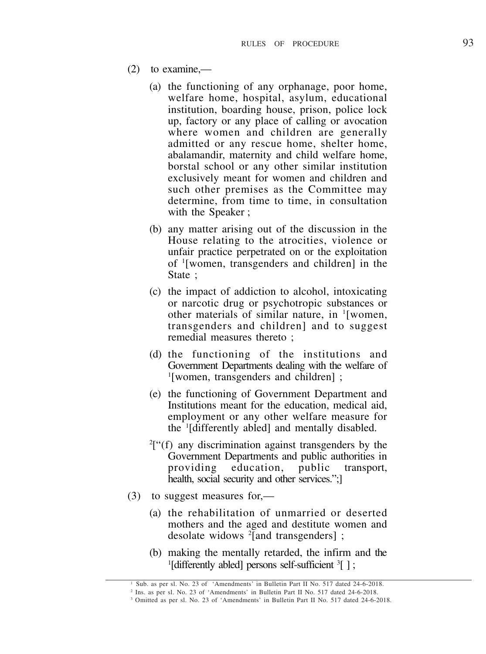- (2) to examine,—
	- (a) the functioning of any orphanage, poor home, welfare home, hospital, asylum, educational institution, boarding house, prison, police lock up, factory or any place of calling or avocation where women and children are generally admitted or any rescue home, shelter home, abalamandir, maternity and child welfare home, borstal school or any other similar institution exclusively meant for women and children and such other premises as the Committee may determine, from time to time, in consultation with the Speaker ;
	- (b) any matter arising out of the discussion in the House relating to the atrocities, violence or unfair practice perpetrated on or the exploitation of <sup>1</sup> [women, transgenders and children] in the State ;
	- (c) the impact of addiction to alcohol, intoxicating or narcotic drug or psychotropic substances or other materials of similar nature, in <sup>1</sup> [women, transgenders and children] and to suggest remedial measures thereto ;
	- (d) the functioning of the institutions and Government Departments dealing with the welfare of 1 [women, transgenders and children] ;
	- (e) the functioning of Government Department and Institutions meant for the education, medical aid, employment or any other welfare measure for the <sup>1</sup> [differently abled] and mentally disabled.
	- 2 ["(f) any discrimination against transgenders by the Government Departments and public authorities in<br>providing education, public transport. education, public health, social security and other services.":1
- (3) to suggest measures for,—
	- (a) the rehabilitation of unmarried or deserted mothers and the aged and destitute women and desolate widows <sup>2</sup> [and transgenders] ;
	- (b) making the mentally retarded, the infirm and the <sup>1</sup>[differently abled] persons self-sufficient <sup>3</sup>[];

<sup>1</sup> Sub. as per sl. No. 23 of 'Amendments' in Bulletin Part II No. 517 dated 24-6-2018.

<sup>2</sup> Ins. as per sl. No. 23 of 'Amendments' in Bulletin Part II No. 517 dated 24-6-2018.

<sup>3</sup> Omitted as per sl. No. 23 of 'Amendments' in Bulletin Part II No. 517 dated 24-6-2018.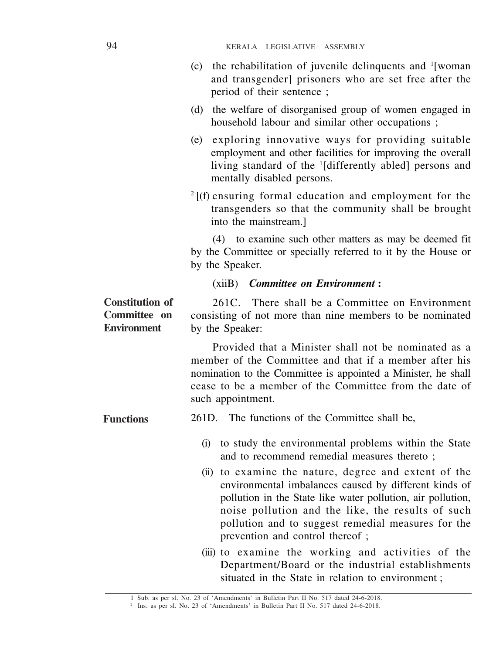| (c) | the rehabilitation of juvenile delinquents and <sup>1</sup> [woman]                                       |
|-----|-----------------------------------------------------------------------------------------------------------|
|     | and transgender] prisoners who are set free after the                                                     |
|     | period of their sentence;                                                                                 |
| (d) | the welfare of disorganised group of women engaged in<br>household labour and similar other occupations ; |

- (e) exploring innovative ways for providing suitable employment and other facilities for improving the overall living standard of the <sup>1</sup> [differently abled] persons and mentally disabled persons.
- $2$ [(f) ensuring formal education and employment for the transgenders so that the community shall be brought into the mainstream.]

(4) to examine such other matters as may be deemed fit by the Committee or specially referred to it by the House or by the Speaker.

(xiiB) *Committee on Environment* **:**

261C. There shall be a Committee on Environment consisting of not more than nine members to be nominated by the Speaker: **Constitution of Committee on Environment**

> Provided that a Minister shall not be nominated as a member of the Committee and that if a member after his nomination to the Committee is appointed a Minister, he shall cease to be a member of the Committee from the date of such appointment.

261D. The functions of the Committee shall be, **Functions**

- (i) to study the environmental problems within the State and to recommend remedial measures thereto ;
- (ii) to examine the nature, degree and extent of the environmental imbalances caused by different kinds of pollution in the State like water pollution, air pollution, noise pollution and the like, the results of such pollution and to suggest remedial measures for the prevention and control thereof ;
- (iii) to examine the working and activities of the Department/Board or the industrial establishments situated in the State in relation to environment :

<sup>1</sup> Sub. as per sl. No. 23 of 'Amendments' in Bulletin Part II No. 517 dated 24-6-2018.

<sup>2</sup> Ins. as per sl. No. 23 of 'Amendments' in Bulletin Part II No. 517 dated 24-6-2018.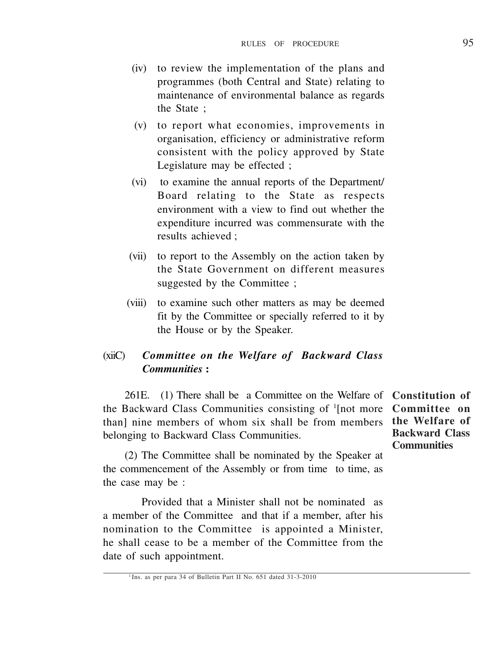- (iv) to review the implementation of the plans and programmes (both Central and State) relating to maintenance of environmental balance as regards the State ;
- (v) to report what economies, improvements in organisation, efficiency or administrative reform consistent with the policy approved by State Legislature may be effected ;
- (vi) to examine the annual reports of the Department/ Board relating to the State as respects environment with a view to find out whether the expenditure incurred was commensurate with the results achieved ;
- (vii) to report to the Assembly on the action taken by the State Government on different measures suggested by the Committee :
- (viii) to examine such other matters as may be deemed fit by the Committee or specially referred to it by the House or by the Speaker.

### (xiiC) *Committee on the Welfare of Backward Class Communities* **:**

261E. (1) There shall be a Committee on the Welfare of **Constitution of** the Backward Class Communities consisting of <sup>1</sup> [not more **Committee on** than] nine members of whom six shall be from members **the Welfare of** belonging to Backward Class Communities.

**Backward Class Communities**

(2) The Committee shall be nominated by the Speaker at the commencement of the Assembly or from time to time, as the case may be :

 Provided that a Minister shall not be nominated as a member of the Committee and that if a member, after his nomination to the Committee is appointed a Minister, he shall cease to be a member of the Committee from the date of such appointment.

<sup>&</sup>lt;sup>1</sup> Ins. as per para 34 of Bulletin Part II No. 651 dated 31-3-2010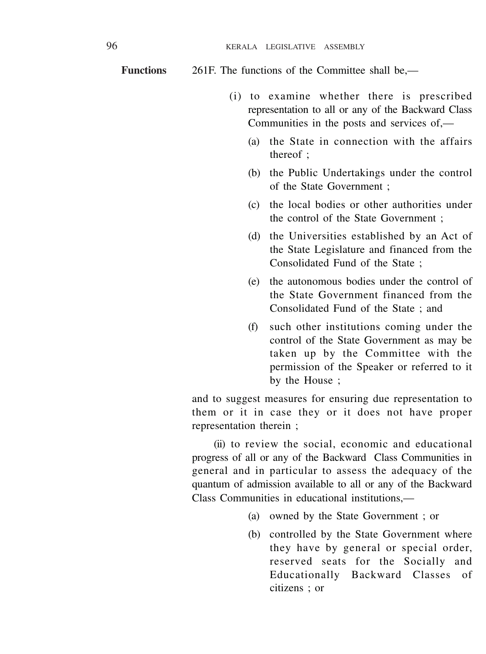261F. The functions of the Committee shall be,— **Functions**

- (i) to examine whether there is prescribed representation to all or any of the Backward Class Communities in the posts and services of,—
	- (a) the State in connection with the affairs thereof  $\cdot$
	- (b) the Public Undertakings under the control of the State Government ;
	- (c) the local bodies or other authorities under the control of the State Government ;
	- (d) the Universities established by an Act of the State Legislature and financed from the Consolidated Fund of the State ;
	- (e) the autonomous bodies under the control of the State Government financed from the Consolidated Fund of the State ; and
	- (f) such other institutions coming under the control of the State Government as may be taken up by the Committee with the permission of the Speaker or referred to it by the House ;

and to suggest measures for ensuring due representation to them or it in case they or it does not have proper representation therein ;

(ii) to review the social, economic and educational progress of all or any of the Backward Class Communities in general and in particular to assess the adequacy of the quantum of admission available to all or any of the Backward Class Communities in educational institutions,—

- (a) owned by the State Government ; or
- (b) controlled by the State Government where they have by general or special order, reserved seats for the Socially and Educationally Backward Classes of citizens ; or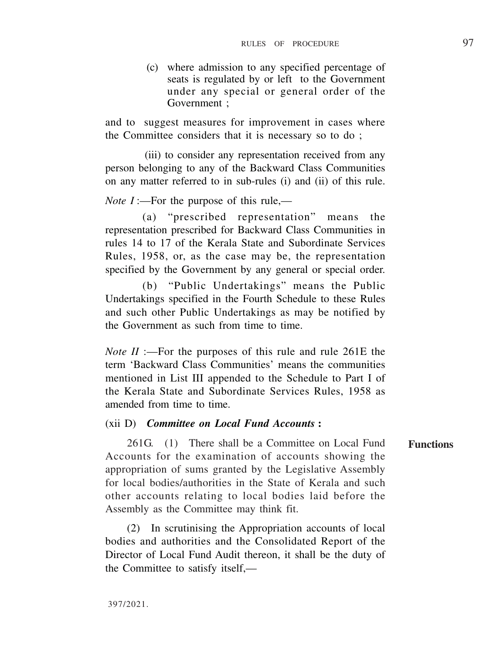(c) where admission to any specified percentage of seats is regulated by or left to the Government under any special or general order of the Government ;

and to suggest measures for improvement in cases where the Committee considers that it is necessary so to do ;

(iii) to consider any representation received from any person belonging to any of the Backward Class Communities on any matter referred to in sub-rules (i) and (ii) of this rule.

*Note I* :—For the purpose of this rule,—

(a) "prescribed representation" means the representation prescribed for Backward Class Communities in rules 14 to 17 of the Kerala State and Subordinate Services Rules, 1958, or, as the case may be, the representation specified by the Government by any general or special order.

(b) "Public Undertakings" means the Public Undertakings specified in the Fourth Schedule to these Rules and such other Public Undertakings as may be notified by the Government as such from time to time.

*Note II* :—For the purposes of this rule and rule 261E the term 'Backward Class Communities' means the communities mentioned in List III appended to the Schedule to Part I of the Kerala State and Subordinate Services Rules, 1958 as amended from time to time.

### (xii D) *Committee on Local Fund Accounts* **:**

261G. (1) There shall be a Committee on Local Fund Accounts for the examination of accounts showing the appropriation of sums granted by the Legislative Assembly for local bodies/authorities in the State of Kerala and such other accounts relating to local bodies laid before the Assembly as the Committee may think fit. **Functions**

(2) In scrutinising the Appropriation accounts of local bodies and authorities and the Consolidated Report of the Director of Local Fund Audit thereon, it shall be the duty of the Committee to satisfy itself,—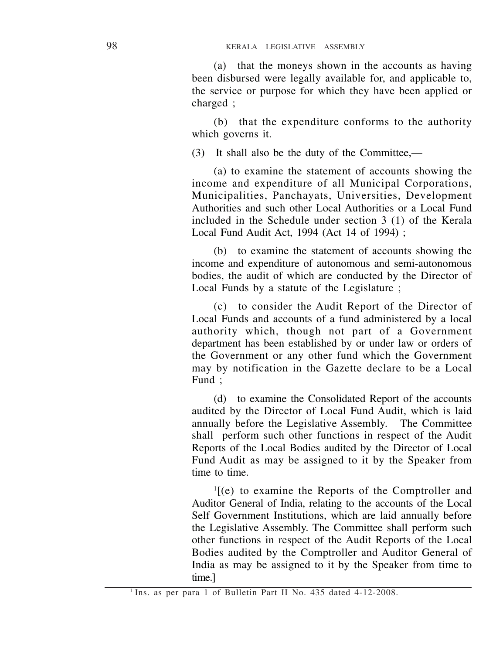(a) that the moneys shown in the accounts as having been disbursed were legally available for, and applicable to, the service or purpose for which they have been applied or charged :

(b) that the expenditure conforms to the authority which governs it.

(3) It shall also be the duty of the Committee,—

(a) to examine the statement of accounts showing the income and expenditure of all Municipal Corporations, Municipalities, Panchayats, Universities, Development Authorities and such other Local Authorities or a Local Fund included in the Schedule under section 3 (1) of the Kerala Local Fund Audit Act, 1994 (Act 14 of 1994) ;

(b) to examine the statement of accounts showing the income and expenditure of autonomous and semi-autonomous bodies, the audit of which are conducted by the Director of Local Funds by a statute of the Legislature ;

(c) to consider the Audit Report of the Director of Local Funds and accounts of a fund administered by a local authority which, though not part of a Government department has been established by or under law or orders of the Government or any other fund which the Government may by notification in the Gazette declare to be a Local Fund ;

(d) to examine the Consolidated Report of the accounts audited by the Director of Local Fund Audit, which is laid annually before the Legislative Assembly. shall perform such other functions in respect of the Audit Reports of the Local Bodies audited by the Director of Local Fund Audit as may be assigned to it by the Speaker from time to time.

1 [(e) to examine the Reports of the Comptroller and Auditor General of India, relating to the accounts of the Local Self Government Institutions, which are laid annually before the Legislative Assembly. The Committee shall perform such other functions in respect of the Audit Reports of the Local Bodies audited by the Comptroller and Auditor General of India as may be assigned to it by the Speaker from time to time.]

<sup>1</sup> Ins. as per para 1 of Bulletin Part II No. 435 dated 4-12-2008.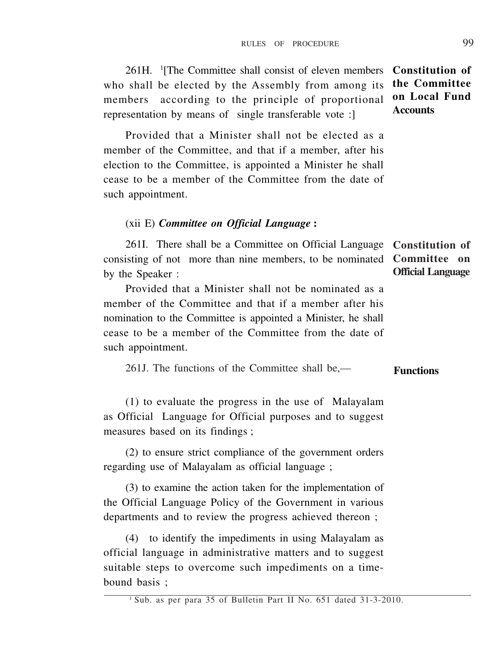261H. <sup>1</sup> [The Committee shall consist of eleven members **Constitution of** who shall be elected by the Assembly from among its members according to the principle of proportional representation by means of single transferable vote :] **the Committee on Local Fund Accounts**

Provided that a Minister shall not be elected as a member of the Committee, and that if a member, after his election to the Committee, is appointed a Minister he shall cease to be a member of the Committee from the date of such appointment.

### (xii E) *Committee on Official Language* **:**

261I. There shall be a Committee on Official Language **Constitution of** consisting of not more than nine members, to be nominated by the Speaker : **Official Language**

Provided that a Minister shall not be nominated as a member of the Committee and that if a member after his nomination to the Committee is appointed a Minister, he shall cease to be a member of the Committee from the date of such appointment.

261J. The functions of the Committee shall be,— **Functions**

(1) to evaluate the progress in the use of Malayalam as Official Language for Official purposes and to suggest measures based on its findings ;

(2) to ensure strict compliance of the government orders regarding use of Malayalam as official language ;

(3) to examine the action taken for the implementation of the Official Language Policy of the Government in various departments and to review the progress achieved thereon ;

(4) to identify the impediments in using Malayalam as official language in administrative matters and to suggest suitable steps to overcome such impediments on a timebound basis ;

**Committee on**

<sup>&</sup>lt;sup>1</sup> Sub. as per para 35 of Bulletin Part II No. 651 dated 31-3-2010.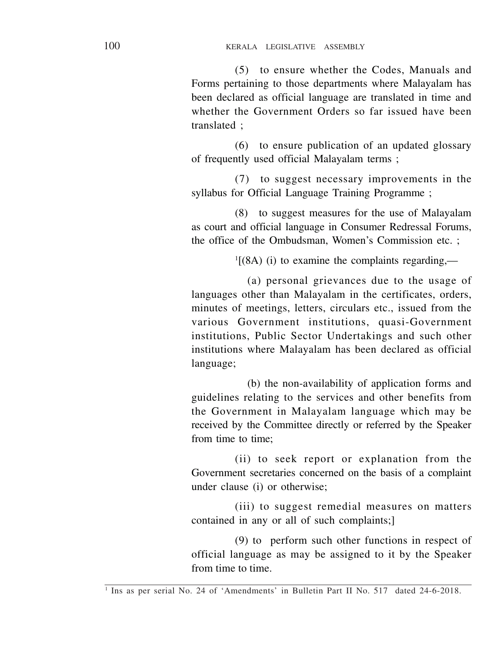(5) to ensure whether the Codes, Manuals and Forms pertaining to those departments where Malayalam has been declared as official language are translated in time and whether the Government Orders so far issued have been translated ;

(6) to ensure publication of an updated glossary of frequently used official Malayalam terms ;

(7) to suggest necessary improvements in the syllabus for Official Language Training Programme ;

(8) to suggest measures for the use of Malayalam as court and official language in Consumer Redressal Forums, the office of the Ombudsman, Women's Commission etc. ;

 $<sup>1</sup>$ [(8A) (i) to examine the complaints regarding,—</sup>

(a) personal grievances due to the usage of languages other than Malayalam in the certificates, orders, minutes of meetings, letters, circulars etc., issued from the various Government institutions, quasi-Government institutions, Public Sector Undertakings and such other institutions where Malayalam has been declared as official language;

(b) the non-availability of application forms and guidelines relating to the services and other benefits from the Government in Malayalam language which may be received by the Committee directly or referred by the Speaker from time to time;

(ii) to seek report or explanation from the Government secretaries concerned on the basis of a complaint under clause (i) or otherwise;

(iii) to suggest remedial measures on matters contained in any or all of such complaints;]

(9) to perform such other functions in respect of official language as may be assigned to it by the Speaker from time to time.

<sup>&</sup>lt;sup>1</sup> Ins as per serial No. 24 of 'Amendments' in Bulletin Part II No. 517 dated 24-6-2018.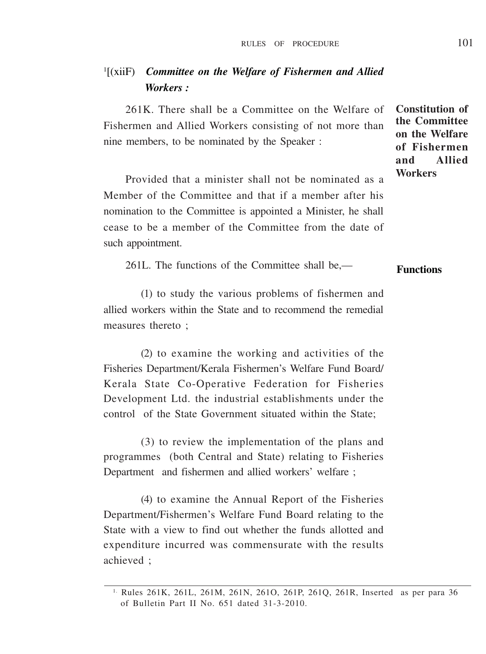# 1 [(xiiF) *Committee on the Welfare of Fishermen and Allied Workers :*

261K. There shall be a Committee on the Welfare of Fishermen and Allied Workers consisting of not more than nine members, to be nominated by the Speaker :

Provided that a minister shall not be nominated as a Member of the Committee and that if a member after his nomination to the Committee is appointed a Minister, he shall cease to be a member of the Committee from the date of such appointment.

261L. The functions of the Committee shall be,— **Functions**

(1) to study the various problems of fishermen and allied workers within the State and to recommend the remedial measures thereto :

(2) to examine the working and activities of the Fisheries Department/Kerala Fishermen's Welfare Fund Board/ Kerala State Co-Operative Federation for Fisheries Development Ltd. the industrial establishments under the control of the State Government situated within the State;

(3) to review the implementation of the plans and programmes (both Central and State) relating to Fisheries Department and fishermen and allied workers' welfare ;

(4) to examine the Annual Report of the Fisheries Department/Fishermen's Welfare Fund Board relating to the State with a view to find out whether the funds allotted and expenditure incurred was commensurate with the results achieved ;

**Constitution of the Committee on the Welfare of Fishermen and Allied Workers**

<sup>1.</sup> Rules 261K, 261L, 261M, 261N, 261O, 261P, 261Q, 261R, Inserted as per para 36 of Bulletin Part II No. 651 dated 31-3-2010.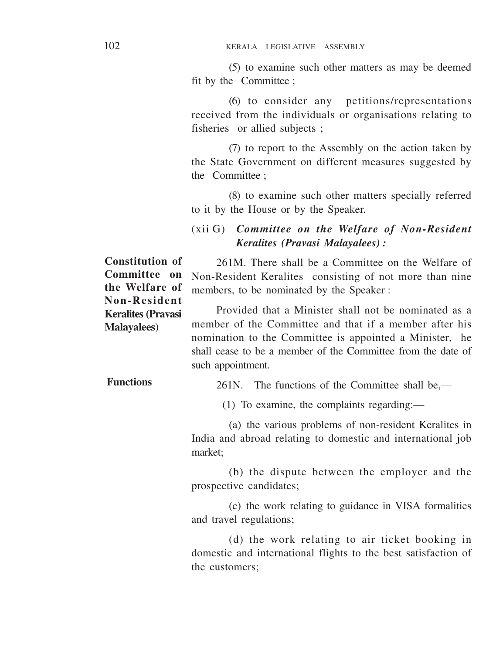(5) to examine such other matters as may be deemed fit by the Committee :

(6) to consider any petitions/representations received from the individuals or organisations relating to fisheries or allied subjects :

(7) to report to the Assembly on the action taken by the State Government on different measures suggested by the Committee .

(8) to examine such other matters specially referred to it by the House or by the Speaker.

# (xii G) *Committee on the Welfare of Non-Resident Keralites (Pravasi Malayalees) :*

261M. There shall be a Committee on the Welfare of Non-Resident Keralites consisting of not more than nine members, to be nominated by the Speaker : **Constitution of Committee on the Welfare of Non-Resident**

Provided that a Minister shall not be nominated as a member of the Committee and that if a member after his nomination to the Committee is appointed a Minister, he shall cease to be a member of the Committee from the date of such appointment. **Keralites (Pravasi Malayalees)**

261N. The functions of the Committee shall be,— **Functions**

(1) To examine, the complaints regarding:—

(a) the various problems of non-resident Keralites in India and abroad relating to domestic and international job market;

(b) the dispute between the employer and the prospective candidates;

(c) the work relating to guidance in VISA formalities and travel regulations;

(d) the work relating to air ticket booking in domestic and international flights to the best satisfaction of the customers;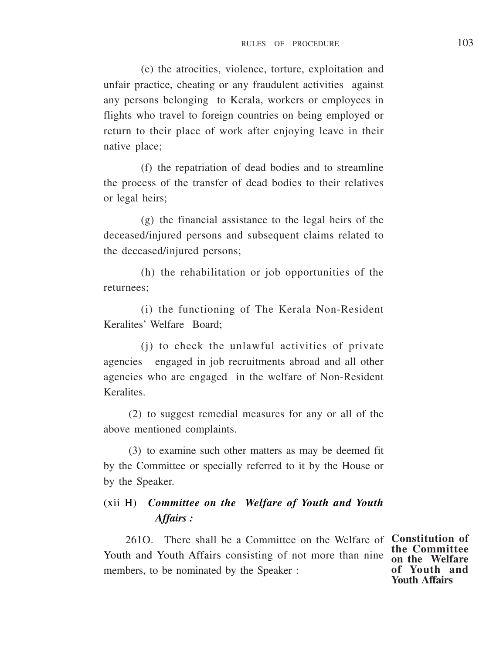(e) the atrocities, violence, torture, exploitation and unfair practice, cheating or any fraudulent activities against any persons belonging to Kerala, workers or employees in flights who travel to foreign countries on being employed or return to their place of work after enjoying leave in their native place;

(f) the repatriation of dead bodies and to streamline the process of the transfer of dead bodies to their relatives or legal heirs;

(g) the financial assistance to the legal heirs of the deceased/injured persons and subsequent claims related to the deceased/injured persons;

(h) the rehabilitation or job opportunities of the returnees;

(i) the functioning of The Kerala Non-Resident Keralites' Welfare Board;

(j) to check the unlawful activities of private agencies engaged in job recruitments abroad and all other agencies who are engaged in the welfare of Non-Resident Keralites.

(2) to suggest remedial measures for any or all of the above mentioned complaints.

(3) to examine such other matters as may be deemed fit by the Committee or specially referred to it by the House or by the Speaker.

# (xii H) *Committee on the Welfare of Youth and Youth Affairs :*

261O. There shall be a Committee on the Welfare of **Constitution of** Youth and Youth Affairs consisting of not more than nine members, to be nominated by the Speaker :

**the Committee on the Welfare of Youth and Youth Affairs**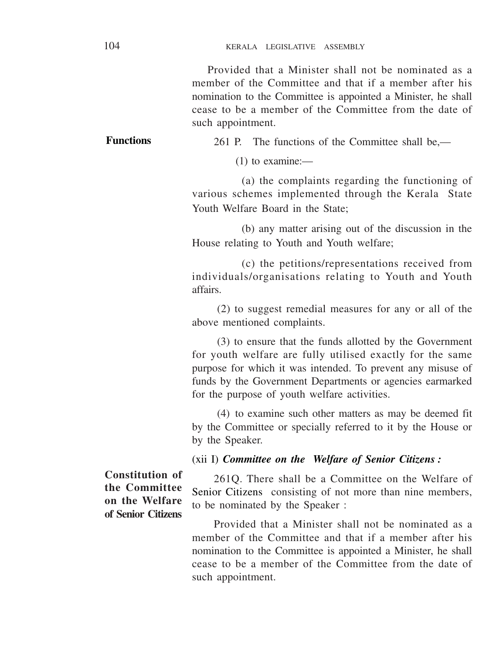Provided that a Minister shall not be nominated as a member of the Committee and that if a member after his nomination to the Committee is appointed a Minister, he shall cease to be a member of the Committee from the date of such appointment.

261 P. The functions of the Committee shall be,—

(1) to examine:—

(a) the complaints regarding the functioning of various schemes implemented through the Kerala State Youth Welfare Board in the State;

(b) any matter arising out of the discussion in the House relating to Youth and Youth welfare;

(c) the petitions/representations received from individuals/organisations relating to Youth and Youth affairs.

(2) to suggest remedial measures for any or all of the above mentioned complaints.

(3) to ensure that the funds allotted by the Government for youth welfare are fully utilised exactly for the same purpose for which it was intended. To prevent any misuse of funds by the Government Departments or agencies earmarked for the purpose of youth welfare activities.

(4) to examine such other matters as may be deemed fit by the Committee or specially referred to it by the House or by the Speaker.

(xii I) *Committee on the Welfare of Senior Citizens :*

**Constitution of the Committee on the Welfare of Senior Citizens**

261Q. There shall be a Committee on the Welfare of Senior Citizens consisting of not more than nine members, to be nominated by the Speaker :

Provided that a Minister shall not be nominated as a member of the Committee and that if a member after his nomination to the Committee is appointed a Minister, he shall cease to be a member of the Committee from the date of such appointment.

**Functions**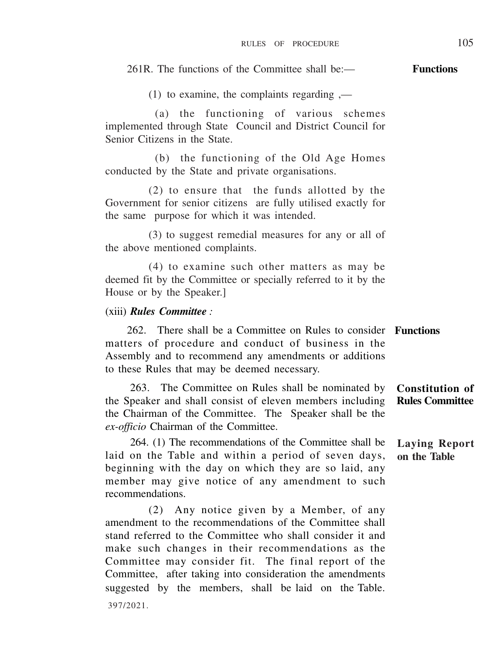#### 261R. The functions of the Committee shall be:— **Functions**

(1) to examine, the complaints regarding ,—

(a) the functioning of various schemes implemented through State Council and District Council for Senior Citizens in the State.

(b) the functioning of the Old Age Homes conducted by the State and private organisations.

(2) to ensure that the funds allotted by the Government for senior citizens are fully utilised exactly for the same purpose for which it was intended.

(3) to suggest remedial measures for any or all of the above mentioned complaints.

(4) to examine such other matters as may be deemed fit by the Committee or specially referred to it by the House or by the Speaker.]

### (xiii) *Rules Committee :*

262. There shall be a Committee on Rules to consider **Functions** matters of procedure and conduct of business in the Assembly and to recommend any amendments or additions to these Rules that may be deemed necessary.

263. The Committee on Rules shall be nominated by the Speaker and shall consist of eleven members including the Chairman of the Committee. The Speaker shall be the *ex-officio* Chairman of the Committee. **Constitution of Rules Committee**

264. (1) The recommendations of the Committee shall be laid on the Table and within a period of seven days, beginning with the day on which they are so laid, any member may give notice of any amendment to such recommendations.

(2) Any notice given by a Member, of any amendment to the recommendations of the Committee shall stand referred to the Committee who shall consider it and make such changes in their recommendations as the Committee may consider fit. The final report of the Committee, after taking into consideration the amendments suggested by the members, shall be laid on the Table. 397/2021.

**Laying Report on the Table**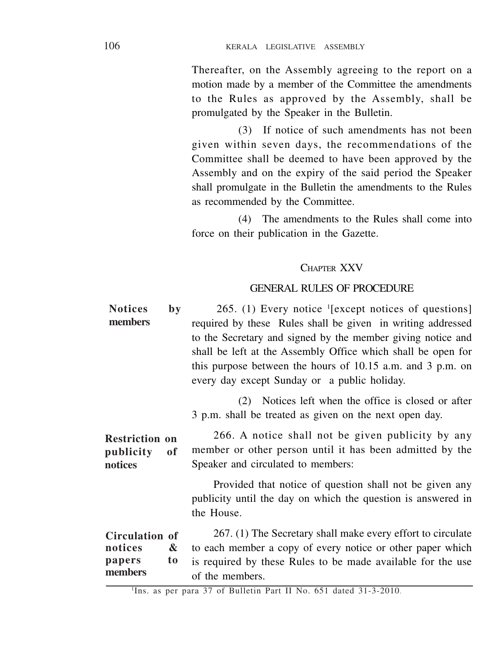Thereafter, on the Assembly agreeing to the report on a motion made by a member of the Committee the amendments to the Rules as approved by the Assembly, shall be promulgated by the Speaker in the Bulletin.

(3) If notice of such amendments has not been given within seven days, the recommendations of the Committee shall be deemed to have been approved by the Assembly and on the expiry of the said period the Speaker shall promulgate in the Bulletin the amendments to the Rules as recommended by the Committee.

(4) The amendments to the Rules shall come into force on their publication in the Gazette.

### CHAPTER XXV

### GENERAL RULES OF PROCEDURE

| <b>Notices</b>                                      | by      | 265. (1) Every notice <sup>1</sup> [except notices of questions]                                                                                                                                                                                                                                         |
|-----------------------------------------------------|---------|----------------------------------------------------------------------------------------------------------------------------------------------------------------------------------------------------------------------------------------------------------------------------------------------------------|
| members                                             |         | required by these Rules shall be given in writing addressed<br>to the Secretary and signed by the member giving notice and<br>shall be left at the Assembly Office which shall be open for<br>this purpose between the hours of 10.15 a.m. and 3 p.m. on<br>every day except Sunday or a public holiday. |
|                                                     |         | (2) Notices left when the office is closed or after<br>3 p.m. shall be treated as given on the next open day.                                                                                                                                                                                            |
| <b>Restriction on</b><br>publicity<br>of<br>notices |         | 266. A notice shall not be given publicity by any<br>member or other person until it has been admitted by the<br>Speaker and circulated to members:                                                                                                                                                      |
|                                                     |         | Provided that notice of question shall not be given any<br>publicity until the day on which the question is answered in<br>the House.                                                                                                                                                                    |
| Circulation of<br>notices<br>papers<br>members      | &<br>to | 267. (1) The Secretary shall make every effort to circulate<br>to each member a copy of every notice or other paper which<br>is required by these Rules to be made available for the use<br>of the members                                                                                               |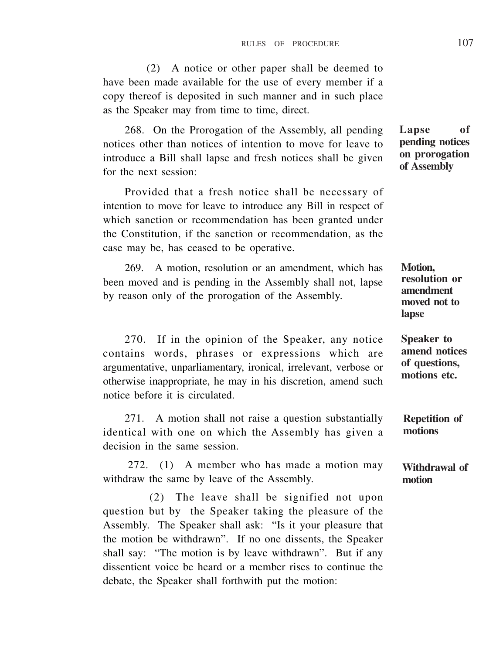(2) A notice or other paper shall be deemed to have been made available for the use of every member if a copy thereof is deposited in such manner and in such place as the Speaker may from time to time, direct.

268. On the Prorogation of the Assembly, all pending notices other than notices of intention to move for leave to introduce a Bill shall lapse and fresh notices shall be given for the next session:

Provided that a fresh notice shall be necessary of intention to move for leave to introduce any Bill in respect of which sanction or recommendation has been granted under the Constitution, if the sanction or recommendation, as the case may be, has ceased to be operative.

269. A motion, resolution or an amendment, which has been moved and is pending in the Assembly shall not, lapse by reason only of the prorogation of the Assembly.

270. If in the opinion of the Speaker, any notice contains words, phrases or expressions which are argumentative, unparliamentary, ironical, irrelevant, verbose or otherwise inappropriate, he may in his discretion, amend such notice before it is circulated.

271. A motion shall not raise a question substantially identical with one on which the Assembly has given a decision in the same session.

272. (1) A member who has made a motion may withdraw the same by leave of the Assembly.

(2) The leave shall be signified not upon question but by the Speaker taking the pleasure of the Assembly. The Speaker shall ask: "Is it your pleasure that the motion be withdrawn". If no one dissents, the Speaker shall say: "The motion is by leave withdrawn". But if any dissentient voice be heard or a member rises to continue the debate, the Speaker shall forthwith put the motion:

**Lapse of pending notices on prorogation of Assembly**

**Motion, resolution or amendment moved not to lapse**

**Speaker to amend notices of questions, motions etc.**

**Repetition of motions**

**Withdrawal of motion**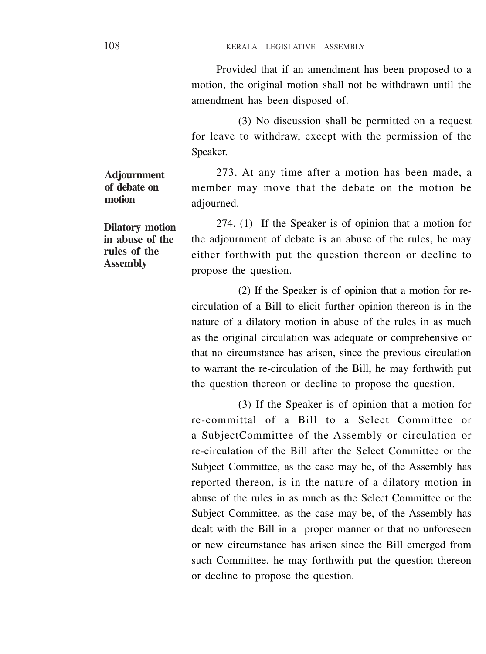Provided that if an amendment has been proposed to a motion, the original motion shall not be withdrawn until the amendment has been disposed of.

(3) No discussion shall be permitted on a request for leave to withdraw, except with the permission of the Speaker.

273. At any time after a motion has been made, a member may move that the debate on the motion be adiourned.

274. (1) If the Speaker is of opinion that a motion for the adjournment of debate is an abuse of the rules, he may either forthwith put the question thereon or decline to propose the question.

(2) If the Speaker is of opinion that a motion for recirculation of a Bill to elicit further opinion thereon is in the nature of a dilatory motion in abuse of the rules in as much as the original circulation was adequate or comprehensive or that no circumstance has arisen, since the previous circulation to warrant the re-circulation of the Bill, he may forthwith put the question thereon or decline to propose the question.

(3) If the Speaker is of opinion that a motion for re-committal of a Bill to a Select Committee or a SubjectCommittee of the Assembly or circulation or re-circulation of the Bill after the Select Committee or the Subject Committee, as the case may be, of the Assembly has reported thereon, is in the nature of a dilatory motion in abuse of the rules in as much as the Select Committee or the Subject Committee, as the case may be, of the Assembly has dealt with the Bill in a proper manner or that no unforeseen or new circumstance has arisen since the Bill emerged from such Committee, he may forthwith put the question thereon or decline to propose the question.

**Adjournment of debate on motion**

**Dilatory motion in abuse of the rules of the Assembly**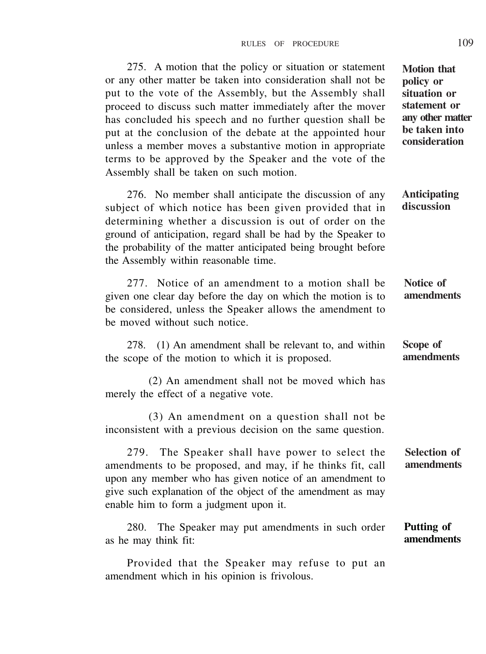275. A motion that the policy or situation or statement or any other matter be taken into consideration shall not be put to the vote of the Assembly, but the Assembly shall proceed to discuss such matter immediately after the mover has concluded his speech and no further question shall be put at the conclusion of the debate at the appointed hour unless a member moves a substantive motion in appropriate terms to be approved by the Speaker and the vote of the Assembly shall be taken on such motion.

276. No member shall anticipate the discussion of any subject of which notice has been given provided that in determining whether a discussion is out of order on the ground of anticipation, regard shall be had by the Speaker to the probability of the matter anticipated being brought before the Assembly within reasonable time.

277. Notice of an amendment to a motion shall be given one clear day before the day on which the motion is to be considered, unless the Speaker allows the amendment to be moved without such notice.

278. (1) An amendment shall be relevant to, and within the scope of the motion to which it is proposed.

(2) An amendment shall not be moved which has merely the effect of a negative vote.

(3) An amendment on a question shall not be inconsistent with a previous decision on the same question.

279. The Speaker shall have power to select the amendments to be proposed, and may, if he thinks fit, call upon any member who has given notice of an amendment to give such explanation of the object of the amendment as may enable him to form a judgment upon it. **Selection of amendments**

280. The Speaker may put amendments in such order as he may think fit: **Putting of amendments**

Provided that the Speaker may refuse to put an amendment which in his opinion is frivolous.

**Motion that policy or situation or statement or any other matter be taken into consideration**

**Anticipating discussion**

**Notice of amendments**

**Scope of amendments**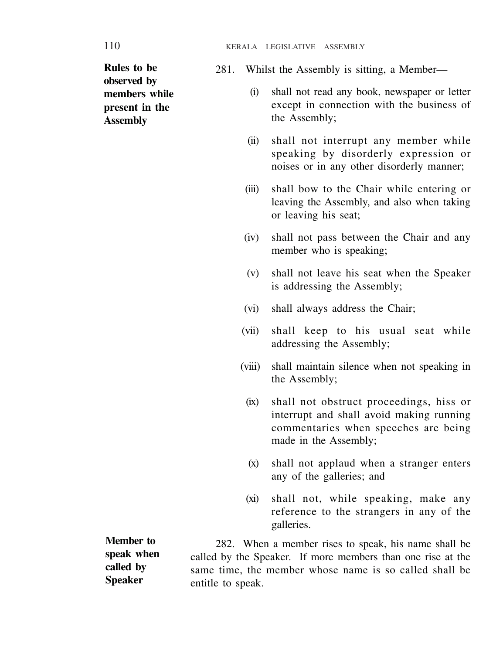**Rules to be observed by members while present in the Assembly**

- 281. Whilst the Assembly is sitting, a Member—
	- (i) shall not read any book, newspaper or letter except in connection with the business of the Assembly;
	- (ii) shall not interrupt any member while speaking by disorderly expression or noises or in any other disorderly manner;
	- (iii) shall bow to the Chair while entering or leaving the Assembly, and also when taking or leaving his seat;
	- (iv) shall not pass between the Chair and any member who is speaking:
	- (v) shall not leave his seat when the Speaker is addressing the Assembly;
	- (vi) shall always address the Chair;
	- (vii) shall keep to his usual seat while addressing the Assembly;
	- (viii) shall maintain silence when not speaking in the Assembly;
		- (ix) shall not obstruct proceedings, hiss or interrupt and shall avoid making running commentaries when speeches are being made in the Assembly;
		- (x) shall not applaud when a stranger enters any of the galleries; and
		- (xi) shall not, while speaking, make any reference to the strangers in any of the galleries.

**Member to speak when called by Speaker**

282. When a member rises to speak, his name shall be called by the Speaker. If more members than one rise at the same time, the member whose name is so called shall be entitle to speak.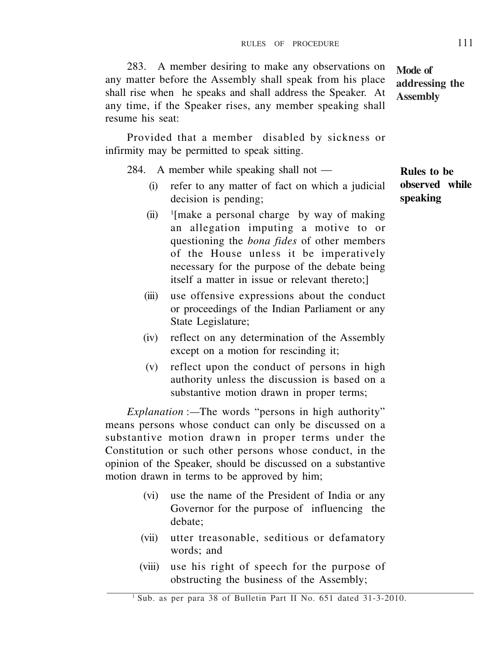- 284. A member while speaking shall not (i) refer to any matter of fact on which a judicial decision is pending;
	- $(ii)$ [make a personal charge by way of making an allegation imputing a motive to or questioning the *bona fides* of other members
	- of the House unless it be imperatively necessary for the purpose of the debate being
	- itself a matter in issue or relevant thereto;] (iii) use offensive expressions about the conduct or proceedings of the Indian Parliament or any State Legislature;
	- (iv) reflect on any determination of the Assembly except on a motion for rescinding it;
	- (v) reflect upon the conduct of persons in high authority unless the discussion is based on a substantive motion drawn in proper terms;

*Explanation* :*—*The words "persons in high authority" means persons whose conduct can only be discussed on a substantive motion drawn in proper terms under the Constitution or such other persons whose conduct, in the opinion of the Speaker, should be discussed on a substantive motion drawn in terms to be approved by him;

- (vi) use the name of the President of India or any Governor for the purpose of influencing the debate;
- (vii) utter treasonable, seditious or defamatory words; and
- (viii) use his right of speech for the purpose of obstructing the business of the Assembly;

### RULES OF PROCEDURE 111

283. A member desiring to make any observations on any matter before the Assembly shall speak from his place shall rise when he speaks and shall address the Speaker. At any time, if the Speaker rises, any member speaking shall

Provided that a member disabled by sickness or

infirmity may be permitted to speak sitting.

resume his seat:

**Mode of addressing the Assembly**

**Rules to be observed while speaking**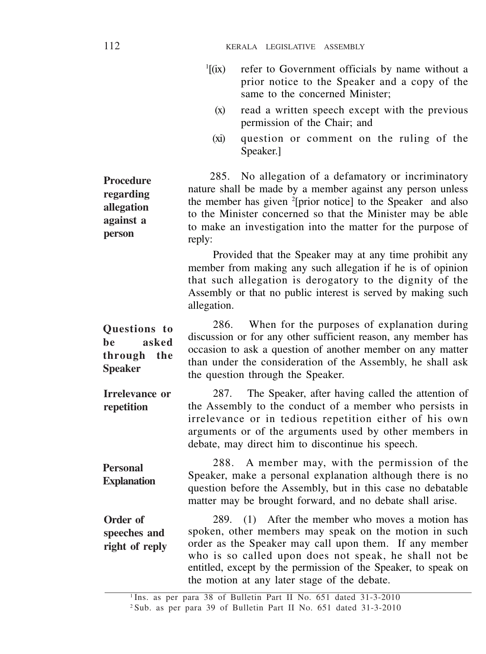- $\frac{1}{1}$  $(ix)$ refer to Government officials by name without a prior notice to the Speaker and a copy of the same to the concerned Minister;
	- (x) read a written speech except with the previous permission of the Chair; and
	- (xi) question or comment on the ruling of the Speaker.]

285. No allegation of a defamatory or incriminatory nature shall be made by a member against any person unless the member has given <sup>2</sup> [prior notice] to the Speaker and also to the Minister concerned so that the Minister may be able to make an investigation into the matter for the purpose of reply: **Procedure regarding allegation against a person**

> Provided that the Speaker may at any time prohibit any member from making any such allegation if he is of opinion that such allegation is derogatory to the dignity of the Assembly or that no public interest is served by making such allegation.

286. When for the purposes of explanation during discussion or for any other sufficient reason, any member has occasion to ask a question of another member on any matter than under the consideration of the Assembly, he shall ask the question through the Speaker. **Questions to be asked through the Speaker**

287. The Speaker, after having called the attention of the Assembly to the conduct of a member who persists in irrelevance or in tedious repetition either of his own arguments or of the arguments used by other members in debate, may direct him to discontinue his speech. **Irrelevance or repetition**

288. A member may, with the permission of the Speaker, make a personal explanation although there is no question before the Assembly, but in this case no debatable matter may be brought forward, and no debate shall arise. **Personal Explanation**

289. (1) After the member who moves a motion has spoken, other members may speak on the motion in such order as the Speaker may call upon them. If any member who is so called upon does not speak, he shall not be entitled, except by the permission of the Speaker, to speak on the motion at any later stage of the debate. **Order of speeches and right of reply**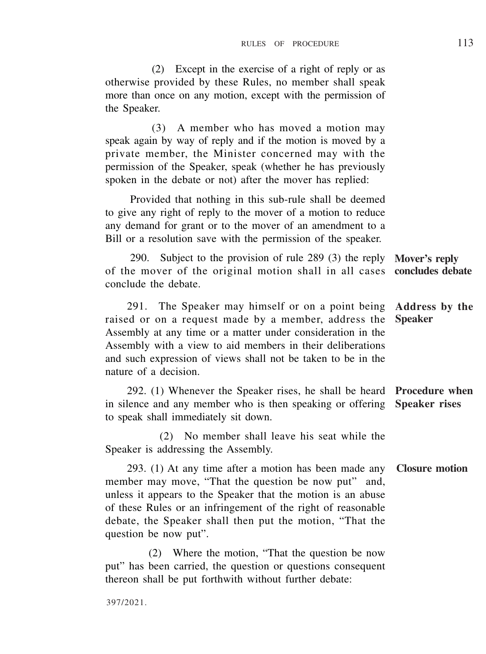(2) Except in the exercise of a right of reply or as otherwise provided by these Rules, no member shall speak more than once on any motion, except with the permission of the Speaker.

(3) A member who has moved a motion may speak again by way of reply and if the motion is moved by a private member, the Minister concerned may with the permission of the Speaker, speak (whether he has previously spoken in the debate or not) after the mover has replied:

Provided that nothing in this sub-rule shall be deemed to give any right of reply to the mover of a motion to reduce any demand for grant or to the mover of an amendment to a Bill or a resolution save with the permission of the speaker.

290. Subject to the provision of rule 289 (3) the reply of the mover of the original motion shall in all cases **concludes debate** conclude the debate. **Mover's reply**

291. The Speaker may himself or on a point being **Address by the** raised or on a request made by a member, address the Assembly at any time or a matter under consideration in the Assembly with a view to aid members in their deliberations and such expression of views shall not be taken to be in the nature of a decision. **Speaker**

292. (1) Whenever the Speaker rises, he shall be heard **Procedure when** in silence and any member who is then speaking or offering **Speaker rises** to speak shall immediately sit down.

(2) No member shall leave his seat while the Speaker is addressing the Assembly.

293. (1) At any time after a motion has been made any **Closure motion** member may move, "That the question be now put" and, unless it appears to the Speaker that the motion is an abuse of these Rules or an infringement of the right of reasonable debate, the Speaker shall then put the motion, "That the question be now put".

(2) Where the motion, "That the question be now put" has been carried, the question or questions consequent thereon shall be put forthwith without further debate: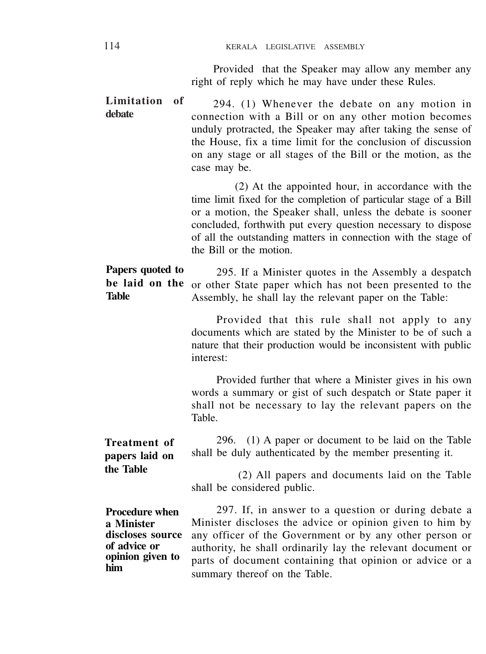Provided that the Speaker may allow any member any right of reply which he may have under these Rules.

294. (1) Whenever the debate on any motion in connection with a Bill or on any other motion becomes unduly protracted, the Speaker may after taking the sense of the House, fix a time limit for the conclusion of discussion on any stage or all stages of the Bill or the motion, as the case may be. **Limitation of debate**

> (2) At the appointed hour, in accordance with the time limit fixed for the completion of particular stage of a Bill or a motion, the Speaker shall, unless the debate is sooner concluded, forthwith put every question necessary to dispose of all the outstanding matters in connection with the stage of the Bill or the motion.

295. If a Minister quotes in the Assembly a despatch or other State paper which has not been presented to the Assembly, he shall lay the relevant paper on the Table: **Papers quoted to be laid on the Table**

> Provided that this rule shall not apply to any documents which are stated by the Minister to be of such a nature that their production would be inconsistent with public interest:

> Provided further that where a Minister gives in his own words a summary or gist of such despatch or State paper it shall not be necessary to lay the relevant papers on the Table.

296. (1) A paper or document to be laid on the Table shall be duly authenticated by the member presenting it. **Treatment of papers laid on**

> (2) All papers and documents laid on the Table shall be considered public.

**Procedure when a Minister discloses source of advice or opinion given to him**

**the Table**

297. If, in answer to a question or during debate a Minister discloses the advice or opinion given to him by any officer of the Government or by any other person or authority, he shall ordinarily lay the relevant document or parts of document containing that opinion or advice or a summary thereof on the Table.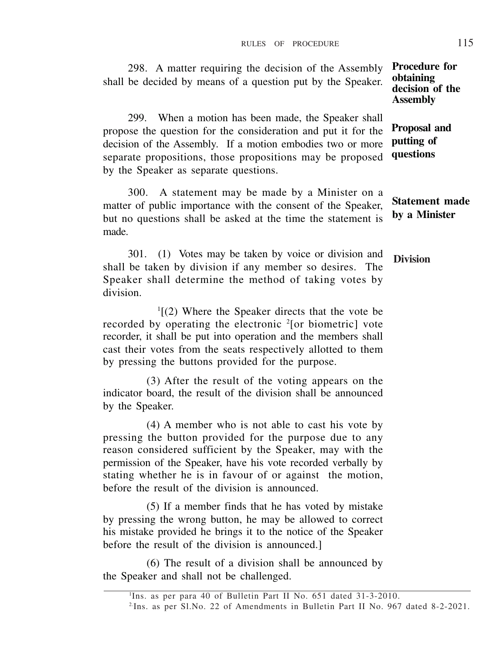298. A matter requiring the decision of the Assembly shall be decided by means of a question put by the Speaker. 299. When a motion has been made, the Speaker shall propose the question for the consideration and put it for the **Procedure for obtaining decision of the Assembly Proposal and**

decision of the Assembly. If a motion embodies two or more separate propositions, those propositions may be proposed by the Speaker as separate questions. **putting of questions**

300. A statement may be made by a Minister on a matter of public importance with the consent of the Speaker, but no questions shall be asked at the time the statement is made. **Statement made by a Minister**

301. (1) Votes may be taken by voice or division and shall be taken by division if any member so desires. The Speaker shall determine the method of taking votes by division. **Division**

1 [(2) Where the Speaker directs that the vote be recorded by operating the electronic <sup>2</sup>[or biometric] vote recorder, it shall be put into operation and the members shall cast their votes from the seats respectively allotted to them by pressing the buttons provided for the purpose.

(3) After the result of the voting appears on the indicator board, the result of the division shall be announced by the Speaker.

(4) A member who is not able to cast his vote by pressing the button provided for the purpose due to any reason considered sufficient by the Speaker, may with the permission of the Speaker, have his vote recorded verbally by stating whether he is in favour of or against the motion, before the result of the division is announced.

(5) If a member finds that he has voted by mistake by pressing the wrong button, he may be allowed to correct his mistake provided he brings it to the notice of the Speaker before the result of the division is announced.]

(6) The result of a division shall be announced by the Speaker and shall not be challenged.

<sup>&</sup>lt;sup>1</sup>Ins. as per para 40 of Bulletin Part II No. 651 dated 31-3-2010. 2.Ins. as per Sl.No. 22 of Amendments in Bulletin Part II No. 967 dated 8-2-2021.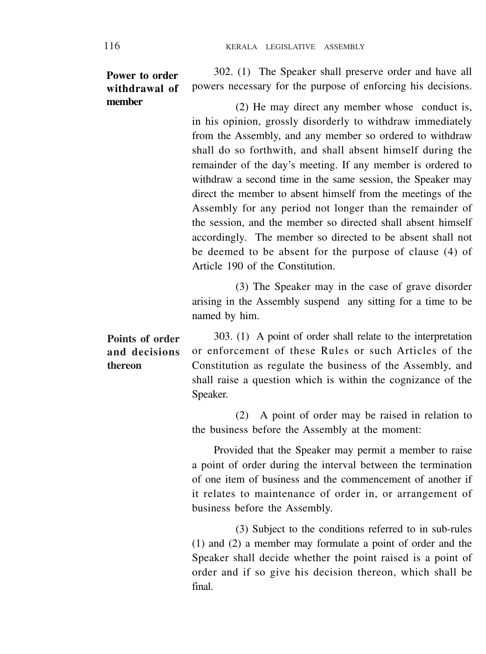### **Power to order withdrawal of member**

302. (1) The Speaker shall preserve order and have all powers necessary for the purpose of enforcing his decisions.

(2) He may direct any member whose conduct is, in his opinion, grossly disorderly to withdraw immediately from the Assembly, and any member so ordered to withdraw shall do so forthwith, and shall absent himself during the remainder of the day's meeting. If any member is ordered to withdraw a second time in the same session, the Speaker may direct the member to absent himself from the meetings of the Assembly for any period not longer than the remainder of the session, and the member so directed shall absent himself accordingly. The member so directed to be absent shall not be deemed to be absent for the purpose of clause (4) of Article 190 of the Constitution.

(3) The Speaker may in the case of grave disorder arising in the Assembly suspend any sitting for a time to be named by him.

303. (1) A point of order shall relate to the interpretation or enforcement of these Rules or such Articles of the Constitution as regulate the business of the Assembly, and shall raise a question which is within the cognizance of the Speaker. **Points of order and decisions thereon**

> (2) A point of order may be raised in relation to the business before the Assembly at the moment:

> Provided that the Speaker may permit a member to raise a point of order during the interval between the termination of one item of business and the commencement of another if it relates to maintenance of order in, or arrangement of business before the Assembly.

> (3) Subject to the conditions referred to in sub-rules (1) and (2) a member may formulate a point of order and the Speaker shall decide whether the point raised is a point of order and if so give his decision thereon, which shall be final.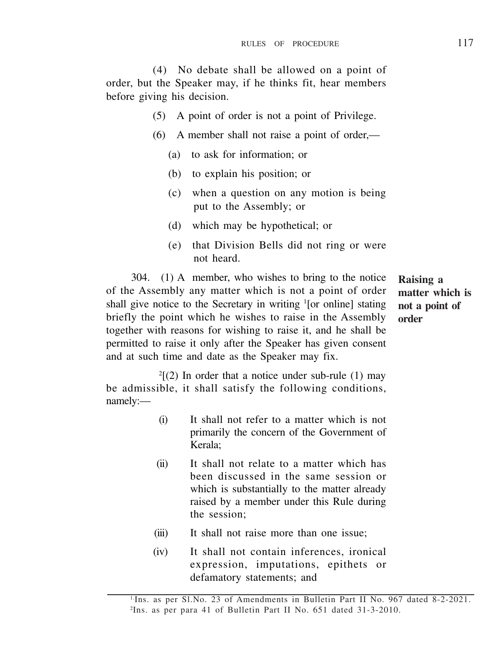(4) No debate shall be allowed on a point of order, but the Speaker may, if he thinks fit, hear members before giving his decision.

- (5) A point of order is not a point of Privilege.
- (6) A member shall not raise a point of order,—
	- (a) to ask for information; or
	- (b) to explain his position; or
	- (c) when a question on any motion is being put to the Assembly; or
	- (d) which may be hypothetical; or
	- (e) that Division Bells did not ring or were not heard.

304. (1) A member, who wishes to bring to the notice of the Assembly any matter which is not a point of order shall give notice to the Secretary in writing '[or online] stating briefly the point which he wishes to raise in the Assembly together with reasons for wishing to raise it, and he shall be permitted to raise it only after the Speaker has given consent and at such time and date as the Speaker may fix.

**Raising a matter which is not a point of order**

 $2(2)$  In order that a notice under sub-rule (1) may be admissible, it shall satisfy the following conditions, namely:—

- (i) It shall not refer to a matter which is not primarily the concern of the Government of Kerala;
- (ii) It shall not relate to a matter which has been discussed in the same session or which is substantially to the matter already raised by a member under this Rule during the session;
- (iii) It shall not raise more than one issue;
- (iv) It shall not contain inferences, ironical expression, imputations, epithets or defamatory statements; and

<sup>&</sup>lt;sup>1.</sup>Ins. as per Sl.No. 23 of Amendments in Bulletin Part II No. 967 dated 8-2-2021. 2 Ins. as per para 41 of Bulletin Part II No. 651 dated 31-3-2010.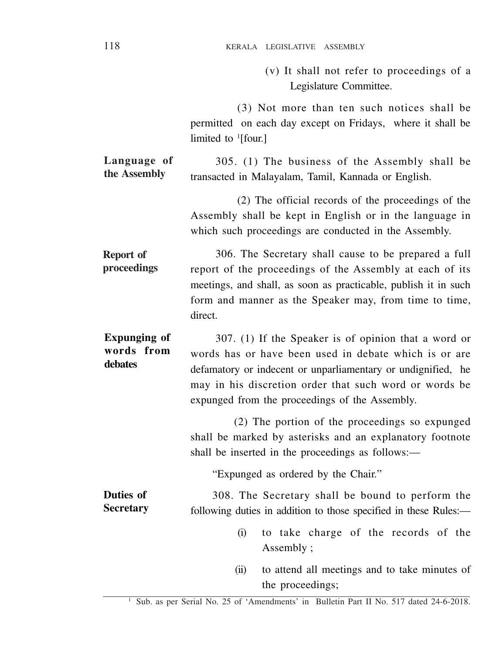(v) It shall not refer to proceedings of a Legislature Committee.

(3) Not more than ten such notices shall be permitted on each day except on Fridays, where it shall be limited to <sup>1</sup>[four.]

305. (1) The business of the Assembly shall be transacted in Malayalam, Tamil, Kannada or English. **Language of the Assembly**

> (2) The official records of the proceedings of the Assembly shall be kept in English or in the language in which such proceedings are conducted in the Assembly.

306. The Secretary shall cause to be prepared a full report of the proceedings of the Assembly at each of its meetings, and shall, as soon as practicable, publish it in such form and manner as the Speaker may, from time to time, direct. **Report of proceedings**

307. (1) If the Speaker is of opinion that a word or words has or have been used in debate which is or are defamatory or indecent or unparliamentary or undignified, he may in his discretion order that such word or words be expunged from the proceedings of the Assembly. **Expunging of words from debates**

> (2) The portion of the proceedings so expunged shall be marked by asterisks and an explanatory footnote shall be inserted in the proceedings as follows:—

"Expunged as ordered by the Chair."

308. The Secretary shall be bound to perform the following duties in addition to those specified in these Rules:— **Duties of Secretary**

- (i) to take charge of the records of the Assembly ;
- (ii) to attend all meetings and to take minutes of the proceedings;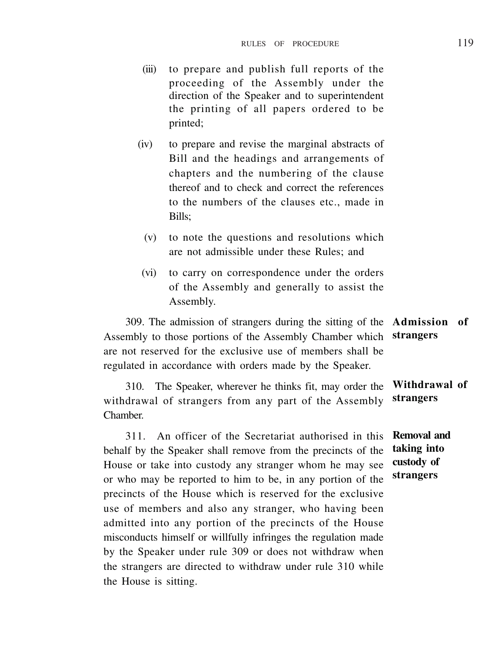- (iii) to prepare and publish full reports of the proceeding of the Assembly under the direction of the Speaker and to superintendent the printing of all papers ordered to be printed;
- (iv) to prepare and revise the marginal abstracts of Bill and the headings and arrangements of chapters and the numbering of the clause thereof and to check and correct the references to the numbers of the clauses etc., made in Bills;
	- (v) to note the questions and resolutions which are not admissible under these Rules; and
- (vi) to carry on correspondence under the orders of the Assembly and generally to assist the Assembly.

309. The admission of strangers during the sitting of the **Admission of** Assembly to those portions of the Assembly Chamber which **strangers** are not reserved for the exclusive use of members shall be regulated in accordance with orders made by the Speaker.

310. The Speaker, wherever he thinks fit, may order the withdrawal of strangers from any part of the Assembly Chamber. **strangers**

311. An officer of the Secretariat authorised in this behalf by the Speaker shall remove from the precincts of the House or take into custody any stranger whom he may see or who may be reported to him to be, in any portion of the precincts of the House which is reserved for the exclusive use of members and also any stranger, who having been admitted into any portion of the precincts of the House misconducts himself or willfully infringes the regulation made by the Speaker under rule 309 or does not withdraw when the strangers are directed to withdraw under rule 310 while the House is sitting.

**Withdrawal of**

**Removal and taking into custody of strangers**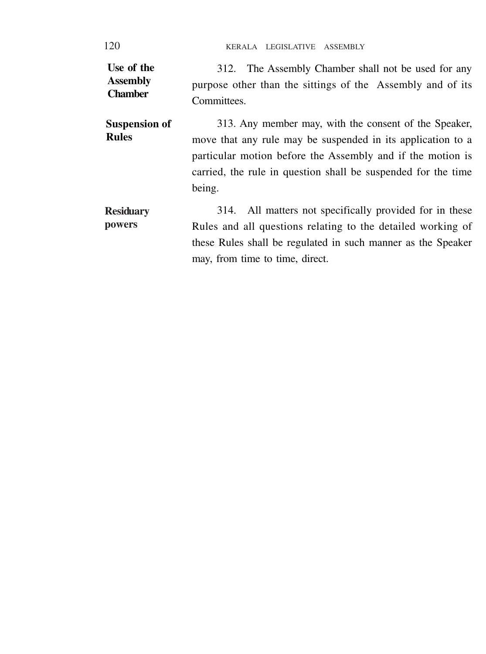120 KERALA LEGISLATIVE ASSEMBLY

| Use of the<br><b>Assembly</b><br><b>Chamber</b> | 312. The Assembly Chamber shall not be used for any<br>purpose other than the sittings of the Assembly and of its<br>Committees.                                                                                                                              |  |  |
|-------------------------------------------------|---------------------------------------------------------------------------------------------------------------------------------------------------------------------------------------------------------------------------------------------------------------|--|--|
| <b>Suspension of</b><br><b>Rules</b>            | 313. Any member may, with the consent of the Speaker,<br>move that any rule may be suspended in its application to a<br>particular motion before the Assembly and if the motion is<br>carried, the rule in question shall be suspended for the time<br>being. |  |  |
| Residuarv<br>powers                             | 314. All matters not specifically provided for in these<br>Rules and all questions relating to the detailed working of<br>these Rules shall be regulated in such manner as the Speaker<br>may, from time to time, direct.                                     |  |  |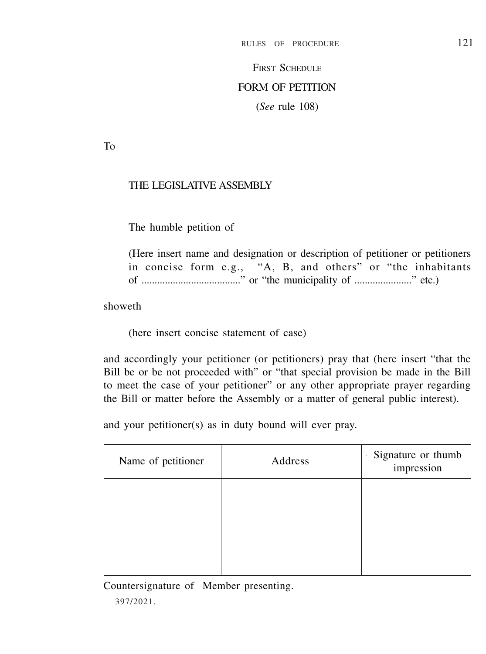# **FIRST SCHEDULE** FORM OF PETITION (*See* rule 108)

To

# THE LEGISLATIVE ASSEMBLY

The humble petition of

(Here insert name and designation or description of petitioner or petitioners in concise form e.g., "A, B, and others" or "the inhabitants of ......................................" or "the municipality of ......................" etc.)

showeth

(here insert concise statement of case)

and accordingly your petitioner (or petitioners) pray that (here insert "that the Bill be or be not proceeded with" or "that special provision be made in the Bill to meet the case of your petitioner" or any other appropriate prayer regarding the Bill or matter before the Assembly or a matter of general public interest).

and your petitioner(s) as in duty bound will ever pray.

| Name of petitioner | Address | Signature or thumb<br>×.<br>impression |
|--------------------|---------|----------------------------------------|
|                    |         |                                        |
|                    |         |                                        |
|                    |         |                                        |

Countersignature of Member presenting.

397/2021.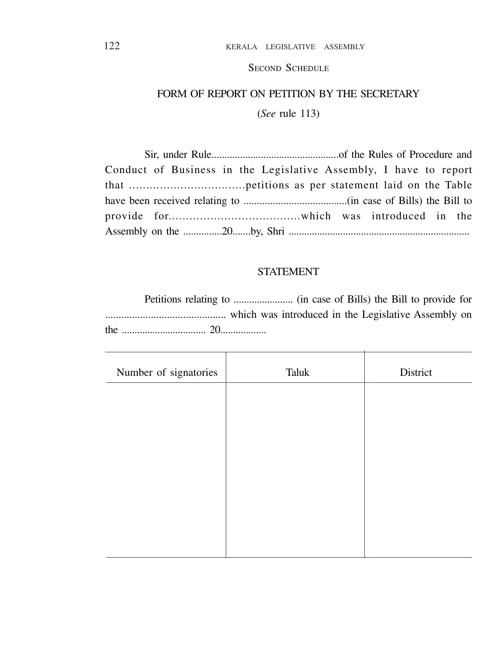SECOND SCHEDULE

# FORM OF REPORT ON PETITION BY THE SECRETARY

(*See* rule 113)

| Conduct of Business in the Legislative Assembly, I have to report |  |  |  |
|-------------------------------------------------------------------|--|--|--|
|                                                                   |  |  |  |
|                                                                   |  |  |  |
|                                                                   |  |  |  |
|                                                                   |  |  |  |

### STATEMENT

Petitions relating to ....................... (in case of Bills) the Bill to provide for ............................................. which was introduced in the Legislative Assembly on the ................................. 20..................

| Number of signatories | Taluk | District |
|-----------------------|-------|----------|
|                       |       |          |
|                       |       |          |
|                       |       |          |
|                       |       |          |
|                       |       |          |
|                       |       |          |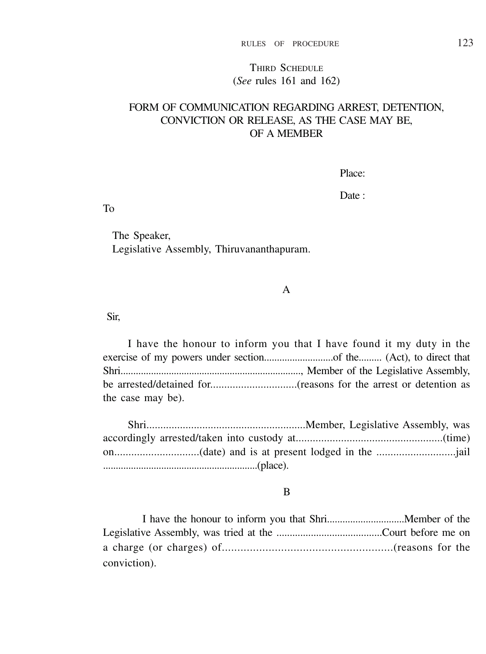### THIRD SCHEDULE (*See* rules 161 and 162)

### FORM OF COMMUNICATION REGARDING ARREST, DETENTION, CONVICTION OR RELEASE, AS THE CASE MAY BE OF A MEMBER

Place:

Date :

To

The Speaker, Legislative Assembly, Thiruvananthapuram.

#### A

Sir,

I have the honour to inform you that I have found it my duty in the exercise of my powers under section...........................of the......... (Act), to direct that Shri......................................................................., Member of the Legislative Assembly, be arrested/detained for...............................(reasons for the arrest or detention as the case may be).

Shri.........................................................Member, Legislative Assembly, was accordingly arrested/taken into custody at....................................................(time) on..............................(date) and is at present lodged in the ............................jail .............................................................(place).

#### B

I have the honour to inform you that Shri..............................Member of the Legislative Assembly, was tried at the ........................................Court before me on a charge (or charges) of.......................................................(reasons for the conviction).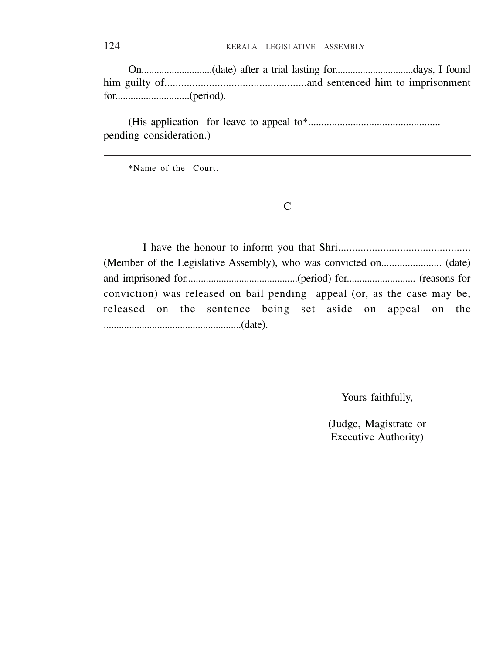On............................(date) after a trial lasting for...............................days, I found him guilty of...................................................and sentenced him to imprisonment for.............................(period).

(His application for leave to appeal to\*.................................................. pending consideration.)

\*Name of the Court.

 $\mathcal{C}$ 

I have the honour to inform you that Shri............................................... (Member of the Legislative Assembly), who was convicted on....................... (date) and imprisoned for............................................(period) for........................... (reasons for conviction) was released on bail pending appeal (or, as the case may be, released on the sentence being set aside on appeal on the ......................................................(date).

Yours faithfully,

(Judge, Magistrate or Executive Authority)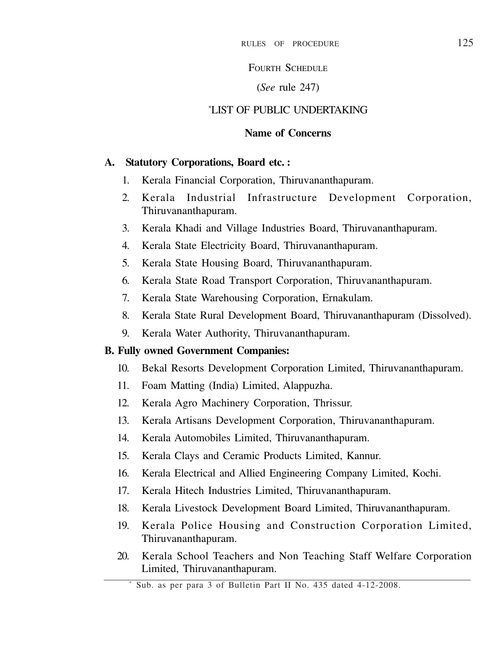# FOURTH SCHEDULE

## (*See* rule 247)

### \*LIST OF PUBLIC UNDERTAKING

# **Name of Concerns**

### **A. Statutory Corporations, Board etc. :**

- 1. Kerala Financial Corporation, Thiruvananthapuram.
- 2. Kerala Industrial Infrastructure Development Corporation, Thiruvananthapuram.
- 3. Kerala Khadi and Village Industries Board, Thiruvananthapuram.
- 4. Kerala State Electricity Board, Thiruvananthapuram.
- 5. Kerala State Housing Board, Thiruvananthapuram.
- 6. Kerala State Road Transport Corporation, Thiruvananthapuram.
- 7. Kerala State Warehousing Corporation, Ernakulam.
- 8. Kerala State Rural Development Board, Thiruvananthapuram (Dissolved).
- 9. Kerala Water Authority, Thiruvananthapuram.

### **B. Fully owned Government Companies:**

- 10. Bekal Resorts Development Corporation Limited, Thiruvananthapuram.
- 11. Foam Matting (India) Limited, Alappuzha.
- 12. Kerala Agro Machinery Corporation, Thrissur.
- 13. Kerala Artisans Development Corporation, Thiruvananthapuram.
- 14. Kerala Automobiles Limited, Thiruvananthapuram.
- 15. Kerala Clays and Ceramic Products Limited, Kannur.
- 16. Kerala Electrical and Allied Engineering Company Limited, Kochi.
- 17. Kerala Hitech Industries Limited, Thiruvananthapuram.
- 18. Kerala Livestock Development Board Limited, Thiruvananthapuram.
- 19. Kerala Police Housing and Construction Corporation Limited, Thiruvananthapuram.
- 20. Kerala School Teachers and Non Teaching Staff Welfare Corporation Limited, Thiruvananthapuram.

Sub. as per para 3 of Bulletin Part II No. 435 dated 4-12-2008.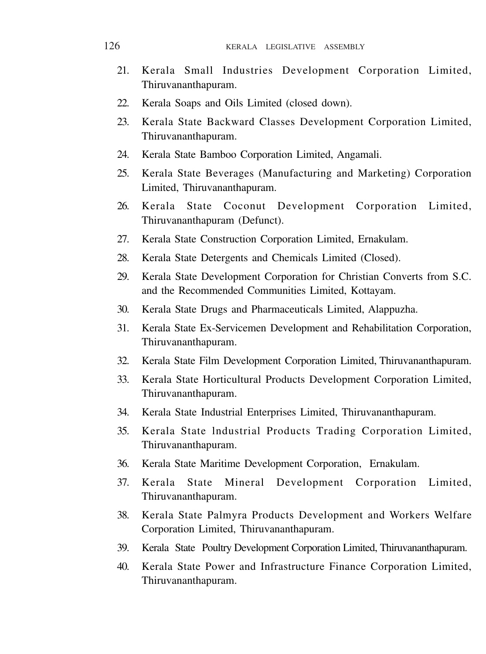- 21. Kerala Small Industries Development Corporation Limited, Thiruvananthapuram.
- 22. Kerala Soans and Oils Limited (closed down).
- 23. Kerala State Backward Classes Development Corporation Limited, Thiruvananthapuram.
- 24. Kerala State Bamboo Corporation Limited, Angamali.
- 25. Kerala State Beverages (Manufacturing and Marketing) Corporation Limited, Thiruvananthapuram.
- 26. Kerala State Coconut Development Corporation Limited, Thiruvananthapuram (Defunct).
- 27. Kerala State Construction Corporation Limited, Ernakulam.
- 28. Kerala State Detergents and Chemicals Limited (Closed).
- 29. Kerala State Development Corporation for Christian Converts from S.C. and the Recommended Communities Limited, Kottayam.
- 30. Kerala State Drugs and Pharmaceuticals Limited, Alappuzha.
- 31. Kerala State Ex-Servicemen Development and Rehabilitation Corporation, Thiruvananthapuram.
- 32. Kerala State Film Development Corporation Limited, Thiruvananthapuram.
- 33. Kerala State Horticultural Products Development Corporation Limited, Thiruvananthapuram.
- 34. Kerala State Industrial Enterprises Limited, Thiruvananthapuram.
- 35. Kerala State lndustrial Products Trading Corporation Limited, Thiruvananthapuram.
- 36. Kerala State Maritime Development Corporation, Ernakulam.
- 37. Kerala State Mineral Development Corporation Limited, Thiruvananthapuram.
- 38. Kerala State Palmyra Products Development and Workers Welfare Corporation Limited, Thiruvananthapuram.
- 39. Kerala State Poultry Development Corporation Limited, Thiruvananthapuram.
- 40. Kerala State Power and Infrastructure Finance Corporation Limited, Thiruvananthapuram.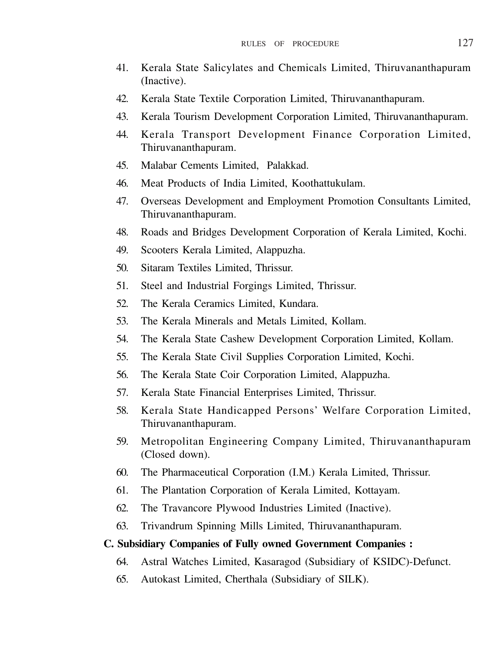- 41. Kerala State Salicylates and Chemicals Limited, Thiruvananthapuram (Inactive).
- 42. Kerala State Textile Corporation Limited, Thiruvananthapuram.
- 43. Kerala Tourism Development Corporation Limited, Thiruvananthapuram.
- 44. Kerala Transport Development Finance Corporation Limited, Thiruvananthapuram.
- 45. Malabar Cements Limited, Palakkad.
- 46. Meat Products of India Limited, Koothattukulam.
- 47. Overseas Development and Employment Promotion Consultants Limited, Thiruvananthapuram.
- 48. Roads and Bridges Development Corporation of Kerala Limited, Kochi.
- 49. Scooters Kerala Limited, Alappuzha.
- 50. Sitaram Textiles Limited, Thrissur.
- 51. Steel and Industrial Forgings Limited, Thrissur.
- 52. The Kerala Ceramics Limited, Kundara.
- 53. The Kerala Minerals and Metals Limited, Kollam.
- 54. The Kerala State Cashew Development Corporation Limited, Kollam.
- 55. The Kerala State Civil Supplies Corporation Limited, Kochi.
- 56. The Kerala State Coir Corporation Limited, Alappuzha.
- 57. Kerala State Financial Enterprises Limited, Thrissur.
- 58. Kerala State Handicapped Persons' Welfare Corporation Limited, Thiruvananthapuram.
- 59. Metropolitan Engineering Company Limited, Thiruvananthapuram (Closed down).
- 60. The Pharmaceutical Corporation (I.M.) Kerala Limited, Thrissur.
- 61. The Plantation Corporation of Kerala Limited, Kottayam.
- 62. The Travancore Plywood Industries Limited (Inactive).
- 63. Trivandrum Spinning Mills Limited, Thiruvananthapuram.

### **C. Subsidiary Companies of Fully owned Government Companies :**

- 64. Astral Watches Limited, Kasaragod (Subsidiary of KSIDC)-Defunct.
- 65. Autokast Limited, Cherthala (Subsidiary of SILK).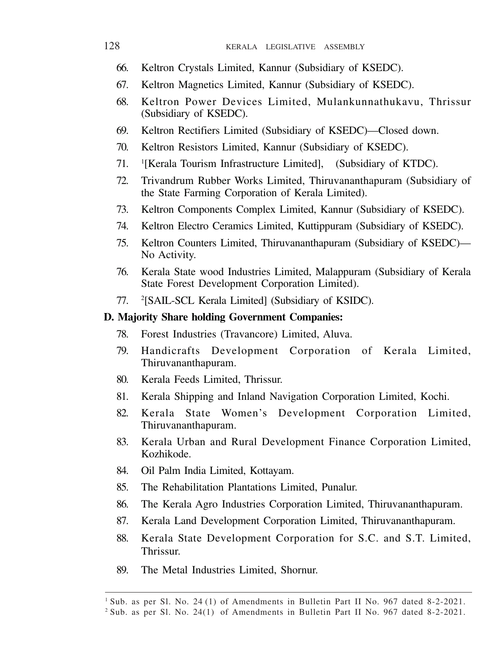- 66. Keltron Crystals Limited, Kannur (Subsidiary of KSEDC).
- 67. Keltron Magnetics Limited, Kannur (Subsidiary of KSEDC).
- 68. Keltron Power Devices Limited, Mulankunnathukavu, Thrissur (Subsidiary of KSEDC).
- 69. Keltron Rectifiers Limited (Subsidiary of KSEDC)—Closed down.
- 70. Keltron Resistors Limited, Kannur (Subsidiary of KSEDC).
- 71. <sup>1</sup> <sup>1</sup>[Kerala Tourism Infrastructure Limited], (Subsidiary of KTDC).
- 72. Trivandrum Rubber Works Limited, Thiruvananthapuram (Subsidiary of the State Farming Corporation of Kerala Limited).
- 73. Keltron Components Complex Limited, Kannur (Subsidiary of KSEDC).
- 74. Keltron Electro Ceramics Limited, Kuttippuram (Subsidiary of KSEDC).
- 75. Keltron Counters Limited, Thiruvananthapuram (Subsidiary of KSEDC)— No Activity.
- 76. Kerala State wood Industries Limited, Malappuram (Subsidiary of Kerala State Forest Development Corporation Limited).
- 77. <sup>2</sup> [SAIL-SCL Kerala Limited] (Subsidiary of KSIDC).

#### **D. Majority Share holding Government Companies:**

- 78. Forest Industries (Travancore) Limited, Aluva.
- 79. Handicrafts Development Corporation of Kerala Limited, Thiruvananthapuram.
- 80. Kerala Feeds Limited, Thrissur.
- 81. Kerala Shipping and Inland Navigation Corporation Limited, Kochi.
- 82. Kerala State Women's Development Corporation Limited, Thiruvananthapuram.
- 83. Kerala Urban and Rural Development Finance Corporation Limited, Kozhikode.
- 84. Oil Palm India Limited, Kottayam.
- 85. The Rehabilitation Plantations Limited, Punalur.
- 86. The Kerala Agro Industries Corporation Limited, Thiruvananthapuram.
- 87. Kerala Land Development Corporation Limited, Thiruvananthapuram.
- 88. Kerala State Development Corporation for S.C. and S.T. Limited, **Thrissur**
- 89. The Metal Industries Limited, Shornur.

<sup>1</sup>Sub. as per Sl. No. 24 (1) of Amendments in Bulletin Part II No. 967 dated 8-2-2021.

<sup>2</sup> Sub. as per Sl. No. 24(1) of Amendments in Bulletin Part II No. 967 dated 8-2-2021.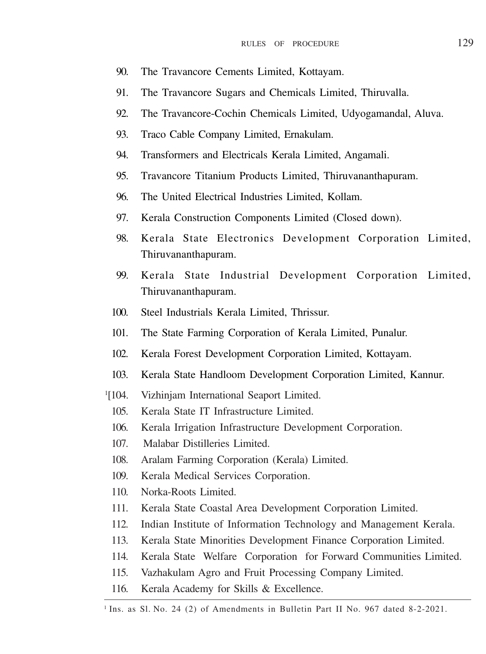- 90. The Travancore Cements Limited, Kottayam.
- 91. The Travancore Sugars and Chemicals Limited, Thiruvalla.
- 92. The Travancore-Cochin Chemicals Limited, Udyogamandal, Aluva.
- 93. Traco Cable Company Limited, Ernakulam.
- 94. Transformers and Electricals Kerala Limited, Angamali.
- 95. Travancore Titanium Products Limited, Thiruvananthapuram.
- 96. The United Electrical Industries Limited, Kollam.
- 97. Kerala Construction Components Limited (Closed down).
- 98. Kerala State Electronics Development Corporation Limited, Thiruvananthapuram.
- 99. Kerala State Industrial Development Corporation Limited, Thiruvananthapuram.
- 100. Steel Industrials Kerala Limited, Thrissur.
- 101. The State Farming Corporation of Kerala Limited, Punalur.
- 102. Kerala Forest Development Corporation Limited, Kottayam.
- 103. Kerala State Handloom Development Corporation Limited, Kannur.
- $1104.$ Vizhinjam International Seaport Limited.
	- 105. Kerala State IT Infrastructure Limited.
	- 106. Kerala Irrigation Infrastructure Development Corporation.
	- 107. Malabar Distilleries Limited.
	- 108. Aralam Farming Corporation (Kerala) Limited.
	- 109. Kerala Medical Services Corporation.
	- 110. Norka-Roots Limited.
	- 111. Kerala State Coastal Area Development Corporation Limited.
	- 112. Indian Institute of Information Technology and Management Kerala.
	- 113. Kerala State Minorities Development Finance Corporation Limited.
	- 114. Kerala State Welfare Corporation for Forward Communities Limited.
	- 115. Vazhakulam Agro and Fruit Processing Company Limited.
	- 116. Kerala Academy for Skills & Excellence.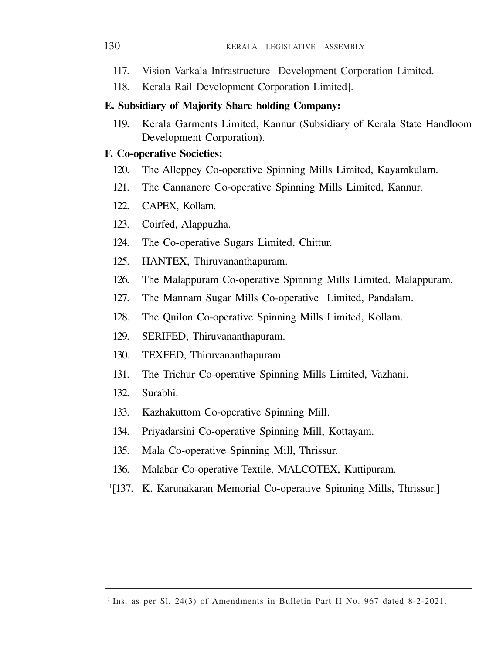- 117. Vision Varkala Infrastructure Development Corporation Limited.
- 118. Kerala Rail Development Corporation Limited].

### **E. Subsidiary of Majority Share holding Company:**

119. Kerala Garments Limited, Kannur (Subsidiary of Kerala State Handloom Development Corporation).

### **F. Co-operative Societies:**

- 120. The Alleppey Co-operative Spinning Mills Limited, Kayamkulam.
- 121. The Cannanore Co-operative Spinning Mills Limited, Kannur.
- 122. CAPEX, Kollam.
- 123. Coirfed, Alappuzha.
- 124. The Co-operative Sugars Limited, Chittur.
- 125. HANTEX, Thiruvananthapuram.
- 126. The Malappuram Co-operative Spinning Mills Limited, Malappuram.
- 127. The Mannam Sugar Mills Co-operative Limited, Pandalam.
- 128. The Quilon Co-operative Spinning Mills Limited, Kollam.
- 129. SERIFED, Thiruvananthapuram.
- 130. TEXFED, Thiruvananthapuram.
- 131. The Trichur Co-operative Spinning Mills Limited, Vazhani.
- 132. Surabhi.
- 133. Kazhakuttom Co-operative Spinning Mill.
- 134. Priyadarsini Co-operative Spinning Mill, Kottayam.
- 135. Mala Co-operative Spinning Mill, Thrissur.
- 136. Malabar Co-operative Textile, MALCOTEX, Kuttipuram.
- <sup>1[137</sup>. K. Karunakaran Memorial Co-operative Spinning Mills, Thrissur.]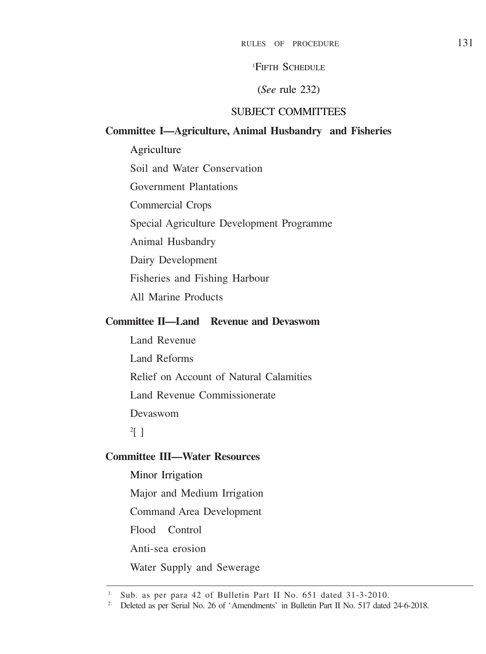<sup>1</sup>FIFTH SCHEDULE

### (*See* rule 232)

# SUBJECT COMMITTEES

### **Committee I—Agriculture, Animal Husbandry and Fisheries**

Agriculture Soil and Water Conservation Government Plantations Commercial Crops Special Agriculture Development Programme Animal Husbandry Dairy Development Fisheries and Fishing Harbour All Marine Products

# **Committee II—Land Revenue and Devaswom**

Land Revenue Land Reforms Relief on Account of Natural Calamities Land Revenue Commissionerate Devaswom

# $\overline{2}$ [ ]

# **Committee III—Water Resources**

Minor Irrigation Major and Medium Irrigation Command Area Development Flood Control Anti-sea erosion

Water Supply and Sewerage

<sup>1.</sup> Sub. as per para 42 of Bulletin Part II No. 651 dated 31-3-2010.

<sup>&</sup>lt;sup>2.</sup> Deleted as per Serial No. 26 of 'Amendments' in Bulletin Part II No. 517 dated 24-6-2018.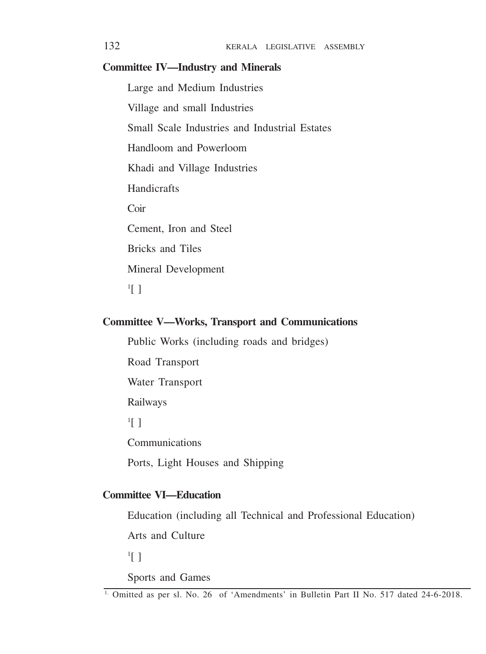#### **Committee IV—Industry and Minerals**

Large and Medium Industries Village and small Industries Small Scale Industries and Industrial Estates Handloom and Powerloom Khadi and Village Industries Handicrafts Coir Cement, Iron and Steel Bricks and Tiles Mineral Development 1 [ ]

# **Committee V—Works, Transport and Communications**

Public Works (including roads and bridges) Road Transport

Water Transport

Railways

1 [ ]

Communications

Ports, Light Houses and Shipping

# **Committee VI—Education**

Education (including all Technical and Professional Education)

Arts and Culture

1 [ ]

Sports and Games

<sup>&</sup>lt;sup>1.</sup> Omitted as per sl. No. 26 of 'Amendments' in Bulletin Part II No. 517 dated 24-6-2018.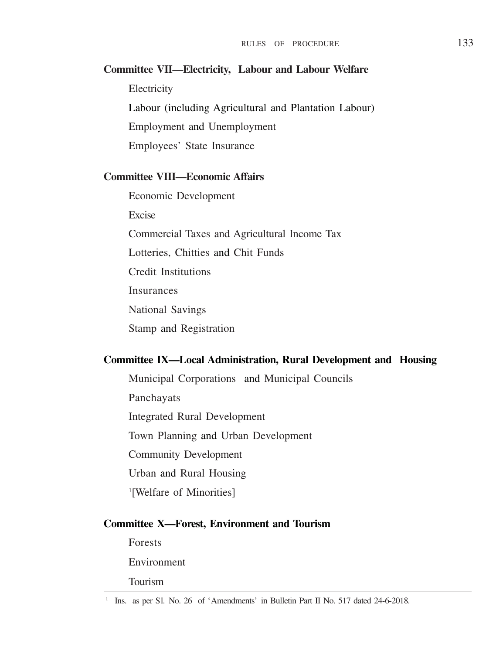# **Committee VII—Electricity, Labour and Labour Welfare Electricity** Labour (including Agricultural and Plantation Labour) Employment and Unemployment Employees' State Insurance

# **Committee VIII—Economic Affairs**

Economic Development Excise Commercial Taxes and Agricultural Income Tax Lotteries, Chitties and Chit Funds Credit Institutions Insurances National Savings Stamp and Registration

### **Committee IX—Local Administration, Rural Development and Housing**

Municipal Corporations and Municipal Councils

Panchayats

Integrated Rural Development

Town Planning and Urban Development

Community Development

Urban and Rural Housing

1 [Welfare of Minorities]

#### **Committee X—Forest, Environment and Tourism**

Forests Environment Tourism

<sup>&</sup>lt;sup>1</sup> Ins. as per S1. No. 26 of 'Amendments' in Bulletin Part II No. 517 dated 24-6-2018.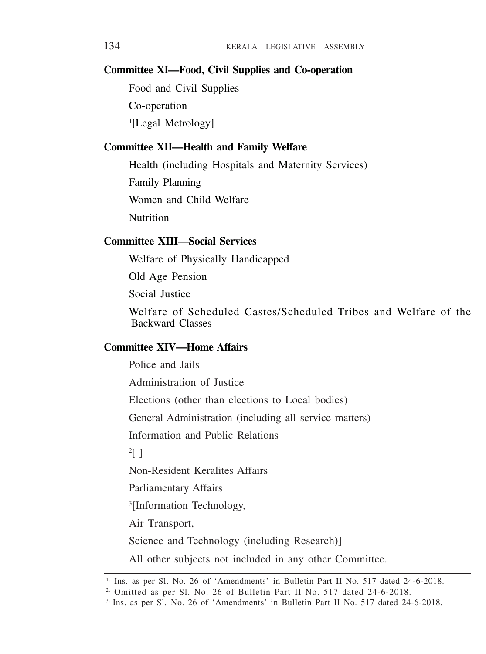### **Committee XI—Food, Civil Supplies and Co-operation**

Food and Civil Supplies

Co-operation

1 [Legal Metrology]

### **Committee XII—Health and Family Welfare**

Health (including Hospitals and Maternity Services) Family Planning Women and Child Welfare Nutrition

### **Committee XIII—Social Services**

Welfare of Physically Handicapped

Old Age Pension

Social Instice

Welfare of Scheduled Castes/Scheduled Tribes and Welfare of the Backward Classes

# **Committee XIV—Home Affairs**

Police and Jails

Administration of Justice

Elections (other than elections to Local bodies)

General Administration (including all service matters)

Information and Public Relations

2 [ ]

Non-Resident Keralites Affairs

Parliamentary Affairs

3 [Information Technology,

Air Transport,

Science and Technology (including Research)]

All other subjects not included in any other Committee.

<sup>1.</sup> Ins. as per Sl. No. 26 of 'Amendments' in Bulletin Part II No. 517 dated 24-6-2018.

<sup>&</sup>lt;sup>2.</sup> Omitted as per Sl. No. 26 of Bulletin Part II No. 517 dated 24-6-2018.

<sup>3.</sup> Ins. as per Sl. No. 26 of 'Amendments' in Bulletin Part II No. 517 dated 24-6-2018.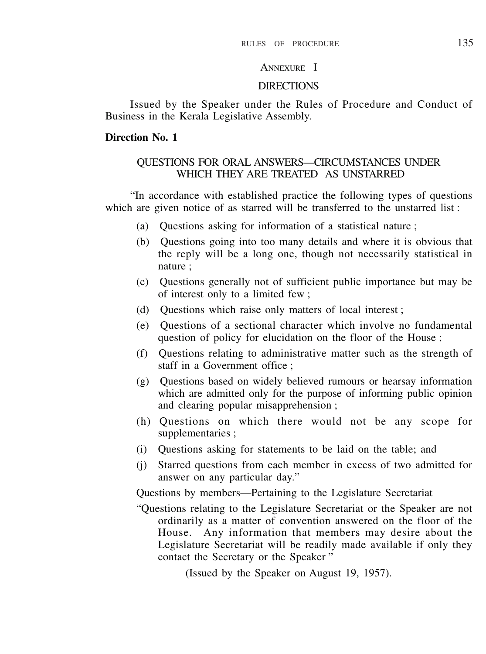# ANNEXURE I

#### **DIRECTIONS**

Issued by the Speaker under the Rules of Procedure and Conduct of Business in the Kerala Legislative Assembly.

#### **Direction No. 1**

### QUESTIONS FOR ORAL ANSWERS—CIRCUMSTANCES UNDER WHICH THEY ARE TREATED AS UNSTARRED

"In accordance with established practice the following types of questions which are given notice of as starred will be transferred to the unstarred list :

- (a) Questions asking for information of a statistical nature ;
- (b) Questions going into too many details and where it is obvious that the reply will be a long one, though not necessarily statistical in nature ;
- (c) Questions generally not of sufficient public importance but may be of interest only to a limited few ;
- (d) Questions which raise only matters of local interest ;
- (e) Questions of a sectional character which involve no fundamental question of policy for elucidation on the floor of the House ;
- (f) Questions relating to administrative matter such as the strength of staff in a Government office :
- (g) Questions based on widely believed rumours or hearsay information which are admitted only for the purpose of informing public opinion and clearing popular misapprehension ;
- (h) Questions on which there would not be any scope for supplementaries ;
- (i) Questions asking for statements to be laid on the table; and
- (j) Starred questions from each member in excess of two admitted for answer on any particular day."

Questions by members—Pertaining to the Legislature Secretariat

"Questions relating to the Legislature Secretariat or the Speaker are not ordinarily as a matter of convention answered on the floor of the House. Any information that members may desire about the Legislature Secretariat will be readily made available if only they contact the Secretary or the Speaker "

(Issued by the Speaker on August 19, 1957).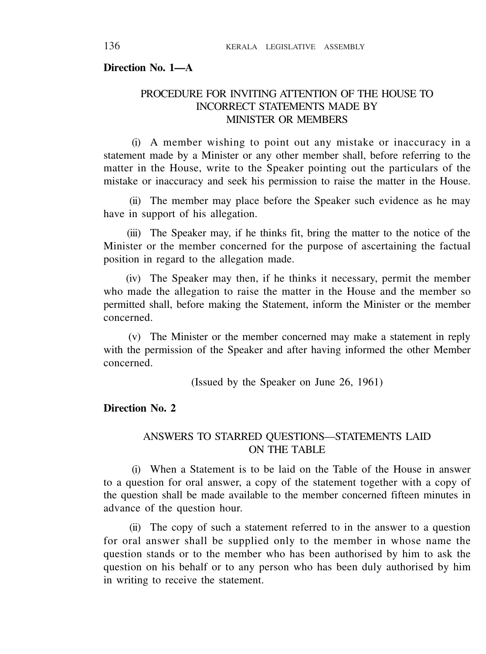#### **Direction No. 1—A**

# PROCEDURE FOR INVITING ATTENTION OF THE HOUSE TO INCORRECT STATEMENTS MADE BY MINISTER OR MEMBERS

(i) A member wishing to point out any mistake or inaccuracy in a statement made by a Minister or any other member shall, before referring to the matter in the House, write to the Speaker pointing out the particulars of the mistake or inaccuracy and seek his permission to raise the matter in the House.

(ii) The member may place before the Speaker such evidence as he may have in support of his allegation.

(iii) The Speaker may, if he thinks fit, bring the matter to the notice of the Minister or the member concerned for the purpose of ascertaining the factual position in regard to the allegation made.

(iv) The Speaker may then, if he thinks it necessary, permit the member who made the allegation to raise the matter in the House and the member so permitted shall, before making the Statement, inform the Minister or the member concerned.

(v) The Minister or the member concerned may make a statement in reply with the permission of the Speaker and after having informed the other Member concerned.

(Issued by the Speaker on June 26, 1961)

# **Direction No. 2**

### ANSWERS TO STARRED QUESTIONS—STATEMENTS LAID ON THE TABLE

(i) When a Statement is to be laid on the Table of the House in answer to a question for oral answer, a copy of the statement together with a copy of the question shall be made available to the member concerned fifteen minutes in advance of the question hour.

(ii) The copy of such a statement referred to in the answer to a question for oral answer shall be supplied only to the member in whose name the question stands or to the member who has been authorised by him to ask the question on his behalf or to any person who has been duly authorised by him in writing to receive the statement.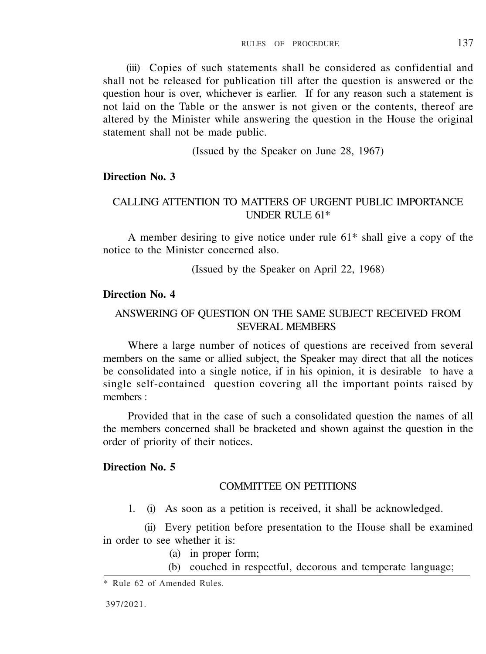(iii) Copies of such statements shall be considered as confidential and shall not be released for publication till after the question is answered or the question hour is over, whichever is earlier. If for any reason such a statement is not laid on the Table or the answer is not given or the contents, thereof are altered by the Minister while answering the question in the House the original statement shall not be made public.

(Issued by the Speaker on June 28, 1967)

# **Direction No. 3**

# CALLING ATTENTION TO MATTERS OF URGENT PUBLIC IMPORTANCE UNDER RULE 61\*

A member desiring to give notice under rule 61\* shall give a copy of the notice to the Minister concerned also.

(Issued by the Speaker on April 22, 1968)

### **Direction No. 4**

### ANSWERING OF QUESTION ON THE SAME SUBJECT RECEIVED FROM SEVERAL MEMBERS

Where a large number of notices of questions are received from several members on the same or allied subject, the Speaker may direct that all the notices be consolidated into a single notice, if in his opinion, it is desirable to have a single self-contained question covering all the important points raised by members :

Provided that in the case of such a consolidated question the names of all the members concerned shall be bracketed and shown against the question in the order of priority of their notices.

### **Direction No. 5**

#### COMMITTEE ON PETITIONS

1. (i) As soon as a petition is received, it shall be acknowledged.

(ii) Every petition before presentation to the House shall be examined in order to see whether it is:

- (a) in proper form;
- (b) couched in respectful, decorous and temperate language;

<sup>\*</sup> Rule 62 of Amended Rules.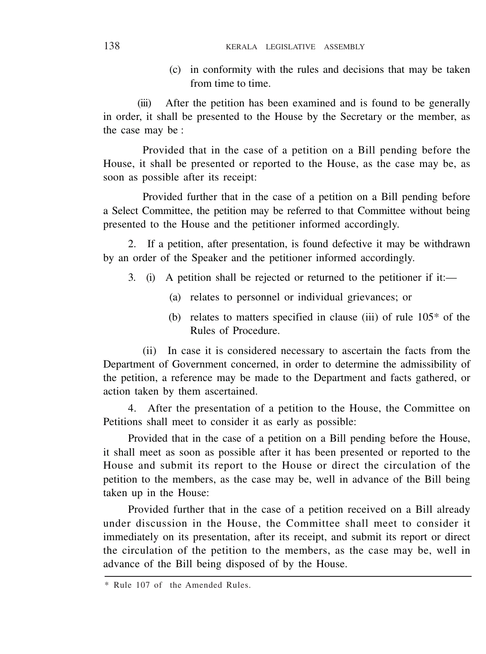(c) in conformity with the rules and decisions that may be taken from time to time.

(iii) After the petition has been examined and is found to be generally in order, it shall be presented to the House by the Secretary or the member, as the case may be :

Provided that in the case of a petition on a Bill pending before the House, it shall be presented or reported to the House, as the case may be, as soon as possible after its receipt:

Provided further that in the case of a petition on a Bill pending before a Select Committee, the petition may be referred to that Committee without being presented to the House and the petitioner informed accordingly.

2. If a petition, after presentation, is found defective it may be withdrawn by an order of the Speaker and the petitioner informed accordingly.

- 3. (i) A petition shall be rejected or returned to the petitioner if it:—
	- (a) relates to personnel or individual grievances; or
	- (b) relates to matters specified in clause (iii) of rule 105\* of the Rules of Procedure.

(ii) In case it is considered necessary to ascertain the facts from the Department of Government concerned, in order to determine the admissibility of the petition, a reference may be made to the Department and facts gathered, or action taken by them ascertained.

4. After the presentation of a petition to the House, the Committee on Petitions shall meet to consider it as early as possible:

Provided that in the case of a petition on a Bill pending before the House, it shall meet as soon as possible after it has been presented or reported to the House and submit its report to the House or direct the circulation of the petition to the members, as the case may be, well in advance of the Bill being taken up in the House:

Provided further that in the case of a petition received on a Bill already under discussion in the House, the Committee shall meet to consider it immediately on its presentation, after its receipt, and submit its report or direct the circulation of the petition to the members, as the case may be, well in advance of the Bill being disposed of by the House.

<sup>\*</sup> Rule 107 of the Amended Rules.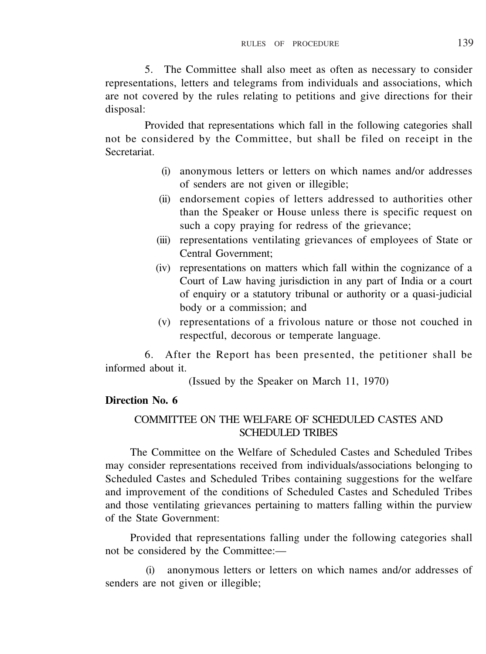5. The Committee shall also meet as often as necessary to consider representations, letters and telegrams from individuals and associations, which are not covered by the rules relating to petitions and give directions for their disposal:

Provided that representations which fall in the following categories shall not be considered by the Committee, but shall be filed on receipt in the Secretariat.

- (i) anonymous letters or letters on which names and/or addresses of senders are not given or illegible;
- (ii) endorsement copies of letters addressed to authorities other than the Speaker or House unless there is specific request on such a copy praying for redress of the grievance;
- (iii) representations ventilating grievances of employees of State or Central Government;
- (iv) representations on matters which fall within the cognizance of a Court of Law having jurisdiction in any part of India or a court of enquiry or a statutory tribunal or authority or a quasi-judicial body or a commission; and
- (v) representations of a frivolous nature or those not couched in respectful, decorous or temperate language.

6. After the Report has been presented, the petitioner shall be informed about it.

(Issued by the Speaker on March 11, 1970)

### **Direction No. 6**

# COMMITTEE ON THE WELFARE OF SCHEDULED CASTES AND SCHEDULED TRIBES

The Committee on the Welfare of Scheduled Castes and Scheduled Tribes may consider representations received from individuals/associations belonging to Scheduled Castes and Scheduled Tribes containing suggestions for the welfare and improvement of the conditions of Scheduled Castes and Scheduled Tribes and those ventilating grievances pertaining to matters falling within the purview of the State Government:

Provided that representations falling under the following categories shall not be considered by the Committee:—

(i) anonymous letters or letters on which names and/or addresses of senders are not given or illegible;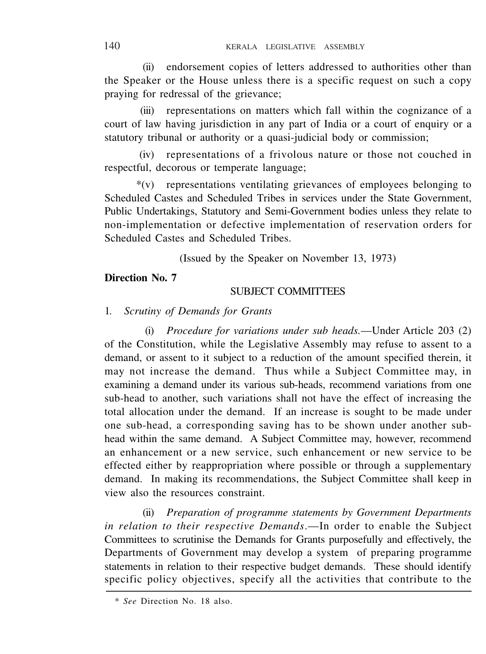(ii) endorsement copies of letters addressed to authorities other than the Speaker or the House unless there is a specific request on such a copy praying for redressal of the grievance;

(iii) representations on matters which fall within the cognizance of a court of law having jurisdiction in any part of India or a court of enquiry or a statutory tribunal or authority or a quasi-judicial body or commission;

(iv) representations of a frivolous nature or those not couched in respectful, decorous or temperate language;

\*(v) representations ventilating grievances of employees belonging to Scheduled Castes and Scheduled Tribes in services under the State Government Public Undertakings, Statutory and Semi-Government bodies unless they relate to non-implementation or defective implementation of reservation orders for Scheduled Castes and Scheduled Tribes.

(Issued by the Speaker on November 13, 1973)

### **Direction No. 7**

### SUBJECT COMMITTEES

#### 1. *Scrutiny of Demands for Grants*

(i) *Procedure for variations under sub heads.*—Under Article 203 (2) of the Constitution, while the Legislative Assembly may refuse to assent to a demand, or assent to it subject to a reduction of the amount specified therein, it may not increase the demand. Thus while a Subject Committee may, in examining a demand under its various sub-heads, recommend variations from one sub-head to another, such variations shall not have the effect of increasing the total allocation under the demand. If an increase is sought to be made under one sub-head, a corresponding saving has to be shown under another subhead within the same demand. A Subject Committee may, however, recommend an enhancement or a new service, such enhancement or new service to be effected either by reappropriation where possible or through a supplementary demand. In making its recommendations, the Subject Committee shall keep in view also the resources constraint.

(ii) *Preparation of programme statements by Government Departments in relation to their respective Demands*.—In order to enable the Subject Committees to scrutinise the Demands for Grants purposefully and effectively, the Departments of Government may develop a system of preparing programme statements in relation to their respective budget demands. These should identify specific policy objectives, specify all the activities that contribute to the

<sup>\*</sup> *See* Direction No. 18 also.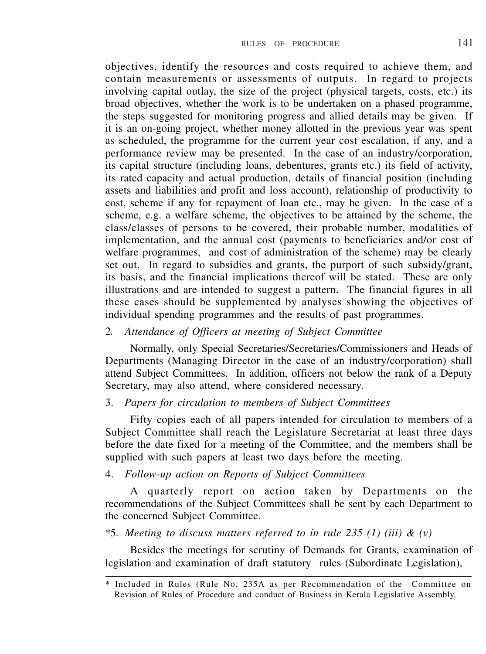objectives, identify the resources and costs required to achieve them, and contain measurements or assessments of outputs. In regard to projects involving capital outlay, the size of the project (physical targets, costs, etc.) its broad objectives, whether the work is to be undertaken on a phased programme, the steps suggested for monitoring progress and allied details may be given. If it is an on-going project, whether money allotted in the previous year was spent as scheduled, the programme for the current year cost escalation, if any, and a performance review may be presented. In the case of an industry/corporation, its capital structure (including loans, debentures, grants etc.) its field of activity, its rated capacity and actual production, details of financial position (including assets and liabilities and profit and loss account), relationship of productivity to cost, scheme if any for repayment of loan etc., may be given. In the case of a scheme, e.g. a welfare scheme, the objectives to be attained by the scheme, the class/classes of persons to be covered, their probable number, modalities of implementation, and the annual cost (payments to beneficiaries and/or cost of welfare programmes, and cost of administration of the scheme) may be clearly set out. In regard to subsidies and grants, the purport of such subsidy/grant, its basis, and the financial implications thereof will be stated. These are only illustrations and are intended to suggest a pattern. The financial figures in all these cases should be supplemented by analyses showing the objectives of individual spending programmes and the results of past programmes.

# 2. *Attendance of Officers at meeting of Subject Committee*

Normally, only Special Secretaries/Secretaries/Commissioners and Heads of Departments (Managing Director in the case of an industry/corporation) shall attend Subject Committees. In addition, officers not below the rank of a Deputy Secretary, may also attend, where considered necessary.

### 3. *Papers for circulation to members of Subject Committees*

Fifty copies each of all papers intended for circulation to members of a Subject Committee shall reach the Legislature Secretariat at least three days before the date fixed for a meeting of the Committee, and the members shall be supplied with such papers at least two days before the meeting.

# 4. *Follow-up action on Reports of Subject Committees*

A quarterly report on action taken by Departments on the recommendations of the Subject Committees shall be sent by each Department to the concerned Subject Committee.

#### \*5. *Meeting to discuss matters referred to in rule 235 (1) (iii) & (v)*

Besides the meetings for scrutiny of Demands for Grants, examination of legislation and examination of draft statutory rules (Subordinate Legislation),

<sup>\*</sup> Included in Rules (Rule No. 235A as per Recommendation of the Committee on Revision of Rules of Procedure and conduct of Business in Kerala Legislative Assembly.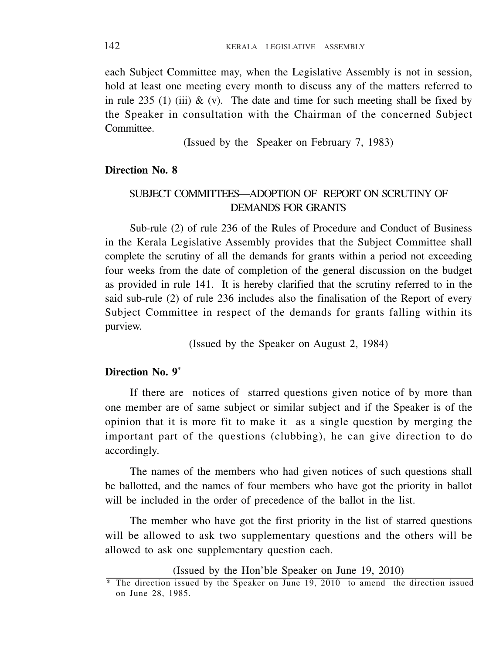each Subject Committee may, when the Legislative Assembly is not in session, hold at least one meeting every month to discuss any of the matters referred to in rule 235 (1) (iii)  $\&$  (v). The date and time for such meeting shall be fixed by the Speaker in consultation with the Chairman of the concerned Subject **Committee** 

(Issued by the Speaker on February 7, 1983)

### **Direction No. 8**

# SUBJECT COMMITTEES—ADOPTION OF REPORT ON SCRUTINY OF DEMANDS FOR GRANTS

Sub-rule (2) of rule 236 of the Rules of Procedure and Conduct of Business in the Kerala Legislative Assembly provides that the Subject Committee shall complete the scrutiny of all the demands for grants within a period not exceeding four weeks from the date of completion of the general discussion on the budget as provided in rule 141. It is hereby clarified that the scrutiny referred to in the said sub-rule (2) of rule 236 includes also the finalisation of the Report of every Subject Committee in respect of the demands for grants falling within its purview.

(Issued by the Speaker on August 2, 1984)

# **Direction No. 9\***

If there are notices of starred questions given notice of by more than one member are of same subject or similar subject and if the Speaker is of the opinion that it is more fit to make it as a single question by merging the important part of the questions (clubbing), he can give direction to do accordingly.

The names of the members who had given notices of such questions shall be ballotted, and the names of four members who have got the priority in ballot will be included in the order of precedence of the ballot in the list.

The member who have got the first priority in the list of starred questions will be allowed to ask two supplementary questions and the others will be allowed to ask one supplementary question each.

(Issued by the Hon'ble Speaker on June 19, 2010)

<sup>\*</sup> The direction issued by the Speaker on June 19, 2010 to amend the direction issued on June 28, 1985.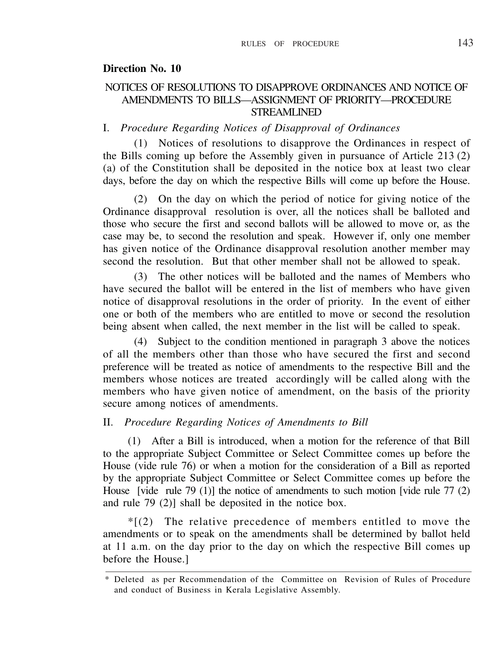### **Direction No. 10**

### NOTICES OF RESOLUTIONS TO DISAPPROVE ORDINANCES AND NOTICE OF AMENDMENTS TO BILLS—ASSIGNMENT OF PRIORITY—PROCEDURE STREAMLINED

#### I. *Procedure Regarding Notices of Disapproval of Ordinances*

(1) Notices of resolutions to disapprove the Ordinances in respect of the Bills coming up before the Assembly given in pursuance of Article 213 (2) (a) of the Constitution shall be deposited in the notice box at least two clear days, before the day on which the respective Bills will come up before the House.

(2) On the day on which the period of notice for giving notice of the Ordinance disapproval resolution is over, all the notices shall be balloted and those who secure the first and second ballots will be allowed to move or, as the case may be, to second the resolution and speak. However if, only one member has given notice of the Ordinance disapproval resolution another member may second the resolution. But that other member shall not be allowed to speak.

(3) The other notices will be balloted and the names of Members who have secured the ballot will be entered in the list of members who have given notice of disapproval resolutions in the order of priority. In the event of either one or both of the members who are entitled to move or second the resolution being absent when called, the next member in the list will be called to speak.

(4) Subject to the condition mentioned in paragraph 3 above the notices of all the members other than those who have secured the first and second preference will be treated as notice of amendments to the respective Bill and the members whose notices are treated accordingly will be called along with the members who have given notice of amendment, on the basis of the priority secure among notices of amendments.

# II. *Procedure Regarding Notices of Amendments to Bill*

(1) After a Bill is introduced, when a motion for the reference of that Bill to the appropriate Subject Committee or Select Committee comes up before the House (vide rule 76) or when a motion for the consideration of a Bill as reported by the appropriate Subject Committee or Select Committee comes up before the House [vide rule 79 (1)] the notice of amendments to such motion [vide rule 77 (2) and rule 79 (2)] shall be deposited in the notice box.

 $*(2)$  The relative precedence of members entitled to move the amendments or to speak on the amendments shall be determined by ballot held at 11 a.m. on the day prior to the day on which the respective Bill comes up before the House.]

<sup>\*</sup> Deleted as per Recommendation of the Committee on Revision of Rules of Procedure and conduct of Business in Kerala Legislative Assembly.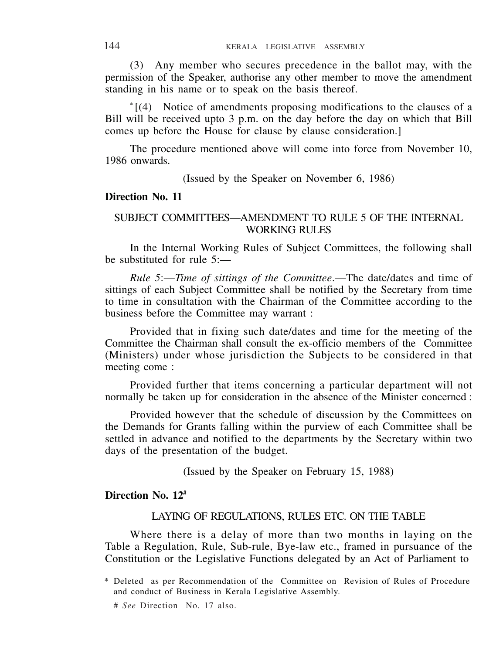(3) Any member who secures precedence in the ballot may, with the permission of the Speaker, authorise any other member to move the amendment standing in his name or to speak on the basis thereof.

\* [(4) Notice of amendments proposing modifications to the clauses of a Bill will be received upto 3 p.m. on the day before the day on which that Bill comes up before the House for clause by clause consideration.]

The procedure mentioned above will come into force from November 10, 1986 onwards.

(Issued by the Speaker on November 6, 1986)

#### **Direction No. 11**

### SUBJECT COMMITTEES—AMENDMENT TO RULE 5 OF THE INTERNAL WORKING RULES

In the Internal Working Rules of Subject Committees, the following shall be substituted for rule 5:—

*Rule 5*:—*Time of sittings of the Committee*.—The date/dates and time of sittings of each Subject Committee shall be notified by the Secretary from time to time in consultation with the Chairman of the Committee according to the business before the Committee may warrant :

Provided that in fixing such date/dates and time for the meeting of the Committee the Chairman shall consult the ex-officio members of the Committee (Ministers) under whose jurisdiction the Subjects to be considered in that meeting come :

Provided further that items concerning a particular department will not normally be taken up for consideration in the absence of the Minister concerned :

Provided however that the schedule of discussion by the Committees on the Demands for Grants falling within the purview of each Committee shall be settled in advance and notified to the departments by the Secretary within two days of the presentation of the budget.

(Issued by the Speaker on February 15, 1988)

### **Direction No. 12#**

### LAYING OF REGULATIONS, RULES ETC. ON THE TABLE

Where there is a delay of more than two months in laying on the Table a Regulation, Rule, Sub-rule, Bye-law etc., framed in pursuance of the Constitution or the Legislative Functions delegated by an Act of Parliament to

<sup>\*</sup> Deleted as per Recommendation of the Committee on Revision of Rules of Procedure and conduct of Business in Kerala Legislative Assembly.

<sup>#</sup> *See* Direction No. 17 also.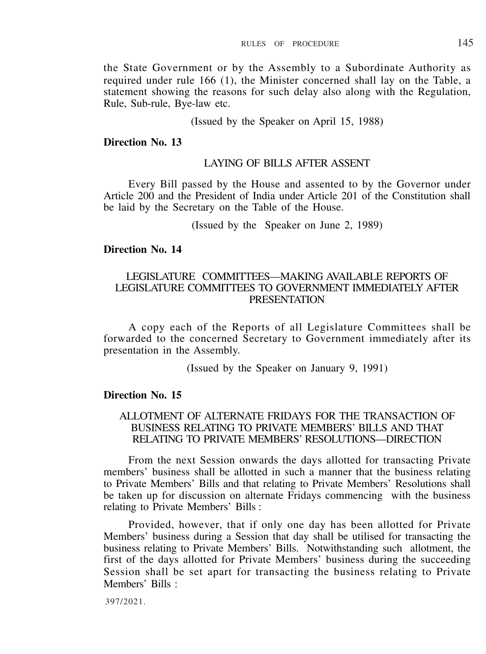the State Government or by the Assembly to a Subordinate Authority as required under rule 166 (1), the Minister concerned shall lay on the Table, a statement showing the reasons for such delay also along with the Regulation, Rule, Sub-rule, Bye-law etc.

(Issued by the Speaker on April 15, 1988)

### **Direction No. 13**

### LAYING OF BILLS AFTER ASSENT

Every Bill passed by the House and assented to by the Governor under Article 200 and the President of India under Article 201 of the Constitution shall be laid by the Secretary on the Table of the House.

(Issued by the Speaker on June 2, 1989)

#### **Direction No. 14**

### LEGISLATURE COMMITTEES—MAKING AVAILABLE REPORTS OF LEGISLATURE COMMITTEES TO GOVERNMENT IMMEDIATELY AFTER **PRESENTATION**

A copy each of the Reports of all Legislature Committees shall be forwarded to the concerned Secretary to Government immediately after its presentation in the Assembly.

(Issued by the Speaker on January 9, 1991)

#### **Direction No. 15**

### ALLOTMENT OF ALTERNATE FRIDAYS FOR THE TRANSACTION OF BUSINESS RELATING TO PRIVATE MEMBERS' BILLS AND THAT RELATING TO PRIVATE MEMBERS' RESOLUTIONS—DIRECTION

From the next Session onwards the days allotted for transacting Private members' business shall be allotted in such a manner that the business relating to Private Members' Bills and that relating to Private Members' Resolutions shall be taken up for discussion on alternate Fridays commencing with the business relating to Private Members' Bills :

Provided, however, that if only one day has been allotted for Private Members' business during a Session that day shall be utilised for transacting the business relating to Private Members' Bills. Notwithstanding such allotment, the first of the days allotted for Private Members' business during the succeeding Session shall be set apart for transacting the business relating to Private Members' Bills ·

397/2021.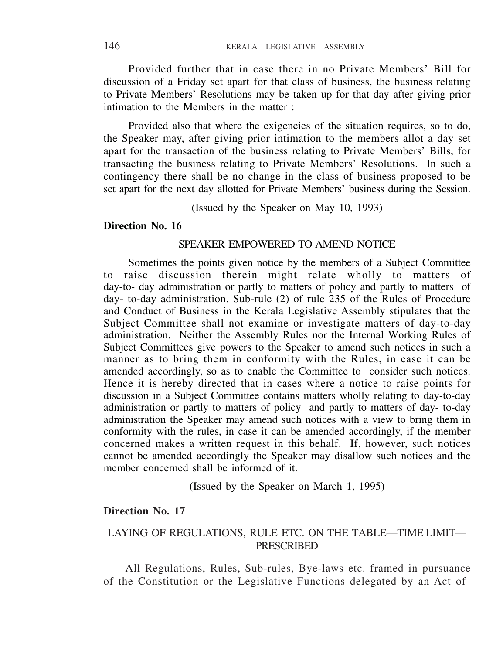Provided further that in case there in no Private Members' Bill for discussion of a Friday set apart for that class of business, the business relating to Private Members' Resolutions may be taken up for that day after giving prior intimation to the Members in the matter :

Provided also that where the exigencies of the situation requires, so to do, the Speaker may, after giving prior intimation to the members allot a day set apart for the transaction of the business relating to Private Members' Bills, for transacting the business relating to Private Members' Resolutions. In such a contingency there shall be no change in the class of business proposed to be set apart for the next day allotted for Private Members' business during the Session.

(Issued by the Speaker on May 10, 1993)

## **Direction No. 16**

### SPEAKER EMPOWERED TO AMEND NOTICE

Sometimes the points given notice by the members of a Subject Committee to raise discussion therein might relate wholly to matters of day-to- day administration or partly to matters of policy and partly to matters of day- to-day administration. Sub-rule (2) of rule 235 of the Rules of Procedure and Conduct of Business in the Kerala Legislative Assembly stipulates that the Subject Committee shall not examine or investigate matters of day-to-day administration. Neither the Assembly Rules nor the Internal Working Rules of Subject Committees give powers to the Speaker to amend such notices in such a manner as to bring them in conformity with the Rules, in case it can be amended accordingly, so as to enable the Committee to consider such notices. Hence it is hereby directed that in cases where a notice to raise points for discussion in a Subject Committee contains matters wholly relating to day-to-day administration or partly to matters of policy and partly to matters of day- to-day administration the Speaker may amend such notices with a view to bring them in conformity with the rules, in case it can be amended accordingly, if the member concerned makes a written request in this behalf. If, however, such notices cannot be amended accordingly the Speaker may disallow such notices and the member concerned shall be informed of it.

(Issued by the Speaker on March 1, 1995)

#### **Direction No. 17**

# LAYING OF REGULATIONS, RULE ETC. ON THE TABLE—TIME LIMIT— PRESCRIBED

All Regulations, Rules, Sub-rules, Bye-laws etc. framed in pursuance of the Constitution or the Legislative Functions delegated by an Act of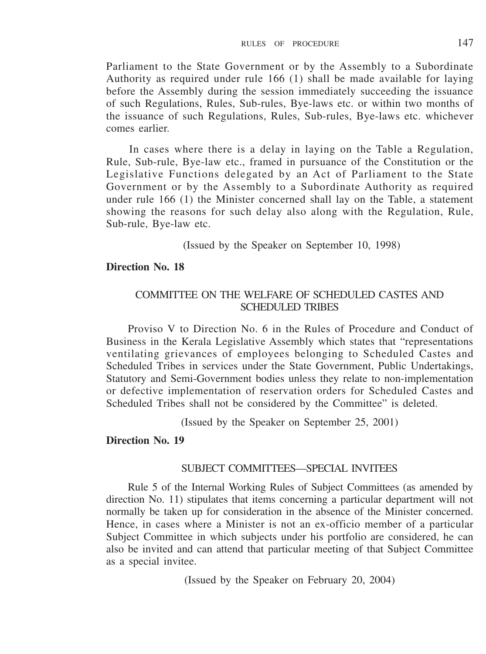Parliament to the State Government or by the Assembly to a Subordinate Authority as required under rule 166 (1) shall be made available for laying before the Assembly during the session immediately succeeding the issuance of such Regulations, Rules, Sub-rules, Bye-laws etc. or within two months of the issuance of such Regulations, Rules, Sub-rules, Bye-laws etc. whichever comes earlier.

In cases where there is a delay in laying on the Table a Regulation, Rule, Sub-rule, Bye-law etc., framed in pursuance of the Constitution or the Legislative Functions delegated by an Act of Parliament to the State Government or by the Assembly to a Subordinate Authority as required under rule 166 (1) the Minister concerned shall lay on the Table, a statement showing the reasons for such delay also along with the Regulation, Rule, Sub-rule, Bye-law etc.

(Issued by the Speaker on September 10, 1998)

# **Direction No. 18**

### COMMITTEE ON THE WELFARE OF SCHEDULED CASTES AND SCHEDULED TRIBES

Proviso V to Direction No. 6 in the Rules of Procedure and Conduct of Business in the Kerala Legislative Assembly which states that "representations ventilating grievances of employees belonging to Scheduled Castes and Scheduled Tribes in services under the State Government, Public Undertakings, Statutory and Semi-Government bodies unless they relate to non-implementation or defective implementation of reservation orders for Scheduled Castes and Scheduled Tribes shall not be considered by the Committee" is deleted.

(Issued by the Speaker on September 25, 2001)

# **Direction No. 19**

### SUBJECT COMMITTEES—SPECIAL INVITEES

Rule 5 of the Internal Working Rules of Subject Committees (as amended by direction No. 11) stipulates that items concerning a particular department will not normally be taken up for consideration in the absence of the Minister concerned. Hence, in cases where a Minister is not an ex-officio member of a particular Subject Committee in which subjects under his portfolio are considered, he can also be invited and can attend that particular meeting of that Subject Committee as a special invitee.

(Issued by the Speaker on February 20, 2004)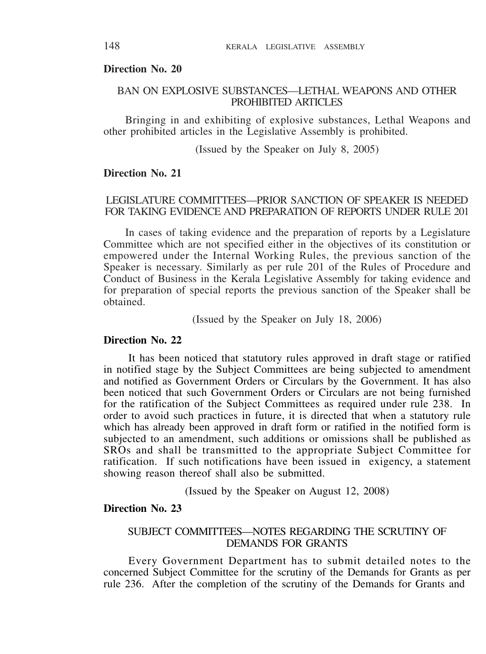#### **Direction No. 20**

#### BAN ON EXPLOSIVE SUBSTANCES—LETHAL WEAPONS AND OTHER PROHIBITED ARTICLES

Bringing in and exhibiting of explosive substances, Lethal Weapons and other prohibited articles in the Legislative Assembly is prohibited.

(Issued by the Speaker on July 8, 2005)

# **Direction No. 21**

### LEGISLATURE COMMITTEES—PRIOR SANCTION OF SPEAKER IS NEEDED FOR TAKING EVIDENCE AND PREPARATION OF REPORTS UNDER RULE 201

In cases of taking evidence and the preparation of reports by a Legislature Committee which are not specified either in the objectives of its constitution or empowered under the Internal Working Rules, the previous sanction of the Speaker is necessary. Similarly as per rule 201 of the Rules of Procedure and Conduct of Business in the Kerala Legislative Assembly for taking evidence and for preparation of special reports the previous sanction of the Speaker shall be obtained.

(Issued by the Speaker on July 18, 2006)

### **Direction No. 22**

It has been noticed that statutory rules approved in draft stage or ratified in notified stage by the Subject Committees are being subjected to amendment and notified as Government Orders or Circulars by the Government. It has also been noticed that such Government Orders or Circulars are not being furnished for the ratification of the Subject Committees as required under rule 238. In order to avoid such practices in future, it is directed that when a statutory rule which has already been approved in draft form or ratified in the notified form is subjected to an amendment, such additions or omissions shall be published as SROs and shall be transmitted to the appropriate Subject Committee for ratification. If such notifications have been issued in exigency, a statement showing reason thereof shall also be submitted.

(Issued by the Speaker on August 12, 2008)

### **Direction No. 23**

### SUBJECT COMMITTEES—NOTES REGARDING THE SCRUTINY OF DEMANDS FOR GRANTS

Every Government Department has to submit detailed notes to the concerned Subject Committee for the scrutiny of the Demands for Grants as per rule 236. After the completion of the scrutiny of the Demands for Grants and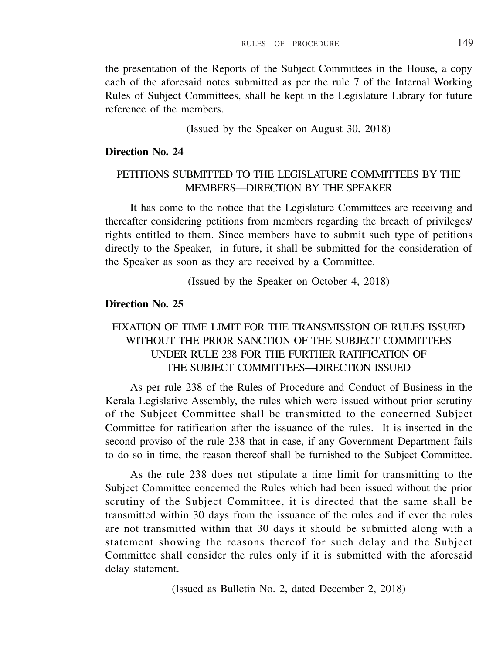the presentation of the Reports of the Subject Committees in the House, a copy each of the aforesaid notes submitted as per the rule 7 of the Internal Working Rules of Subject Committees, shall be kept in the Legislature Library for future reference of the members.

(Issued by the Speaker on August 30, 2018)

### **Direction No. 24**

## PETITIONS SUBMITTED TO THE LEGISLATURE COMMITTEES BY THE MEMBERS—DIRECTION BY THE SPEAKER

It has come to the notice that the Legislature Committees are receiving and thereafter considering petitions from members regarding the breach of privileges/ rights entitled to them. Since members have to submit such type of petitions directly to the Speaker, in future, it shall be submitted for the consideration of the Speaker as soon as they are received by a Committee.

(Issued by the Speaker on October 4, 2018)

# **Direction No. 25**

# FIXATION OF TIME LIMIT FOR THE TRANSMISSION OF RULES ISSUED WITHOUT THE PRIOR SANCTION OF THE SUBJECT COMMITTEES UNDER RULE 238 FOR THE FURTHER RATIFICATION OF THE SUBJECT COMMITTEES—DIRECTION ISSUED

As per rule 238 of the Rules of Procedure and Conduct of Business in the Kerala Legislative Assembly, the rules which were issued without prior scrutiny of the Subject Committee shall be transmitted to the concerned Subject Committee for ratification after the issuance of the rules. It is inserted in the second proviso of the rule 238 that in case, if any Government Department fails to do so in time, the reason thereof shall be furnished to the Subject Committee.

As the rule 238 does not stipulate a time limit for transmitting to the Subject Committee concerned the Rules which had been issued without the prior scrutiny of the Subject Committee, it is directed that the same shall be transmitted within 30 days from the issuance of the rules and if ever the rules are not transmitted within that 30 days it should be submitted along with a statement showing the reasons thereof for such delay and the Subject Committee shall consider the rules only if it is submitted with the aforesaid delay statement.

(Issued as Bulletin No. 2, dated December 2, 2018)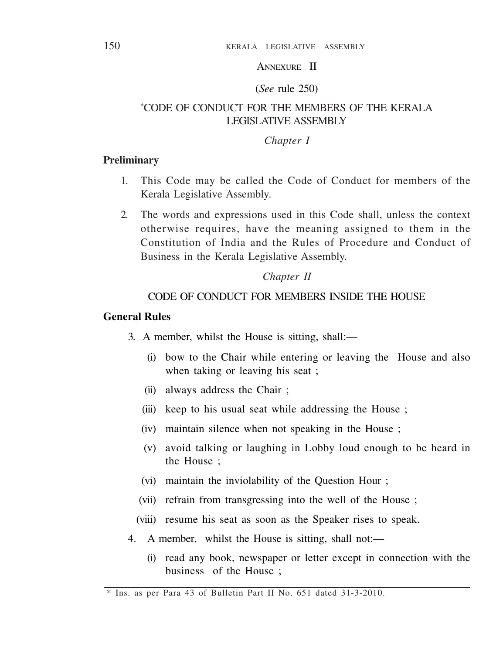# ANNEXURE II

#### (*See* rule 250)

## \*CODE OF CONDUCT FOR THE MEMBERS OF THE KERALA LEGISLATIVE ASSEMBLY

#### *Chapter I*

### **Preliminary**

- 1. This Code may be called the Code of Conduct for members of the Kerala Legislative Assembly.
- 2. The words and expressions used in this Code shall, unless the context otherwise requires, have the meaning assigned to them in the Constitution of India and the Rules of Procedure and Conduct of Business in the Kerala Legislative Assembly.

#### *Chapter II*

# CODE OF CONDUCT FOR MEMBERS INSIDE THE HOUSE

# **General Rules**

- 3. A member, whilst the House is sitting, shall:—
	- (i) bow to the Chair while entering or leaving the House and also when taking or leaving his seat ;
	- (ii) always address the Chair ;
	- (iii) keep to his usual seat while addressing the House ;
	- (iv) maintain silence when not speaking in the House ;
	- (v) avoid talking or laughing in Lobby loud enough to be heard in the House ;
	- (vi) maintain the inviolability of the Question Hour ;
	- (vii) refrain from transgressing into the well of the House ;
	- (viii) resume his seat as soon as the Speaker rises to speak.
- 4. A member, whilst the House is sitting, shall not:—
	- (i) read any book, newspaper or letter except in connection with the business of the House ;

<sup>\*</sup> Ins. as per Para 43 of Bulletin Part II No. 651 dated 31-3-2010.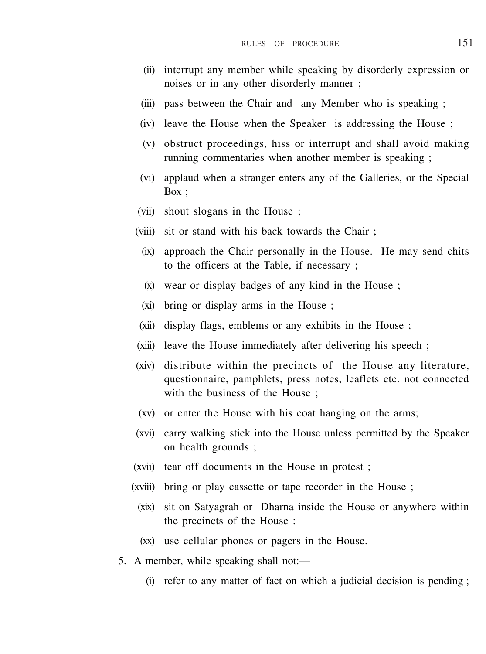- (ii) interrupt any member while speaking by disorderly expression or noises or in any other disorderly manner ;
- (iii) pass between the Chair and any Member who is speaking ;
- (iv) leave the House when the Speaker is addressing the House ;
- (v) obstruct proceedings, hiss or interrupt and shall avoid making running commentaries when another member is speaking ;
- (vi) applaud when a stranger enters any of the Galleries, or the Special Box ;
- (vii) shout slogans in the House ;
- (viii) sit or stand with his back towards the Chair ;
	- (ix) approach the Chair personally in the House. He may send chits to the officers at the Table, if necessary ;
	- (x) wear or display badges of any kind in the House ;
	- (xi) bring or display arms in the House ;
- (xii) display flags, emblems or any exhibits in the House ;
- (xiii) leave the House immediately after delivering his speech ;
- (xiv) distribute within the precincts of the House any literature, questionnaire, pamphlets, press notes, leaflets etc. not connected with the business of the House ;
- (xv) or enter the House with his coat hanging on the arms;
- (xvi) carry walking stick into the House unless permitted by the Speaker on health grounds ;
- (xvii) tear off documents in the House in protest ;
- (xviii) bring or play cassette or tape recorder in the House ;
	- (xix) sit on Satyagrah or Dharna inside the House or anywhere within the precincts of the House ;
	- (xx) use cellular phones or pagers in the House.
- 5. A member, while speaking shall not:—
	- (i) refer to any matter of fact on which a judicial decision is pending ;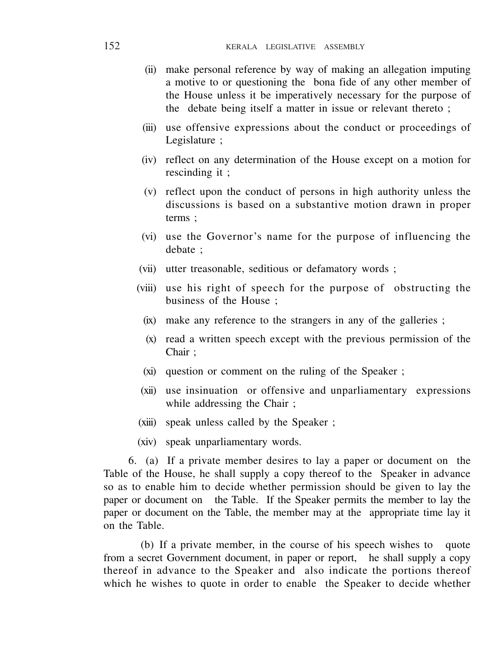- (ii) make personal reference by way of making an allegation imputing a motive to or questioning the bona fide of any other member of the House unless it be imperatively necessary for the purpose of the debate being itself a matter in issue or relevant thereto ;
- (iii) use offensive expressions about the conduct or proceedings of Legislature ;
- (iv) reflect on any determination of the House except on a motion for rescinding it ;
- (v) reflect upon the conduct of persons in high authority unless the discussions is based on a substantive motion drawn in proper terms ;
- (vi) use the Governor's name for the purpose of influencing the debate ;
- (vii) utter treasonable, seditious or defamatory words ;
- (viii) use his right of speech for the purpose of obstructing the business of the House ;
	- (ix) make any reference to the strangers in any of the galleries ;
	- (x) read a written speech except with the previous permission of the Chair ;
	- (xi) question or comment on the ruling of the Speaker ;
- (xii) use insinuation or offensive and unparliamentary expressions while addressing the Chair ;
- (xiii) speak unless called by the Speaker ;
- (xiv) speak unparliamentary words.

6. (a) If a private member desires to lay a paper or document on the Table of the House, he shall supply a copy thereof to the Speaker in advance so as to enable him to decide whether permission should be given to lay the paper or document on the Table. If the Speaker permits the member to lay the paper or document on the Table, the member may at the appropriate time lay it on the Table.

(b) If a private member, in the course of his speech wishes to quote from a secret Government document, in paper or report, he shall supply a copy thereof in advance to the Speaker and also indicate the portions thereof which he wishes to quote in order to enable the Speaker to decide whether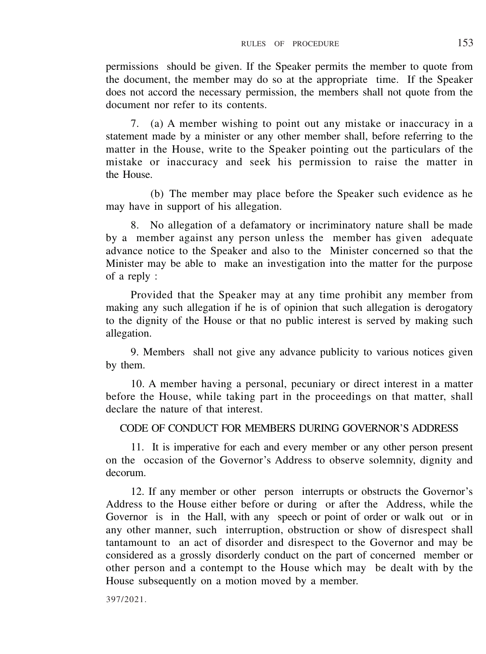permissions should be given. If the Speaker permits the member to quote from the document, the member may do so at the appropriate time. If the Speaker does not accord the necessary permission, the members shall not quote from the document nor refer to its contents.

7. (a) A member wishing to point out any mistake or inaccuracy in a statement made by a minister or any other member shall, before referring to the matter in the House, write to the Speaker pointing out the particulars of the mistake or inaccuracy and seek his permission to raise the matter in the House.

(b) The member may place before the Speaker such evidence as he may have in support of his allegation.

8. No allegation of a defamatory or incriminatory nature shall be made by a member against any person unless the member has given adequate advance notice to the Speaker and also to the Minister concerned so that the Minister may be able to make an investigation into the matter for the purpose of a reply :

Provided that the Speaker may at any time prohibit any member from making any such allegation if he is of opinion that such allegation is derogatory to the dignity of the House or that no public interest is served by making such allegation.

9. Members shall not give any advance publicity to various notices given by them.

10. A member having a personal, pecuniary or direct interest in a matter before the House, while taking part in the proceedings on that matter, shall declare the nature of that interest.

### CODE OF CONDUCT FOR MEMBERS DURING GOVERNOR'S ADDRESS

11. It is imperative for each and every member or any other person present on the occasion of the Governor's Address to observe solemnity, dignity and decorum.

12. If any member or other person interrupts or obstructs the Governor's Address to the House either before or during or after the Address, while the Governor is in the Hall, with any speech or point of order or walk out or in any other manner, such interruption, obstruction or show of disrespect shall tantamount to an act of disorder and disrespect to the Governor and may be considered as a grossly disorderly conduct on the part of concerned member or other person and a contempt to the House which may be dealt with by the House subsequently on a motion moved by a member.

397/2021.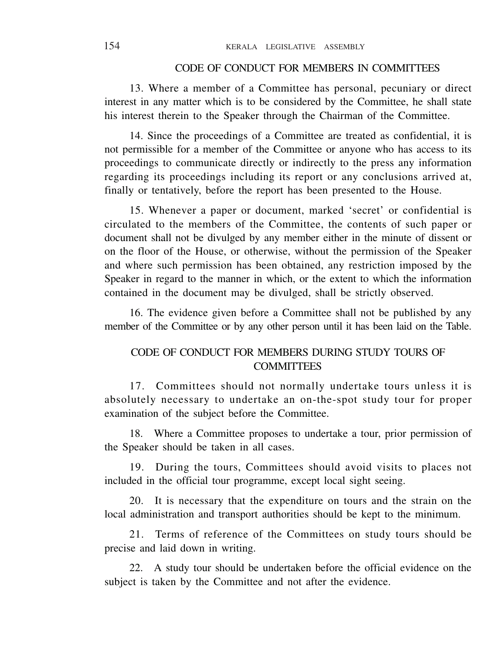### CODE OF CONDUCT FOR MEMBERS IN COMMITTEES

13. Where a member of a Committee has personal, pecuniary or direct interest in any matter which is to be considered by the Committee, he shall state his interest therein to the Speaker through the Chairman of the Committee.

14. Since the proceedings of a Committee are treated as confidential, it is not permissible for a member of the Committee or anyone who has access to its proceedings to communicate directly or indirectly to the press any information regarding its proceedings including its report or any conclusions arrived at, finally or tentatively, before the report has been presented to the House.

15. Whenever a paper or document, marked 'secret' or confidential is circulated to the members of the Committee, the contents of such paper or document shall not be divulged by any member either in the minute of dissent or on the floor of the House, or otherwise, without the permission of the Speaker and where such permission has been obtained, any restriction imposed by the Speaker in regard to the manner in which, or the extent to which the information contained in the document may be divulged, shall be strictly observed.

16. The evidence given before a Committee shall not be published by any member of the Committee or by any other person until it has been laid on the Table.

# CODE OF CONDUCT FOR MEMBERS DURING STUDY TOURS OF **COMMITTEES**

17. Committees should not normally undertake tours unless it is absolutely necessary to undertake an on-the-spot study tour for proper examination of the subject before the Committee.

18. Where a Committee proposes to undertake a tour, prior permission of the Speaker should be taken in all cases.

19. During the tours, Committees should avoid visits to places not included in the official tour programme, except local sight seeing.

20. It is necessary that the expenditure on tours and the strain on the local administration and transport authorities should be kept to the minimum.

21. Terms of reference of the Committees on study tours should be precise and laid down in writing.

22. A study tour should be undertaken before the official evidence on the subject is taken by the Committee and not after the evidence.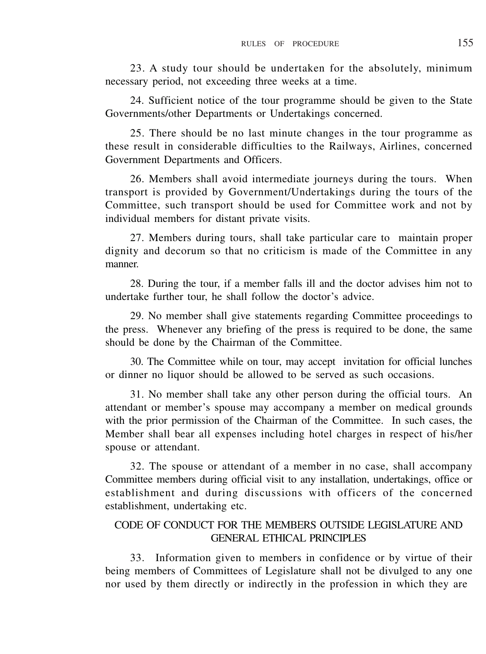23. A study tour should be undertaken for the absolutely, minimum necessary period, not exceeding three weeks at a time.

24. Sufficient notice of the tour programme should be given to the State Governments/other Departments or Undertakings concerned.

25. There should be no last minute changes in the tour programme as these result in considerable difficulties to the Railways, Airlines, concerned Government Departments and Officers.

26. Members shall avoid intermediate journeys during the tours. When transport is provided by Government/Undertakings during the tours of the Committee, such transport should be used for Committee work and not by individual members for distant private visits.

27. Members during tours, shall take particular care to maintain proper dignity and decorum so that no criticism is made of the Committee in any manner.

28. During the tour, if a member falls ill and the doctor advises him not to undertake further tour, he shall follow the doctor's advice.

29. No member shall give statements regarding Committee proceedings to the press. Whenever any briefing of the press is required to be done, the same should be done by the Chairman of the Committee.

30. The Committee while on tour, may accept invitation for official lunches or dinner no liquor should be allowed to be served as such occasions.

31. No member shall take any other person during the official tours. An attendant or member's spouse may accompany a member on medical grounds with the prior permission of the Chairman of the Committee. In such cases, the Member shall bear all expenses including hotel charges in respect of his/her spouse or attendant.

32. The spouse or attendant of a member in no case, shall accompany Committee members during official visit to any installation, undertakings, office or establishment and during discussions with officers of the concerned establishment, undertaking etc.

# CODE OF CONDUCT FOR THE MEMBERS OUTSIDE LEGISLATURE AND GENERAL ETHICAL PRINCIPLES

33. Information given to members in confidence or by virtue of their being members of Committees of Legislature shall not be divulged to any one nor used by them directly or indirectly in the profession in which they are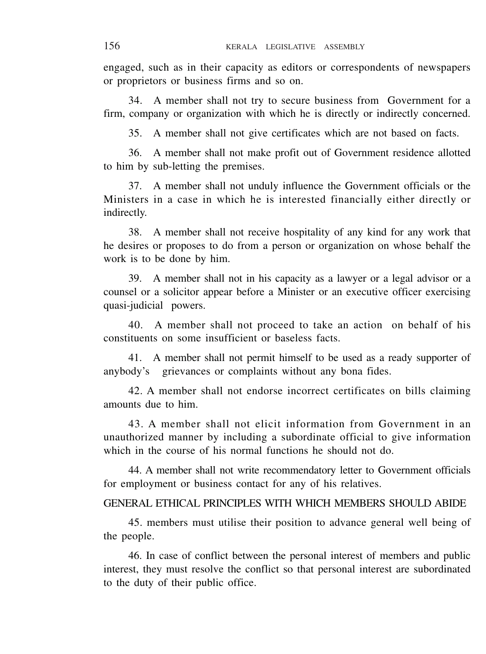engaged, such as in their capacity as editors or correspondents of newspapers or proprietors or business firms and so on.

34. A member shall not try to secure business from Government for a firm, company or organization with which he is directly or indirectly concerned.

35. A member shall not give certificates which are not based on facts.

36. A member shall not make profit out of Government residence allotted to him by sub-letting the premises.

37. A member shall not unduly influence the Government officials or the Ministers in a case in which he is interested financially either directly or indirectly.

38. A member shall not receive hospitality of any kind for any work that he desires or proposes to do from a person or organization on whose behalf the work is to be done by him.

39. A member shall not in his capacity as a lawyer or a legal advisor or a counsel or a solicitor appear before a Minister or an executive officer exercising quasi-judicial powers.

40. A member shall not proceed to take an action on behalf of his constituents on some insufficient or baseless facts.

41. A member shall not permit himself to be used as a ready supporter of anybody's grievances or complaints without any bona fides.

42. A member shall not endorse incorrect certificates on bills claiming amounts due to him.

43. A member shall not elicit information from Government in an unauthorized manner by including a subordinate official to give information which in the course of his normal functions he should not do.

44. A member shall not write recommendatory letter to Government officials for employment or business contact for any of his relatives.

#### GENERAL ETHICAL PRINCIPLES WITH WHICH MEMBERS SHOULD ABIDE

45. members must utilise their position to advance general well being of the people.

46. In case of conflict between the personal interest of members and public interest, they must resolve the conflict so that personal interest are subordinated to the duty of their public office.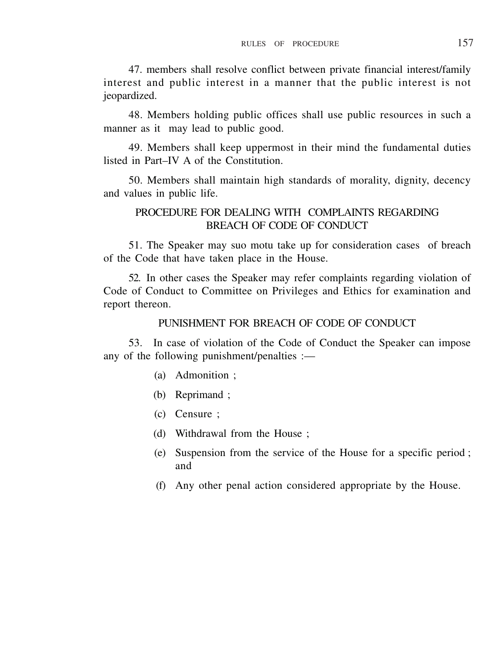47. members shall resolve conflict between private financial interest/family interest and public interest in a manner that the public interest is not jeopardized.

48. Members holding public offices shall use public resources in such a manner as it may lead to public good.

49. Members shall keep uppermost in their mind the fundamental duties listed in Part–IV A of the Constitution.

50. Members shall maintain high standards of morality, dignity, decency and values in public life.

# PROCEDURE FOR DEALING WITH COMPLAINTS REGARDING BREACH OF CODE OF CONDUCT

51. The Speaker may suo motu take up for consideration cases of breach of the Code that have taken place in the House.

52. In other cases the Speaker may refer complaints regarding violation of Code of Conduct to Committee on Privileges and Ethics for examination and report thereon.

# PUNISHMENT FOR BREACH OF CODE OF CONDUCT

53. In case of violation of the Code of Conduct the Speaker can impose any of the following punishment/penalties :—

- (a) Admonition ;
- (b) Reprimand ;
- (c) Censure ;
- (d) Withdrawal from the House ;
- (e) Suspension from the service of the House for a specific period ; and
- (f) Any other penal action considered appropriate by the House.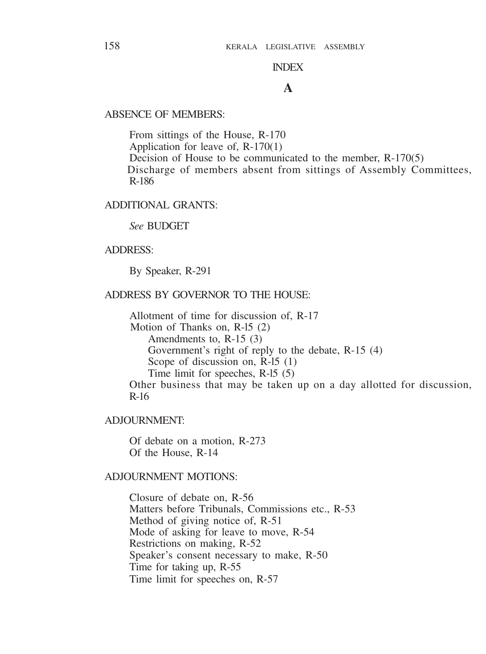### INDEX

# **A**

#### ABSENCE OF MEMBERS:

From sittings of the House, R-170 Application for leave of, R-170(1) Decision of House to be communicated to the member, R-170(5) Discharge of members absent from sittings of Assembly Committees, R-186

# ADDITIONAL GRANTS:

### *See* BUDGET

#### ADDRESS:

By Speaker, R-291

### ADDRESS BY GOVERNOR TO THE HOUSE:

Allotment of time for discussion of, R-17 Motion of Thanks on, R-l5 (2) Amendments to, R-15 (3) Government's right of reply to the debate, R-15 (4) Scope of discussion on, R-l5 (1) Time limit for speeches, R-l5 (5) Other business that may be taken up on a day allotted for discussion, R-16

#### ADJOURNMENT:

Of debate on a motion, R-273 Of the House, R-14

#### ADJOURNMENT MOTIONS:

Closure of debate on, R-56 Matters before Tribunals, Commissions etc., R-53 Method of giving notice of, R-51 Mode of asking for leave to move, R-54 Restrictions on making, R-52 Speaker's consent necessary to make, R-50 Time for taking up, R-55 Time limit for speeches on, R-57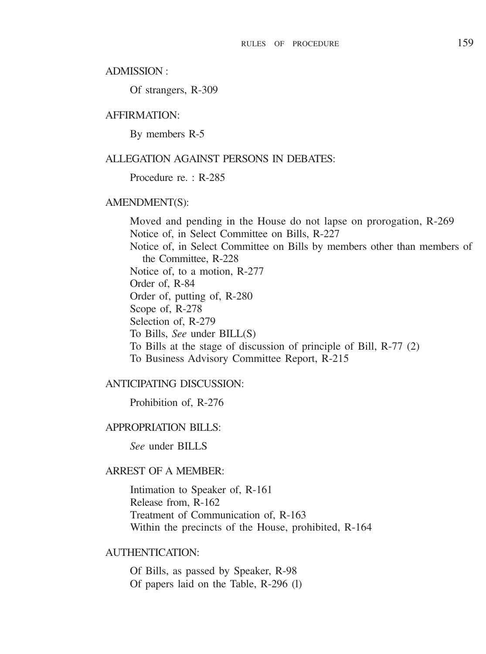#### ADMISSION :

Of strangers, R-309

#### AFFIRMATION:

By members R-5

#### ALLEGATION AGAINST PERSONS IN DEBATES:

#### Procedure re. · R-285

#### AMENDMENT(S):

Moved and pending in the House do not lapse on prorogation, R-269 Notice of, in Select Committee on Bills, R-227 Notice of, in Select Committee on Bills by members other than members of the Committee, R-228 Notice of, to a motion, R-277 Order of, R-84 Order of, putting of, R-280 Scope of, R-278 Selection of, R-279 To Bills, *See* under BILL(S) To Bills at the stage of discussion of principle of Bill, R-77 (2) To Business Advisory Committee Report, R-215

#### ANTICIPATING DISCUSSION:

Prohibition of, R-276

#### APPROPRIATION BILLS:

*See* under BILLS

#### ARREST OF A MEMBER:

Intimation to Speaker of, R-161 Release from, R-162 Treatment of Communication of, R-163 Within the precincts of the House, prohibited, R-164

#### AUTHENTICATION:

Of Bills, as passed by Speaker, R-98 Of papers laid on the Table, R-296 (l)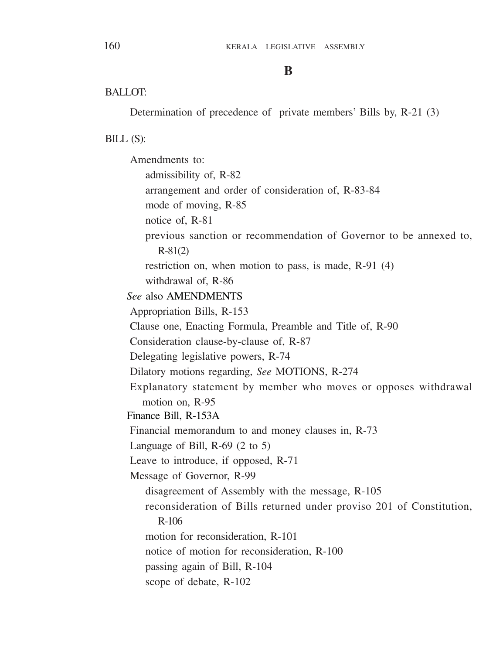#### **B**

### **BALLOT:**

Determination of precedence of private members' Bills by, R-21 (3)

#### BILL (S):

Amendments to: admissibility of, R-82 arrangement and order of consideration of, R-83-84 mode of moving, R-85 notice of, R-81 previous sanction or recommendation of Governor to be annexed to, R-81(2) restriction on, when motion to pass, is made, R-91 (4) withdrawal of, R-86 *See* also AMENDMENTS Appropriation Bills, R-153 Clause one, Enacting Formula, Preamble and Title of, R-90 Consideration clause-by-clause of, R-87 Delegating legislative powers, R-74 Dilatory motions regarding, *See* MOTIONS, R-274 Explanatory statement by member who moves or opposes withdrawal motion on, R-95 Finance Bill, R-153A Financial memorandum to and money clauses in, R-73 Language of Bill, R-69 (2 to 5) Leave to introduce, if opposed, R-71 Message of Governor, R-99 disagreement of Assembly with the message, R-105 reconsideration of Bills returned under proviso 201 of Constitution, R-106 motion for reconsideration, R-101 notice of motion for reconsideration, R-100 passing again of Bill, R-104 scope of debate, R-102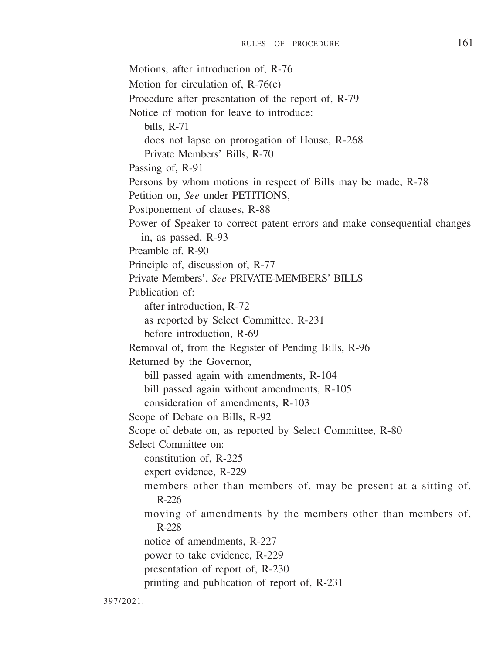Motions, after introduction of, R-76 Motion for circulation of, R-76(c) Procedure after presentation of the report of, R-79 Notice of motion for leave to introduce: bills, R-71 does not lapse on prorogation of House, R-268 Private Members' Bills, R-70 Passing of, R-91 Persons by whom motions in respect of Bills may be made, R-78 Petition on, *See* under PETITIONS, Postponement of clauses, R-88 Power of Speaker to correct patent errors and make consequential changes in, as passed, R-93 Preamble of, R-90 Principle of, discussion of, R-77 Private Members', *See* PRIVATE-MEMBERS' BILLS Publication of: after introduction, R-72 as reported by Select Committee, R-231 before introduction, R-69 Removal of, from the Register of Pending Bills, R-96 Returned by the Governor, bill passed again with amendments, R-104 bill passed again without amendments, R-105 consideration of amendments, R-103 Scope of Debate on Bills, R-92 Scope of debate on, as reported by Select Committee, R-80 Select Committee on: constitution of, R-225 expert evidence, R-229 members other than members of, may be present at a sitting of, R-226 moving of amendments by the members other than members of, R-228 notice of amendments, R-227 power to take evidence, R-229 presentation of report of, R-230 printing and publication of report of, R-231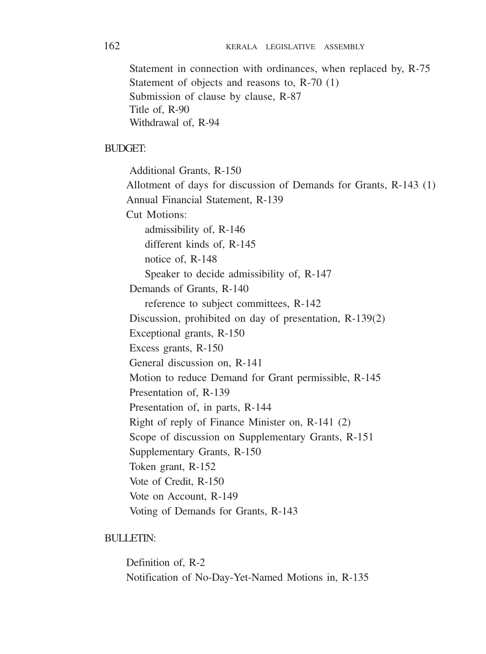Statement in connection with ordinances, when replaced by, R-75 Statement of objects and reasons to, R-70 (1) Submission of clause by clause, R-87 Title of, R-90 Withdrawal of, R-94

#### BUDGET:

Additional Grants, R-150 Allotment of days for discussion of Demands for Grants, R-143 (1) Annual Financial Statement, R-139 Cut Motions: admissibility of, R-146 different kinds of, R-145 notice of, R-148 Speaker to decide admissibility of, R-147 Demands of Grants, R-140 reference to subject committees, R-142 Discussion, prohibited on day of presentation, R-139(2) Exceptional grants, R-150 Excess grants, R-150 General discussion on, R-141 Motion to reduce Demand for Grant permissible, R-145 Presentation of, R-139 Presentation of, in parts, R-144 Right of reply of Finance Minister on, R-141 (2) Scope of discussion on Supplementary Grants, R-151 Supplementary Grants, R-150 Token grant, R-152 Vote of Credit, R-150 Vote on Account, R-149 Voting of Demands for Grants, R-143

### BULLETIN:

Definition of, R-2 Notification of No-Day-Yet-Named Motions in, R-135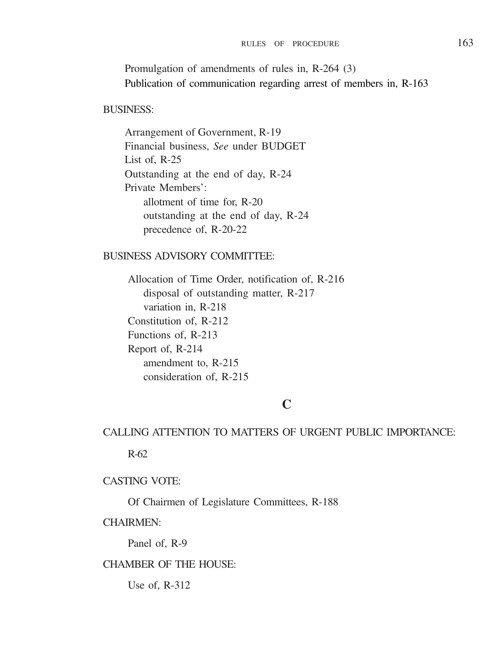Promulgation of amendments of rules in, R-264 (3) Publication of communication regarding arrest of members in, R-163

#### BUSINESS:

Arrangement of Government, R-19 Financial business, *See* under BUDGET List of,  $R-25$ Outstanding at the end of day, R-24 Private Members': allotment of time for, R-20 outstanding at the end of day, R-24 precedence of, R-20-22

### BUSINESS ADVISORY COMMITTEE:

Allocation of Time Order, notification of, R-216 disposal of outstanding matter, R-217 variation in, R-218 Constitution of, R-212 Functions of, R-213 Report of, R-214 amendment to, R-215 consideration of, R-215

# **C**

# CALLING ATTENTION TO MATTERS OF URGENT PUBLIC IMPORTANCE:

R-62

### CASTING VOTE:

Of Chairmen of Legislature Committees, R-188

### CHAIRMEN:

Panel of, R-9

### CHAMBER OF THE HOUSE:

Use of, R-312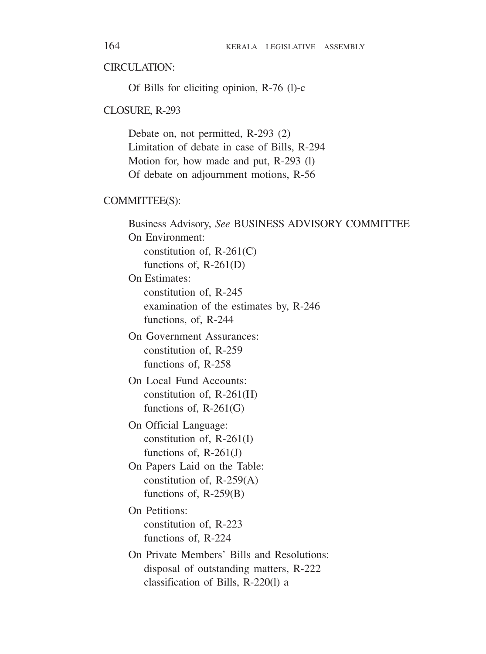### CIRCULATION<sup>.</sup>

Of Bills for eliciting opinion, R-76 (l)-c

#### CLOSURE, R-293

Debate on, not permitted, R-293 (2) Limitation of debate in case of Bills, R-294 Motion for, how made and put, R-293 (l) Of debate on adjournment motions, R-56

#### COMMITTEE(S):

Business Advisory, *See* BUSINESS ADVISORY COMMITTEE On Environment: constitution of, R-261(C) functions of, R-261(D) On Estimates: constitution of, R-245 examination of the estimates by, R-246 functions, of, R-244 On Government Assurances: constitution of, R-259 functions of, R-258 On Local Fund Accounts: constitution of, R-261(H) functions of, R-261(G) On Official Language: constitution of, R-261(I) functions of, R-261(J) On Papers Laid on the Table: constitution of, R-259(A) functions of, R-259(B) On Petitions: constitution of, R-223 functions of, R-224 On Private Members' Bills and Resolutions: disposal of outstanding matters, R-222 classification of Bills, R-220(l) a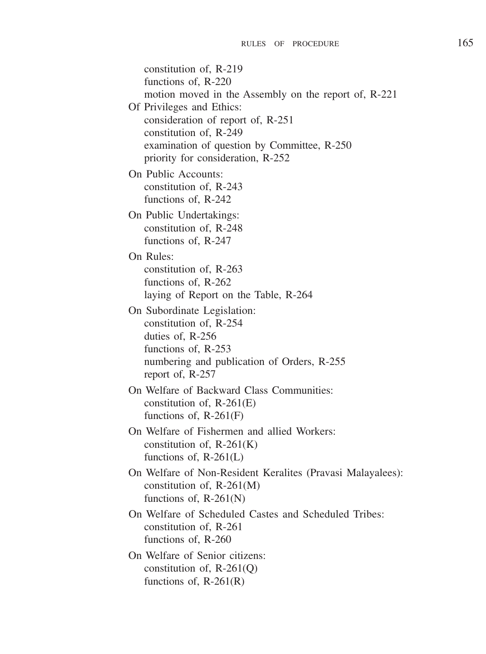constitution of, R-219 functions of, R-220 motion moved in the Assembly on the report of, R-221 Of Privileges and Ethics: consideration of report of, R-251 constitution of, R-249 examination of question by Committee, R-250 priority for consideration, R-252 On Public Accounts: constitution of, R-243 functions of, R-242 On Public Undertakings: constitution of, R-248 functions of, R-247 On Rules: constitution of, R-263 functions of, R-262 laying of Report on the Table, R-264 On Subordinate Legislation: constitution of, R-254 duties of, R-256 functions of, R-253 numbering and publication of Orders, R-255 report of, R-257 On Welfare of Backward Class Communities: constitution of, R-261(E) functions of, R-261(F) On Welfare of Fishermen and allied Workers: constitution of, R-261(K) functions of,  $R-261(L)$ On Welfare of Non-Resident Keralites (Pravasi Malayalees): constitution of, R-261(M) functions of, R-261(N) On Welfare of Scheduled Castes and Scheduled Tribes: constitution of, R-261 functions of, R-260 On Welfare of Senior citizens: constitution of, R-261(Q) functions of, R-261(R)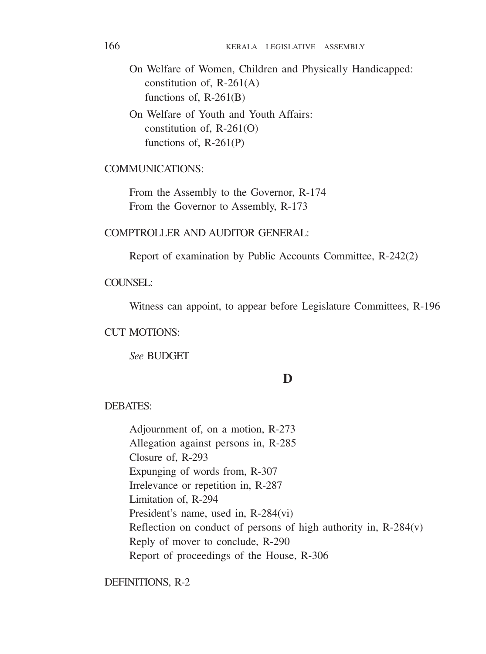On Welfare of Women, Children and Physically Handicapped: constitution of, R-261(A) functions of, R-261(B)

On Welfare of Youth and Youth Affairs: constitution of,  $R-261(0)$ functions of, R-261(P)

### COMMUNICATIONS:

From the Assembly to the Governor, R-174 From the Governor to Assembly, R-173

COMPTROLLER AND AUDITOR GENERAL:

Report of examination by Public Accounts Committee, R-242(2)

COUNSEL:

Witness can appoint, to appear before Legislature Committees, R-196

### CUT MOTIONS:

*See* BUDGET

### **D**

#### DEBATES:

Adjournment of, on a motion, R-273 Allegation against persons in, R-285 Closure of, R-293 Expunging of words from, R-307 Irrelevance or repetition in, R-287 Limitation of, R-294 President's name, used in, R-284(vi) Reflection on conduct of persons of high authority in, R-284(v) Reply of mover to conclude, R-290 Report of proceedings of the House, R-306

DEFINITIONS, R-2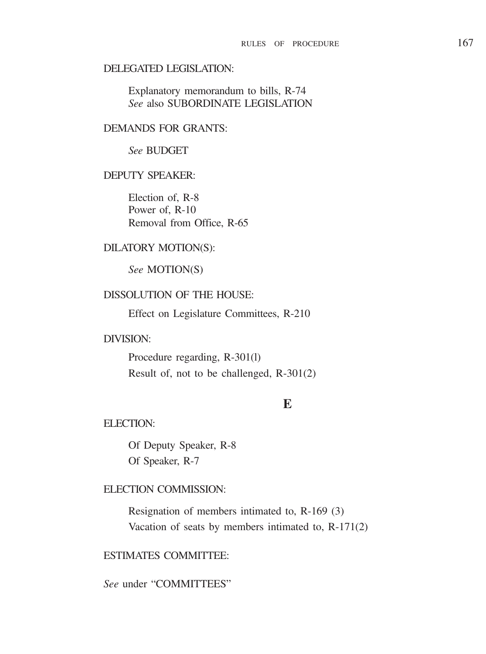#### DELEGATED LEGISLATION:

Explanatory memorandum to bills, R-74 *See* also SUBORDINATE LEGISLATION

### DEMANDS FOR GRANTS:

### *See* BUDGET

### DEPUTY SPEAKER:

Election of, R-8 Power of, R-10 Removal from Office, R-65

### DILATORY MOTION(S):

*See* MOTION(S)

### DISSOLUTION OF THE HOUSE:

Effect on Legislature Committees, R-210

### DIVISION:

Procedure regarding, R-301(l) Result of, not to be challenged, R-301(2)

### **E**

### ELECTION:

Of Deputy Speaker, R-8 Of Speaker, R-7

### ELECTION COMMISSION:

Resignation of members intimated to, R-169 (3) Vacation of seats by members intimated to, R-171(2)

### ESTIMATES COMMITTEE:

*See* under "COMMITTEES"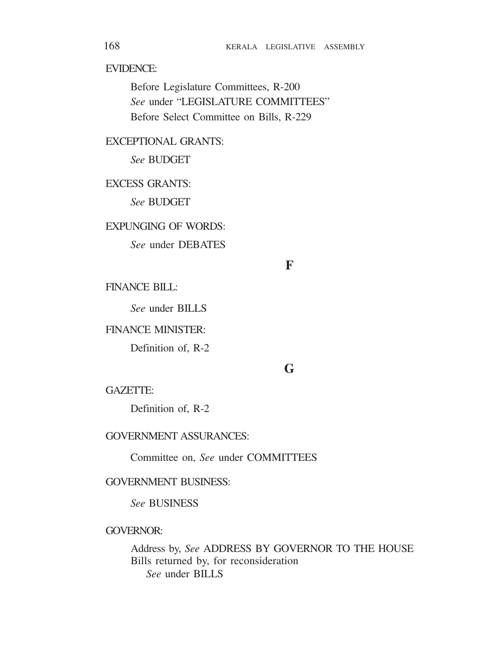EVIDENCE:

Before Legislature Committees, R-200 *See* under "LEGISLATURE COMMITTEES" Before Select Committee on Bills, R-229

EXCEPTIONAL GRANTS:

*See* BUDGET

EXCESS GRANTS:

*See* BUDGET

EXPUNGING OF WORDS:

*See* under DEBATES

**F**

FINANCE BILL:

*See* under BILLS

FINANCE MINISTER:

Definition of, R-2

# **G**

GAZETTE:

Definition of, R-2

GOVERNMENT ASSURANCES:

Committee on, *See* under COMMITTEES

### GOVERNMENT BUSINESS:

*See* BUSINESS

### GOVERNOR:

Address by, *See* ADDRESS BY GOVERNOR TO THE HOUSE Bills returned by, for reconsideration *See* under BILLS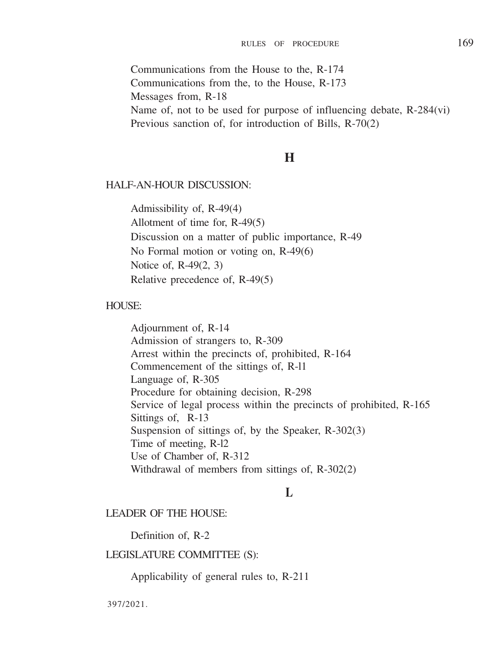Communications from the House to the, R-174 Communications from the, to the House, R-173 Messages from, R-18 Name of, not to be used for purpose of influencing debate, R-284(vi) Previous sanction of, for introduction of Bills, R-70(2)

### **H**

#### HALF-AN-HOUR DISCUSSION:

Admissibility of, R-49(4) Allotment of time for, R-49(5) Discussion on a matter of public importance, R-49 No Formal motion or voting on, R-49(6) Notice of, R-49(2, 3) Relative precedence of, R-49(5)

#### HOUSE:

Adjournment of, R-14 Admission of strangers to, R-309 Arrest within the precincts of, prohibited, R-164 Commencement of the sittings of, R-l1 Language of, R-305 Procedure for obtaining decision, R-298 Service of legal process within the precincts of prohibited, R-165 Sittings of, R-13 Suspension of sittings of, by the Speaker, R-302(3) Time of meeting, R-l2 Use of Chamber of, R-312 Withdrawal of members from sittings of, R-302(2)

### **L**

### LEADER OF THE HOUSE:

Definition of, R-2

#### LEGISLATURE COMMITTEE (S):

Applicability of general rules to, R-211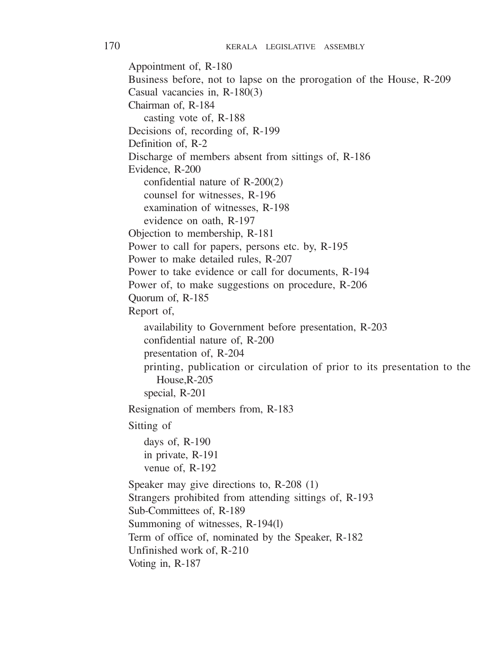Appointment of, R-180 Business before, not to lapse on the prorogation of the House, R-209 Casual vacancies in, R-180(3) Chairman of, R-184 casting vote of, R-188 Decisions of, recording of, R-199 Definition of, R-2 Discharge of members absent from sittings of, R-186 Evidence, R-200 confidential nature of R-200(2) counsel for witnesses, R-196 examination of witnesses, R-198 evidence on oath, R-197 Objection to membership, R-181 Power to call for papers, persons etc. by, R-195 Power to make detailed rules, R-207 Power to take evidence or call for documents, R-194 Power of, to make suggestions on procedure, R-206 Quorum of, R-185 Report of, availability to Government before presentation, R-203 confidential nature of, R-200 presentation of, R-204 printing, publication or circulation of prior to its presentation to the House,R-205 special, R-201 Resignation of members from, R-183 Sitting of days of, R-190 in private, R-191 venue of, R-192 Speaker may give directions to, R-208 (1) Strangers prohibited from attending sittings of, R-193 Sub-Committees of, R-189 Summoning of witnesses, R-194(l) Term of office of, nominated by the Speaker, R-182 Unfinished work of, R-210 Voting in, R-187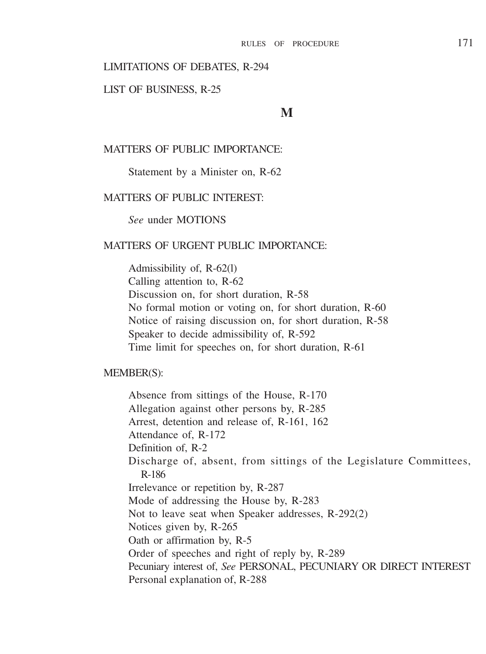#### LIMITATIONS OF DEBATES, R-294

#### LIST OF BUSINESS, R-25

**M**

#### MATTERS OF PUBLIC IMPORTANCE:

Statement by a Minister on, R-62

#### MATTERS OF PUBLIC INTEREST:

*See* under MOTIONS

#### MATTERS OF URGENT PUBLIC IMPORTANCE.

Admissibility of, R-62(l) Calling attention to, R-62 Discussion on, for short duration, R-58 No formal motion or voting on, for short duration, R-60 Notice of raising discussion on, for short duration, R-58 Speaker to decide admissibility of, R-592 Time limit for speeches on, for short duration, R-61

#### MEMBER(S):

Absence from sittings of the House, R-170 Allegation against other persons by, R-285 Arrest, detention and release of, R-161, 162 Attendance of, R-172 Definition of, R-2 Discharge of, absent, from sittings of the Legislature Committees, R-186 Irrelevance or repetition by, R-287 Mode of addressing the House by, R-283 Not to leave seat when Speaker addresses, R-292(2) Notices given by, R-265 Oath or affirmation by, R-5 Order of speeches and right of reply by, R-289 Pecuniary interest of, *See* PERSONAL, PECUNIARY OR DIRECT INTEREST Personal explanation of, R-288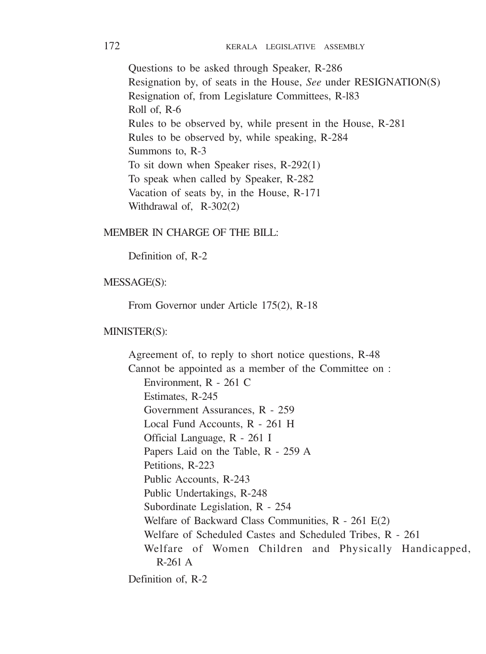Questions to be asked through Speaker, R-286 Resignation by, of seats in the House, *See* under RESIGNATION(S) Resignation of, from Legislature Committees, R-l83 Roll of, R-6 Rules to be observed by, while present in the House, R-281 Rules to be observed by, while speaking, R-284 Summons to, R-3 To sit down when Speaker rises, R-292(1) To speak when called by Speaker, R-282 Vacation of seats by, in the House, R-171 Withdrawal of, R-302(2)

#### MEMBER IN CHARGE OF THE BILL:

Definition of, R-2

### MESSAGE(S):

From Governor under Article 175(2), R-18

#### MINISTER(S):

Agreement of, to reply to short notice questions, R-48 Cannot be appointed as a member of the Committee on : Environment, R - 261 C Estimates, R-245 Government Assurances, R - 259 Local Fund Accounts, R - 261 H Official Language, R - 261 I Papers Laid on the Table, R - 259 A Petitions, R-223 Public Accounts, R-243 Public Undertakings, R-248 Subordinate Legislation, R - 254 Welfare of Backward Class Communities, R - 261 E(2) Welfare of Scheduled Castes and Scheduled Tribes, R - 261 Welfare of Women Children and Physically Handicapped, R-261 A

Definition of, R-2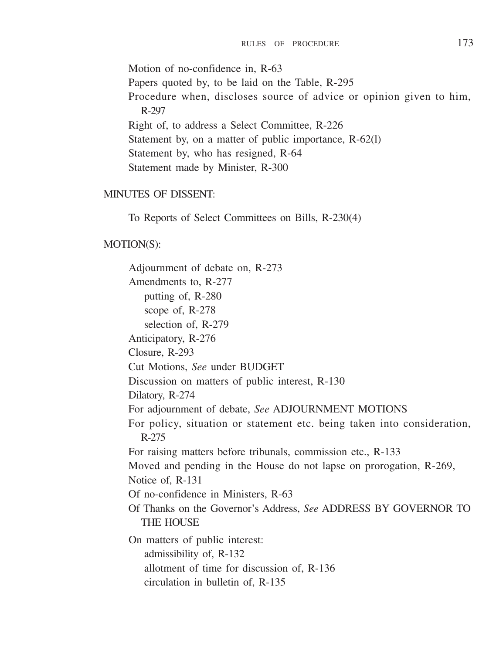Motion of no-confidence in, R-63 Papers quoted by, to be laid on the Table, R-295 Procedure when, discloses source of advice or opinion given to him, R-297 Right of, to address a Select Committee, R-226 Statement by, on a matter of public importance, R-62(l) Statement by, who has resigned, R-64 Statement made by Minister, R-300

### MINUTES OF DISSENT:

To Reports of Select Committees on Bills, R-230(4)

#### MOTION(S):

Adjournment of debate on, R-273 Amendments to, R-277 putting of, R-280 scope of, R-278 selection of, R-279 Anticipatory, R-276 Closure, R-293 Cut Motions, *See* under BUDGET Discussion on matters of public interest, R-130 Dilatory, R-274 For adjournment of debate, *See* ADJOURNMENT MOTIONS For policy, situation or statement etc. being taken into consideration, R-275 For raising matters before tribunals, commission etc., R-133 Moved and pending in the House do not lapse on prorogation, R-269, Notice of, R-131 Of no-confidence in Ministers, R-63 Of Thanks on the Governor's Address, *See* ADDRESS BY GOVERNOR TO THE HOUSE On matters of public interest: admissibility of, R-132 allotment of time for discussion of, R-136 circulation in bulletin of, R-135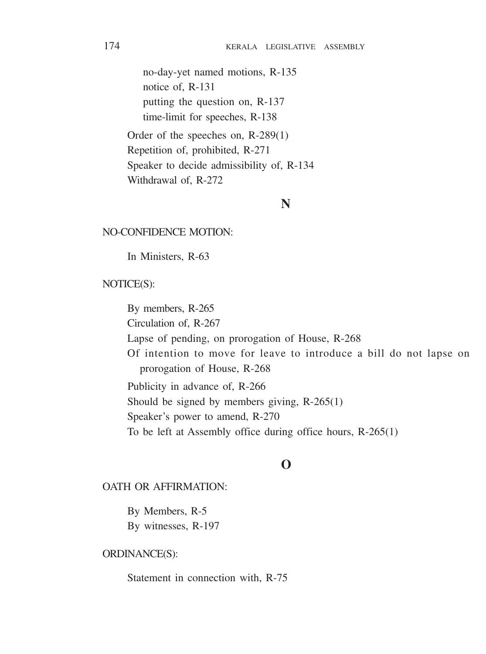no-day-yet named motions, R-135 notice of, R-131 putting the question on, R-137 time-limit for speeches, R-138

Order of the speeches on, R-289(1) Repetition of, prohibited, R-271 Speaker to decide admissibility of, R-134 Withdrawal of, R-272

### **N**

#### NO-CONFIDENCE MOTION:

In Ministers, R-63

#### NOTICE(S):

By members, R-265 Circulation of, R-267 Lapse of pending, on prorogation of House, R-268 Of intention to move for leave to introduce a bill do not lapse on prorogation of House, R-268 Publicity in advance of, R-266 Should be signed by members giving, R-265(1) Speaker's power to amend, R-270 To be left at Assembly office during office hours, R-265(1)

### **O**

#### OATH OR AFFIRMATION:

By Members, R-5 By witnesses, R-197

#### ORDINANCE(S):

Statement in connection with, R-75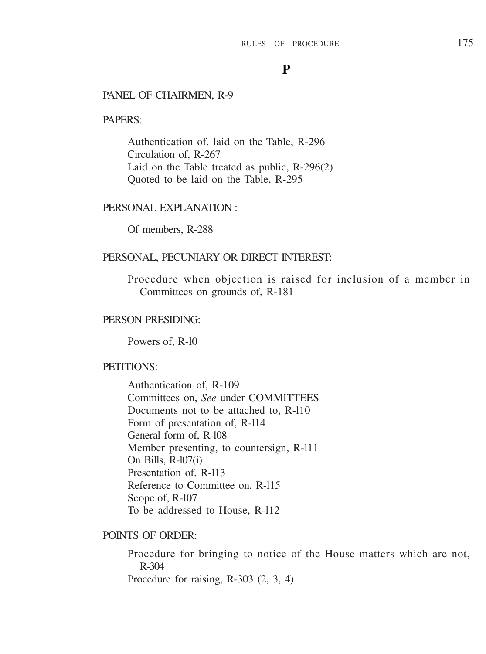### **P**

#### PANEL OF CHAIRMEN, R-9

#### PAPERS:

Authentication of, laid on the Table, R-296 Circulation of, R-267 Laid on the Table treated as public, R-296(2) Quoted to be laid on the Table, R-295

#### PERSONAL EXPLANATION :

Of members, R-288

#### PERSONAL, PECUNIARY OR DIRECT INTEREST:

Procedure when objection is raised for inclusion of a member in Committees on grounds of, R-181

### PERSON PRESIDING:

Powers of, R-10

### PETITIONS:

Authentication of, R-109 Committees on, *See* under COMMITTEES Documents not to be attached to, R-l10 Form of presentation of, R-l14 General form of, R-l08 Member presenting, to countersign, R-l11 On Bills, R-l07(i) Presentation of, R-113 Reference to Committee on, R-l15 Scope of, R-l07 To be addressed to House, R-l12

#### POINTS OF ORDER:

Procedure for bringing to notice of the House matters which are not, R-304 Procedure for raising, R-303 (2, 3, 4)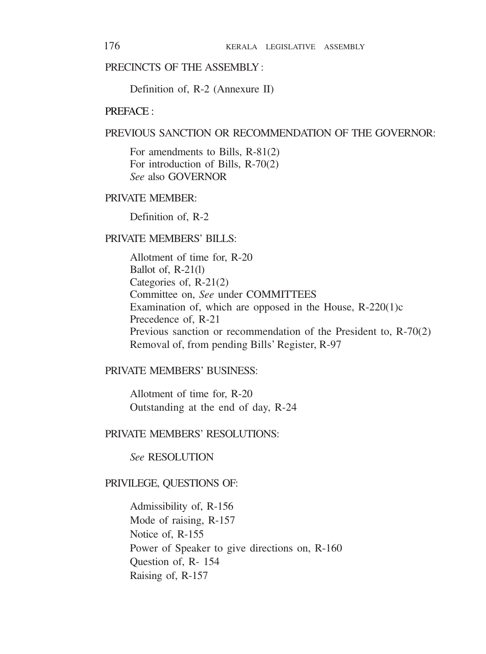### PRECINCTS OF THE ASSEMBLY ·

Definition of, R-2 (Annexure II)

#### PREFACE ·

### PREVIOUS SANCTION OR RECOMMENDATION OF THE GOVERNOR.

For amendments to Bills, R-81(2) For introduction of Bills, R-70(2) *See* also GOVERNOR

### PRIVATE MEMBER:

Definition of, R-2

### PRIVATE MEMBERS' BILLS:

Allotment of time for, R-20 Ballot of, R-21(l) Categories of, R-21(2) Committee on, *See* under COMMITTEES Examination of, which are opposed in the House, R-220(1)c Precedence of, R-21 Previous sanction or recommendation of the President to, R-70(2) Removal of, from pending Bills' Register, R-97

### PRIVATE MEMBERS' BUSINESS:

Allotment of time for, R-20 Outstanding at the end of day, R-24

### PRIVATE MEMBERS' RESOLUTIONS:

*See* RESOLUTION

#### PRIVILEGE, QUESTIONS OF:

Admissibility of, R-156 Mode of raising, R-157 Notice of, R-155 Power of Speaker to give directions on, R-160 Question of, R- 154 Raising of, R-157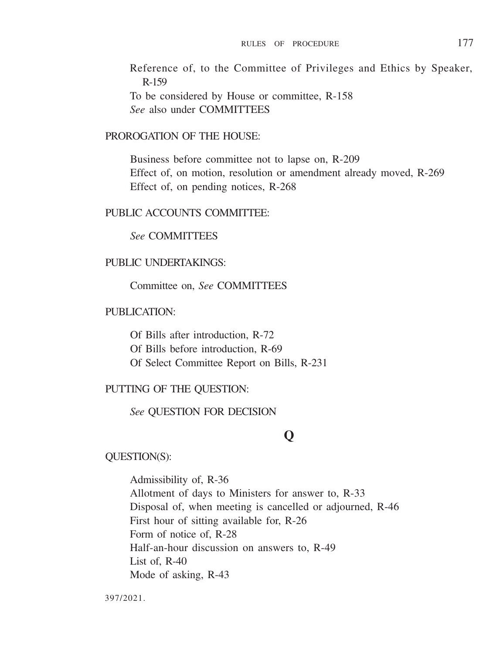Reference of, to the Committee of Privileges and Ethics by Speaker, R-159 To be considered by House or committee, R-158 *See* also under COMMITTEES

#### PROROGATION OF THE HOUSE.

Business before committee not to lapse on, R-209 Effect of, on motion, resolution or amendment already moved, R-269 Effect of, on pending notices, R-268

### PUBLIC ACCOUNTS COMMITTEE.

### *See* COMMITTEES

#### PUBLIC UNDERTAKINGS:

#### Committee on, *See* COMMITTEES

### PUBLICATION·

Of Bills after introduction, R-72 Of Bills before introduction, R-69 Of Select Committee Report on Bills, R-231

#### PUTTING OF THE QUESTION:

#### *See* QUESTION FOR DECISION

### **Q**

#### QUESTION(S):

Admissibility of, R-36 Allotment of days to Ministers for answer to, R-33 Disposal of, when meeting is cancelled or adjourned, R-46 First hour of sitting available for, R-26 Form of notice of, R-28 Half-an-hour discussion on answers to, R-49 List of, R-40 Mode of asking, R-43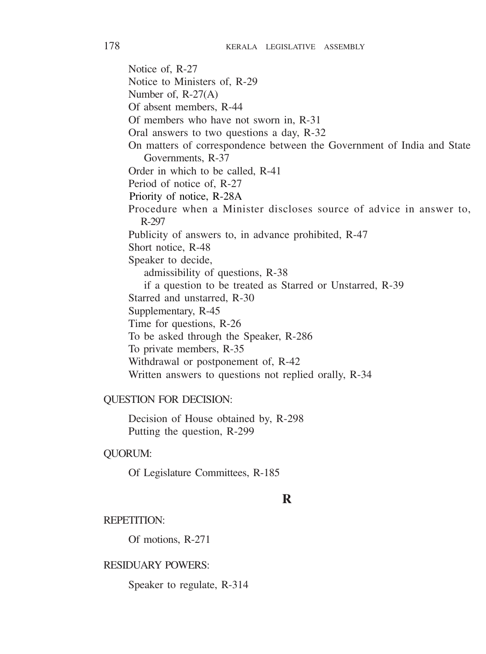Notice of, R-27 Notice to Ministers of, R-29 Number of, R-27(A) Of absent members, R-44 Of members who have not sworn in, R-31 Oral answers to two questions a day, R-32 On matters of correspondence between the Government of India and State Governments, R-37 Order in which to be called, R-41 Period of notice of, R-27 Priority of notice, R-28A Procedure when a Minister discloses source of advice in answer to, R-297 Publicity of answers to, in advance prohibited, R-47 Short notice, R-48 Speaker to decide, admissibility of questions, R-38 if a question to be treated as Starred or Unstarred, R-39 Starred and unstarred, R-30 Supplementary, R-45 Time for questions, R-26 To be asked through the Speaker, R-286 To private members, R-35 Withdrawal or postponement of, R-42 Written answers to questions not replied orally, R-34

#### QUESTION FOR DECISION:

Decision of House obtained by, R-298 Putting the question, R-299

#### QUORUM:

Of Legislature Committees, R-185

### **R**

#### REPETITION:

Of motions, R-271

#### RESIDUARY POWERS:

Speaker to regulate, R-314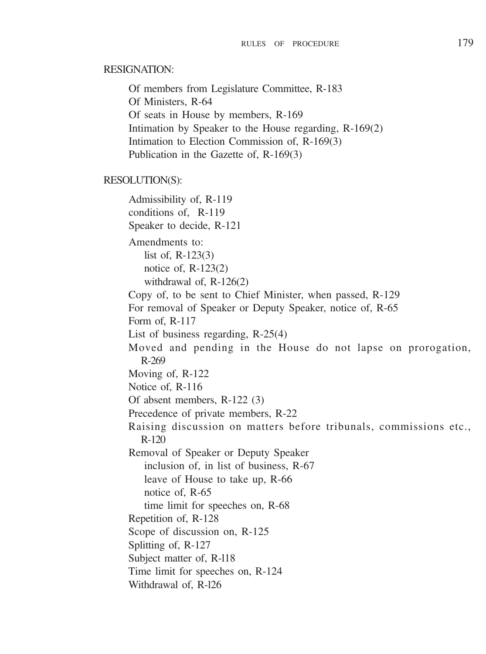#### RESIGNATION:

Of members from Legislature Committee, R-183 Of Ministers, R-64 Of seats in House by members, R-169 Intimation by Speaker to the House regarding, R-169(2) Intimation to Election Commission of, R-169(3) Publication in the Gazette of, R-169(3)

#### RESOLUTION(S):

Admissibility of, R-119 conditions of, R-119 Speaker to decide, R-121 Amendments to: list of, R-123(3) notice of, R-123(2) withdrawal of, R-126(2) Copy of, to be sent to Chief Minister, when passed, R-129 For removal of Speaker or Deputy Speaker, notice of, R-65 Form of, R-117 List of business regarding, R-25(4) Moved and pending in the House do not lapse on prorogation, R-269 Moving of, R-122 Notice of, R-116 Of absent members, R-122 (3) Precedence of private members, R-22 Raising discussion on matters before tribunals, commissions etc., R-120 Removal of Speaker or Deputy Speaker inclusion of, in list of business, R-67 leave of House to take up, R-66 notice of, R-65 time limit for speeches on, R-68 Repetition of, R-128 Scope of discussion on, R-125 Splitting of, R-127 Subject matter of, R-l18 Time limit for speeches on, R-124 Withdrawal of, R-126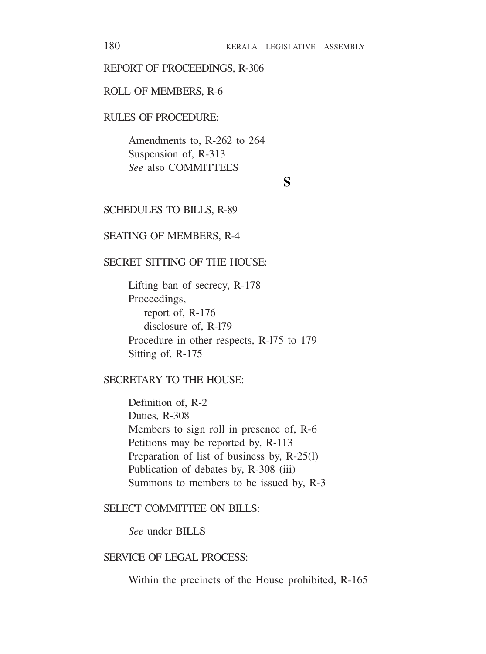#### REPORT OF PROCEEDINGS, R-306

#### ROLL OF MEMBERS, R-6

### RULES OF PROCEDURE:

Amendments to, R-262 to 264 Suspension of, R-313 *See* also COMMITTEES

#### **S**

#### SCHEDULES TO BILLS, R-89

#### SEATING OF MEMBERS, R-4

#### SECRET SITTING OF THE HOUSE:

Lifting ban of secrecy, R-178 Proceedings, report of, R-176 disclosure of, R-l79 Procedure in other respects, R-l75 to 179 Sitting of, R-175

### SECRETARY TO THE HOUSE:

Definition of, R-2 Duties, R-308 Members to sign roll in presence of, R-6 Petitions may be reported by, R-113 Preparation of list of business by, R-25(l) Publication of debates by, R-308 (iii) Summons to members to be issued by, R-3

#### SELECT COMMITTEE ON BILLS:

*See* under BILLS

#### SERVICE OF LEGAL PROCESS:

Within the precincts of the House prohibited, R-165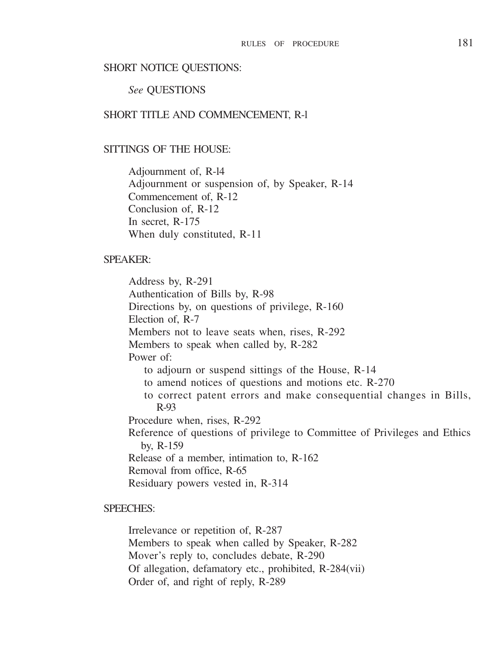#### SHORT NOTICE QUESTIONS:

#### *See* QUESTIONS

#### SHORT TITLE AND COMMENCEMENT, R-1

#### SITTINGS OF THE HOUSE:

Adjournment of, R-l4 Adjournment or suspension of, by Speaker, R-14 Commencement of, R-12 Conclusion of, R-12 In secret, R-175 When duly constituted, R-11

#### SPEAKER:

Address by, R-291 Authentication of Bills by, R-98 Directions by, on questions of privilege, R-160 Election of, R-7 Members not to leave seats when, rises, R-292 Members to speak when called by, R-282 Power of: to adjourn or suspend sittings of the House, R-14 to amend notices of questions and motions etc. R-270 to correct patent errors and make consequential changes in Bills, R-93 Procedure when, rises, R-292 Reference of questions of privilege to Committee of Privileges and Ethics by, R-159 Release of a member, intimation to, R-162 Removal from office, R-65 Residuary powers vested in, R-314

### SPEECHES:

Irrelevance or repetition of, R-287 Members to speak when called by Speaker, R-282 Mover's reply to, concludes debate, R-290 Of allegation, defamatory etc., prohibited, R-284(vii) Order of, and right of reply, R-289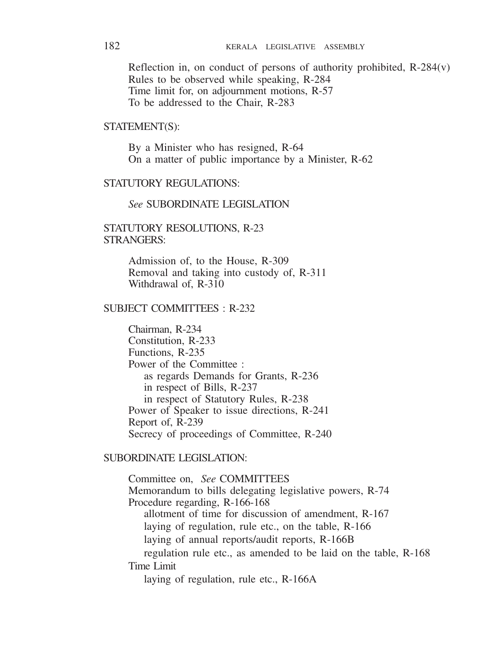Reflection in, on conduct of persons of authority prohibited, R-284(v) Rules to be observed while speaking, R-284 Time limit for, on adjournment motions, R-57 To be addressed to the Chair, R-283

#### STATEMENT(S):

By a Minister who has resigned, R-64 On a matter of public importance by a Minister, R-62

#### STATUTORY REGULATIONS:

#### *See* SUBORDINATE LEGISLATION

#### STATUTORY RESOLUTIONS, R-23 STRANGERS:

Admission of, to the House, R-309 Removal and taking into custody of, R-311 Withdrawal of, R-310

#### SUBJECT COMMITTEES · R-232

Chairman, R-234 Constitution, R-233 Functions, R-235 Power of the Committee : as regards Demands for Grants, R-236 in respect of Bills, R-237 in respect of Statutory Rules, R-238 Power of Speaker to issue directions, R-241 Report of, R-239 Secrecy of proceedings of Committee, R-240

### SUBORDINATE LEGISLATION:

Committee on, *See* COMMITTEES Memorandum to bills delegating legislative powers, R-74 Procedure regarding, R-166-168 allotment of time for discussion of amendment, R-167 laying of regulation, rule etc., on the table, R-166 laying of annual reports/audit reports, R-166B regulation rule etc., as amended to be laid on the table, R-168 Time Limit laying of regulation, rule etc., R-166A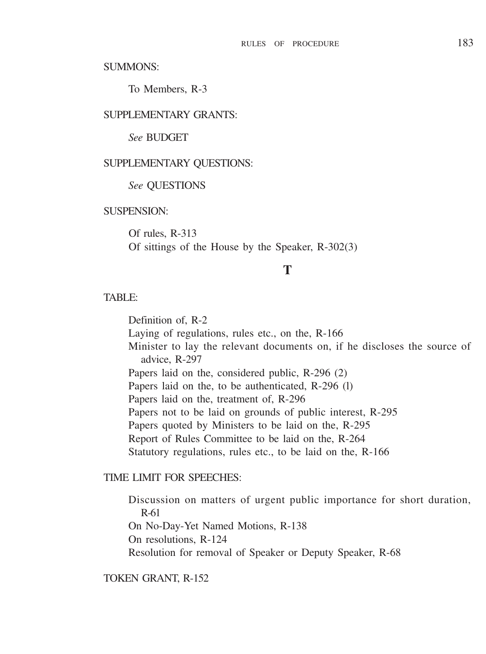SUMMONS:

To Members, R-3

#### SUPPLEMENTARY GRANTS.

*See* BUDGET

#### SUPPLEMENTARY QUESTIONS:

#### *See* QUESTIONS

### SUSPENSION<sup>.</sup>

Of rules, R-313 Of sittings of the House by the Speaker, R-302(3)

# **T**

#### TABLE:

Definition of, R-2 Laying of regulations, rules etc., on the, R-166 Minister to lay the relevant documents on, if he discloses the source of advice, R-297 Papers laid on the, considered public, R-296 (2) Papers laid on the, to be authenticated, R-296 (l) Papers laid on the, treatment of, R-296 Papers not to be laid on grounds of public interest, R-295 Papers quoted by Ministers to be laid on the, R-295 Report of Rules Committee to be laid on the, R-264 Statutory regulations, rules etc., to be laid on the, R-166

#### TIME LIMIT FOR SPEECHES:

Discussion on matters of urgent public importance for short duration, R-61 On No-Day-Yet Named Motions, R-138 On resolutions, R-124 Resolution for removal of Speaker or Deputy Speaker, R-68

#### TOKEN GRANT, R-152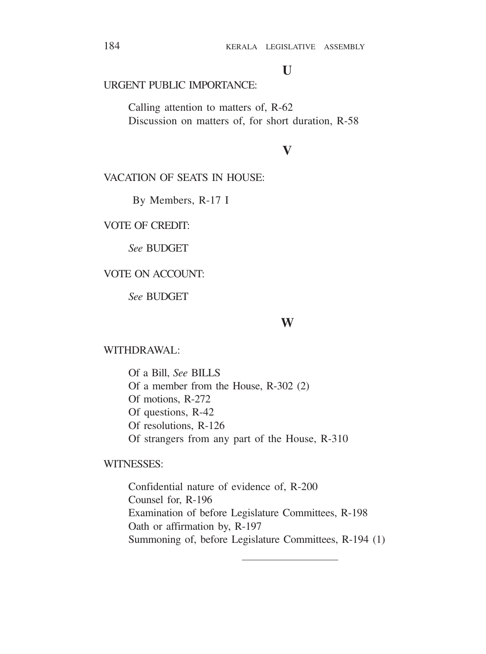# **U**

### URGENT PUBLIC IMPORTANCE:

Calling attention to matters of, R-62 Discussion on matters of, for short duration, R-58

# **V**

### VACATION OF SEATS IN HOUSE.

By Members, R-17 I

VOTE OF CREDIT:

*See* BUDGET

### VOTE ON ACCOUNT:

*See* BUDGET

#### **W**

### WITHDR AWAI:

Of a Bill, *See* BILLS Of a member from the House, R-302 (2) Of motions, R-272 Of questions, R-42 Of resolutions, R-126 Of strangers from any part of the House, R-310

### WITNESSES:

Confidential nature of evidence of, R-200 Counsel for, R-196 Examination of before Legislature Committees, R-198 Oath or affirmation by, R-197 Summoning of, before Legislature Committees, R-194 (1)